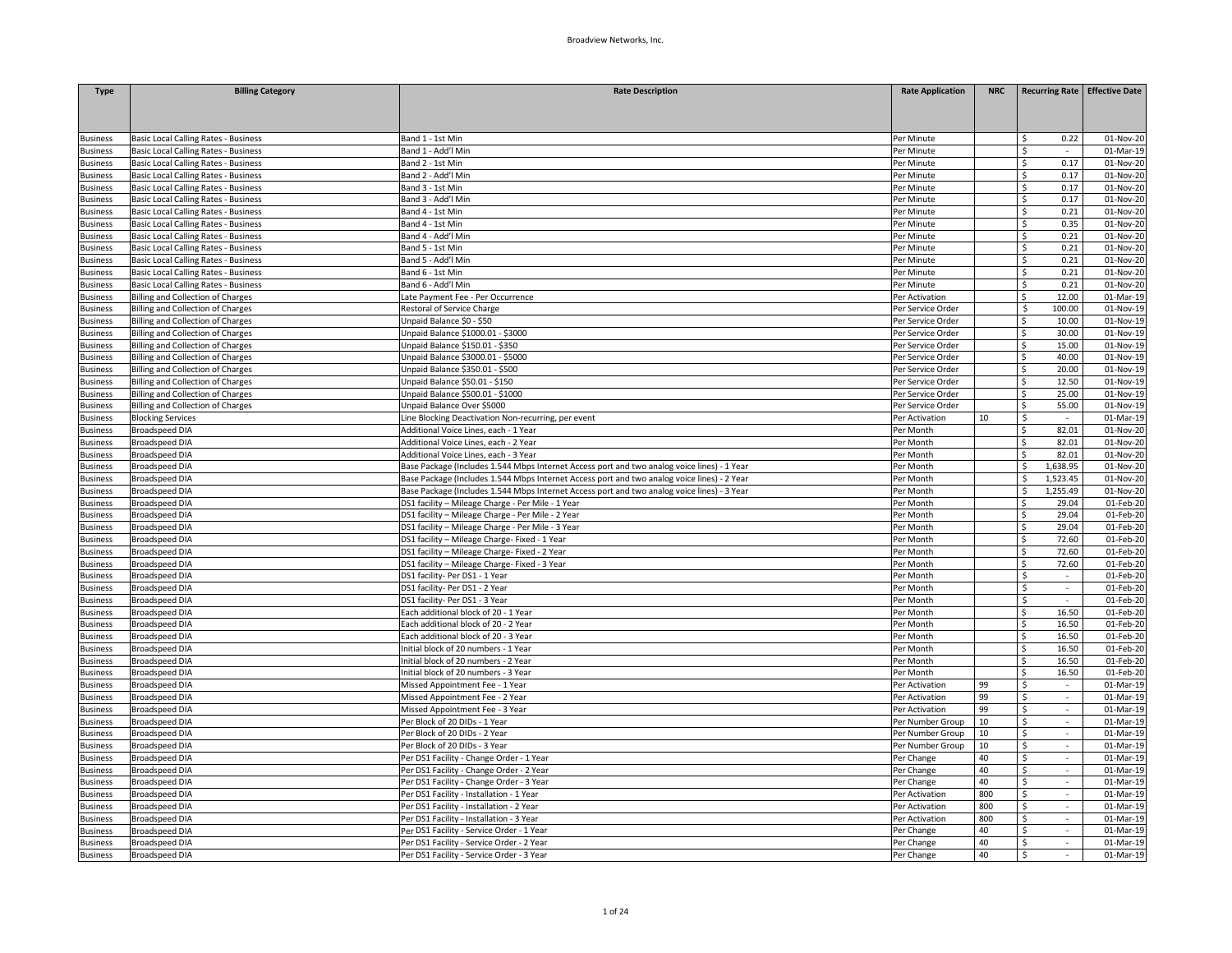| <b>Type</b>     | <b>Billing Category</b>                     | <b>Rate Description</b>                                                                     | <b>Rate Application</b> | <b>NRC</b> |                   | <b>Recurring Rate Effective Date</b> |
|-----------------|---------------------------------------------|---------------------------------------------------------------------------------------------|-------------------------|------------|-------------------|--------------------------------------|
|                 |                                             |                                                                                             |                         |            |                   |                                      |
|                 |                                             |                                                                                             |                         |            |                   |                                      |
|                 |                                             |                                                                                             |                         |            |                   |                                      |
| <b>Business</b> | Basic Local Calling Rates - Business        | Band 1 - 1st Min                                                                            | Per Minute              |            | 0.22<br>\$        | 01-Nov-20                            |
| <b>Business</b> | Basic Local Calling Rates - Business        | Band 1 - Add'l Min                                                                          | Per Minute              |            | Ś                 | 01-Mar-19                            |
| <b>Business</b> | Basic Local Calling Rates - Business        | Band 2 - 1st Min                                                                            | Per Minute              |            | 0.17<br>\$        | 01-Nov-20                            |
| <b>Business</b> | Basic Local Calling Rates - Business        | Band 2 - Add'l Min                                                                          | Per Minute              |            | \$<br>0.17        | 01-Nov-20                            |
| <b>Business</b> | Basic Local Calling Rates - Business        | Band 3 - 1st Min                                                                            | Per Minute              |            | \$.<br>0.17       | 01-Nov-20                            |
| <b>Business</b> | Basic Local Calling Rates - Business        | Band 3 - Add'l Min                                                                          | Per Minute              |            | 0.17<br>Ś<br>0.21 | 01-Nov-20                            |
| <b>Business</b> | Basic Local Calling Rates - Business        | Band 4 - 1st Min                                                                            | Per Minute              |            | \$<br>\$          | 01-Nov-20                            |
| <b>Business</b> | Basic Local Calling Rates - Business        | Band 4 - 1st Min                                                                            | Per Minute              |            | 0.35              | 01-Nov-20                            |
| <b>Business</b> | Basic Local Calling Rates - Business        | Band 4 - Add'l Min                                                                          | Per Minute              |            | 0.21<br>Ś         | 01-Nov-20                            |
| <b>Business</b> | <b>Basic Local Calling Rates - Business</b> | Band 5 - 1st Min                                                                            | Per Minute              |            | Ś<br>0.21         | 01-Nov-20                            |
| <b>Business</b> | Basic Local Calling Rates - Business        | Band 5 - Add'l Min                                                                          | Per Minute              |            | Ś<br>0.21         | 01-Nov-20                            |
| <b>Business</b> | Basic Local Calling Rates - Business        | Band 6 - 1st Min                                                                            | Per Minute              |            | 0.21<br>\$        | 01-Nov-20                            |
| <b>Business</b> | <b>Basic Local Calling Rates - Business</b> | Band 6 - Add'l Min                                                                          | Per Minute              |            | \$<br>0.21        | 01-Nov-20                            |
| <b>Business</b> | <b>Billing and Collection of Charges</b>    | Late Payment Fee - Per Occurrence                                                           | Per Activation          |            | Ś<br>12.00        | 01-Mar-19                            |
| usiness         | <b>Billing and Collection of Charges</b>    | Restoral of Service Charge                                                                  | Per Service Order       |            | 100.00<br>\$      | 01-Nov-19                            |
| <b>Business</b> | <b>Billing and Collection of Charges</b>    | Unpaid Balance \$0 - \$50                                                                   | Per Service Order       |            | 10.00             | 01-Nov-19                            |
| <b>Business</b> | <b>Billing and Collection of Charges</b>    | Unpaid Balance \$1000.01 - \$3000                                                           | Per Service Order       |            | Ś.<br>30.00       | 01-Nov-19                            |
| <b>Business</b> | Billing and Collection of Charges           | Unpaid Balance \$150.01 - \$350                                                             | Per Service Order       |            | 15.00<br>Ś.       | 01-Nov-19                            |
| <b>Business</b> | <b>Billing and Collection of Charges</b>    | Unpaid Balance \$3000.01 - \$5000                                                           | Per Service Order       |            | Ś<br>40.00        | 01-Nov-19                            |
| <b>Business</b> | <b>Billing and Collection of Charges</b>    | Unpaid Balance \$350.01 - \$500                                                             | Per Service Order       |            | Ś<br>20.00        | 01-Nov-19                            |
| <b>Business</b> | <b>Billing and Collection of Charges</b>    | Unpaid Balance \$50.01 - \$150                                                              | Per Service Order       |            | 12.50<br>Ś.       | 01-Nov-19                            |
| <b>Business</b> | <b>Billing and Collection of Charges</b>    | Unpaid Balance \$500.01 - \$1000                                                            | Per Service Order       |            | 25.00<br>Ś.       | 01-Nov-19                            |
| <b>Business</b> | <b>Billing and Collection of Charges</b>    | Unpaid Balance Over \$5000                                                                  | Per Service Order       |            | Ś<br>55.00        | 01-Nov-19                            |
| <b>Business</b> | <b>Blocking Services</b>                    | Line Blocking Deactivation Non-recurring, per event                                         | Per Activation          | 10         | Ś<br>$\sim$       | 01-Mar-19                            |
| <b>Business</b> | <b>Broadspeed DIA</b>                       | Additional Voice Lines, each - 1 Year                                                       | Per Month               |            | 82.01<br>Ś        | 01-Nov-20                            |
| <b>Business</b> | <b>Broadspeed DIA</b>                       | Additional Voice Lines, each - 2 Year                                                       | Per Month               |            | Ś<br>82.01        | 01-Nov-20                            |
| usiness         | <b>Broadspeed DIA</b>                       | Additional Voice Lines, each - 3 Year                                                       | Per Month               |            | 82.01             | 01-Nov-20                            |
| <b>Business</b> | <b>Broadspeed DIA</b>                       | Base Package (Includes 1.544 Mbps Internet Access port and two analog voice lines) - 1 Year | Per Month               |            | 1,638.95<br>ς     | 01-Nov-20                            |
| <b>Business</b> | <b>Broadspeed DIA</b>                       | Base Package (Includes 1.544 Mbps Internet Access port and two analog voice lines) - 2 Year | Per Month               |            | 1,523.45<br>Ŝ     | 01-Nov-20                            |
| <b>Business</b> | <b>Broadspeed DIA</b>                       | Base Package (Includes 1.544 Mbps Internet Access port and two analog voice lines) - 3 Year | Per Month               |            | 1,255.49<br>Ŝ     | 01-Nov-20                            |
| <b>Business</b> | <b>Broadspeed DIA</b>                       | DS1 facility - Mileage Charge - Per Mile - 1 Year                                           | Per Month               |            | 29.04             | 01-Feb-20                            |
| <b>Business</b> | <b>Broadspeed DIA</b>                       | DS1 facility - Mileage Charge - Per Mile - 2 Year                                           | Per Month               |            | 29.04<br>Ś.       | 01-Feb-20                            |
| usiness         | <b>Broadspeed DIA</b>                       | DS1 facility - Mileage Charge - Per Mile - 3 Year                                           | Per Month               |            | 29.04<br>Ś        | 01-Feb-20                            |
| <b>Business</b> | <b>Broadspeed DIA</b>                       | DS1 facility - Mileage Charge- Fixed - 1 Year                                               | Per Month               |            | 72.60<br>Ś        | 01-Feb-20                            |
| <b>Business</b> | <b>Broadspeed DIA</b>                       | DS1 facility - Mileage Charge- Fixed - 2 Year                                               | Per Month               |            | Ś.<br>72.60       | 01-Feb-20                            |
| <b>Business</b> | <b>Broadspeed DIA</b>                       | DS1 facility - Mileage Charge- Fixed - 3 Year                                               | Per Month               |            | 72.60<br>Ŝ.       | 01-Feb-20                            |
| <b>Business</b> | <b>Broadspeed DIA</b>                       | DS1 facility- Per DS1 - 1 Year                                                              | Per Month               |            | Ś                 | 01-Feb-20                            |
| <b>Business</b> | <b>Broadspeed DIA</b>                       | DS1 facility- Per DS1 - 2 Year                                                              | Per Month               |            | Ś<br>$\sim$       | 01-Feb-20                            |
| <b>Business</b> | <b>Broadspeed DIA</b>                       | DS1 facility- Per DS1 - 3 Year                                                              | Per Month               |            | \$<br>$\sim$      | 01-Feb-20                            |
| usiness         | <b>Broadspeed DIA</b>                       | Each additional block of 20 - 1 Year                                                        | Per Month               |            | 16.50<br>Ś.       | 01-Feb-20                            |
| <b>Business</b> | <b>Broadspeed DIA</b>                       | Each additional block of 20 - 2 Year                                                        | Per Month               |            | 16.50<br>Ś.       | 01-Feb-20                            |
| usiness         | <b>Broadspeed DIA</b>                       | Each additional block of 20 - 3 Year                                                        | Per Month               |            | 16.50<br>Ŝ.       | 01-Feb-20                            |
| <b>Business</b> | <b>Broadspeed DIA</b>                       | Initial block of 20 numbers - 1 Year                                                        | Per Month               |            | Ś<br>16.50        | 01-Feb-20                            |
| <b>Business</b> | <b>Broadspeed DIA</b>                       | nitial block of 20 numbers - 2 Year                                                         | Per Month               |            | Ś<br>16.50        | 01-Feb-20                            |
| <b>Business</b> | <b>Broadspeed DIA</b>                       | Initial block of 20 numbers - 3 Year                                                        | Per Month               |            | 16.50<br>Ś.       | 01-Feb-20                            |
| usiness         | <b>Broadspeed DIA</b>                       | Missed Appointment Fee - 1 Year                                                             | Per Activation          | 99         | Ś                 | 01-Mar-19                            |
| <b>Business</b> | <b>Broadspeed DIA</b>                       | Missed Appointment Fee - 2 Year                                                             | Per Activation          | 99         | \$                | 01-Mar-19                            |
| <b>Business</b> | <b>Broadspeed DIA</b>                       | Missed Appointment Fee - 3 Year                                                             | Per Activation          | 99         | \$<br>$\sim$      | 01-Mar-19                            |
| <b>Business</b> | <b>Broadspeed DIA</b>                       | Per Block of 20 DIDs - 1 Year                                                               | Per Number Group        | 10         | \$<br>$\epsilon$  | 01-Mar-19                            |
| <b>Business</b> | <b>Broadspeed DIA</b>                       | Per Block of 20 DIDs - 2 Year                                                               | Per Number Group        | 10         | Ś<br>$\sim$       | 01-Mar-19                            |
| <b>Business</b> | <b>Broadspeed DIA</b>                       | Per Block of 20 DIDs - 3 Year                                                               | Per Number Group        | 10         | \$.<br>$\sim$     | 01-Mar-19                            |
| usiness         | <b>Broadspeed DIA</b>                       | Per DS1 Facility - Change Order - 1 Year                                                    | Per Change              | 40         | \$<br>$\sim$      | 01-Mar-19                            |
| <b>Business</b> | <b>Broadspeed DIA</b>                       | Per DS1 Facility - Change Order - 2 Year                                                    | Per Change              | 40         | Ś<br>$\sim$       | 01-Mar-19                            |
| <b>Business</b> | <b>Broadspeed DIA</b>                       | Per DS1 Facility - Change Order - 3 Year                                                    | Per Change              | 40         | Ś.<br>$\sim$      | 01-Mar-19                            |
| <b>Business</b> | <b>Broadspeed DIA</b>                       | Per DS1 Facility - Installation - 1 Year                                                    | Per Activation          | 800        | Š.<br>$\sim$      | 01-Mar-19                            |
| usiness         | <b>Broadspeed DIA</b>                       | Per DS1 Facility - Installation - 2 Year                                                    | Per Activation          | 800        | \$<br>$\sim$      | 01-Mar-19                            |
| usiness         | <b>Broadspeed DIA</b>                       | Per DS1 Facility - Installation - 3 Year                                                    | Per Activation          | 800        | \$<br>$\sim$      | 01-Mar-19                            |
| usiness         | <b>Broadspeed DIA</b>                       | Per DS1 Facility - Service Order - 1 Year                                                   | Per Change              | 40         | \$                | 01-Mar-19                            |
| <b>Business</b> | <b>Broadspeed DIA</b>                       | Per DS1 Facility - Service Order - 2 Year                                                   | Per Change              | 40         | Ś<br>$\sim$       | 01-Mar-19                            |
| <b>Business</b> | <b>Broadspeed DIA</b>                       | Per DS1 Facility - Service Order - 3 Year                                                   | Per Change              | 40         | \$<br>$\sim$      | $01-Mar-19$                          |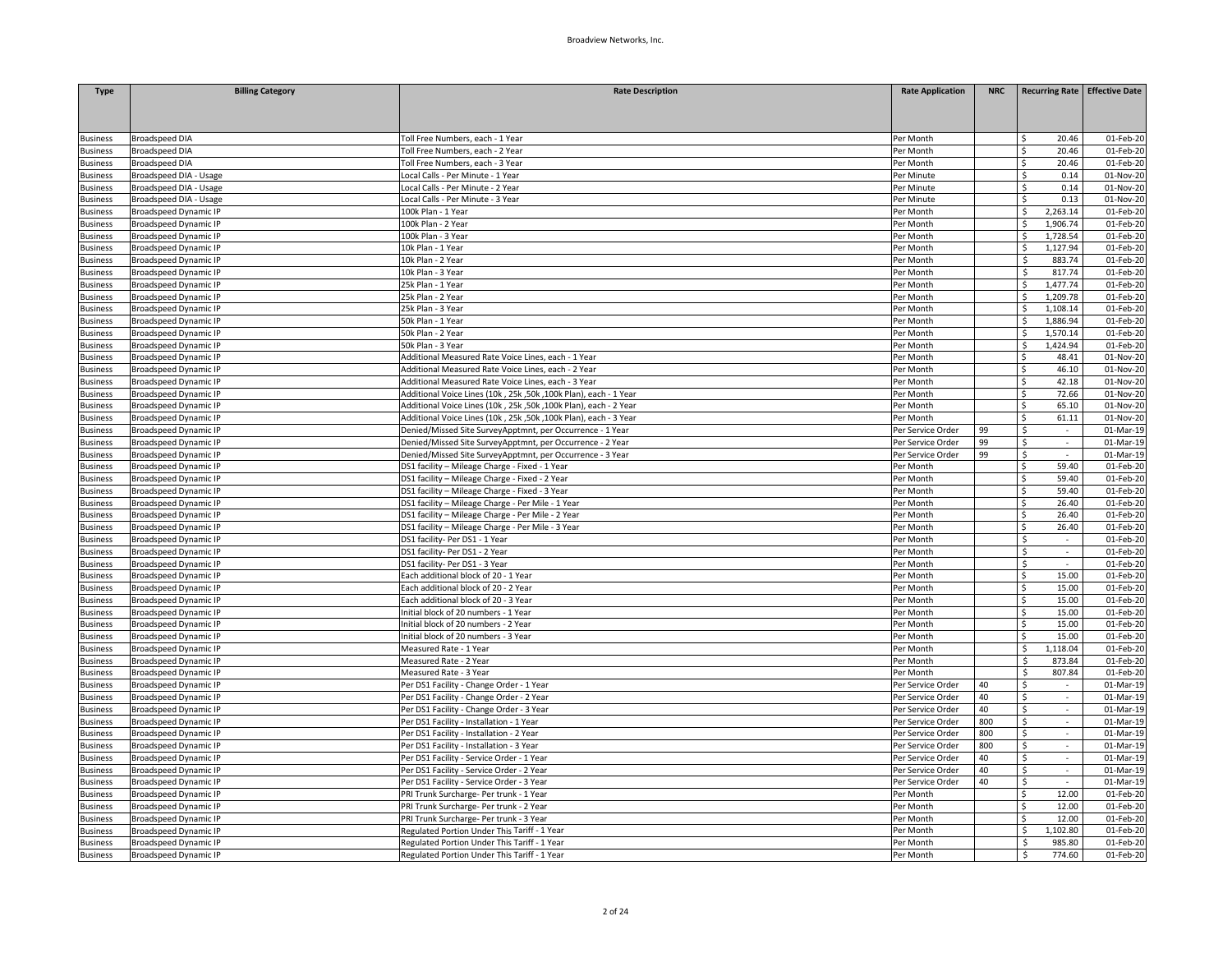| Toll Free Numbers, each - 1 Year<br><b>Broadspeed DIA</b><br>Per Month<br>20.46<br>01-Feb-20<br><b>Business</b><br><b>Broadspeed DIA</b><br>Per Month<br>20.46<br>01-Feb-20<br>Toll Free Numbers, each - 2 Year<br><b>Business</b><br><b>Broadspeed DIA</b><br>Toll Free Numbers, each - 3 Year<br>Per Month<br>Ś<br>20.46<br>01-Feb-20<br><b>Business</b><br>Broadspeed DIA - Usage<br>Local Calls - Per Minute - 1 Year<br>Per Minute<br>0.14<br>01-Nov-20<br><b>Business</b><br>Ŝ.<br>Broadspeed DIA - Usage<br>Local Calls - Per Minute - 2 Year<br>Ś<br>01-Nov-20<br><b>Business</b><br>Per Minute<br>0.14<br>Broadspeed DIA - Usage<br>Local Calls - Per Minute - 3 Year<br>\$<br>0.13<br>01-Nov-20<br><b>Business</b><br>Per Minute<br>100k Plan - 1 Year<br>$2,263.\overline{14}$<br>01-Feb-20<br><b>Business</b><br><b>Broadspeed Dynamic IP</b><br>Per Month<br>\$<br><b>Broadspeed Dynamic IP</b><br>100k Plan - 2 Year<br>1,906.74<br>01-Feb-20<br><b>Business</b><br>Per Month<br>Ś<br><b>Broadspeed Dynamic IP</b><br>100k Plan - 3 Year<br>Per Month<br>1,728.54<br>01-Feb-20<br><b>Business</b><br>Ś<br>1,127.94<br><b>Business</b><br><b>Broadspeed Dynamic IP</b><br>10k Plan - 1 Year<br>Per Month<br>\$<br>01-Feb-20<br><b>Broadspeed Dynamic IP</b><br>10k Plan - 2 Year<br>Per Month<br>\$<br>883.74<br>01-Feb-20<br><b>Business</b><br>817.74<br><b>Broadspeed Dynamic IP</b><br>10k Plan - 3 Year<br>Per Month<br>01-Feb-20<br><b>Business</b><br>Ś<br>25k Plan - 1 Year<br>1,477.74<br><b>Business</b><br><b>Broadspeed Dynamic IP</b><br>Per Month<br>Ś<br>01-Feb-20<br><b>Business</b><br><b>Broadspeed Dynamic IP</b><br>25k Plan - 2 Year<br>Per Month<br>Ŝ<br>1,209.78<br>01-Feb-20<br><b>Broadspeed Dynamic IP</b><br>25k Plan - 3 Year<br>Per Month<br>1,108.14<br>01-Feb-20<br><b>Business</b><br>Ś<br><b>Broadspeed Dynamic IP</b><br>50k Plan - 1 Year<br>Per Month<br>1,886.94<br>01-Feb-20<br><b>Business</b><br><b>Broadspeed Dynamic IP</b><br>50k Plan - 2 Year<br>Per Month<br>1,570.14<br>01-Feb-20<br><b>Business</b><br>Ŝ.<br>1,424.94<br>01-Feb-20<br><b>Business</b><br><b>Broadspeed Dynamic IP</b><br>50k Plan - 3 Year<br>Per Month<br>Ś<br><b>Broadspeed Dynamic IP</b><br>Additional Measured Rate Voice Lines, each - 1 Year<br>Per Month<br>48.41<br>01-Nov-20<br><b>Business</b><br><b>Broadspeed Dynamic IP</b><br>Additional Measured Rate Voice Lines, each - 2 Year<br>Per Month<br>46.10<br>01-Nov-20<br><b>Business</b><br>42.18<br>01-Nov-20<br><b>Business</b><br><b>Broadspeed Dynamic IP</b><br>Additional Measured Rate Voice Lines, each - 3 Year<br>Per Month<br>Ś.<br><b>Broadspeed Dynamic IP</b><br>Additional Voice Lines (10k, 25k, 50k, 100k Plan), each - 1 Year<br>Per Month<br>72.66<br>01-Nov-20<br><b>Business</b><br>Ś<br><b>Broadspeed Dynamic IP</b><br>Additional Voice Lines (10k, 25k, 50k, 100k Plan), each - 2 Year<br>Per Month<br>Ś<br>65.10<br>01-Nov-20<br><b>Business</b><br>Additional Voice Lines (10k, 25k, 50k, 100k Plan), each - 3 Year<br>Per Month<br>61.11<br>01-Nov-20<br><b>Business</b><br><b>Broadspeed Dynamic IP</b><br>Ś.<br>Ś<br><b>Broadspeed Dynamic IP</b><br>Denied/Missed Site SurveyApptmnt, per Occurrence - 1 Year<br>Per Service Order<br>99<br>01-Mar-19<br>99<br>\$<br><b>Broadspeed Dynamic IP</b><br>Denied/Missed Site SurveyApptmnt, per Occurrence - 2 Year<br>Per Service Order<br>01-Mar-19<br>$\sim$<br>99<br>01-Mar-19<br><b>Business</b><br><b>Broadspeed Dynamic IP</b><br>Denied/Missed Site SurveyApptmnt, per Occurrence - 3 Year<br>Per Service Order<br>\$<br>$\sim$<br>59.40<br><b>Broadspeed Dynamic IP</b><br>DS1 facility - Mileage Charge - Fixed - 1 Year<br>Per Month<br>Ś.<br>01-Feb-20<br><b>Business</b><br>DS1 facility - Mileage Charge - Fixed - 2 Year<br>Ś<br>59.40<br><b>Business</b><br><b>Broadspeed Dynamic IP</b><br>Per Month<br>01-Feb-20<br><b>Broadspeed Dynamic IP</b><br>DS1 facility - Mileage Charge - Fixed - 3 Year<br>Per Month<br>59.40<br>01-Feb-20<br><b>Business</b><br>Ś.<br>DS1 facility - Mileage Charge - Per Mile - 1 Year<br>26.40<br>01-Feb-20<br><b>Broadspeed Dynamic IP</b><br>Per Month<br>Ś<br><b>Business</b><br>Per Month<br>26.40<br>$\overline{01}$ -Feb-20<br><b>Broadspeed Dynamic IP</b><br>DS1 facility - Mileage Charge - Per Mile - 2 Year<br>Ś.<br><b>Business</b><br><b>Broadspeed Dynamic IP</b><br>DS1 facility - Mileage Charge - Per Mile - 3 Year<br>Per Month<br>26.40<br>01-Feb-20<br>Ś.<br>DS1 facility- Per DS1 - 1 Year<br>Ś<br><b>Broadspeed Dynamic IP</b><br>Per Month<br>01-Feb-20<br><b>Business</b><br><b>Broadspeed Dynamic IP</b><br>DS1 facility- Per DS1 - 2 Year<br>Per Month<br>Ś<br>01-Feb-20<br><b>Business</b><br>DS1 facility- Per DS1 - 3 Year<br>01-Feb-20<br><b>Broadspeed Dynamic IP</b><br>Per Month<br>\$<br>$\sim$<br>15.00<br>Each additional block of 20 - 1 Year<br>Per Month<br>01-Feb-20<br><b>Broadspeed Dynamic IP</b><br>Ś.<br><b>Business</b><br><b>Broadspeed Dynamic IP</b><br>Each additional block of 20 - 2 Year<br>Per Month<br>15.00<br>01-Feb-20<br><b>Business</b><br><b>Broadspeed Dynamic IP</b><br>Each additional block of 20 - 3 Year<br>Per Month<br>15.00<br>01-Feb-20<br><b>Business</b><br>Ś<br>15.00<br>Initial block of 20 numbers - 1 Year<br>Per Month<br>01-Feb-20<br>Business<br><b>Broadspeed Dynamic IP</b><br>Ś<br><b>Broadspeed Dynamic IP</b><br>Initial block of 20 numbers - 2 Year<br>Per Month<br>15.00<br>01-Feb-20<br><b>Business</b><br>Ś<br><b>Broadspeed Dynamic IP</b><br>Initial block of 20 numbers - 3 Year<br>Per Month<br>15.00<br>01-Feb-20<br><b>Business</b><br>1,118.04<br>01-Feb-20<br><b>Broadspeed Dynamic IP</b><br>Measured Rate - 1 Year<br>Per Month<br>Ś<br><b>Business</b><br><b>Broadspeed Dynamic IP</b><br>Measured Rate - 2 Year<br>Per Month<br>Ś<br>873.84<br>01-Feb-20<br><b>Business</b><br>807.84<br><b>Business</b><br><b>Broadspeed Dynamic IP</b><br>Measured Rate - 3 Year<br>Per Month<br>\$<br>01-Feb-20<br><b>Broadspeed Dynamic IP</b><br>Per DS1 Facility - Change Order - 1 Year<br>Per Service Order<br>40<br>\$<br>01-Mar-19<br><b>Business</b><br>01-Mar-19<br><b>Business</b><br><b>Broadspeed Dynamic IP</b><br>Per DS1 Facility - Change Order - 2 Year<br>Per Service Order<br>40<br>\$<br>$\sim$<br>40<br>01-Mar-19<br><b>Business</b><br><b>Broadspeed Dynamic IP</b><br>Per DS1 Facility - Change Order - 3 Year<br>Per Service Order<br>Ŝ.<br>$\sim$<br>Ś<br><b>Business</b><br><b>Broadspeed Dynamic IP</b><br>Per DS1 Facility - Installation - 1 Year<br>Per Service Order<br>800<br>01-Mar-19<br>Per DS1 Facility - Installation - 2 Year<br>Ś<br><b>Business</b><br><b>Broadspeed Dynamic IP</b><br>800<br>01-Mar-19<br>Per Service Order<br>$\sim$<br><b>Broadspeed Dynamic IP</b><br>Per DS1 Facility - Installation - 3 Year<br>800<br>Ś.<br>01-Mar-19<br><b>Business</b><br>Per Service Order<br>\$<br><b>Broadspeed Dynamic IP</b><br>Per DS1 Facility - Service Order - 1 Year<br>Per Service Order<br>40<br>01-Mar-19<br><b>Business</b><br><b>Broadspeed Dynamic IP</b><br>Per DS1 Facility - Service Order - 2 Year<br>Per Service Order<br>40<br>\$<br>01-Mar-19<br><b>Business</b><br>$\sim$<br><b>Broadspeed Dynamic IP</b><br>Per DS1 Facility - Service Order - 3 Year<br>Per Service Order<br>40<br>\$<br>01-Mar-19<br><b>Business</b><br><b>Broadspeed Dynamic IP</b><br>PRI Trunk Surcharge- Per trunk - 1 Year<br>Per Month<br>Ś<br>12.00<br>01-Feb-20<br><b>Business</b><br>PRI Trunk Surcharge- Per trunk - 2 Year<br>12.00<br><b>Business</b><br><b>Broadspeed Dynamic IP</b><br>Per Month<br>Ś.<br>01-Feb-20<br><b>Broadspeed Dynamic IP</b><br>PRI Trunk Surcharge- Per trunk - 3 Year<br>Per Month<br>12.00<br>01-Feb-20<br><b>Business</b><br><b>Broadspeed Dynamic IP</b><br>Regulated Portion Under This Tariff - 1 Year<br>Per Month<br>Ŝ.<br>1,102.80<br>01-Feb-20<br><b>Business</b><br><b>Broadspeed Dynamic IP</b><br>Regulated Portion Under This Tariff - 1 Year<br>Per Month<br>985.80<br>01-Feb-20<br><b>Business</b><br>Ś.<br><sub>S</sub> | <b>Type</b>     | <b>Billing Category</b>      | <b>Rate Description</b>                      | <b>Rate Application</b> | <b>NRC</b> | Recurring Rate Effective Date |           |
|-------------------------------------------------------------------------------------------------------------------------------------------------------------------------------------------------------------------------------------------------------------------------------------------------------------------------------------------------------------------------------------------------------------------------------------------------------------------------------------------------------------------------------------------------------------------------------------------------------------------------------------------------------------------------------------------------------------------------------------------------------------------------------------------------------------------------------------------------------------------------------------------------------------------------------------------------------------------------------------------------------------------------------------------------------------------------------------------------------------------------------------------------------------------------------------------------------------------------------------------------------------------------------------------------------------------------------------------------------------------------------------------------------------------------------------------------------------------------------------------------------------------------------------------------------------------------------------------------------------------------------------------------------------------------------------------------------------------------------------------------------------------------------------------------------------------------------------------------------------------------------------------------------------------------------------------------------------------------------------------------------------------------------------------------------------------------------------------------------------------------------------------------------------------------------------------------------------------------------------------------------------------------------------------------------------------------------------------------------------------------------------------------------------------------------------------------------------------------------------------------------------------------------------------------------------------------------------------------------------------------------------------------------------------------------------------------------------------------------------------------------------------------------------------------------------------------------------------------------------------------------------------------------------------------------------------------------------------------------------------------------------------------------------------------------------------------------------------------------------------------------------------------------------------------------------------------------------------------------------------------------------------------------------------------------------------------------------------------------------------------------------------------------------------------------------------------------------------------------------------------------------------------------------------------------------------------------------------------------------------------------------------------------------------------------------------------------------------------------------------------------------------------------------------------------------------------------------------------------------------------------------------------------------------------------------------------------------------------------------------------------------------------------------------------------------------------------------------------------------------------------------------------------------------------------------------------------------------------------------------------------------------------------------------------------------------------------------------------------------------------------------------------------------------------------------------------------------------------------------------------------------------------------------------------------------------------------------------------------------------------------------------------------------------------------------------------------------------------------------------------------------------------------------------------------------------------------------------------------------------------------------------------------------------------------------------------------------------------------------------------------------------------------------------------------------------------------------------------------------------------------------------------------------------------------------------------------------------------------------------------------------------------------------------------------------------------------------------------------------------------------------------------------------------------------------------------------------------------------------------------------------------------------------------------------------------------------------------------------------------------------------------------------------------------------------------------------------------------------------------------------------------------------------------------------------------------------------------------------------------------------------------------------------------------------------------------------------------------------------------------------------------------------------------------------------------------------------------------------------------------------------------------------------------------------------------------------------------------------------------------------------------------------------------------------------------------------------------------------------------------------------------------------------------------------------------------------------------------------------------------------------------------------------------------------------------------------------------------------------------------------------------------------------------------------------------------------------------------------------------------------------------------------------------------------------------------------------------------------------------------------------------------------------------------------------------------------------------------------------------------------------------------------------------------------------------------------------------------------------------------------------------------------------------------------------------------------------------------------------------------------------------------------------------------------------------------------------------------------------------------------------------------------------------------------------------------------------------------------------------------------------------------------------------------------------------------------------------------------------------------------------------------------------------------------------------------------------------------------------------------------------------------------------------------------------------------------------------------------------------------------------------------------------------------------------------------------------------------------------------------------------------------------------------------------------------------------------------------------------------------|-----------------|------------------------------|----------------------------------------------|-------------------------|------------|-------------------------------|-----------|
|                                                                                                                                                                                                                                                                                                                                                                                                                                                                                                                                                                                                                                                                                                                                                                                                                                                                                                                                                                                                                                                                                                                                                                                                                                                                                                                                                                                                                                                                                                                                                                                                                                                                                                                                                                                                                                                                                                                                                                                                                                                                                                                                                                                                                                                                                                                                                                                                                                                                                                                                                                                                                                                                                                                                                                                                                                                                                                                                                                                                                                                                                                                                                                                                                                                                                                                                                                                                                                                                                                                                                                                                                                                                                                                                                                                                                                                                                                                                                                                                                                                                                                                                                                                                                                                                                                                                                                                                                                                                                                                                                                                                                                                                                                                                                                                                                                                                                                                                                                                                                                                                                                                                                                                                                                                                                                                                                                                                                                                                                                                                                                                                                                                                                                                                                                                                                                                                                                                                                                                                                                                                                                                                                                                                                                                                                                                                                                                                                                                                                                                                                                                                                                                                                                                                                                                                                                                                                                                                                                                                                                                                                                                                                                                                                                                                                                                                                                                                                                                                                                                                                                                                                                                                                                                                                                                                                                                                                                                                                                                                                                                                                                                         |                 |                              |                                              |                         |            |                               |           |
|                                                                                                                                                                                                                                                                                                                                                                                                                                                                                                                                                                                                                                                                                                                                                                                                                                                                                                                                                                                                                                                                                                                                                                                                                                                                                                                                                                                                                                                                                                                                                                                                                                                                                                                                                                                                                                                                                                                                                                                                                                                                                                                                                                                                                                                                                                                                                                                                                                                                                                                                                                                                                                                                                                                                                                                                                                                                                                                                                                                                                                                                                                                                                                                                                                                                                                                                                                                                                                                                                                                                                                                                                                                                                                                                                                                                                                                                                                                                                                                                                                                                                                                                                                                                                                                                                                                                                                                                                                                                                                                                                                                                                                                                                                                                                                                                                                                                                                                                                                                                                                                                                                                                                                                                                                                                                                                                                                                                                                                                                                                                                                                                                                                                                                                                                                                                                                                                                                                                                                                                                                                                                                                                                                                                                                                                                                                                                                                                                                                                                                                                                                                                                                                                                                                                                                                                                                                                                                                                                                                                                                                                                                                                                                                                                                                                                                                                                                                                                                                                                                                                                                                                                                                                                                                                                                                                                                                                                                                                                                                                                                                                                                                         |                 |                              |                                              |                         |            |                               |           |
|                                                                                                                                                                                                                                                                                                                                                                                                                                                                                                                                                                                                                                                                                                                                                                                                                                                                                                                                                                                                                                                                                                                                                                                                                                                                                                                                                                                                                                                                                                                                                                                                                                                                                                                                                                                                                                                                                                                                                                                                                                                                                                                                                                                                                                                                                                                                                                                                                                                                                                                                                                                                                                                                                                                                                                                                                                                                                                                                                                                                                                                                                                                                                                                                                                                                                                                                                                                                                                                                                                                                                                                                                                                                                                                                                                                                                                                                                                                                                                                                                                                                                                                                                                                                                                                                                                                                                                                                                                                                                                                                                                                                                                                                                                                                                                                                                                                                                                                                                                                                                                                                                                                                                                                                                                                                                                                                                                                                                                                                                                                                                                                                                                                                                                                                                                                                                                                                                                                                                                                                                                                                                                                                                                                                                                                                                                                                                                                                                                                                                                                                                                                                                                                                                                                                                                                                                                                                                                                                                                                                                                                                                                                                                                                                                                                                                                                                                                                                                                                                                                                                                                                                                                                                                                                                                                                                                                                                                                                                                                                                                                                                                                                         |                 |                              |                                              |                         |            |                               |           |
|                                                                                                                                                                                                                                                                                                                                                                                                                                                                                                                                                                                                                                                                                                                                                                                                                                                                                                                                                                                                                                                                                                                                                                                                                                                                                                                                                                                                                                                                                                                                                                                                                                                                                                                                                                                                                                                                                                                                                                                                                                                                                                                                                                                                                                                                                                                                                                                                                                                                                                                                                                                                                                                                                                                                                                                                                                                                                                                                                                                                                                                                                                                                                                                                                                                                                                                                                                                                                                                                                                                                                                                                                                                                                                                                                                                                                                                                                                                                                                                                                                                                                                                                                                                                                                                                                                                                                                                                                                                                                                                                                                                                                                                                                                                                                                                                                                                                                                                                                                                                                                                                                                                                                                                                                                                                                                                                                                                                                                                                                                                                                                                                                                                                                                                                                                                                                                                                                                                                                                                                                                                                                                                                                                                                                                                                                                                                                                                                                                                                                                                                                                                                                                                                                                                                                                                                                                                                                                                                                                                                                                                                                                                                                                                                                                                                                                                                                                                                                                                                                                                                                                                                                                                                                                                                                                                                                                                                                                                                                                                                                                                                                                                         |                 |                              |                                              |                         |            |                               |           |
|                                                                                                                                                                                                                                                                                                                                                                                                                                                                                                                                                                                                                                                                                                                                                                                                                                                                                                                                                                                                                                                                                                                                                                                                                                                                                                                                                                                                                                                                                                                                                                                                                                                                                                                                                                                                                                                                                                                                                                                                                                                                                                                                                                                                                                                                                                                                                                                                                                                                                                                                                                                                                                                                                                                                                                                                                                                                                                                                                                                                                                                                                                                                                                                                                                                                                                                                                                                                                                                                                                                                                                                                                                                                                                                                                                                                                                                                                                                                                                                                                                                                                                                                                                                                                                                                                                                                                                                                                                                                                                                                                                                                                                                                                                                                                                                                                                                                                                                                                                                                                                                                                                                                                                                                                                                                                                                                                                                                                                                                                                                                                                                                                                                                                                                                                                                                                                                                                                                                                                                                                                                                                                                                                                                                                                                                                                                                                                                                                                                                                                                                                                                                                                                                                                                                                                                                                                                                                                                                                                                                                                                                                                                                                                                                                                                                                                                                                                                                                                                                                                                                                                                                                                                                                                                                                                                                                                                                                                                                                                                                                                                                                                                         |                 |                              |                                              |                         |            |                               |           |
|                                                                                                                                                                                                                                                                                                                                                                                                                                                                                                                                                                                                                                                                                                                                                                                                                                                                                                                                                                                                                                                                                                                                                                                                                                                                                                                                                                                                                                                                                                                                                                                                                                                                                                                                                                                                                                                                                                                                                                                                                                                                                                                                                                                                                                                                                                                                                                                                                                                                                                                                                                                                                                                                                                                                                                                                                                                                                                                                                                                                                                                                                                                                                                                                                                                                                                                                                                                                                                                                                                                                                                                                                                                                                                                                                                                                                                                                                                                                                                                                                                                                                                                                                                                                                                                                                                                                                                                                                                                                                                                                                                                                                                                                                                                                                                                                                                                                                                                                                                                                                                                                                                                                                                                                                                                                                                                                                                                                                                                                                                                                                                                                                                                                                                                                                                                                                                                                                                                                                                                                                                                                                                                                                                                                                                                                                                                                                                                                                                                                                                                                                                                                                                                                                                                                                                                                                                                                                                                                                                                                                                                                                                                                                                                                                                                                                                                                                                                                                                                                                                                                                                                                                                                                                                                                                                                                                                                                                                                                                                                                                                                                                                                         |                 |                              |                                              |                         |            |                               |           |
|                                                                                                                                                                                                                                                                                                                                                                                                                                                                                                                                                                                                                                                                                                                                                                                                                                                                                                                                                                                                                                                                                                                                                                                                                                                                                                                                                                                                                                                                                                                                                                                                                                                                                                                                                                                                                                                                                                                                                                                                                                                                                                                                                                                                                                                                                                                                                                                                                                                                                                                                                                                                                                                                                                                                                                                                                                                                                                                                                                                                                                                                                                                                                                                                                                                                                                                                                                                                                                                                                                                                                                                                                                                                                                                                                                                                                                                                                                                                                                                                                                                                                                                                                                                                                                                                                                                                                                                                                                                                                                                                                                                                                                                                                                                                                                                                                                                                                                                                                                                                                                                                                                                                                                                                                                                                                                                                                                                                                                                                                                                                                                                                                                                                                                                                                                                                                                                                                                                                                                                                                                                                                                                                                                                                                                                                                                                                                                                                                                                                                                                                                                                                                                                                                                                                                                                                                                                                                                                                                                                                                                                                                                                                                                                                                                                                                                                                                                                                                                                                                                                                                                                                                                                                                                                                                                                                                                                                                                                                                                                                                                                                                                                         |                 |                              |                                              |                         |            |                               |           |
|                                                                                                                                                                                                                                                                                                                                                                                                                                                                                                                                                                                                                                                                                                                                                                                                                                                                                                                                                                                                                                                                                                                                                                                                                                                                                                                                                                                                                                                                                                                                                                                                                                                                                                                                                                                                                                                                                                                                                                                                                                                                                                                                                                                                                                                                                                                                                                                                                                                                                                                                                                                                                                                                                                                                                                                                                                                                                                                                                                                                                                                                                                                                                                                                                                                                                                                                                                                                                                                                                                                                                                                                                                                                                                                                                                                                                                                                                                                                                                                                                                                                                                                                                                                                                                                                                                                                                                                                                                                                                                                                                                                                                                                                                                                                                                                                                                                                                                                                                                                                                                                                                                                                                                                                                                                                                                                                                                                                                                                                                                                                                                                                                                                                                                                                                                                                                                                                                                                                                                                                                                                                                                                                                                                                                                                                                                                                                                                                                                                                                                                                                                                                                                                                                                                                                                                                                                                                                                                                                                                                                                                                                                                                                                                                                                                                                                                                                                                                                                                                                                                                                                                                                                                                                                                                                                                                                                                                                                                                                                                                                                                                                                                         |                 |                              |                                              |                         |            |                               |           |
|                                                                                                                                                                                                                                                                                                                                                                                                                                                                                                                                                                                                                                                                                                                                                                                                                                                                                                                                                                                                                                                                                                                                                                                                                                                                                                                                                                                                                                                                                                                                                                                                                                                                                                                                                                                                                                                                                                                                                                                                                                                                                                                                                                                                                                                                                                                                                                                                                                                                                                                                                                                                                                                                                                                                                                                                                                                                                                                                                                                                                                                                                                                                                                                                                                                                                                                                                                                                                                                                                                                                                                                                                                                                                                                                                                                                                                                                                                                                                                                                                                                                                                                                                                                                                                                                                                                                                                                                                                                                                                                                                                                                                                                                                                                                                                                                                                                                                                                                                                                                                                                                                                                                                                                                                                                                                                                                                                                                                                                                                                                                                                                                                                                                                                                                                                                                                                                                                                                                                                                                                                                                                                                                                                                                                                                                                                                                                                                                                                                                                                                                                                                                                                                                                                                                                                                                                                                                                                                                                                                                                                                                                                                                                                                                                                                                                                                                                                                                                                                                                                                                                                                                                                                                                                                                                                                                                                                                                                                                                                                                                                                                                                                         |                 |                              |                                              |                         |            |                               |           |
|                                                                                                                                                                                                                                                                                                                                                                                                                                                                                                                                                                                                                                                                                                                                                                                                                                                                                                                                                                                                                                                                                                                                                                                                                                                                                                                                                                                                                                                                                                                                                                                                                                                                                                                                                                                                                                                                                                                                                                                                                                                                                                                                                                                                                                                                                                                                                                                                                                                                                                                                                                                                                                                                                                                                                                                                                                                                                                                                                                                                                                                                                                                                                                                                                                                                                                                                                                                                                                                                                                                                                                                                                                                                                                                                                                                                                                                                                                                                                                                                                                                                                                                                                                                                                                                                                                                                                                                                                                                                                                                                                                                                                                                                                                                                                                                                                                                                                                                                                                                                                                                                                                                                                                                                                                                                                                                                                                                                                                                                                                                                                                                                                                                                                                                                                                                                                                                                                                                                                                                                                                                                                                                                                                                                                                                                                                                                                                                                                                                                                                                                                                                                                                                                                                                                                                                                                                                                                                                                                                                                                                                                                                                                                                                                                                                                                                                                                                                                                                                                                                                                                                                                                                                                                                                                                                                                                                                                                                                                                                                                                                                                                                                         |                 |                              |                                              |                         |            |                               |           |
|                                                                                                                                                                                                                                                                                                                                                                                                                                                                                                                                                                                                                                                                                                                                                                                                                                                                                                                                                                                                                                                                                                                                                                                                                                                                                                                                                                                                                                                                                                                                                                                                                                                                                                                                                                                                                                                                                                                                                                                                                                                                                                                                                                                                                                                                                                                                                                                                                                                                                                                                                                                                                                                                                                                                                                                                                                                                                                                                                                                                                                                                                                                                                                                                                                                                                                                                                                                                                                                                                                                                                                                                                                                                                                                                                                                                                                                                                                                                                                                                                                                                                                                                                                                                                                                                                                                                                                                                                                                                                                                                                                                                                                                                                                                                                                                                                                                                                                                                                                                                                                                                                                                                                                                                                                                                                                                                                                                                                                                                                                                                                                                                                                                                                                                                                                                                                                                                                                                                                                                                                                                                                                                                                                                                                                                                                                                                                                                                                                                                                                                                                                                                                                                                                                                                                                                                                                                                                                                                                                                                                                                                                                                                                                                                                                                                                                                                                                                                                                                                                                                                                                                                                                                                                                                                                                                                                                                                                                                                                                                                                                                                                                                         |                 |                              |                                              |                         |            |                               |           |
|                                                                                                                                                                                                                                                                                                                                                                                                                                                                                                                                                                                                                                                                                                                                                                                                                                                                                                                                                                                                                                                                                                                                                                                                                                                                                                                                                                                                                                                                                                                                                                                                                                                                                                                                                                                                                                                                                                                                                                                                                                                                                                                                                                                                                                                                                                                                                                                                                                                                                                                                                                                                                                                                                                                                                                                                                                                                                                                                                                                                                                                                                                                                                                                                                                                                                                                                                                                                                                                                                                                                                                                                                                                                                                                                                                                                                                                                                                                                                                                                                                                                                                                                                                                                                                                                                                                                                                                                                                                                                                                                                                                                                                                                                                                                                                                                                                                                                                                                                                                                                                                                                                                                                                                                                                                                                                                                                                                                                                                                                                                                                                                                                                                                                                                                                                                                                                                                                                                                                                                                                                                                                                                                                                                                                                                                                                                                                                                                                                                                                                                                                                                                                                                                                                                                                                                                                                                                                                                                                                                                                                                                                                                                                                                                                                                                                                                                                                                                                                                                                                                                                                                                                                                                                                                                                                                                                                                                                                                                                                                                                                                                                                                         |                 |                              |                                              |                         |            |                               |           |
|                                                                                                                                                                                                                                                                                                                                                                                                                                                                                                                                                                                                                                                                                                                                                                                                                                                                                                                                                                                                                                                                                                                                                                                                                                                                                                                                                                                                                                                                                                                                                                                                                                                                                                                                                                                                                                                                                                                                                                                                                                                                                                                                                                                                                                                                                                                                                                                                                                                                                                                                                                                                                                                                                                                                                                                                                                                                                                                                                                                                                                                                                                                                                                                                                                                                                                                                                                                                                                                                                                                                                                                                                                                                                                                                                                                                                                                                                                                                                                                                                                                                                                                                                                                                                                                                                                                                                                                                                                                                                                                                                                                                                                                                                                                                                                                                                                                                                                                                                                                                                                                                                                                                                                                                                                                                                                                                                                                                                                                                                                                                                                                                                                                                                                                                                                                                                                                                                                                                                                                                                                                                                                                                                                                                                                                                                                                                                                                                                                                                                                                                                                                                                                                                                                                                                                                                                                                                                                                                                                                                                                                                                                                                                                                                                                                                                                                                                                                                                                                                                                                                                                                                                                                                                                                                                                                                                                                                                                                                                                                                                                                                                                                         |                 |                              |                                              |                         |            |                               |           |
|                                                                                                                                                                                                                                                                                                                                                                                                                                                                                                                                                                                                                                                                                                                                                                                                                                                                                                                                                                                                                                                                                                                                                                                                                                                                                                                                                                                                                                                                                                                                                                                                                                                                                                                                                                                                                                                                                                                                                                                                                                                                                                                                                                                                                                                                                                                                                                                                                                                                                                                                                                                                                                                                                                                                                                                                                                                                                                                                                                                                                                                                                                                                                                                                                                                                                                                                                                                                                                                                                                                                                                                                                                                                                                                                                                                                                                                                                                                                                                                                                                                                                                                                                                                                                                                                                                                                                                                                                                                                                                                                                                                                                                                                                                                                                                                                                                                                                                                                                                                                                                                                                                                                                                                                                                                                                                                                                                                                                                                                                                                                                                                                                                                                                                                                                                                                                                                                                                                                                                                                                                                                                                                                                                                                                                                                                                                                                                                                                                                                                                                                                                                                                                                                                                                                                                                                                                                                                                                                                                                                                                                                                                                                                                                                                                                                                                                                                                                                                                                                                                                                                                                                                                                                                                                                                                                                                                                                                                                                                                                                                                                                                                                         |                 |                              |                                              |                         |            |                               |           |
|                                                                                                                                                                                                                                                                                                                                                                                                                                                                                                                                                                                                                                                                                                                                                                                                                                                                                                                                                                                                                                                                                                                                                                                                                                                                                                                                                                                                                                                                                                                                                                                                                                                                                                                                                                                                                                                                                                                                                                                                                                                                                                                                                                                                                                                                                                                                                                                                                                                                                                                                                                                                                                                                                                                                                                                                                                                                                                                                                                                                                                                                                                                                                                                                                                                                                                                                                                                                                                                                                                                                                                                                                                                                                                                                                                                                                                                                                                                                                                                                                                                                                                                                                                                                                                                                                                                                                                                                                                                                                                                                                                                                                                                                                                                                                                                                                                                                                                                                                                                                                                                                                                                                                                                                                                                                                                                                                                                                                                                                                                                                                                                                                                                                                                                                                                                                                                                                                                                                                                                                                                                                                                                                                                                                                                                                                                                                                                                                                                                                                                                                                                                                                                                                                                                                                                                                                                                                                                                                                                                                                                                                                                                                                                                                                                                                                                                                                                                                                                                                                                                                                                                                                                                                                                                                                                                                                                                                                                                                                                                                                                                                                                                         |                 |                              |                                              |                         |            |                               |           |
|                                                                                                                                                                                                                                                                                                                                                                                                                                                                                                                                                                                                                                                                                                                                                                                                                                                                                                                                                                                                                                                                                                                                                                                                                                                                                                                                                                                                                                                                                                                                                                                                                                                                                                                                                                                                                                                                                                                                                                                                                                                                                                                                                                                                                                                                                                                                                                                                                                                                                                                                                                                                                                                                                                                                                                                                                                                                                                                                                                                                                                                                                                                                                                                                                                                                                                                                                                                                                                                                                                                                                                                                                                                                                                                                                                                                                                                                                                                                                                                                                                                                                                                                                                                                                                                                                                                                                                                                                                                                                                                                                                                                                                                                                                                                                                                                                                                                                                                                                                                                                                                                                                                                                                                                                                                                                                                                                                                                                                                                                                                                                                                                                                                                                                                                                                                                                                                                                                                                                                                                                                                                                                                                                                                                                                                                                                                                                                                                                                                                                                                                                                                                                                                                                                                                                                                                                                                                                                                                                                                                                                                                                                                                                                                                                                                                                                                                                                                                                                                                                                                                                                                                                                                                                                                                                                                                                                                                                                                                                                                                                                                                                                                         |                 |                              |                                              |                         |            |                               |           |
|                                                                                                                                                                                                                                                                                                                                                                                                                                                                                                                                                                                                                                                                                                                                                                                                                                                                                                                                                                                                                                                                                                                                                                                                                                                                                                                                                                                                                                                                                                                                                                                                                                                                                                                                                                                                                                                                                                                                                                                                                                                                                                                                                                                                                                                                                                                                                                                                                                                                                                                                                                                                                                                                                                                                                                                                                                                                                                                                                                                                                                                                                                                                                                                                                                                                                                                                                                                                                                                                                                                                                                                                                                                                                                                                                                                                                                                                                                                                                                                                                                                                                                                                                                                                                                                                                                                                                                                                                                                                                                                                                                                                                                                                                                                                                                                                                                                                                                                                                                                                                                                                                                                                                                                                                                                                                                                                                                                                                                                                                                                                                                                                                                                                                                                                                                                                                                                                                                                                                                                                                                                                                                                                                                                                                                                                                                                                                                                                                                                                                                                                                                                                                                                                                                                                                                                                                                                                                                                                                                                                                                                                                                                                                                                                                                                                                                                                                                                                                                                                                                                                                                                                                                                                                                                                                                                                                                                                                                                                                                                                                                                                                                                         |                 |                              |                                              |                         |            |                               |           |
|                                                                                                                                                                                                                                                                                                                                                                                                                                                                                                                                                                                                                                                                                                                                                                                                                                                                                                                                                                                                                                                                                                                                                                                                                                                                                                                                                                                                                                                                                                                                                                                                                                                                                                                                                                                                                                                                                                                                                                                                                                                                                                                                                                                                                                                                                                                                                                                                                                                                                                                                                                                                                                                                                                                                                                                                                                                                                                                                                                                                                                                                                                                                                                                                                                                                                                                                                                                                                                                                                                                                                                                                                                                                                                                                                                                                                                                                                                                                                                                                                                                                                                                                                                                                                                                                                                                                                                                                                                                                                                                                                                                                                                                                                                                                                                                                                                                                                                                                                                                                                                                                                                                                                                                                                                                                                                                                                                                                                                                                                                                                                                                                                                                                                                                                                                                                                                                                                                                                                                                                                                                                                                                                                                                                                                                                                                                                                                                                                                                                                                                                                                                                                                                                                                                                                                                                                                                                                                                                                                                                                                                                                                                                                                                                                                                                                                                                                                                                                                                                                                                                                                                                                                                                                                                                                                                                                                                                                                                                                                                                                                                                                                                         |                 |                              |                                              |                         |            |                               |           |
|                                                                                                                                                                                                                                                                                                                                                                                                                                                                                                                                                                                                                                                                                                                                                                                                                                                                                                                                                                                                                                                                                                                                                                                                                                                                                                                                                                                                                                                                                                                                                                                                                                                                                                                                                                                                                                                                                                                                                                                                                                                                                                                                                                                                                                                                                                                                                                                                                                                                                                                                                                                                                                                                                                                                                                                                                                                                                                                                                                                                                                                                                                                                                                                                                                                                                                                                                                                                                                                                                                                                                                                                                                                                                                                                                                                                                                                                                                                                                                                                                                                                                                                                                                                                                                                                                                                                                                                                                                                                                                                                                                                                                                                                                                                                                                                                                                                                                                                                                                                                                                                                                                                                                                                                                                                                                                                                                                                                                                                                                                                                                                                                                                                                                                                                                                                                                                                                                                                                                                                                                                                                                                                                                                                                                                                                                                                                                                                                                                                                                                                                                                                                                                                                                                                                                                                                                                                                                                                                                                                                                                                                                                                                                                                                                                                                                                                                                                                                                                                                                                                                                                                                                                                                                                                                                                                                                                                                                                                                                                                                                                                                                                                         |                 |                              |                                              |                         |            |                               |           |
|                                                                                                                                                                                                                                                                                                                                                                                                                                                                                                                                                                                                                                                                                                                                                                                                                                                                                                                                                                                                                                                                                                                                                                                                                                                                                                                                                                                                                                                                                                                                                                                                                                                                                                                                                                                                                                                                                                                                                                                                                                                                                                                                                                                                                                                                                                                                                                                                                                                                                                                                                                                                                                                                                                                                                                                                                                                                                                                                                                                                                                                                                                                                                                                                                                                                                                                                                                                                                                                                                                                                                                                                                                                                                                                                                                                                                                                                                                                                                                                                                                                                                                                                                                                                                                                                                                                                                                                                                                                                                                                                                                                                                                                                                                                                                                                                                                                                                                                                                                                                                                                                                                                                                                                                                                                                                                                                                                                                                                                                                                                                                                                                                                                                                                                                                                                                                                                                                                                                                                                                                                                                                                                                                                                                                                                                                                                                                                                                                                                                                                                                                                                                                                                                                                                                                                                                                                                                                                                                                                                                                                                                                                                                                                                                                                                                                                                                                                                                                                                                                                                                                                                                                                                                                                                                                                                                                                                                                                                                                                                                                                                                                                                         |                 |                              |                                              |                         |            |                               |           |
|                                                                                                                                                                                                                                                                                                                                                                                                                                                                                                                                                                                                                                                                                                                                                                                                                                                                                                                                                                                                                                                                                                                                                                                                                                                                                                                                                                                                                                                                                                                                                                                                                                                                                                                                                                                                                                                                                                                                                                                                                                                                                                                                                                                                                                                                                                                                                                                                                                                                                                                                                                                                                                                                                                                                                                                                                                                                                                                                                                                                                                                                                                                                                                                                                                                                                                                                                                                                                                                                                                                                                                                                                                                                                                                                                                                                                                                                                                                                                                                                                                                                                                                                                                                                                                                                                                                                                                                                                                                                                                                                                                                                                                                                                                                                                                                                                                                                                                                                                                                                                                                                                                                                                                                                                                                                                                                                                                                                                                                                                                                                                                                                                                                                                                                                                                                                                                                                                                                                                                                                                                                                                                                                                                                                                                                                                                                                                                                                                                                                                                                                                                                                                                                                                                                                                                                                                                                                                                                                                                                                                                                                                                                                                                                                                                                                                                                                                                                                                                                                                                                                                                                                                                                                                                                                                                                                                                                                                                                                                                                                                                                                                                                         |                 |                              |                                              |                         |            |                               |           |
|                                                                                                                                                                                                                                                                                                                                                                                                                                                                                                                                                                                                                                                                                                                                                                                                                                                                                                                                                                                                                                                                                                                                                                                                                                                                                                                                                                                                                                                                                                                                                                                                                                                                                                                                                                                                                                                                                                                                                                                                                                                                                                                                                                                                                                                                                                                                                                                                                                                                                                                                                                                                                                                                                                                                                                                                                                                                                                                                                                                                                                                                                                                                                                                                                                                                                                                                                                                                                                                                                                                                                                                                                                                                                                                                                                                                                                                                                                                                                                                                                                                                                                                                                                                                                                                                                                                                                                                                                                                                                                                                                                                                                                                                                                                                                                                                                                                                                                                                                                                                                                                                                                                                                                                                                                                                                                                                                                                                                                                                                                                                                                                                                                                                                                                                                                                                                                                                                                                                                                                                                                                                                                                                                                                                                                                                                                                                                                                                                                                                                                                                                                                                                                                                                                                                                                                                                                                                                                                                                                                                                                                                                                                                                                                                                                                                                                                                                                                                                                                                                                                                                                                                                                                                                                                                                                                                                                                                                                                                                                                                                                                                                                                         |                 |                              |                                              |                         |            |                               |           |
|                                                                                                                                                                                                                                                                                                                                                                                                                                                                                                                                                                                                                                                                                                                                                                                                                                                                                                                                                                                                                                                                                                                                                                                                                                                                                                                                                                                                                                                                                                                                                                                                                                                                                                                                                                                                                                                                                                                                                                                                                                                                                                                                                                                                                                                                                                                                                                                                                                                                                                                                                                                                                                                                                                                                                                                                                                                                                                                                                                                                                                                                                                                                                                                                                                                                                                                                                                                                                                                                                                                                                                                                                                                                                                                                                                                                                                                                                                                                                                                                                                                                                                                                                                                                                                                                                                                                                                                                                                                                                                                                                                                                                                                                                                                                                                                                                                                                                                                                                                                                                                                                                                                                                                                                                                                                                                                                                                                                                                                                                                                                                                                                                                                                                                                                                                                                                                                                                                                                                                                                                                                                                                                                                                                                                                                                                                                                                                                                                                                                                                                                                                                                                                                                                                                                                                                                                                                                                                                                                                                                                                                                                                                                                                                                                                                                                                                                                                                                                                                                                                                                                                                                                                                                                                                                                                                                                                                                                                                                                                                                                                                                                                                         |                 |                              |                                              |                         |            |                               |           |
|                                                                                                                                                                                                                                                                                                                                                                                                                                                                                                                                                                                                                                                                                                                                                                                                                                                                                                                                                                                                                                                                                                                                                                                                                                                                                                                                                                                                                                                                                                                                                                                                                                                                                                                                                                                                                                                                                                                                                                                                                                                                                                                                                                                                                                                                                                                                                                                                                                                                                                                                                                                                                                                                                                                                                                                                                                                                                                                                                                                                                                                                                                                                                                                                                                                                                                                                                                                                                                                                                                                                                                                                                                                                                                                                                                                                                                                                                                                                                                                                                                                                                                                                                                                                                                                                                                                                                                                                                                                                                                                                                                                                                                                                                                                                                                                                                                                                                                                                                                                                                                                                                                                                                                                                                                                                                                                                                                                                                                                                                                                                                                                                                                                                                                                                                                                                                                                                                                                                                                                                                                                                                                                                                                                                                                                                                                                                                                                                                                                                                                                                                                                                                                                                                                                                                                                                                                                                                                                                                                                                                                                                                                                                                                                                                                                                                                                                                                                                                                                                                                                                                                                                                                                                                                                                                                                                                                                                                                                                                                                                                                                                                                                         |                 |                              |                                              |                         |            |                               |           |
|                                                                                                                                                                                                                                                                                                                                                                                                                                                                                                                                                                                                                                                                                                                                                                                                                                                                                                                                                                                                                                                                                                                                                                                                                                                                                                                                                                                                                                                                                                                                                                                                                                                                                                                                                                                                                                                                                                                                                                                                                                                                                                                                                                                                                                                                                                                                                                                                                                                                                                                                                                                                                                                                                                                                                                                                                                                                                                                                                                                                                                                                                                                                                                                                                                                                                                                                                                                                                                                                                                                                                                                                                                                                                                                                                                                                                                                                                                                                                                                                                                                                                                                                                                                                                                                                                                                                                                                                                                                                                                                                                                                                                                                                                                                                                                                                                                                                                                                                                                                                                                                                                                                                                                                                                                                                                                                                                                                                                                                                                                                                                                                                                                                                                                                                                                                                                                                                                                                                                                                                                                                                                                                                                                                                                                                                                                                                                                                                                                                                                                                                                                                                                                                                                                                                                                                                                                                                                                                                                                                                                                                                                                                                                                                                                                                                                                                                                                                                                                                                                                                                                                                                                                                                                                                                                                                                                                                                                                                                                                                                                                                                                                                         |                 |                              |                                              |                         |            |                               |           |
|                                                                                                                                                                                                                                                                                                                                                                                                                                                                                                                                                                                                                                                                                                                                                                                                                                                                                                                                                                                                                                                                                                                                                                                                                                                                                                                                                                                                                                                                                                                                                                                                                                                                                                                                                                                                                                                                                                                                                                                                                                                                                                                                                                                                                                                                                                                                                                                                                                                                                                                                                                                                                                                                                                                                                                                                                                                                                                                                                                                                                                                                                                                                                                                                                                                                                                                                                                                                                                                                                                                                                                                                                                                                                                                                                                                                                                                                                                                                                                                                                                                                                                                                                                                                                                                                                                                                                                                                                                                                                                                                                                                                                                                                                                                                                                                                                                                                                                                                                                                                                                                                                                                                                                                                                                                                                                                                                                                                                                                                                                                                                                                                                                                                                                                                                                                                                                                                                                                                                                                                                                                                                                                                                                                                                                                                                                                                                                                                                                                                                                                                                                                                                                                                                                                                                                                                                                                                                                                                                                                                                                                                                                                                                                                                                                                                                                                                                                                                                                                                                                                                                                                                                                                                                                                                                                                                                                                                                                                                                                                                                                                                                                                         |                 |                              |                                              |                         |            |                               |           |
|                                                                                                                                                                                                                                                                                                                                                                                                                                                                                                                                                                                                                                                                                                                                                                                                                                                                                                                                                                                                                                                                                                                                                                                                                                                                                                                                                                                                                                                                                                                                                                                                                                                                                                                                                                                                                                                                                                                                                                                                                                                                                                                                                                                                                                                                                                                                                                                                                                                                                                                                                                                                                                                                                                                                                                                                                                                                                                                                                                                                                                                                                                                                                                                                                                                                                                                                                                                                                                                                                                                                                                                                                                                                                                                                                                                                                                                                                                                                                                                                                                                                                                                                                                                                                                                                                                                                                                                                                                                                                                                                                                                                                                                                                                                                                                                                                                                                                                                                                                                                                                                                                                                                                                                                                                                                                                                                                                                                                                                                                                                                                                                                                                                                                                                                                                                                                                                                                                                                                                                                                                                                                                                                                                                                                                                                                                                                                                                                                                                                                                                                                                                                                                                                                                                                                                                                                                                                                                                                                                                                                                                                                                                                                                                                                                                                                                                                                                                                                                                                                                                                                                                                                                                                                                                                                                                                                                                                                                                                                                                                                                                                                                                         |                 |                              |                                              |                         |            |                               |           |
|                                                                                                                                                                                                                                                                                                                                                                                                                                                                                                                                                                                                                                                                                                                                                                                                                                                                                                                                                                                                                                                                                                                                                                                                                                                                                                                                                                                                                                                                                                                                                                                                                                                                                                                                                                                                                                                                                                                                                                                                                                                                                                                                                                                                                                                                                                                                                                                                                                                                                                                                                                                                                                                                                                                                                                                                                                                                                                                                                                                                                                                                                                                                                                                                                                                                                                                                                                                                                                                                                                                                                                                                                                                                                                                                                                                                                                                                                                                                                                                                                                                                                                                                                                                                                                                                                                                                                                                                                                                                                                                                                                                                                                                                                                                                                                                                                                                                                                                                                                                                                                                                                                                                                                                                                                                                                                                                                                                                                                                                                                                                                                                                                                                                                                                                                                                                                                                                                                                                                                                                                                                                                                                                                                                                                                                                                                                                                                                                                                                                                                                                                                                                                                                                                                                                                                                                                                                                                                                                                                                                                                                                                                                                                                                                                                                                                                                                                                                                                                                                                                                                                                                                                                                                                                                                                                                                                                                                                                                                                                                                                                                                                                                         | <b>Business</b> |                              |                                              |                         |            |                               |           |
|                                                                                                                                                                                                                                                                                                                                                                                                                                                                                                                                                                                                                                                                                                                                                                                                                                                                                                                                                                                                                                                                                                                                                                                                                                                                                                                                                                                                                                                                                                                                                                                                                                                                                                                                                                                                                                                                                                                                                                                                                                                                                                                                                                                                                                                                                                                                                                                                                                                                                                                                                                                                                                                                                                                                                                                                                                                                                                                                                                                                                                                                                                                                                                                                                                                                                                                                                                                                                                                                                                                                                                                                                                                                                                                                                                                                                                                                                                                                                                                                                                                                                                                                                                                                                                                                                                                                                                                                                                                                                                                                                                                                                                                                                                                                                                                                                                                                                                                                                                                                                                                                                                                                                                                                                                                                                                                                                                                                                                                                                                                                                                                                                                                                                                                                                                                                                                                                                                                                                                                                                                                                                                                                                                                                                                                                                                                                                                                                                                                                                                                                                                                                                                                                                                                                                                                                                                                                                                                                                                                                                                                                                                                                                                                                                                                                                                                                                                                                                                                                                                                                                                                                                                                                                                                                                                                                                                                                                                                                                                                                                                                                                                                         | <b>Business</b> |                              |                                              |                         |            |                               |           |
|                                                                                                                                                                                                                                                                                                                                                                                                                                                                                                                                                                                                                                                                                                                                                                                                                                                                                                                                                                                                                                                                                                                                                                                                                                                                                                                                                                                                                                                                                                                                                                                                                                                                                                                                                                                                                                                                                                                                                                                                                                                                                                                                                                                                                                                                                                                                                                                                                                                                                                                                                                                                                                                                                                                                                                                                                                                                                                                                                                                                                                                                                                                                                                                                                                                                                                                                                                                                                                                                                                                                                                                                                                                                                                                                                                                                                                                                                                                                                                                                                                                                                                                                                                                                                                                                                                                                                                                                                                                                                                                                                                                                                                                                                                                                                                                                                                                                                                                                                                                                                                                                                                                                                                                                                                                                                                                                                                                                                                                                                                                                                                                                                                                                                                                                                                                                                                                                                                                                                                                                                                                                                                                                                                                                                                                                                                                                                                                                                                                                                                                                                                                                                                                                                                                                                                                                                                                                                                                                                                                                                                                                                                                                                                                                                                                                                                                                                                                                                                                                                                                                                                                                                                                                                                                                                                                                                                                                                                                                                                                                                                                                                                                         |                 |                              |                                              |                         |            |                               |           |
|                                                                                                                                                                                                                                                                                                                                                                                                                                                                                                                                                                                                                                                                                                                                                                                                                                                                                                                                                                                                                                                                                                                                                                                                                                                                                                                                                                                                                                                                                                                                                                                                                                                                                                                                                                                                                                                                                                                                                                                                                                                                                                                                                                                                                                                                                                                                                                                                                                                                                                                                                                                                                                                                                                                                                                                                                                                                                                                                                                                                                                                                                                                                                                                                                                                                                                                                                                                                                                                                                                                                                                                                                                                                                                                                                                                                                                                                                                                                                                                                                                                                                                                                                                                                                                                                                                                                                                                                                                                                                                                                                                                                                                                                                                                                                                                                                                                                                                                                                                                                                                                                                                                                                                                                                                                                                                                                                                                                                                                                                                                                                                                                                                                                                                                                                                                                                                                                                                                                                                                                                                                                                                                                                                                                                                                                                                                                                                                                                                                                                                                                                                                                                                                                                                                                                                                                                                                                                                                                                                                                                                                                                                                                                                                                                                                                                                                                                                                                                                                                                                                                                                                                                                                                                                                                                                                                                                                                                                                                                                                                                                                                                                                         |                 |                              |                                              |                         |            |                               |           |
|                                                                                                                                                                                                                                                                                                                                                                                                                                                                                                                                                                                                                                                                                                                                                                                                                                                                                                                                                                                                                                                                                                                                                                                                                                                                                                                                                                                                                                                                                                                                                                                                                                                                                                                                                                                                                                                                                                                                                                                                                                                                                                                                                                                                                                                                                                                                                                                                                                                                                                                                                                                                                                                                                                                                                                                                                                                                                                                                                                                                                                                                                                                                                                                                                                                                                                                                                                                                                                                                                                                                                                                                                                                                                                                                                                                                                                                                                                                                                                                                                                                                                                                                                                                                                                                                                                                                                                                                                                                                                                                                                                                                                                                                                                                                                                                                                                                                                                                                                                                                                                                                                                                                                                                                                                                                                                                                                                                                                                                                                                                                                                                                                                                                                                                                                                                                                                                                                                                                                                                                                                                                                                                                                                                                                                                                                                                                                                                                                                                                                                                                                                                                                                                                                                                                                                                                                                                                                                                                                                                                                                                                                                                                                                                                                                                                                                                                                                                                                                                                                                                                                                                                                                                                                                                                                                                                                                                                                                                                                                                                                                                                                                                         |                 |                              |                                              |                         |            |                               |           |
|                                                                                                                                                                                                                                                                                                                                                                                                                                                                                                                                                                                                                                                                                                                                                                                                                                                                                                                                                                                                                                                                                                                                                                                                                                                                                                                                                                                                                                                                                                                                                                                                                                                                                                                                                                                                                                                                                                                                                                                                                                                                                                                                                                                                                                                                                                                                                                                                                                                                                                                                                                                                                                                                                                                                                                                                                                                                                                                                                                                                                                                                                                                                                                                                                                                                                                                                                                                                                                                                                                                                                                                                                                                                                                                                                                                                                                                                                                                                                                                                                                                                                                                                                                                                                                                                                                                                                                                                                                                                                                                                                                                                                                                                                                                                                                                                                                                                                                                                                                                                                                                                                                                                                                                                                                                                                                                                                                                                                                                                                                                                                                                                                                                                                                                                                                                                                                                                                                                                                                                                                                                                                                                                                                                                                                                                                                                                                                                                                                                                                                                                                                                                                                                                                                                                                                                                                                                                                                                                                                                                                                                                                                                                                                                                                                                                                                                                                                                                                                                                                                                                                                                                                                                                                                                                                                                                                                                                                                                                                                                                                                                                                                                         |                 |                              |                                              |                         |            |                               |           |
|                                                                                                                                                                                                                                                                                                                                                                                                                                                                                                                                                                                                                                                                                                                                                                                                                                                                                                                                                                                                                                                                                                                                                                                                                                                                                                                                                                                                                                                                                                                                                                                                                                                                                                                                                                                                                                                                                                                                                                                                                                                                                                                                                                                                                                                                                                                                                                                                                                                                                                                                                                                                                                                                                                                                                                                                                                                                                                                                                                                                                                                                                                                                                                                                                                                                                                                                                                                                                                                                                                                                                                                                                                                                                                                                                                                                                                                                                                                                                                                                                                                                                                                                                                                                                                                                                                                                                                                                                                                                                                                                                                                                                                                                                                                                                                                                                                                                                                                                                                                                                                                                                                                                                                                                                                                                                                                                                                                                                                                                                                                                                                                                                                                                                                                                                                                                                                                                                                                                                                                                                                                                                                                                                                                                                                                                                                                                                                                                                                                                                                                                                                                                                                                                                                                                                                                                                                                                                                                                                                                                                                                                                                                                                                                                                                                                                                                                                                                                                                                                                                                                                                                                                                                                                                                                                                                                                                                                                                                                                                                                                                                                                                                         |                 |                              |                                              |                         |            |                               |           |
|                                                                                                                                                                                                                                                                                                                                                                                                                                                                                                                                                                                                                                                                                                                                                                                                                                                                                                                                                                                                                                                                                                                                                                                                                                                                                                                                                                                                                                                                                                                                                                                                                                                                                                                                                                                                                                                                                                                                                                                                                                                                                                                                                                                                                                                                                                                                                                                                                                                                                                                                                                                                                                                                                                                                                                                                                                                                                                                                                                                                                                                                                                                                                                                                                                                                                                                                                                                                                                                                                                                                                                                                                                                                                                                                                                                                                                                                                                                                                                                                                                                                                                                                                                                                                                                                                                                                                                                                                                                                                                                                                                                                                                                                                                                                                                                                                                                                                                                                                                                                                                                                                                                                                                                                                                                                                                                                                                                                                                                                                                                                                                                                                                                                                                                                                                                                                                                                                                                                                                                                                                                                                                                                                                                                                                                                                                                                                                                                                                                                                                                                                                                                                                                                                                                                                                                                                                                                                                                                                                                                                                                                                                                                                                                                                                                                                                                                                                                                                                                                                                                                                                                                                                                                                                                                                                                                                                                                                                                                                                                                                                                                                                                         | <b>Business</b> |                              |                                              |                         |            |                               |           |
|                                                                                                                                                                                                                                                                                                                                                                                                                                                                                                                                                                                                                                                                                                                                                                                                                                                                                                                                                                                                                                                                                                                                                                                                                                                                                                                                                                                                                                                                                                                                                                                                                                                                                                                                                                                                                                                                                                                                                                                                                                                                                                                                                                                                                                                                                                                                                                                                                                                                                                                                                                                                                                                                                                                                                                                                                                                                                                                                                                                                                                                                                                                                                                                                                                                                                                                                                                                                                                                                                                                                                                                                                                                                                                                                                                                                                                                                                                                                                                                                                                                                                                                                                                                                                                                                                                                                                                                                                                                                                                                                                                                                                                                                                                                                                                                                                                                                                                                                                                                                                                                                                                                                                                                                                                                                                                                                                                                                                                                                                                                                                                                                                                                                                                                                                                                                                                                                                                                                                                                                                                                                                                                                                                                                                                                                                                                                                                                                                                                                                                                                                                                                                                                                                                                                                                                                                                                                                                                                                                                                                                                                                                                                                                                                                                                                                                                                                                                                                                                                                                                                                                                                                                                                                                                                                                                                                                                                                                                                                                                                                                                                                                                         |                 |                              |                                              |                         |            |                               |           |
|                                                                                                                                                                                                                                                                                                                                                                                                                                                                                                                                                                                                                                                                                                                                                                                                                                                                                                                                                                                                                                                                                                                                                                                                                                                                                                                                                                                                                                                                                                                                                                                                                                                                                                                                                                                                                                                                                                                                                                                                                                                                                                                                                                                                                                                                                                                                                                                                                                                                                                                                                                                                                                                                                                                                                                                                                                                                                                                                                                                                                                                                                                                                                                                                                                                                                                                                                                                                                                                                                                                                                                                                                                                                                                                                                                                                                                                                                                                                                                                                                                                                                                                                                                                                                                                                                                                                                                                                                                                                                                                                                                                                                                                                                                                                                                                                                                                                                                                                                                                                                                                                                                                                                                                                                                                                                                                                                                                                                                                                                                                                                                                                                                                                                                                                                                                                                                                                                                                                                                                                                                                                                                                                                                                                                                                                                                                                                                                                                                                                                                                                                                                                                                                                                                                                                                                                                                                                                                                                                                                                                                                                                                                                                                                                                                                                                                                                                                                                                                                                                                                                                                                                                                                                                                                                                                                                                                                                                                                                                                                                                                                                                                                         |                 |                              |                                              |                         |            |                               |           |
|                                                                                                                                                                                                                                                                                                                                                                                                                                                                                                                                                                                                                                                                                                                                                                                                                                                                                                                                                                                                                                                                                                                                                                                                                                                                                                                                                                                                                                                                                                                                                                                                                                                                                                                                                                                                                                                                                                                                                                                                                                                                                                                                                                                                                                                                                                                                                                                                                                                                                                                                                                                                                                                                                                                                                                                                                                                                                                                                                                                                                                                                                                                                                                                                                                                                                                                                                                                                                                                                                                                                                                                                                                                                                                                                                                                                                                                                                                                                                                                                                                                                                                                                                                                                                                                                                                                                                                                                                                                                                                                                                                                                                                                                                                                                                                                                                                                                                                                                                                                                                                                                                                                                                                                                                                                                                                                                                                                                                                                                                                                                                                                                                                                                                                                                                                                                                                                                                                                                                                                                                                                                                                                                                                                                                                                                                                                                                                                                                                                                                                                                                                                                                                                                                                                                                                                                                                                                                                                                                                                                                                                                                                                                                                                                                                                                                                                                                                                                                                                                                                                                                                                                                                                                                                                                                                                                                                                                                                                                                                                                                                                                                                                         |                 |                              |                                              |                         |            |                               |           |
|                                                                                                                                                                                                                                                                                                                                                                                                                                                                                                                                                                                                                                                                                                                                                                                                                                                                                                                                                                                                                                                                                                                                                                                                                                                                                                                                                                                                                                                                                                                                                                                                                                                                                                                                                                                                                                                                                                                                                                                                                                                                                                                                                                                                                                                                                                                                                                                                                                                                                                                                                                                                                                                                                                                                                                                                                                                                                                                                                                                                                                                                                                                                                                                                                                                                                                                                                                                                                                                                                                                                                                                                                                                                                                                                                                                                                                                                                                                                                                                                                                                                                                                                                                                                                                                                                                                                                                                                                                                                                                                                                                                                                                                                                                                                                                                                                                                                                                                                                                                                                                                                                                                                                                                                                                                                                                                                                                                                                                                                                                                                                                                                                                                                                                                                                                                                                                                                                                                                                                                                                                                                                                                                                                                                                                                                                                                                                                                                                                                                                                                                                                                                                                                                                                                                                                                                                                                                                                                                                                                                                                                                                                                                                                                                                                                                                                                                                                                                                                                                                                                                                                                                                                                                                                                                                                                                                                                                                                                                                                                                                                                                                                                         | <b>Business</b> |                              |                                              |                         |            |                               |           |
|                                                                                                                                                                                                                                                                                                                                                                                                                                                                                                                                                                                                                                                                                                                                                                                                                                                                                                                                                                                                                                                                                                                                                                                                                                                                                                                                                                                                                                                                                                                                                                                                                                                                                                                                                                                                                                                                                                                                                                                                                                                                                                                                                                                                                                                                                                                                                                                                                                                                                                                                                                                                                                                                                                                                                                                                                                                                                                                                                                                                                                                                                                                                                                                                                                                                                                                                                                                                                                                                                                                                                                                                                                                                                                                                                                                                                                                                                                                                                                                                                                                                                                                                                                                                                                                                                                                                                                                                                                                                                                                                                                                                                                                                                                                                                                                                                                                                                                                                                                                                                                                                                                                                                                                                                                                                                                                                                                                                                                                                                                                                                                                                                                                                                                                                                                                                                                                                                                                                                                                                                                                                                                                                                                                                                                                                                                                                                                                                                                                                                                                                                                                                                                                                                                                                                                                                                                                                                                                                                                                                                                                                                                                                                                                                                                                                                                                                                                                                                                                                                                                                                                                                                                                                                                                                                                                                                                                                                                                                                                                                                                                                                                                         |                 |                              |                                              |                         |            |                               |           |
|                                                                                                                                                                                                                                                                                                                                                                                                                                                                                                                                                                                                                                                                                                                                                                                                                                                                                                                                                                                                                                                                                                                                                                                                                                                                                                                                                                                                                                                                                                                                                                                                                                                                                                                                                                                                                                                                                                                                                                                                                                                                                                                                                                                                                                                                                                                                                                                                                                                                                                                                                                                                                                                                                                                                                                                                                                                                                                                                                                                                                                                                                                                                                                                                                                                                                                                                                                                                                                                                                                                                                                                                                                                                                                                                                                                                                                                                                                                                                                                                                                                                                                                                                                                                                                                                                                                                                                                                                                                                                                                                                                                                                                                                                                                                                                                                                                                                                                                                                                                                                                                                                                                                                                                                                                                                                                                                                                                                                                                                                                                                                                                                                                                                                                                                                                                                                                                                                                                                                                                                                                                                                                                                                                                                                                                                                                                                                                                                                                                                                                                                                                                                                                                                                                                                                                                                                                                                                                                                                                                                                                                                                                                                                                                                                                                                                                                                                                                                                                                                                                                                                                                                                                                                                                                                                                                                                                                                                                                                                                                                                                                                                                                         |                 |                              |                                              |                         |            |                               |           |
|                                                                                                                                                                                                                                                                                                                                                                                                                                                                                                                                                                                                                                                                                                                                                                                                                                                                                                                                                                                                                                                                                                                                                                                                                                                                                                                                                                                                                                                                                                                                                                                                                                                                                                                                                                                                                                                                                                                                                                                                                                                                                                                                                                                                                                                                                                                                                                                                                                                                                                                                                                                                                                                                                                                                                                                                                                                                                                                                                                                                                                                                                                                                                                                                                                                                                                                                                                                                                                                                                                                                                                                                                                                                                                                                                                                                                                                                                                                                                                                                                                                                                                                                                                                                                                                                                                                                                                                                                                                                                                                                                                                                                                                                                                                                                                                                                                                                                                                                                                                                                                                                                                                                                                                                                                                                                                                                                                                                                                                                                                                                                                                                                                                                                                                                                                                                                                                                                                                                                                                                                                                                                                                                                                                                                                                                                                                                                                                                                                                                                                                                                                                                                                                                                                                                                                                                                                                                                                                                                                                                                                                                                                                                                                                                                                                                                                                                                                                                                                                                                                                                                                                                                                                                                                                                                                                                                                                                                                                                                                                                                                                                                                                         |                 |                              |                                              |                         |            |                               |           |
|                                                                                                                                                                                                                                                                                                                                                                                                                                                                                                                                                                                                                                                                                                                                                                                                                                                                                                                                                                                                                                                                                                                                                                                                                                                                                                                                                                                                                                                                                                                                                                                                                                                                                                                                                                                                                                                                                                                                                                                                                                                                                                                                                                                                                                                                                                                                                                                                                                                                                                                                                                                                                                                                                                                                                                                                                                                                                                                                                                                                                                                                                                                                                                                                                                                                                                                                                                                                                                                                                                                                                                                                                                                                                                                                                                                                                                                                                                                                                                                                                                                                                                                                                                                                                                                                                                                                                                                                                                                                                                                                                                                                                                                                                                                                                                                                                                                                                                                                                                                                                                                                                                                                                                                                                                                                                                                                                                                                                                                                                                                                                                                                                                                                                                                                                                                                                                                                                                                                                                                                                                                                                                                                                                                                                                                                                                                                                                                                                                                                                                                                                                                                                                                                                                                                                                                                                                                                                                                                                                                                                                                                                                                                                                                                                                                                                                                                                                                                                                                                                                                                                                                                                                                                                                                                                                                                                                                                                                                                                                                                                                                                                                                         |                 |                              |                                              |                         |            |                               |           |
|                                                                                                                                                                                                                                                                                                                                                                                                                                                                                                                                                                                                                                                                                                                                                                                                                                                                                                                                                                                                                                                                                                                                                                                                                                                                                                                                                                                                                                                                                                                                                                                                                                                                                                                                                                                                                                                                                                                                                                                                                                                                                                                                                                                                                                                                                                                                                                                                                                                                                                                                                                                                                                                                                                                                                                                                                                                                                                                                                                                                                                                                                                                                                                                                                                                                                                                                                                                                                                                                                                                                                                                                                                                                                                                                                                                                                                                                                                                                                                                                                                                                                                                                                                                                                                                                                                                                                                                                                                                                                                                                                                                                                                                                                                                                                                                                                                                                                                                                                                                                                                                                                                                                                                                                                                                                                                                                                                                                                                                                                                                                                                                                                                                                                                                                                                                                                                                                                                                                                                                                                                                                                                                                                                                                                                                                                                                                                                                                                                                                                                                                                                                                                                                                                                                                                                                                                                                                                                                                                                                                                                                                                                                                                                                                                                                                                                                                                                                                                                                                                                                                                                                                                                                                                                                                                                                                                                                                                                                                                                                                                                                                                                                         |                 |                              |                                              |                         |            |                               |           |
|                                                                                                                                                                                                                                                                                                                                                                                                                                                                                                                                                                                                                                                                                                                                                                                                                                                                                                                                                                                                                                                                                                                                                                                                                                                                                                                                                                                                                                                                                                                                                                                                                                                                                                                                                                                                                                                                                                                                                                                                                                                                                                                                                                                                                                                                                                                                                                                                                                                                                                                                                                                                                                                                                                                                                                                                                                                                                                                                                                                                                                                                                                                                                                                                                                                                                                                                                                                                                                                                                                                                                                                                                                                                                                                                                                                                                                                                                                                                                                                                                                                                                                                                                                                                                                                                                                                                                                                                                                                                                                                                                                                                                                                                                                                                                                                                                                                                                                                                                                                                                                                                                                                                                                                                                                                                                                                                                                                                                                                                                                                                                                                                                                                                                                                                                                                                                                                                                                                                                                                                                                                                                                                                                                                                                                                                                                                                                                                                                                                                                                                                                                                                                                                                                                                                                                                                                                                                                                                                                                                                                                                                                                                                                                                                                                                                                                                                                                                                                                                                                                                                                                                                                                                                                                                                                                                                                                                                                                                                                                                                                                                                                                                         |                 |                              |                                              |                         |            |                               |           |
|                                                                                                                                                                                                                                                                                                                                                                                                                                                                                                                                                                                                                                                                                                                                                                                                                                                                                                                                                                                                                                                                                                                                                                                                                                                                                                                                                                                                                                                                                                                                                                                                                                                                                                                                                                                                                                                                                                                                                                                                                                                                                                                                                                                                                                                                                                                                                                                                                                                                                                                                                                                                                                                                                                                                                                                                                                                                                                                                                                                                                                                                                                                                                                                                                                                                                                                                                                                                                                                                                                                                                                                                                                                                                                                                                                                                                                                                                                                                                                                                                                                                                                                                                                                                                                                                                                                                                                                                                                                                                                                                                                                                                                                                                                                                                                                                                                                                                                                                                                                                                                                                                                                                                                                                                                                                                                                                                                                                                                                                                                                                                                                                                                                                                                                                                                                                                                                                                                                                                                                                                                                                                                                                                                                                                                                                                                                                                                                                                                                                                                                                                                                                                                                                                                                                                                                                                                                                                                                                                                                                                                                                                                                                                                                                                                                                                                                                                                                                                                                                                                                                                                                                                                                                                                                                                                                                                                                                                                                                                                                                                                                                                                                         |                 |                              |                                              |                         |            |                               |           |
|                                                                                                                                                                                                                                                                                                                                                                                                                                                                                                                                                                                                                                                                                                                                                                                                                                                                                                                                                                                                                                                                                                                                                                                                                                                                                                                                                                                                                                                                                                                                                                                                                                                                                                                                                                                                                                                                                                                                                                                                                                                                                                                                                                                                                                                                                                                                                                                                                                                                                                                                                                                                                                                                                                                                                                                                                                                                                                                                                                                                                                                                                                                                                                                                                                                                                                                                                                                                                                                                                                                                                                                                                                                                                                                                                                                                                                                                                                                                                                                                                                                                                                                                                                                                                                                                                                                                                                                                                                                                                                                                                                                                                                                                                                                                                                                                                                                                                                                                                                                                                                                                                                                                                                                                                                                                                                                                                                                                                                                                                                                                                                                                                                                                                                                                                                                                                                                                                                                                                                                                                                                                                                                                                                                                                                                                                                                                                                                                                                                                                                                                                                                                                                                                                                                                                                                                                                                                                                                                                                                                                                                                                                                                                                                                                                                                                                                                                                                                                                                                                                                                                                                                                                                                                                                                                                                                                                                                                                                                                                                                                                                                                                                         |                 |                              |                                              |                         |            |                               |           |
|                                                                                                                                                                                                                                                                                                                                                                                                                                                                                                                                                                                                                                                                                                                                                                                                                                                                                                                                                                                                                                                                                                                                                                                                                                                                                                                                                                                                                                                                                                                                                                                                                                                                                                                                                                                                                                                                                                                                                                                                                                                                                                                                                                                                                                                                                                                                                                                                                                                                                                                                                                                                                                                                                                                                                                                                                                                                                                                                                                                                                                                                                                                                                                                                                                                                                                                                                                                                                                                                                                                                                                                                                                                                                                                                                                                                                                                                                                                                                                                                                                                                                                                                                                                                                                                                                                                                                                                                                                                                                                                                                                                                                                                                                                                                                                                                                                                                                                                                                                                                                                                                                                                                                                                                                                                                                                                                                                                                                                                                                                                                                                                                                                                                                                                                                                                                                                                                                                                                                                                                                                                                                                                                                                                                                                                                                                                                                                                                                                                                                                                                                                                                                                                                                                                                                                                                                                                                                                                                                                                                                                                                                                                                                                                                                                                                                                                                                                                                                                                                                                                                                                                                                                                                                                                                                                                                                                                                                                                                                                                                                                                                                                                         |                 |                              |                                              |                         |            |                               |           |
|                                                                                                                                                                                                                                                                                                                                                                                                                                                                                                                                                                                                                                                                                                                                                                                                                                                                                                                                                                                                                                                                                                                                                                                                                                                                                                                                                                                                                                                                                                                                                                                                                                                                                                                                                                                                                                                                                                                                                                                                                                                                                                                                                                                                                                                                                                                                                                                                                                                                                                                                                                                                                                                                                                                                                                                                                                                                                                                                                                                                                                                                                                                                                                                                                                                                                                                                                                                                                                                                                                                                                                                                                                                                                                                                                                                                                                                                                                                                                                                                                                                                                                                                                                                                                                                                                                                                                                                                                                                                                                                                                                                                                                                                                                                                                                                                                                                                                                                                                                                                                                                                                                                                                                                                                                                                                                                                                                                                                                                                                                                                                                                                                                                                                                                                                                                                                                                                                                                                                                                                                                                                                                                                                                                                                                                                                                                                                                                                                                                                                                                                                                                                                                                                                                                                                                                                                                                                                                                                                                                                                                                                                                                                                                                                                                                                                                                                                                                                                                                                                                                                                                                                                                                                                                                                                                                                                                                                                                                                                                                                                                                                                                                         |                 |                              |                                              |                         |            |                               |           |
|                                                                                                                                                                                                                                                                                                                                                                                                                                                                                                                                                                                                                                                                                                                                                                                                                                                                                                                                                                                                                                                                                                                                                                                                                                                                                                                                                                                                                                                                                                                                                                                                                                                                                                                                                                                                                                                                                                                                                                                                                                                                                                                                                                                                                                                                                                                                                                                                                                                                                                                                                                                                                                                                                                                                                                                                                                                                                                                                                                                                                                                                                                                                                                                                                                                                                                                                                                                                                                                                                                                                                                                                                                                                                                                                                                                                                                                                                                                                                                                                                                                                                                                                                                                                                                                                                                                                                                                                                                                                                                                                                                                                                                                                                                                                                                                                                                                                                                                                                                                                                                                                                                                                                                                                                                                                                                                                                                                                                                                                                                                                                                                                                                                                                                                                                                                                                                                                                                                                                                                                                                                                                                                                                                                                                                                                                                                                                                                                                                                                                                                                                                                                                                                                                                                                                                                                                                                                                                                                                                                                                                                                                                                                                                                                                                                                                                                                                                                                                                                                                                                                                                                                                                                                                                                                                                                                                                                                                                                                                                                                                                                                                                                         |                 |                              |                                              |                         |            |                               |           |
|                                                                                                                                                                                                                                                                                                                                                                                                                                                                                                                                                                                                                                                                                                                                                                                                                                                                                                                                                                                                                                                                                                                                                                                                                                                                                                                                                                                                                                                                                                                                                                                                                                                                                                                                                                                                                                                                                                                                                                                                                                                                                                                                                                                                                                                                                                                                                                                                                                                                                                                                                                                                                                                                                                                                                                                                                                                                                                                                                                                                                                                                                                                                                                                                                                                                                                                                                                                                                                                                                                                                                                                                                                                                                                                                                                                                                                                                                                                                                                                                                                                                                                                                                                                                                                                                                                                                                                                                                                                                                                                                                                                                                                                                                                                                                                                                                                                                                                                                                                                                                                                                                                                                                                                                                                                                                                                                                                                                                                                                                                                                                                                                                                                                                                                                                                                                                                                                                                                                                                                                                                                                                                                                                                                                                                                                                                                                                                                                                                                                                                                                                                                                                                                                                                                                                                                                                                                                                                                                                                                                                                                                                                                                                                                                                                                                                                                                                                                                                                                                                                                                                                                                                                                                                                                                                                                                                                                                                                                                                                                                                                                                                                                         |                 |                              |                                              |                         |            |                               |           |
|                                                                                                                                                                                                                                                                                                                                                                                                                                                                                                                                                                                                                                                                                                                                                                                                                                                                                                                                                                                                                                                                                                                                                                                                                                                                                                                                                                                                                                                                                                                                                                                                                                                                                                                                                                                                                                                                                                                                                                                                                                                                                                                                                                                                                                                                                                                                                                                                                                                                                                                                                                                                                                                                                                                                                                                                                                                                                                                                                                                                                                                                                                                                                                                                                                                                                                                                                                                                                                                                                                                                                                                                                                                                                                                                                                                                                                                                                                                                                                                                                                                                                                                                                                                                                                                                                                                                                                                                                                                                                                                                                                                                                                                                                                                                                                                                                                                                                                                                                                                                                                                                                                                                                                                                                                                                                                                                                                                                                                                                                                                                                                                                                                                                                                                                                                                                                                                                                                                                                                                                                                                                                                                                                                                                                                                                                                                                                                                                                                                                                                                                                                                                                                                                                                                                                                                                                                                                                                                                                                                                                                                                                                                                                                                                                                                                                                                                                                                                                                                                                                                                                                                                                                                                                                                                                                                                                                                                                                                                                                                                                                                                                                                         |                 |                              |                                              |                         |            |                               |           |
|                                                                                                                                                                                                                                                                                                                                                                                                                                                                                                                                                                                                                                                                                                                                                                                                                                                                                                                                                                                                                                                                                                                                                                                                                                                                                                                                                                                                                                                                                                                                                                                                                                                                                                                                                                                                                                                                                                                                                                                                                                                                                                                                                                                                                                                                                                                                                                                                                                                                                                                                                                                                                                                                                                                                                                                                                                                                                                                                                                                                                                                                                                                                                                                                                                                                                                                                                                                                                                                                                                                                                                                                                                                                                                                                                                                                                                                                                                                                                                                                                                                                                                                                                                                                                                                                                                                                                                                                                                                                                                                                                                                                                                                                                                                                                                                                                                                                                                                                                                                                                                                                                                                                                                                                                                                                                                                                                                                                                                                                                                                                                                                                                                                                                                                                                                                                                                                                                                                                                                                                                                                                                                                                                                                                                                                                                                                                                                                                                                                                                                                                                                                                                                                                                                                                                                                                                                                                                                                                                                                                                                                                                                                                                                                                                                                                                                                                                                                                                                                                                                                                                                                                                                                                                                                                                                                                                                                                                                                                                                                                                                                                                                                         |                 |                              |                                              |                         |            |                               |           |
|                                                                                                                                                                                                                                                                                                                                                                                                                                                                                                                                                                                                                                                                                                                                                                                                                                                                                                                                                                                                                                                                                                                                                                                                                                                                                                                                                                                                                                                                                                                                                                                                                                                                                                                                                                                                                                                                                                                                                                                                                                                                                                                                                                                                                                                                                                                                                                                                                                                                                                                                                                                                                                                                                                                                                                                                                                                                                                                                                                                                                                                                                                                                                                                                                                                                                                                                                                                                                                                                                                                                                                                                                                                                                                                                                                                                                                                                                                                                                                                                                                                                                                                                                                                                                                                                                                                                                                                                                                                                                                                                                                                                                                                                                                                                                                                                                                                                                                                                                                                                                                                                                                                                                                                                                                                                                                                                                                                                                                                                                                                                                                                                                                                                                                                                                                                                                                                                                                                                                                                                                                                                                                                                                                                                                                                                                                                                                                                                                                                                                                                                                                                                                                                                                                                                                                                                                                                                                                                                                                                                                                                                                                                                                                                                                                                                                                                                                                                                                                                                                                                                                                                                                                                                                                                                                                                                                                                                                                                                                                                                                                                                                                                         |                 |                              |                                              |                         |            |                               |           |
|                                                                                                                                                                                                                                                                                                                                                                                                                                                                                                                                                                                                                                                                                                                                                                                                                                                                                                                                                                                                                                                                                                                                                                                                                                                                                                                                                                                                                                                                                                                                                                                                                                                                                                                                                                                                                                                                                                                                                                                                                                                                                                                                                                                                                                                                                                                                                                                                                                                                                                                                                                                                                                                                                                                                                                                                                                                                                                                                                                                                                                                                                                                                                                                                                                                                                                                                                                                                                                                                                                                                                                                                                                                                                                                                                                                                                                                                                                                                                                                                                                                                                                                                                                                                                                                                                                                                                                                                                                                                                                                                                                                                                                                                                                                                                                                                                                                                                                                                                                                                                                                                                                                                                                                                                                                                                                                                                                                                                                                                                                                                                                                                                                                                                                                                                                                                                                                                                                                                                                                                                                                                                                                                                                                                                                                                                                                                                                                                                                                                                                                                                                                                                                                                                                                                                                                                                                                                                                                                                                                                                                                                                                                                                                                                                                                                                                                                                                                                                                                                                                                                                                                                                                                                                                                                                                                                                                                                                                                                                                                                                                                                                                                         |                 |                              |                                              |                         |            |                               |           |
|                                                                                                                                                                                                                                                                                                                                                                                                                                                                                                                                                                                                                                                                                                                                                                                                                                                                                                                                                                                                                                                                                                                                                                                                                                                                                                                                                                                                                                                                                                                                                                                                                                                                                                                                                                                                                                                                                                                                                                                                                                                                                                                                                                                                                                                                                                                                                                                                                                                                                                                                                                                                                                                                                                                                                                                                                                                                                                                                                                                                                                                                                                                                                                                                                                                                                                                                                                                                                                                                                                                                                                                                                                                                                                                                                                                                                                                                                                                                                                                                                                                                                                                                                                                                                                                                                                                                                                                                                                                                                                                                                                                                                                                                                                                                                                                                                                                                                                                                                                                                                                                                                                                                                                                                                                                                                                                                                                                                                                                                                                                                                                                                                                                                                                                                                                                                                                                                                                                                                                                                                                                                                                                                                                                                                                                                                                                                                                                                                                                                                                                                                                                                                                                                                                                                                                                                                                                                                                                                                                                                                                                                                                                                                                                                                                                                                                                                                                                                                                                                                                                                                                                                                                                                                                                                                                                                                                                                                                                                                                                                                                                                                                                         |                 |                              |                                              |                         |            |                               |           |
|                                                                                                                                                                                                                                                                                                                                                                                                                                                                                                                                                                                                                                                                                                                                                                                                                                                                                                                                                                                                                                                                                                                                                                                                                                                                                                                                                                                                                                                                                                                                                                                                                                                                                                                                                                                                                                                                                                                                                                                                                                                                                                                                                                                                                                                                                                                                                                                                                                                                                                                                                                                                                                                                                                                                                                                                                                                                                                                                                                                                                                                                                                                                                                                                                                                                                                                                                                                                                                                                                                                                                                                                                                                                                                                                                                                                                                                                                                                                                                                                                                                                                                                                                                                                                                                                                                                                                                                                                                                                                                                                                                                                                                                                                                                                                                                                                                                                                                                                                                                                                                                                                                                                                                                                                                                                                                                                                                                                                                                                                                                                                                                                                                                                                                                                                                                                                                                                                                                                                                                                                                                                                                                                                                                                                                                                                                                                                                                                                                                                                                                                                                                                                                                                                                                                                                                                                                                                                                                                                                                                                                                                                                                                                                                                                                                                                                                                                                                                                                                                                                                                                                                                                                                                                                                                                                                                                                                                                                                                                                                                                                                                                                                         |                 |                              |                                              |                         |            |                               |           |
|                                                                                                                                                                                                                                                                                                                                                                                                                                                                                                                                                                                                                                                                                                                                                                                                                                                                                                                                                                                                                                                                                                                                                                                                                                                                                                                                                                                                                                                                                                                                                                                                                                                                                                                                                                                                                                                                                                                                                                                                                                                                                                                                                                                                                                                                                                                                                                                                                                                                                                                                                                                                                                                                                                                                                                                                                                                                                                                                                                                                                                                                                                                                                                                                                                                                                                                                                                                                                                                                                                                                                                                                                                                                                                                                                                                                                                                                                                                                                                                                                                                                                                                                                                                                                                                                                                                                                                                                                                                                                                                                                                                                                                                                                                                                                                                                                                                                                                                                                                                                                                                                                                                                                                                                                                                                                                                                                                                                                                                                                                                                                                                                                                                                                                                                                                                                                                                                                                                                                                                                                                                                                                                                                                                                                                                                                                                                                                                                                                                                                                                                                                                                                                                                                                                                                                                                                                                                                                                                                                                                                                                                                                                                                                                                                                                                                                                                                                                                                                                                                                                                                                                                                                                                                                                                                                                                                                                                                                                                                                                                                                                                                                                         |                 |                              |                                              |                         |            |                               |           |
|                                                                                                                                                                                                                                                                                                                                                                                                                                                                                                                                                                                                                                                                                                                                                                                                                                                                                                                                                                                                                                                                                                                                                                                                                                                                                                                                                                                                                                                                                                                                                                                                                                                                                                                                                                                                                                                                                                                                                                                                                                                                                                                                                                                                                                                                                                                                                                                                                                                                                                                                                                                                                                                                                                                                                                                                                                                                                                                                                                                                                                                                                                                                                                                                                                                                                                                                                                                                                                                                                                                                                                                                                                                                                                                                                                                                                                                                                                                                                                                                                                                                                                                                                                                                                                                                                                                                                                                                                                                                                                                                                                                                                                                                                                                                                                                                                                                                                                                                                                                                                                                                                                                                                                                                                                                                                                                                                                                                                                                                                                                                                                                                                                                                                                                                                                                                                                                                                                                                                                                                                                                                                                                                                                                                                                                                                                                                                                                                                                                                                                                                                                                                                                                                                                                                                                                                                                                                                                                                                                                                                                                                                                                                                                                                                                                                                                                                                                                                                                                                                                                                                                                                                                                                                                                                                                                                                                                                                                                                                                                                                                                                                                                         |                 |                              |                                              |                         |            |                               |           |
|                                                                                                                                                                                                                                                                                                                                                                                                                                                                                                                                                                                                                                                                                                                                                                                                                                                                                                                                                                                                                                                                                                                                                                                                                                                                                                                                                                                                                                                                                                                                                                                                                                                                                                                                                                                                                                                                                                                                                                                                                                                                                                                                                                                                                                                                                                                                                                                                                                                                                                                                                                                                                                                                                                                                                                                                                                                                                                                                                                                                                                                                                                                                                                                                                                                                                                                                                                                                                                                                                                                                                                                                                                                                                                                                                                                                                                                                                                                                                                                                                                                                                                                                                                                                                                                                                                                                                                                                                                                                                                                                                                                                                                                                                                                                                                                                                                                                                                                                                                                                                                                                                                                                                                                                                                                                                                                                                                                                                                                                                                                                                                                                                                                                                                                                                                                                                                                                                                                                                                                                                                                                                                                                                                                                                                                                                                                                                                                                                                                                                                                                                                                                                                                                                                                                                                                                                                                                                                                                                                                                                                                                                                                                                                                                                                                                                                                                                                                                                                                                                                                                                                                                                                                                                                                                                                                                                                                                                                                                                                                                                                                                                                                         |                 |                              |                                              |                         |            |                               |           |
|                                                                                                                                                                                                                                                                                                                                                                                                                                                                                                                                                                                                                                                                                                                                                                                                                                                                                                                                                                                                                                                                                                                                                                                                                                                                                                                                                                                                                                                                                                                                                                                                                                                                                                                                                                                                                                                                                                                                                                                                                                                                                                                                                                                                                                                                                                                                                                                                                                                                                                                                                                                                                                                                                                                                                                                                                                                                                                                                                                                                                                                                                                                                                                                                                                                                                                                                                                                                                                                                                                                                                                                                                                                                                                                                                                                                                                                                                                                                                                                                                                                                                                                                                                                                                                                                                                                                                                                                                                                                                                                                                                                                                                                                                                                                                                                                                                                                                                                                                                                                                                                                                                                                                                                                                                                                                                                                                                                                                                                                                                                                                                                                                                                                                                                                                                                                                                                                                                                                                                                                                                                                                                                                                                                                                                                                                                                                                                                                                                                                                                                                                                                                                                                                                                                                                                                                                                                                                                                                                                                                                                                                                                                                                                                                                                                                                                                                                                                                                                                                                                                                                                                                                                                                                                                                                                                                                                                                                                                                                                                                                                                                                                                         |                 |                              |                                              |                         |            |                               |           |
|                                                                                                                                                                                                                                                                                                                                                                                                                                                                                                                                                                                                                                                                                                                                                                                                                                                                                                                                                                                                                                                                                                                                                                                                                                                                                                                                                                                                                                                                                                                                                                                                                                                                                                                                                                                                                                                                                                                                                                                                                                                                                                                                                                                                                                                                                                                                                                                                                                                                                                                                                                                                                                                                                                                                                                                                                                                                                                                                                                                                                                                                                                                                                                                                                                                                                                                                                                                                                                                                                                                                                                                                                                                                                                                                                                                                                                                                                                                                                                                                                                                                                                                                                                                                                                                                                                                                                                                                                                                                                                                                                                                                                                                                                                                                                                                                                                                                                                                                                                                                                                                                                                                                                                                                                                                                                                                                                                                                                                                                                                                                                                                                                                                                                                                                                                                                                                                                                                                                                                                                                                                                                                                                                                                                                                                                                                                                                                                                                                                                                                                                                                                                                                                                                                                                                                                                                                                                                                                                                                                                                                                                                                                                                                                                                                                                                                                                                                                                                                                                                                                                                                                                                                                                                                                                                                                                                                                                                                                                                                                                                                                                                                                         |                 |                              |                                              |                         |            |                               |           |
|                                                                                                                                                                                                                                                                                                                                                                                                                                                                                                                                                                                                                                                                                                                                                                                                                                                                                                                                                                                                                                                                                                                                                                                                                                                                                                                                                                                                                                                                                                                                                                                                                                                                                                                                                                                                                                                                                                                                                                                                                                                                                                                                                                                                                                                                                                                                                                                                                                                                                                                                                                                                                                                                                                                                                                                                                                                                                                                                                                                                                                                                                                                                                                                                                                                                                                                                                                                                                                                                                                                                                                                                                                                                                                                                                                                                                                                                                                                                                                                                                                                                                                                                                                                                                                                                                                                                                                                                                                                                                                                                                                                                                                                                                                                                                                                                                                                                                                                                                                                                                                                                                                                                                                                                                                                                                                                                                                                                                                                                                                                                                                                                                                                                                                                                                                                                                                                                                                                                                                                                                                                                                                                                                                                                                                                                                                                                                                                                                                                                                                                                                                                                                                                                                                                                                                                                                                                                                                                                                                                                                                                                                                                                                                                                                                                                                                                                                                                                                                                                                                                                                                                                                                                                                                                                                                                                                                                                                                                                                                                                                                                                                                                         | <b>Business</b> | <b>Broadspeed Dynamic IP</b> | Regulated Portion Under This Tariff - 1 Year | Per Month               |            | 774.60                        | 01-Feb-20 |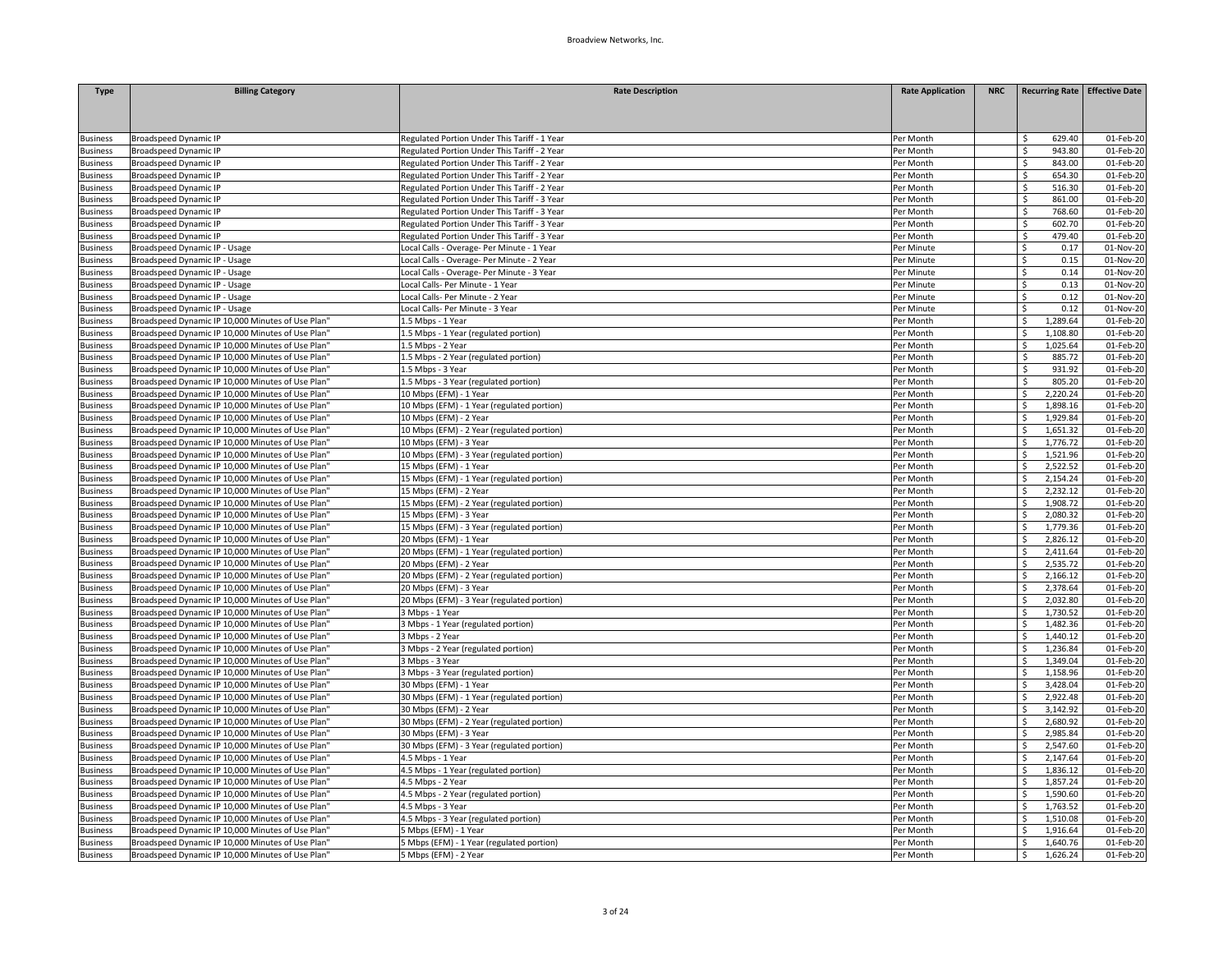| <b>Type</b>     | <b>Billing Category</b>                           | <b>Rate Description</b>                      | <b>Rate Application</b> | <b>NRC</b> | Recurring Rate Effective Date |           |
|-----------------|---------------------------------------------------|----------------------------------------------|-------------------------|------------|-------------------------------|-----------|
|                 |                                                   |                                              |                         |            |                               |           |
|                 |                                                   |                                              |                         |            |                               |           |
|                 |                                                   |                                              |                         |            |                               |           |
| <b>Business</b> | <b>Broadspeed Dynamic IP</b>                      | Regulated Portion Under This Tariff - 1 Year | Per Month               |            | 629.40<br>Ś.<br>Ś             | 01-Feb-20 |
| <b>Business</b> | <b>Broadspeed Dynamic IP</b>                      | Regulated Portion Under This Tariff - 2 Year | Per Month               |            | 943.80<br>Ś                   | 01-Feb-20 |
| <b>Business</b> | <b>Broadspeed Dynamic IP</b>                      | Regulated Portion Under This Tariff - 2 Year | Per Month               |            | 843.00                        | 01-Feb-20 |
| <b>Business</b> | <b>Broadspeed Dynamic IP</b>                      | Regulated Portion Under This Tariff - 2 Year | Per Month               |            | 654.30<br>\$                  | 01-Feb-20 |
| <b>Business</b> | <b>Broadspeed Dynamic IP</b>                      | Regulated Portion Under This Tariff - 2 Year | Per Month               |            | Ś<br>516.30                   | 01-Feb-20 |
| <b>Business</b> | <b>Broadspeed Dynamic IP</b>                      | Regulated Portion Under This Tariff - 3 Year | Per Month               |            | Ś<br>861.00                   | 01-Feb-20 |
| <b>Business</b> | <b>Broadspeed Dynamic IP</b>                      | Regulated Portion Under This Tariff - 3 Year | Per Month               |            | 768.60<br>S.                  | 01-Feb-20 |
| <b>Business</b> | <b>Broadspeed Dynamic IP</b>                      | Regulated Portion Under This Tariff - 3 Year | Per Month               |            | Ś.<br>602.70                  | 01-Feb-20 |
| <b>Business</b> | <b>Broadspeed Dynamic IP</b>                      | Regulated Portion Under This Tariff - 3 Year | Per Month               |            | 479.40<br>\$                  | 01-Feb-20 |
| <b>Business</b> | Broadspeed Dynamic IP - Usage                     | Local Calls - Overage- Per Minute - 1 Year   | Per Minute              |            | 0.17<br>\$                    | 01-Nov-20 |
| <b>Business</b> | Broadspeed Dynamic IP - Usage                     | Local Calls - Overage- Per Minute - 2 Year   | Per Minute              |            | Ś.<br>0.15                    | 01-Nov-20 |
| <b>Business</b> | Broadspeed Dynamic IP - Usage                     | Local Calls - Overage- Per Minute - 3 Year   | Per Minute              |            | Ś.<br>0.14                    | 01-Nov-20 |
| <b>Business</b> | <b>Broadspeed Dynamic IP - Usage</b>              | Local Calls- Per Minute - 1 Year             | Per Minute              |            | 0.13<br>Ś.                    | 01-Nov-20 |
| <b>Business</b> | Broadspeed Dynamic IP - Usage                     | Local Calls- Per Minute - 2 Year             | Per Minute              |            | Ś<br>0.12                     | 01-Nov-20 |
| <b>Business</b> | Broadspeed Dynamic IP - Usage                     | Local Calls- Per Minute - 3 Year             | Per Minute              |            | 0.12<br>Ś                     | 01-Nov-20 |
| <b>Business</b> | Broadspeed Dynamic IP 10,000 Minutes of Use Plan" | 1.5 Mbps - 1 Year                            | Per Month               |            | $\zeta$<br>1,289.64           | 01-Feb-20 |
| <b>Business</b> | Broadspeed Dynamic IP 10,000 Minutes of Use Plan' | 1.5 Mbps - 1 Year (regulated portion)        | Per Month               |            | Ś<br>1,108.80                 | 01-Feb-20 |
| <b>Business</b> | Broadspeed Dynamic IP 10,000 Minutes of Use Plan' | 1.5 Mbps - 2 Year                            | Per Month               |            | 1,025.64<br>Ś                 | 01-Feb-20 |
| <b>Business</b> | Broadspeed Dynamic IP 10,000 Minutes of Use Plan" | 1.5 Mbps - 2 Year (regulated portion)        | Per Month               |            | \$.<br>885.72                 | 01-Feb-20 |
| <b>Business</b> | Broadspeed Dynamic IP 10,000 Minutes of Use Plan' | 1.5 Mbps - 3 Year                            | Per Month               |            | \$<br>931.92                  | 01-Feb-20 |
| <b>Business</b> | Broadspeed Dynamic IP 10,000 Minutes of Use Plan' | 1.5 Mbps - 3 Year (regulated portion)        | Per Month               |            | 805.20<br>Ś.                  | 01-Feb-20 |
| <b>Business</b> | Broadspeed Dynamic IP 10,000 Minutes of Use Plan" | 10 Mbps (EFM) - 1 Year                       | Per Month               |            | Ś<br>2,220.24                 | 01-Feb-20 |
| <b>Business</b> | Broadspeed Dynamic IP 10,000 Minutes of Use Plan' | 10 Mbps (EFM) - 1 Year (regulated portion)   | Per Month               |            | Ŝ.<br>1,898.16                | 01-Feb-20 |
| <b>Business</b> | Broadspeed Dynamic IP 10,000 Minutes of Use Plan" | 10 Mbps (EFM) - 2 Year                       | Per Month               |            | 1,929.84<br>Ś                 | 01-Feb-20 |
| <b>Business</b> | Broadspeed Dynamic IP 10,000 Minutes of Use Plan" | 10 Mbps (EFM) - 2 Year (regulated portion)   | Per Month               |            | 1,651.32<br>\$                | 01-Feb-20 |
| <b>Business</b> | Broadspeed Dynamic IP 10,000 Minutes of Use Plan" | 10 Mbps (EFM) - 3 Year                       | Per Month               |            | Ś<br>1.776.72                 | 01-Feb-20 |
| <b>Business</b> | Broadspeed Dynamic IP 10,000 Minutes of Use Plan" | 10 Mbps (EFM) - 3 Year (regulated portion)   | Per Month               |            | 1,521.96<br>Ŝ                 | 01-Feb-20 |
| <b>Business</b> | Broadspeed Dynamic IP 10,000 Minutes of Use Plan' | 15 Mbps (EFM) - 1 Year                       | Per Month               |            | 2,522.52                      | 01-Feb-20 |
| <b>Business</b> | Broadspeed Dynamic IP 10,000 Minutes of Use Plan' | 15 Mbps (EFM) - 1 Year (regulated portion)   | Per Month               |            | 2,154.24                      | 01-Feb-20 |
| <b>Business</b> | Broadspeed Dynamic IP 10,000 Minutes of Use Plan" | 15 Mbps (EFM) - 2 Year                       | Per Month               |            | 2,232.12<br>S                 | 01-Feb-20 |
| <b>Business</b> | Broadspeed Dynamic IP 10,000 Minutes of Use Plan' | 15 Mbps (EFM) - 2 Year (regulated portion)   | Per Month               |            | 1,908.72                      | 01-Feb-20 |
| <b>Business</b> | Broadspeed Dynamic IP 10,000 Minutes of Use Plan' | 15 Mbps (EFM) - 3 Year                       | Per Month               |            | 2,080.32<br>Ŝ                 | 01-Feb-20 |
| <b>Business</b> | Broadspeed Dynamic IP 10,000 Minutes of Use Plan" | 15 Mbps (EFM) - 3 Year (regulated portion)   | Per Month               |            | 1,779.36<br>Ś                 | 01-Feb-20 |
| <b>Business</b> | Broadspeed Dynamic IP 10,000 Minutes of Use Plan' | 20 Mbps (EFM) - 1 Year                       | Per Month               |            | 2,826.12                      | 01-Feb-20 |
| <b>Business</b> | Broadspeed Dynamic IP 10,000 Minutes of Use Plan" | 20 Mbps (EFM) - 1 Year (regulated portion)   | Per Month               |            | 2,411.64                      | 01-Feb-20 |
| <b>Business</b> | Broadspeed Dynamic IP 10,000 Minutes of Use Plan' | 20 Mbps (EFM) - 2 Year                       | Per Month               |            | 2,535.72<br>Ś                 | 01-Feb-20 |
| <b>Business</b> | Broadspeed Dynamic IP 10,000 Minutes of Use Plan' | 20 Mbps (EFM) - 2 Year (regulated portion)   | Per Month               |            | 2,166.12<br>Ŝ                 | 01-Feb-20 |
| <b>Business</b> | Broadspeed Dynamic IP 10,000 Minutes of Use Plan" | 20 Mbps (EFM) - 3 Year                       | Per Month               |            | 2,378.64<br>Ŝ                 | 01-Feb-20 |
| <b>Business</b> | Broadspeed Dynamic IP 10,000 Minutes of Use Plan' | 20 Mbps (EFM) - 3 Year (regulated portion)   | Per Month               |            | 2,032.80<br>Ś                 | 01-Feb-20 |
| susiness        | Broadspeed Dynamic IP 10,000 Minutes of Use Plan' | 3 Mbps - 1 Year                              | Per Month               |            | 1,730.52                      | 01-Feb-20 |
| <b>Business</b> | Broadspeed Dynamic IP 10,000 Minutes of Use Plan" | Mbps - 1 Year (regulated portion)            | Per Month               |            | 1,482.36                      | 01-Feb-20 |
| <b>Business</b> | Broadspeed Dynamic IP 10,000 Minutes of Use Plan' | 3 Mbps - 2 Year                              | Per Month               |            | 1,440.12                      | 01-Feb-20 |
| <b>Business</b> | Broadspeed Dynamic IP 10,000 Minutes of Use Plan' | 3 Mbps - 2 Year (regulated portion)          | Per Month               |            | 1,236.84                      | 01-Feb-20 |
| <b>Business</b> | Broadspeed Dynamic IP 10,000 Minutes of Use Plan" | Mbps - 3 Year                                | Per Month               |            | ς<br>1,349.04                 | 01-Feb-20 |
| <b>Business</b> | Broadspeed Dynamic IP 10,000 Minutes of Use Plan' | 3 Mbps - 3 Year (regulated portion)          | Per Month               |            | 1,158.96<br>Ŝ                 | 01-Feb-20 |
| susiness        | Broadspeed Dynamic IP 10,000 Minutes of Use Plan' | 30 Mbps (EFM) - 1 Year                       | Per Month               |            | 3,428.04                      | 01-Feb-20 |
| <b>Business</b> | Broadspeed Dynamic IP 10,000 Minutes of Use Plan' | 30 Mbps (EFM) - 1 Year (regulated portion)   | Per Month               |            | 2,922.48                      | 01-Feb-20 |
| <b>Business</b> | Broadspeed Dynamic IP 10,000 Minutes of Use Plan' | 30 Mbps (EFM) - 2 Year                       | Per Month               |            | 3,142.92<br>Ś                 | 01-Feb-20 |
| <b>Business</b> | Broadspeed Dynamic IP 10,000 Minutes of Use Plan' | 30 Mbps (EFM) - 2 Year (regulated portion)   | Per Month               |            | 2,680.92<br>Ś                 | 01-Feb-20 |
| <b>Business</b> | Broadspeed Dynamic IP 10,000 Minutes of Use Plan" | 30 Mbps (EFM) - 3 Year                       | Per Month               |            | 2,985.84<br>Ś                 | 01-Feb-20 |
| <b>Business</b> | Broadspeed Dynamic IP 10,000 Minutes of Use Plan" | 30 Mbps (EFM) - 3 Year (regulated portion)   | Per Month               |            | 2,547.60<br>Ŝ.                | 01-Feb-20 |
| Business        | Broadspeed Dynamic IP 10,000 Minutes of Use Plan' | 4.5 Mbps - 1 Year                            | Per Month               |            | 2,147.64<br>ς                 | 01-Feb-20 |
| <b>Business</b> | Broadspeed Dynamic IP 10,000 Minutes of Use Plan" | 4.5 Mbps - 1 Year (regulated portion)        | Per Month               |            | 1,836.12                      | 01-Feb-20 |
| <b>Business</b> | Broadspeed Dynamic IP 10,000 Minutes of Use Plan" | 4.5 Mbps - 2 Year                            | Per Month               |            | 1,857.24                      | 01-Feb-20 |
| <b>Business</b> | Broadspeed Dynamic IP 10,000 Minutes of Use Plan" | 4.5 Mbps - 2 Year (regulated portion)        | Per Month               |            | 1,590.60<br>Ś                 | 01-Feb-20 |
| <b>Business</b> | Broadspeed Dynamic IP 10,000 Minutes of Use Plan' | 4.5 Mbps - 3 Year                            | Per Month               |            | 1,763.52<br>ς                 | 01-Feb-20 |
| <b>Susiness</b> | Broadspeed Dynamic IP 10,000 Minutes of Use Plan' | 4.5 Mbps - 3 Year (regulated portion)        | Per Month               |            | 1,510.08                      | 01-Feb-20 |
| susiness        | Broadspeed Dynamic IP 10,000 Minutes of Use Plan' | Mbps (EFM) - 1 Year                          | Per Month               |            | 1,916.64                      | 01-Feb-20 |
| <b>Business</b> | Broadspeed Dynamic IP 10,000 Minutes of Use Plan' | 5 Mbps (EFM) - 1 Year (regulated portion)    | Per Month               |            | 1,640.76                      | 01-Feb-20 |
| <b>Business</b> | Broadspeed Dynamic IP 10,000 Minutes of Use Plan" | 5 Mbps (EFM) - 2 Year                        | Per Month               |            | 1,626.24<br>\$                | 01-Feb-20 |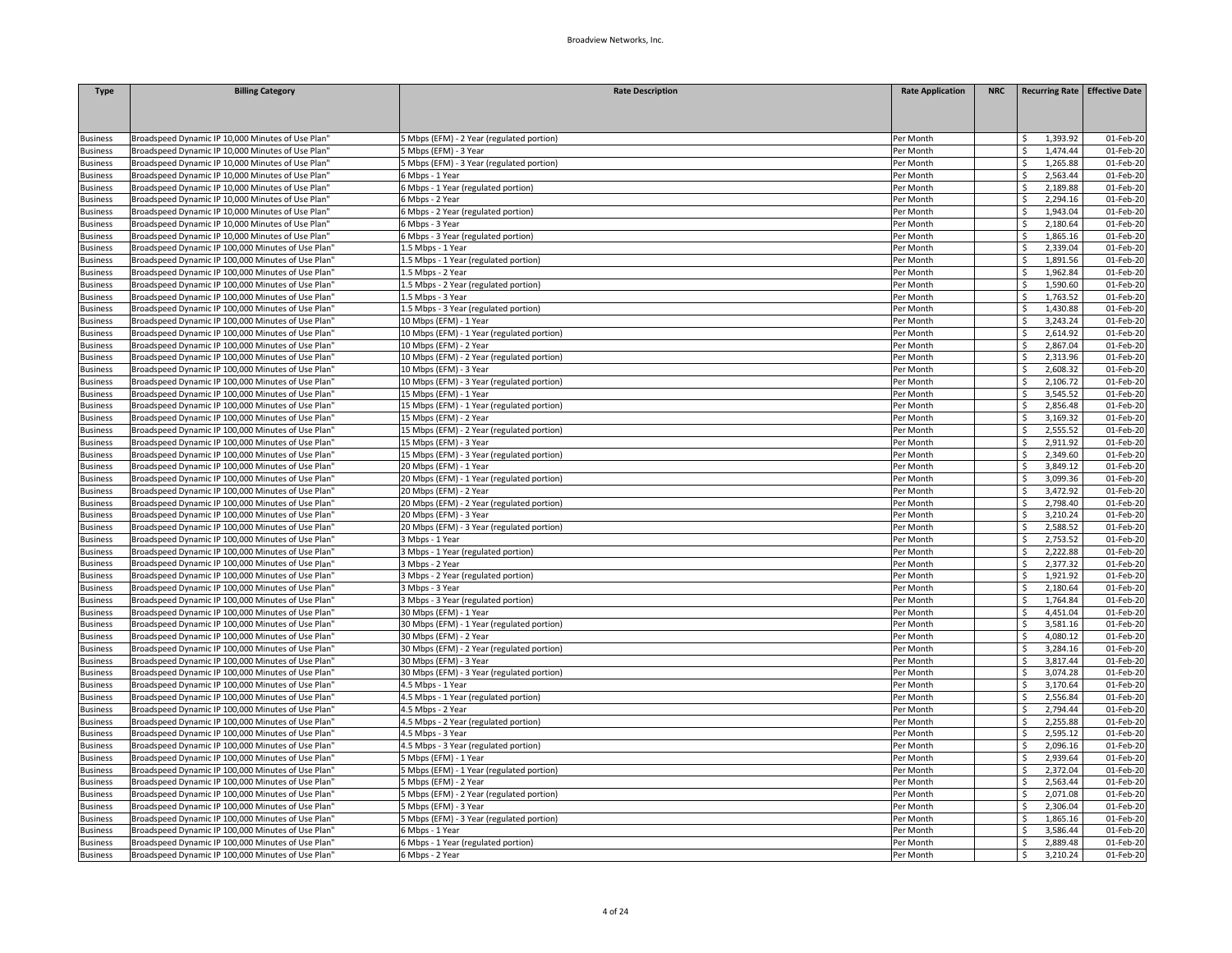| <b>Type</b>     | <b>Billing Category</b>                            | <b>Rate Description</b>                    | <b>Rate Application</b> | <b>NRC</b> | Recurring Rate Effective Date |                         |
|-----------------|----------------------------------------------------|--------------------------------------------|-------------------------|------------|-------------------------------|-------------------------|
|                 |                                                    |                                            |                         |            |                               |                         |
|                 |                                                    |                                            |                         |            |                               |                         |
|                 |                                                    |                                            |                         |            |                               |                         |
| <b>Business</b> | Broadspeed Dynamic IP 10,000 Minutes of Use Plan'  | 5 Mbps (EFM) - 2 Year (regulated portion)  | Per Month               |            | 1,393.92                      | 01-Feb-20               |
| <b>Business</b> | Broadspeed Dynamic IP 10,000 Minutes of Use Plan'  | 5 Mbps (EFM) - 3 Year                      | Per Month               |            | Ŝ.<br>1,474.44                | 01-Feb-20               |
| <b>Business</b> | Broadspeed Dynamic IP 10,000 Minutes of Use Plan"  | 5 Mbps (EFM) - 3 Year (regulated portion)  | Per Month               |            | 1,265.88<br>Ŝ                 | 01-Feb-20               |
| <b>Business</b> | Broadspeed Dynamic IP 10,000 Minutes of Use Plan'  | 6 Mbps - 1 Year                            | Per Month               |            | 2,563.44<br>ς                 | 01-Feb-20               |
| <b>Business</b> | Broadspeed Dynamic IP 10,000 Minutes of Use Plan"  | 6 Mbps - 1 Year (regulated portion)        | Per Month               |            | 2,189.88<br>ς                 | 01-Feb-20               |
| <b>Business</b> | Broadspeed Dynamic IP 10,000 Minutes of Use Plan'  | 6 Mbps - 2 Year                            | Per Month               |            | 2.294.16                      | 01-Feb-20               |
| <b>Business</b> | Broadspeed Dynamic IP 10,000 Minutes of Use Plan'  | 6 Mbps - 2 Year (regulated portion)        | Per Month               |            | 1,943.04                      | 01-Feb-20               |
| <b>Business</b> | Broadspeed Dynamic IP 10,000 Minutes of Use Plan'  | 6 Mbps - 3 Year                            | Per Month               |            | 2,180.64<br>\$                | 01-Feb-20               |
| <b>Business</b> | Broadspeed Dynamic IP 10,000 Minutes of Use Plan"  | 6 Mbps - 3 Year (regulated portion)        | Per Month               |            | 1,865.16<br>Ŝ.                | 01-Feb-20               |
| <b>Business</b> | Broadspeed Dynamic IP 100,000 Minutes of Use Plan' | 1.5 Mbps - 1 Year                          | Per Month               |            | 2,339.04                      | 01-Feb-20               |
| <b>Business</b> | Broadspeed Dynamic IP 100,000 Minutes of Use Plan' | 1.5 Mbps - 1 Year (regulated portion)      | Per Month               |            | 1,891.56<br>Ś                 | 01-Feb-20               |
| <b>Business</b> | Broadspeed Dynamic IP 100,000 Minutes of Use Plan' | 1.5 Mbps - 2 Year                          | Per Month               |            | 1,962.84<br>S                 | 01-Feb-20               |
| <b>Business</b> | Broadspeed Dynamic IP 100,000 Minutes of Use Plan" | 1.5 Mbps - 2 Year (regulated portion)      | Per Month               |            | 1,590.60<br>ς                 | 01-Feb-20               |
| <b>Business</b> | Broadspeed Dynamic IP 100,000 Minutes of Use Plan" | 1.5 Mbps - 3 Year                          | Per Month               |            | 1,763.52<br>Ŝ                 | 01-Feb-20               |
| <b>Business</b> | Broadspeed Dynamic IP 100,000 Minutes of Use Plan" | 1.5 Mbps - 3 Year (regulated portion)      | Per Month               |            | 1,430.88<br>Ś                 | 01-Feb-20               |
| <b>Business</b> | Broadspeed Dynamic IP 100,000 Minutes of Use Plan' | 10 Mbps (EFM) - 1 Year                     | Per Month               |            | 3,243.24                      | 01-Feb-20               |
| <b>Business</b> | Broadspeed Dynamic IP 100,000 Minutes of Use Plan' | 10 Mbps (EFM) - 1 Year (regulated portion) | Per Month               |            | 2,614.92                      | 01-Feb-20               |
| <b>Business</b> | Broadspeed Dynamic IP 100,000 Minutes of Use Plan" | 10 Mbps (EFM) - 2 Year                     | Per Month               |            | 2,867.04                      | 01-Feb-20               |
| <b>Business</b> | Broadspeed Dynamic IP 100,000 Minutes of Use Plan' | 10 Mbps (EFM) - 2 Year (regulated portion) | Per Month               |            | 2,313.96                      | 01-Feb-20               |
| <b>Business</b> | Broadspeed Dynamic IP 100,000 Minutes of Use Plan" | 10 Mbps (EFM) - 3 Year                     | Per Month               |            | 2,608.32<br>Ś                 | $01$ -Feb-20            |
| <b>Business</b> | Broadspeed Dynamic IP 100,000 Minutes of Use Plan' | 10 Mbps (EFM) - 3 Year (regulated portion) | Per Month               |            | 2,106.72<br>Ś                 | 01-Feb-20               |
| <b>Business</b> | Broadspeed Dynamic IP 100,000 Minutes of Use Plan' | 15 Mbps (EFM) - 1 Year                     | Per Month               |            | 3,545.52                      | 01-Feb-20               |
| <b>Business</b> | Broadspeed Dynamic IP 100,000 Minutes of Use Plan' | 15 Mbps (EFM) - 1 Year (regulated portion) | Per Month               |            | 2.856.48                      | 01-Feb-20               |
| <b>Business</b> | Broadspeed Dynamic IP 100,000 Minutes of Use Plan' | 15 Mbps (EFM) - 2 Year                     | Per Month               |            | 3,169.32                      | 01-Feb-20               |
| <b>Business</b> | Broadspeed Dynamic IP 100,000 Minutes of Use Plan' | 15 Mbps (EFM) - 2 Year (regulated portion) | Per Month               |            | 2,555.52                      | 01-Feb-20               |
| <b>Business</b> | Broadspeed Dynamic IP 100,000 Minutes of Use Plan" | 15 Mbps (EFM) - 3 Year                     | Per Month               |            | Ś<br>2,911.92                 | 01-Feb-20               |
| <b>Business</b> | Broadspeed Dynamic IP 100,000 Minutes of Use Plan' | 15 Mbps (EFM) - 3 Year (regulated portion) | Per Month               |            | 2,349.60<br>S                 | $01$ -Feb-20            |
| <b>Business</b> | Broadspeed Dynamic IP 100,000 Minutes of Use Plan' | 20 Mbps (EFM) - 1 Year                     | Per Month               |            | 3,849.12                      | 01-Feb-20               |
| <b>Business</b> | Broadspeed Dynamic IP 100,000 Minutes of Use Plan" | 20 Mbps (EFM) - 1 Year (regulated portion) | Per Month               |            | 3,099.36                      | 01-Feb-20               |
| <b>Business</b> | Broadspeed Dynamic IP 100,000 Minutes of Use Plan  | 20 Mbps (EFM) - 2 Year                     | Per Month               |            | 3,472.92                      | 01-Feb-20               |
| <b>Business</b> | Broadspeed Dynamic IP 100,000 Minutes of Use Plan' | 20 Mbps (EFM) - 2 Year (regulated portion) | Per Month               |            | 2,798.40                      | 01-Feb-20               |
| <b>Business</b> | Broadspeed Dynamic IP 100,000 Minutes of Use Plan" | 20 Mbps (EFM) - 3 Year                     | Per Month               |            | 3,210.24<br>\$                | 01-Feb-20               |
| <b>Business</b> | Broadspeed Dynamic IP 100,000 Minutes of Use Plan" | 20 Mbps (EFM) - 3 Year (regulated portion) | Per Month               |            | 2,588.52<br>Ś                 | 01-Feb-20               |
| <b>Business</b> | Broadspeed Dynamic IP 100,000 Minutes of Use Plan' | 3 Mbps - 1 Year                            | Per Month               |            | 2,753.52                      | 01-Feb-20               |
| <b>Business</b> | Broadspeed Dynamic IP 100,000 Minutes of Use Plan" | 3 Mbps - 1 Year (regulated portion)        | Per Month               |            | 2,222.88                      | 01-Feb-20               |
| <b>Business</b> | Broadspeed Dynamic IP 100,000 Minutes of Use Plan  | 3 Mbps - 2 Year                            | Per Month               |            | 2,377.32<br>Ŝ                 | 01-Feb-20               |
| <b>Business</b> | Broadspeed Dynamic IP 100,000 Minutes of Use Plan' | 3 Mbps - 2 Year (regulated portion)        | Per Month               |            | 1,921.92<br>\$                | 01-Feb-20               |
| <b>Business</b> | Broadspeed Dynamic IP 100,000 Minutes of Use Plan" | 3 Mbps - 3 Year                            | Per Month               |            | 2,180.64<br>Ś                 | 01-Feb-20               |
| <b>Business</b> | Broadspeed Dynamic IP 100,000 Minutes of Use Plan' | Mbps - 3 Year (regulated portion)          | Per Month               |            | 1,764.84<br>Ś                 | 01-Feb-20               |
| susiness        | Broadspeed Dynamic IP 100,000 Minutes of Use Plan' | 30 Mbps (EFM) - 1 Year                     | Per Month               |            | 4,451.04                      | 01-Feb-20               |
| <b>Business</b> | Broadspeed Dynamic IP 100,000 Minutes of Use Plan" | 30 Mbps (EFM) - 1 Year (regulated portion) | Per Month               |            | 3,581.16                      | 01-Feb-20               |
| <b>Business</b> | Broadspeed Dynamic IP 100,000 Minutes of Use Plan  | 30 Mbps (EFM) - 2 Year                     | Per Month               |            | 4,080.12                      | 01-Feb-20               |
| <b>Business</b> | Broadspeed Dynamic IP 100,000 Minutes of Use Plan' | 30 Mbps (EFM) - 2 Year (regulated portion) | Per Month               |            | 3,284.16                      | 01-Feb-20               |
| <b>Business</b> | Broadspeed Dynamic IP 100,000 Minutes of Use Plan" | 30 Mbps (EFM) - 3 Year                     | Per Month               |            | Ś<br>3,817.44                 | 01-Feb-20               |
| <b>Business</b> | Broadspeed Dynamic IP 100,000 Minutes of Use Plan' | 30 Mbps (EFM) - 3 Year (regulated portion) | Per Month               |            | 3,074.28<br>Ŝ.                | 01-Feb-20               |
| susiness        | Broadspeed Dynamic IP 100,000 Minutes of Use Plan' | 4.5 Mbps - 1 Year                          | Per Month               |            | 3,170.64                      | 01-Feb-20               |
| <b>Business</b> | Broadspeed Dynamic IP 100,000 Minutes of Use Plan' | 4.5 Mbps - 1 Year (regulated portion)      | Per Month               |            | 2,556.84                      | $\overline{01}$ -Feb-20 |
| <b>Business</b> | Broadspeed Dynamic IP 100,000 Minutes of Use Plan  | 4.5 Mbps - 2 Year                          | Per Month               |            | 2,794.44                      | 01-Feb-20               |
| <b>Business</b> | Broadspeed Dynamic IP 100,000 Minutes of Use Plan' | 4.5 Mbps - 2 Year (regulated portion)      | Per Month               |            | 2,255.88                      | 01-Feb-20               |
| <b>Business</b> | Broadspeed Dynamic IP 100,000 Minutes of Use Plan" | 4.5 Mbps - 3 Year                          | Per Month               |            | 2,595.12<br>\$                | 01-Feb-20               |
| <b>Business</b> | Broadspeed Dynamic IP 100,000 Minutes of Use Plan  | 4.5 Mbps - 3 Year (regulated portion)      | Per Month               |            | 2,096.16<br>Ŝ.                | 01-Feb-20               |
| <b>Business</b> | Broadspeed Dynamic IP 100,000 Minutes of Use Plan' | 5 Mbps (EFM) - 1 Year                      | Per Month               |            | 2,939.64                      | 01-Feb-20               |
| <b>Business</b> | Broadspeed Dynamic IP 100,000 Minutes of Use Plan" | Mbps (EFM) - 1 Year (regulated portion)    | Per Month               |            | 2,372.04                      | 01-Feb-20               |
| <b>Business</b> | Broadspeed Dynamic IP 100,000 Minutes of Use Plan  | 5 Mbps (EFM) - 2 Year                      | Per Month               |            | 2,563.44<br>Ŝ                 | 01-Feb-20               |
| <b>Business</b> | Broadspeed Dynamic IP 100,000 Minutes of Use Plan' | 5 Mbps (EFM) - 2 Year (regulated portion)  | Per Month               |            | 2,071.08<br>Ś                 | 01-Feb-20               |
| <b>Business</b> | Broadspeed Dynamic IP 100,000 Minutes of Use Plan" | Mbps (EFM) - 3 Year                        | Per Month               |            | 2,306.04<br>\$                | $01$ -Feb-20            |
| <b>Business</b> | Broadspeed Dynamic IP 100,000 Minutes of Use Plan  | Mbps (EFM) - 3 Year (regulated portion)    | Per Month               |            | 1,865.16<br>Ŝ.                | 01-Feb-20               |
| susiness        | Broadspeed Dynamic IP 100,000 Minutes of Use Plan' | 6 Mbps - 1 Year                            | Per Month               |            | 3,586.44                      | 01-Feb-20               |
| <b>Business</b> | Broadspeed Dynamic IP 100,000 Minutes of Use Plan" | 5 Mbps - 1 Year (regulated portion)        | Per Month               |            | 2,889.48                      | 01-Feb-20               |
| <b>Business</b> | Broadspeed Dynamic IP 100,000 Minutes of Use Plan  | 6 Mbps - 2 Year                            | Per Month               |            | 3,210.24<br>\$                | 01-Feb-20               |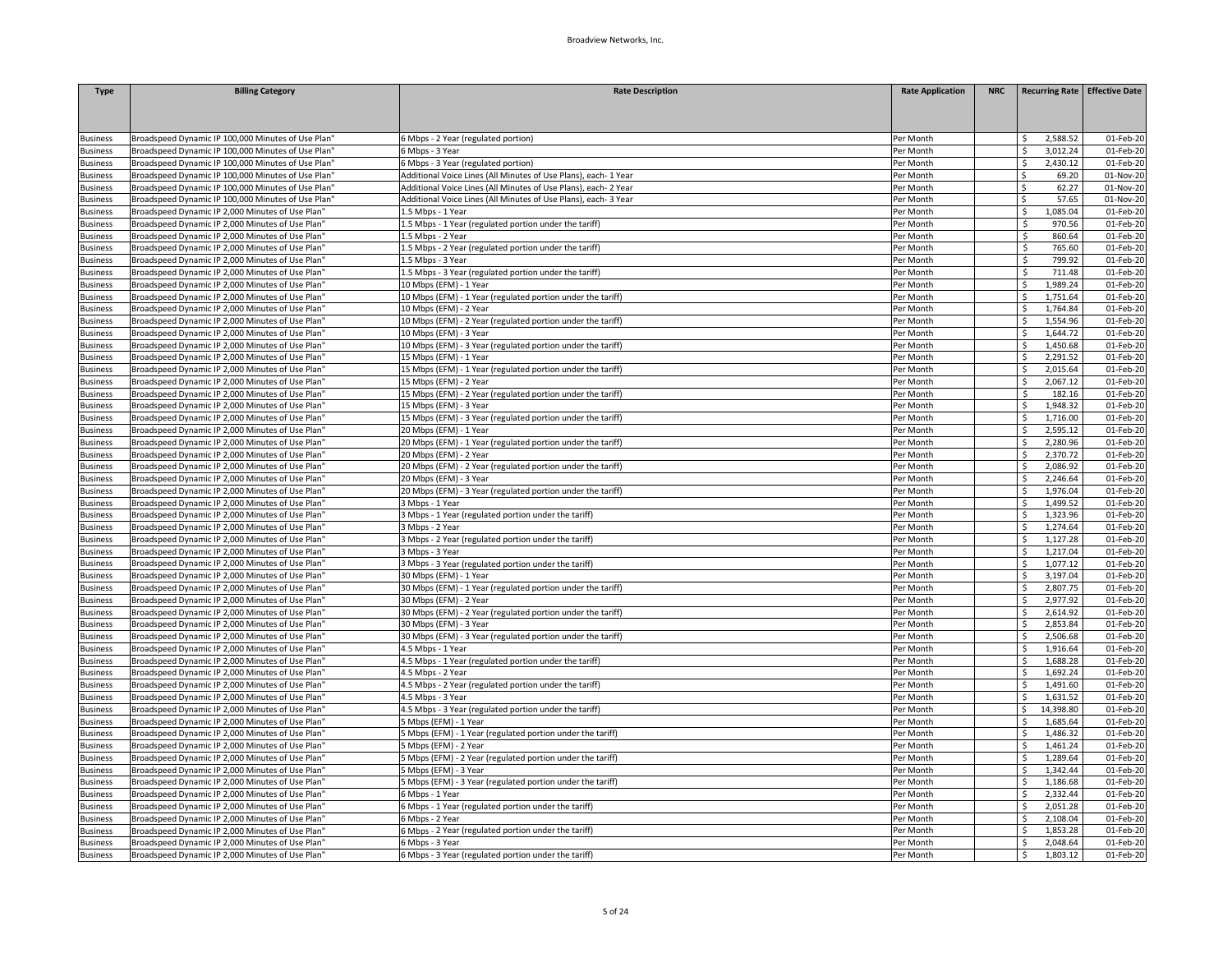| <b>Type</b>     | <b>Billing Category</b>                            | <b>Rate Description</b>                                         | <b>Rate Application</b> | <b>NRC</b> | Recurring Rate   Effective Date |           |
|-----------------|----------------------------------------------------|-----------------------------------------------------------------|-------------------------|------------|---------------------------------|-----------|
|                 |                                                    |                                                                 |                         |            |                                 |           |
|                 |                                                    |                                                                 |                         |            |                                 |           |
| <b>Business</b> | Broadspeed Dynamic IP 100,000 Minutes of Use Plan" | Mbps - 2 Year (regulated portion)                               | Per Month               |            | 2,588.52<br>-Ś                  | 01-Feb-20 |
| <b>Business</b> | Broadspeed Dynamic IP 100,000 Minutes of Use Plan" | S Mbps - 3 Year                                                 | Per Month               |            | -Ś<br>3,012.24                  | 01-Feb-20 |
| <b>Business</b> | Broadspeed Dynamic IP 100,000 Minutes of Use Plan" | 5 Mbps - 3 Year (regulated portion)                             | Per Month               |            | 2,430.12<br>Ŝ.                  | 01-Feb-20 |
| <b>Business</b> | Broadspeed Dynamic IP 100,000 Minutes of Use Plan" | Additional Voice Lines (All Minutes of Use Plans), each- 1 Year | Per Month               |            | Ŝ.<br>69.20                     | 01-Nov-20 |
| usiness         | Broadspeed Dynamic IP 100,000 Minutes of Use Plan' | Additional Voice Lines (All Minutes of Use Plans), each- 2 Year | Per Month               |            | 62.27<br>Ŝ.                     | 01-Nov-20 |
| usiness         | Broadspeed Dynamic IP 100,000 Minutes of Use Plan" | Additional Voice Lines (All Minutes of Use Plans), each- 3 Year | Per Month               |            | 57.65<br>Ŝ.                     | 01-Nov-20 |
| <b>Business</b> | Broadspeed Dynamic IP 2,000 Minutes of Use Plan"   | I.5 Mbps - 1 Year                                               | Per Month               |            | 1.085.04<br>Ŝ.                  | 01-Feb-20 |
| usiness         | Broadspeed Dynamic IP 2,000 Minutes of Use Plan'   | 1.5 Mbps - 1 Year (regulated portion under the tariff)          | Per Month               |            | Ŝ.<br>970.56                    | 01-Feb-20 |
| <b>Business</b> | Broadspeed Dynamic IP 2,000 Minutes of Use Plan'   | .5 Mbps - 2 Year                                                | Per Month               |            | 860.64<br>-Ś                    | 01-Feb-20 |
| <b>Business</b> | Broadspeed Dynamic IP 2,000 Minutes of Use Plan"   | 1.5 Mbps - 2 Year (regulated portion under the tariff)          | Per Month               |            | \$<br>765.60                    | 01-Feb-20 |
| <b>Business</b> | Broadspeed Dynamic IP 2,000 Minutes of Use Plan'   | 1.5 Mbps - 3 Year                                               | Per Month               |            | <b>S</b><br>799.92              | 01-Feb-20 |
| <b>Business</b> | Broadspeed Dynamic IP 2,000 Minutes of Use Plan'   | .5 Mbps - 3 Year (regulated portion under the tariff)           | Per Month               |            | 711.48<br>-S                    | 01-Feb-20 |
| <b>Business</b> | Broadspeed Dynamic IP 2,000 Minutes of Use Plan"   | 10 Mbps (EFM) - 1 Year                                          | Per Month               |            | 1,989.24<br>- Ś                 | 01-Feb-20 |
| <b>Business</b> | Broadspeed Dynamic IP 2,000 Minutes of Use Plan'   | 10 Mbps (EFM) - 1 Year (regulated portion under the tariff)     | Per Month               |            | 1,751.64                        | 01-Feb-20 |
| <b>Business</b> | Broadspeed Dynamic IP 2,000 Minutes of Use Plan'   | 10 Mbps (EFM) - 2 Year                                          | Per Month               |            | 1,764.84                        | 01-Feb-20 |
| <b>Business</b> | Broadspeed Dynamic IP 2,000 Minutes of Use Plan'   | LO Mbps (EFM) - 2 Year (regulated portion under the tariff)     | Per Month               |            | 1,554.96                        | 01-Feb-20 |
| <b>Business</b> | Broadspeed Dynamic IP 2,000 Minutes of Use Plan'   | 10 Mbps (EFM) - 3 Year                                          | Per Month               |            | 1,644.72                        | 01-Feb-20 |
| <b>Business</b> | Broadspeed Dynamic IP 2,000 Minutes of Use Plan"   | 10 Mbps (EFM) - 3 Year (regulated portion under the tariff)     | Per Month               |            | 1,450.68                        | 01-Feb-20 |
| <b>Business</b> | Broadspeed Dynamic IP 2,000 Minutes of Use Plan"   | 15 Mbps (EFM) - 1 Year                                          | Per Month               |            | 2,291.52<br>$\zeta$             | 01-Feb-20 |
| <b>Business</b> | Broadspeed Dynamic IP 2,000 Minutes of Use Plan'   | 15 Mbps (EFM) - 1 Year (regulated portion under the tariff)     | Per Month               |            | 2,015.64<br>\$                  | 01-Feb-20 |
| <b>Business</b> | Broadspeed Dynamic IP 2,000 Minutes of Use Plan'   | 15 Mbps (EFM) - 2 Year                                          | Per Month               |            | 2,067.12<br>Ŝ.                  | 01-Feb-20 |
| <b>Business</b> | Broadspeed Dynamic IP 2,000 Minutes of Use Plan'   | L5 Mbps (EFM) - 2 Year (regulated portion under the tariff)     | Per Month               |            | Ŝ.<br>182.16                    | 01-Feb-20 |
| <b>Business</b> | Broadspeed Dynamic IP 2,000 Minutes of Use Plan'   | 15 Mbps (EFM) - 3 Year                                          | Per Month               |            | 1,948.32                        | 01-Feb-20 |
| <b>Business</b> | Broadspeed Dynamic IP 2,000 Minutes of Use Plan"   | L5 Mbps (EFM) - 3 Year (regulated portion under the tariff)     | Per Month               |            | 1,716.00<br>\$.                 | 01-Feb-20 |
| <b>Business</b> | Broadspeed Dynamic IP 2,000 Minutes of Use Plan'   | 20 Mbps (EFM) - 1 Year                                          | Per Month               |            | 2,595.12<br>$\zeta$             | 01-Feb-20 |
| <b>Business</b> | Broadspeed Dynamic IP 2,000 Minutes of Use Plan'   | 20 Mbps (EFM) - 1 Year (regulated portion under the tariff)     | Per Month               |            | Ŝ.<br>2.280.96                  | 01-Feb-20 |
| <b>Business</b> | Broadspeed Dynamic IP 2,000 Minutes of Use Plan'   | 20 Mbps (EFM) - 2 Year                                          | Per Month               |            | 2,370.72<br>-Ś                  | 01-Feb-20 |
| <b>Business</b> | Broadspeed Dynamic IP 2,000 Minutes of Use Plan"   | 20 Mbps (EFM) - 2 Year (regulated portion under the tariff)     | Per Month               |            | 2,086.92                        | 01-Feb-20 |
| <b>Business</b> | Broadspeed Dynamic IP 2,000 Minutes of Use Plan'   | 20 Mbps (EFM) - 3 Year                                          | Per Month               |            | 2,246.64                        | 01-Feb-20 |
| <b>Business</b> | Broadspeed Dynamic IP 2,000 Minutes of Use Plan"   | 20 Mbps (EFM) - 3 Year (regulated portion under the tariff)     | Per Month               |            | 1,976.04<br>-S                  | 01-Feb-20 |
| <b>Business</b> | Broadspeed Dynamic IP 2,000 Minutes of Use Plan'   | 3 Mbps - 1 Year                                                 | Per Month               |            | 1,499.52                        | 01-Feb-20 |
| <b>Business</b> | Broadspeed Dynamic IP 2,000 Minutes of Use Plan'   | 3 Mbps - 1 Year (regulated portion under the tariff)            | Per Month               |            | 1,323.96                        | 01-Feb-20 |
| <b>Business</b> | Broadspeed Dynamic IP 2,000 Minutes of Use Plan'   | 3 Mbps - 2 Year                                                 | Per Month               |            | 1,274.64                        | 01-Feb-20 |
| <b>Business</b> | Broadspeed Dynamic IP 2,000 Minutes of Use Plan'   | 3 Mbps - 2 Year (regulated portion under the tariff)            | Per Month               |            | 1,127.28                        | 01-Feb-20 |
| <b>Business</b> | Broadspeed Dynamic IP 2,000 Minutes of Use Plan'   | Mbps - 3 Year                                                   | Per Month               |            | 1,217.04                        | 01-Feb-20 |
| <b>Business</b> | Broadspeed Dynamic IP 2,000 Minutes of Use Plan'   | 3 Mbps - 3 Year (regulated portion under the tariff)            | Per Month               |            | 1,077.12                        | 01-Feb-20 |
| <b>Business</b> | Broadspeed Dynamic IP 2,000 Minutes of Use Plan'   | 30 Mbps (EFM) - 1 Year                                          | Per Month               |            | 3,197.04<br>- Ś                 | 01-Feb-20 |
| <b>Business</b> | Broadspeed Dynamic IP 2,000 Minutes of Use Plan'   | 30 Mbps (EFM) - 1 Year (regulated portion under the tariff)     | Per Month               |            | Ŝ.<br>2,807.75                  | 01-Feb-20 |
| usiness         | Broadspeed Dynamic IP 2,000 Minutes of Use Plan'   | 30 Mbps (EFM) - 2 Year                                          | Per Month               |            | 2,977.92                        | 01-Feb-20 |
| <b>Business</b> | Broadspeed Dynamic IP 2,000 Minutes of Use Plan'   | 30 Mbps (EFM) - 2 Year (regulated portion under the tariff)     | Per Month               |            | 2,614.92                        | 01-Feb-20 |
| <b>Business</b> | Broadspeed Dynamic IP 2,000 Minutes of Use Plan"   | 30 Mbps (EFM) - 3 Year                                          | Per Month               |            | 2,853.84                        | 01-Feb-20 |
| usiness         | Broadspeed Dynamic IP 2,000 Minutes of Use Plan'   | 30 Mbps (EFM) - 3 Year (regulated portion under the tariff)     | Per Month               |            | 2,506.68                        | 01-Feb-20 |
| <b>Business</b> | Broadspeed Dynamic IP 2,000 Minutes of Use Plan'   | 4.5 Mbps - 1 Year                                               | Per Month               |            | 1,916.64<br>$\zeta$             | 01-Feb-20 |
| <b>Business</b> | Broadspeed Dynamic IP 2,000 Minutes of Use Plan"   | 4.5 Mbps - 1 Year (regulated portion under the tariff)          | Per Month               |            | 1,688.28<br>Ŝ.                  | 01-Feb-20 |
| usiness         | Broadspeed Dynamic IP 2,000 Minutes of Use Plan'   | 4.5 Mbps - 2 Year                                               | Per Month               |            | 1,692.24                        | 01-Feb-20 |
| <b>Business</b> | Broadspeed Dynamic IP 2,000 Minutes of Use Plan'   | 4.5 Mbps - 2 Year (regulated portion under the tariff)          | Per Month               |            | 1,491.60                        | 01-Feb-20 |
| <b>Business</b> | Broadspeed Dynamic IP 2,000 Minutes of Use Plan'   | 1.5 Mbps - 3 Year                                               | Per Month               |            | 1.631.52                        | 01-Feb-20 |
| <b>Business</b> | Broadspeed Dynamic IP 2,000 Minutes of Use Plan'   | 4.5 Mbps - 3 Year (regulated portion under the tariff)          | Per Month               |            | 14,398.80                       | 01-Feb-20 |
| <b>Business</b> | Broadspeed Dynamic IP 2,000 Minutes of Use Plan'   | Mbps (EFM) - 1 Year                                             | Per Month               |            | 1,685.64                        | 01-Feb-20 |
| <b>Business</b> | Broadspeed Dynamic IP 2,000 Minutes of Use Plan"   | Mbps (EFM) - 1 Year (regulated portion under the tariff)        | Per Month               |            | <b>S</b><br>1,486.32            | 01-Feb-20 |
| <b>Business</b> | Broadspeed Dynamic IP 2,000 Minutes of Use Plan    | Mbps (EFM) - 2 Year                                             | Per Month               |            | 1,461.24                        | 01-Feb-20 |
| <b>Business</b> | Broadspeed Dynamic IP 2,000 Minutes of Use Plan'   | Mbps (EFM) - 2 Year (regulated portion under the tariff)        | Per Month               |            | 1,289.64                        | 01-Feb-20 |
| <b>Business</b> | Broadspeed Dynamic IP 2,000 Minutes of Use Plan"   | Mbps (EFM) - 3 Year                                             | Per Month               |            | 1,342.44                        | 01-Feb-20 |
| <b>Business</b> | Broadspeed Dynamic IP 2,000 Minutes of Use Plan'   | Mbps (EFM) - 3 Year (regulated portion under the tariff)        | Per Month               |            | 1,186.68                        | 01-Feb-20 |
| <b>Business</b> | Broadspeed Dynamic IP 2,000 Minutes of Use Plan'   | Mbps - 1 Year                                                   | Per Month               |            | 2,332.44<br>Ŝ.                  | 01-Feb-20 |
| <b>Business</b> | Broadspeed Dynamic IP 2,000 Minutes of Use Plan"   | Mbps - 1 Year (regulated portion under the tariff)              | Per Month               |            | 2,051.28<br>$\zeta$             | 01-Feb-20 |
| usiness         | Broadspeed Dynamic IP 2,000 Minutes of Use Plan'   | Mbps - 2 Year                                                   | Per Month               |            | 2,108.04<br>- S                 | 01-Feb-20 |
| usiness         | Broadspeed Dynamic IP 2,000 Minutes of Use Plan'   | Mbps - 2 Year (regulated portion under the tariff)              | Per Month               |            | 1,853.28                        | 01-Feb-20 |
| <b>Business</b> | Broadspeed Dynamic IP 2,000 Minutes of Use Plan'   | Mbps - 3 Year                                                   | Per Month               |            | 2,048.64                        | 01-Feb-20 |
| <b>Business</b> | Broadspeed Dynamic IP 2,000 Minutes of Use Plan'   | 6 Mbps - 3 Year (regulated portion under the tariff)            | Per Month               |            | 1,803.12<br>l \$                | 01-Feb-20 |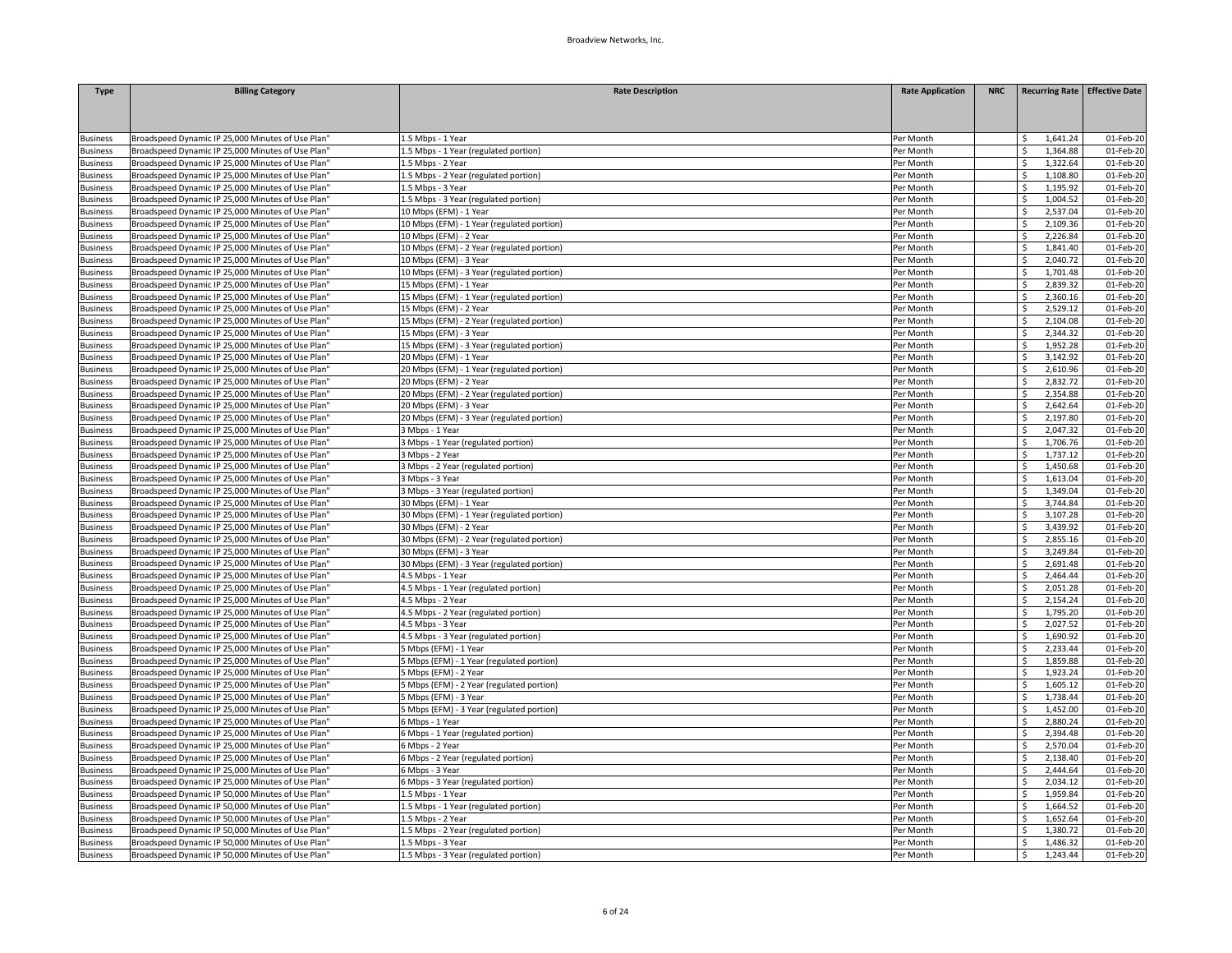| <b>Type</b>                        | <b>Billing Category</b>                           | <b>Rate Description</b>                    | <b>Rate Application</b> | <b>NRC</b> | <b>Recurring Rate Effective Date</b> |              |
|------------------------------------|---------------------------------------------------|--------------------------------------------|-------------------------|------------|--------------------------------------|--------------|
|                                    |                                                   |                                            |                         |            |                                      |              |
|                                    |                                                   |                                            |                         |            |                                      |              |
|                                    | Broadspeed Dynamic IP 25,000 Minutes of Use Plan" | 1.5 Mbps - 1 Year                          | Per Month               |            | 1,641.24<br>S                        | 01-Feb-20    |
| <b>Business</b><br><b>Business</b> | Broadspeed Dynamic IP 25,000 Minutes of Use Plan' | 1.5 Mbps - 1 Year (regulated portion)      | Per Month               |            | 1,364.88<br>Ŝ                        | 01-Feb-20    |
| <b>Business</b>                    | Broadspeed Dynamic IP 25,000 Minutes of Use Plan' | 1.5 Mbps - 2 Year                          | Per Month               |            | 1,322.64<br>Ś                        | 01-Feb-20    |
| <b>Business</b>                    | Broadspeed Dynamic IP 25,000 Minutes of Use Plan" | 1.5 Mbps - 2 Year (regulated portion)      | Per Month               |            | Ŝ<br>1,108.80                        | 01-Feb-20    |
| <b>Business</b>                    | Broadspeed Dynamic IP 25,000 Minutes of Use Plan' | 1.5 Mbps - 3 Year                          | Per Month               |            | Ŝ<br>1,195.92                        | 01-Feb-20    |
| <b>Business</b>                    | Broadspeed Dynamic IP 25,000 Minutes of Use Plan" | 1.5 Mbps - 3 Year (regulated portion)      | Per Month               |            | 1,004.52<br>Ś                        | 01-Feb-20    |
| <b>Business</b>                    | Broadspeed Dynamic IP 25,000 Minutes of Use Plan" | 10 Mbps (EFM) - 1 Year                     | Per Month               |            | 2,537.04<br>Ŝ                        | 01-Feb-20    |
| <b>Business</b>                    | Broadspeed Dynamic IP 25,000 Minutes of Use Plan' | 10 Mbps (EFM) - 1 Year (regulated portion) | Per Month               |            | 2,109.36<br>Ś                        | 01-Feb-20    |
| <b>Business</b>                    | Broadspeed Dynamic IP 25,000 Minutes of Use Plan" | 10 Mbps (EFM) - 2 Year                     | Per Month               |            | 2,226.84<br>Ś                        | 01-Feb-20    |
| <b>Business</b>                    | Broadspeed Dynamic IP 25,000 Minutes of Use Plan" | 10 Mbps (EFM) - 2 Year (regulated portion) | Per Month               |            | 1,841.40<br>\$                       | 01-Feb-20    |
| <b>Business</b>                    | Broadspeed Dynamic IP 25,000 Minutes of Use Plan' | 10 Mbps (EFM) - 3 Year                     | Per Month               |            | 2,040.72                             | 01-Feb-20    |
| <b>Business</b>                    | Broadspeed Dynamic IP 25,000 Minutes of Use Plan' | 10 Mbps (EFM) - 3 Year (regulated portion) | Per Month               |            | 1,701.48<br>Ś                        | 01-Feb-20    |
| <b>Business</b>                    | Broadspeed Dynamic IP 25,000 Minutes of Use Plan" | 15 Mbps (EFM) - 1 Year                     | Per Month               |            | 2,839.32<br>Ŝ                        | 01-Feb-20    |
| <b>Business</b>                    | Broadspeed Dynamic IP 25,000 Minutes of Use Plan' | 15 Mbps (EFM) - 1 Year (regulated portion) | Per Month               |            | Ŝ<br>2,360.16                        | 01-Feb-20    |
| <b>Business</b>                    | Broadspeed Dynamic IP 25,000 Minutes of Use Plan" | 15 Mbps (EFM) - 2 Year                     | Per Month               |            | 2,529.12<br>Ś                        | 01-Feb-20    |
|                                    | Broadspeed Dynamic IP 25,000 Minutes of Use Plan' | 15 Mbps (EFM) - 2 Year (regulated portion) |                         |            | 2,104.08                             | 01-Feb-20    |
| <b>Business</b><br><b>Business</b> | Broadspeed Dynamic IP 25,000 Minutes of Use Plan' | 15 Mbps (EFM) - 3 Year                     | Per Month<br>Per Month  |            | 2,344.32<br>Ŝ.                       | 01-Feb-20    |
|                                    |                                                   |                                            |                         |            |                                      |              |
| <b>Business</b>                    | Broadspeed Dynamic IP 25,000 Minutes of Use Plan" | 15 Mbps (EFM) - 3 Year (regulated portion) | Per Month               |            | 1,952.28                             | 01-Feb-20    |
| <b>Business</b>                    | Broadspeed Dynamic IP 25,000 Minutes of Use Plan" | 20 Mbps (EFM) - 1 Year                     | Per Month               |            | 3,142.92<br>$\zeta$                  | 01-Feb-20    |
| <b>Business</b>                    | Broadspeed Dynamic IP 25,000 Minutes of Use Plan' | 20 Mbps (EFM) - 1 Year (regulated portion) | Per Month               |            | 2,610.96                             | 01-Feb-20    |
| <b>Business</b>                    | Broadspeed Dynamic IP 25,000 Minutes of Use Plan" | 20 Mbps (EFM) - 2 Year                     | Per Month               |            | 2,832.72<br>Ŝ.                       | 01-Feb-20    |
| <b>Business</b>                    | Broadspeed Dynamic IP 25,000 Minutes of Use Plan' | 20 Mbps (EFM) - 2 Year (regulated portion) | Per Month               |            | 2,354.88                             | 01-Feb-20    |
| <b>Business</b>                    | Broadspeed Dynamic IP 25,000 Minutes of Use Plan' | 20 Mbps (EFM) - 3 Year                     | Per Month               |            | Ś<br>2,642.64                        | 01-Feb-20    |
| <b>Business</b>                    | Broadspeed Dynamic IP 25,000 Minutes of Use Plan' | 20 Mbps (EFM) - 3 Year (regulated portion) | Per Month               |            | 2,197.80                             | 01-Feb-20    |
| <b>Business</b>                    | Broadspeed Dynamic IP 25,000 Minutes of Use Plan' | 3 Mbps - 1 Year                            | Per Month               |            | 2,047.32<br>ς                        | 01-Feb-20    |
| <b>Business</b>                    | Broadspeed Dynamic IP 25,000 Minutes of Use Plan" | Mbps - 1 Year (regulated portion)          | Per Month               |            | 1,706.76<br>Ś                        | 01-Feb-20    |
| <b>Business</b>                    | Broadspeed Dynamic IP 25,000 Minutes of Use Plan" | 3 Mbps - 2 Year                            | Per Month               |            | 1,737.12<br>Ś                        | 01-Feb-20    |
| <b>Business</b>                    | Broadspeed Dynamic IP 25,000 Minutes of Use Plan' | Mbps - 2 Year (regulated portion)          | Per Month               |            | 1,450.68<br>\$                       | 01-Feb-20    |
| <b>Business</b>                    | Broadspeed Dynamic IP 25,000 Minutes of Use Plan' | 3 Mbps - 3 Year                            | Per Month               |            | 1,613.04                             | 01-Feb-20    |
| <b>Business</b>                    | Broadspeed Dynamic IP 25,000 Minutes of Use Plan" | Mbps - 3 Year (regulated portion)          | Per Month               |            | 1,349.04                             | 01-Feb-20    |
| <b>Business</b>                    | Broadspeed Dynamic IP 25,000 Minutes of Use Plan' | 30 Mbps (EFM) - 1 Year                     | Per Month               |            | 3,744.84                             | 01-Feb-20    |
| <b>Business</b>                    | Broadspeed Dynamic IP 25,000 Minutes of Use Plan' | 30 Mbps (EFM) - 1 Year (regulated portion) | Per Month               |            | Ŝ.<br>3,107.28                       | 01-Feb-20    |
| <b>Business</b>                    | Broadspeed Dynamic IP 25,000 Minutes of Use Plan" | 30 Mbps (EFM) - 2 Year                     | Per Month               |            | 3,439.92<br>Ŝ.                       | 01-Feb-20    |
| <b>Business</b>                    | Broadspeed Dynamic IP 25,000 Minutes of Use Plan' | 30 Mbps (EFM) - 2 Year (regulated portion) | Per Month               |            | 2,855.16                             | 01-Feb-20    |
| <b>Business</b>                    | Broadspeed Dynamic IP 25,000 Minutes of Use Plan" | 30 Mbps (EFM) - 3 Year                     | Per Month               |            | 3,249.84                             | 01-Feb-20    |
| <b>Business</b>                    | Broadspeed Dynamic IP 25,000 Minutes of Use Plan' | 30 Mbps (EFM) - 3 Year (regulated portion) | Per Month               |            | 2,691.48                             | 01-Feb-20    |
| <b>Business</b>                    | Broadspeed Dynamic IP 25,000 Minutes of Use Plan' | 4.5 Mbps - 1 Year                          | Per Month               |            | 2,464.44                             | 01-Feb-20    |
| <b>Business</b>                    | Broadspeed Dynamic IP 25,000 Minutes of Use Plan' | 4.5 Mbps - 1 Year (regulated portion)      | Per Month               |            | 2,051.28<br>\$                       | 01-Feb-20    |
| <b>Business</b>                    | Broadspeed Dynamic IP 25,000 Minutes of Use Plan" | 4.5 Mbps - 2 Year                          | Per Month               |            | 2,154.24<br>Ś                        | 01-Feb-20    |
| <b>Business</b>                    | Broadspeed Dynamic IP 25,000 Minutes of Use Plan' | 4.5 Mbps - 2 Year (regulated portion)      | Per Month               |            | 1,795.20                             | 01-Feb-20    |
| <b>Business</b>                    | Broadspeed Dynamic IP 25,000 Minutes of Use Plan" | 4.5 Mbps - 3 Year                          | Per Month               |            | 2,027.52                             | 01-Feb-20    |
| <b>Business</b>                    | Broadspeed Dynamic IP 25,000 Minutes of Use Plan' | 4.5 Mbps - 3 Year (regulated portion)      | Per Month               |            | 1,690.92                             | 01-Feb-20    |
| <b>Business</b>                    | Broadspeed Dynamic IP 25,000 Minutes of Use Plan' | 5 Mbps (EFM) - 1 Year                      | Per Month               |            | 2,233.44                             | 01-Feb-20    |
| <b>Business</b>                    | Broadspeed Dynamic IP 25,000 Minutes of Use Plan" | Mbps (EFM) - 1 Year (regulated portion)    | Per Month               |            | 1,859.88<br>Ś                        | $01$ -Feb-20 |
| <b>Business</b>                    | Broadspeed Dynamic IP 25,000 Minutes of Use Plan' | Mbps (EFM) - 2 Year                        | Per Month               |            | 1,923.24<br>Ś                        | 01-Feb-20    |
| <b>Business</b>                    | Broadspeed Dynamic IP 25,000 Minutes of Use Plan' | 5 Mbps (EFM) - 2 Year (regulated portion)  | Per Month               |            | 1,605.12                             | 01-Feb-20    |
| <b>Business</b>                    | Broadspeed Dynamic IP 25,000 Minutes of Use Plan" | 5 Mbps (EFM) - 3 Year                      | Per Month               |            | 1.738.44                             | 01-Feb-20    |
| <b>Business</b>                    | Broadspeed Dynamic IP 25,000 Minutes of Use Plan' | 5 Mbps (EFM) - 3 Year (regulated portion)  | Per Month               |            | 1,452.00                             | 01-Feb-20    |
| <b>Business</b>                    | Broadspeed Dynamic IP 25,000 Minutes of Use Plan' | 6 Mbps - 1 Year                            | Per Month               |            | 2,880.24                             | 01-Feb-20    |
| <b>Business</b>                    | Broadspeed Dynamic IP 25,000 Minutes of Use Plan" | 6 Mbps - 1 Year (regulated portion)        | Per Month               |            | Ś<br>2,394.48                        | 01-Feb-20    |
| <b>Business</b>                    | Broadspeed Dynamic IP 25,000 Minutes of Use Plan' | 6 Mbps - 2 Year                            | Per Month               |            | 2,570.04<br>Ŝ.                       | 01-Feb-20    |
| <b>Business</b>                    | Broadspeed Dynamic IP 25,000 Minutes of Use Plan' | 6 Mbps - 2 Year (regulated portion)        | Per Month               |            | 2,138.40                             | 01-Feb-20    |
| <b>Business</b>                    | Broadspeed Dynamic IP 25,000 Minutes of Use Plan" | 6 Mbps - 3 Year                            | Per Month               |            | 2.444.64                             | 01-Feb-20    |
| <b>Business</b>                    | Broadspeed Dynamic IP 25,000 Minutes of Use Plan' | 6 Mbps - 3 Year (regulated portion)        | Per Month               |            | 2,034.12<br>Ŝ.                       | 01-Feb-20    |
| <b>Business</b>                    | Broadspeed Dynamic IP 50,000 Minutes of Use Plan" | 1.5 Mbps - 1 Year                          | Per Month               |            | 1,959.84                             | 01-Feb-20    |
| <b>Business</b>                    | Broadspeed Dynamic IP 50,000 Minutes of Use Plan" | 1.5 Mbps - 1 Year (regulated portion)      | Per Month               |            | 1,664.52<br>\$                       | 01-Feb-20    |
| <b>Business</b>                    | Broadspeed Dynamic IP 50,000 Minutes of Use Plan' | 1.5 Mbps - 2 Year                          | Per Month               |            | 1,652.64                             | 01-Feb-20    |
| <b>Business</b>                    | Broadspeed Dynamic IP 50,000 Minutes of Use Plan' | 1.5 Mbps - 2 Year (regulated portion)      | Per Month               |            | 1,380.72                             | 01-Feb-20    |
| <b>Business</b>                    | Broadspeed Dynamic IP 50,000 Minutes of Use Plan" | 1.5 Mbps - 3 Year                          | Per Month               |            | 1,486.32                             | 01-Feb-20    |
| <b>Business</b>                    | Broadspeed Dynamic IP 50,000 Minutes of Use Plan' | 1.5 Mbps - 3 Year (regulated portion)      | Per Month               |            | 1,243.44<br>\$                       | 01-Feb-20    |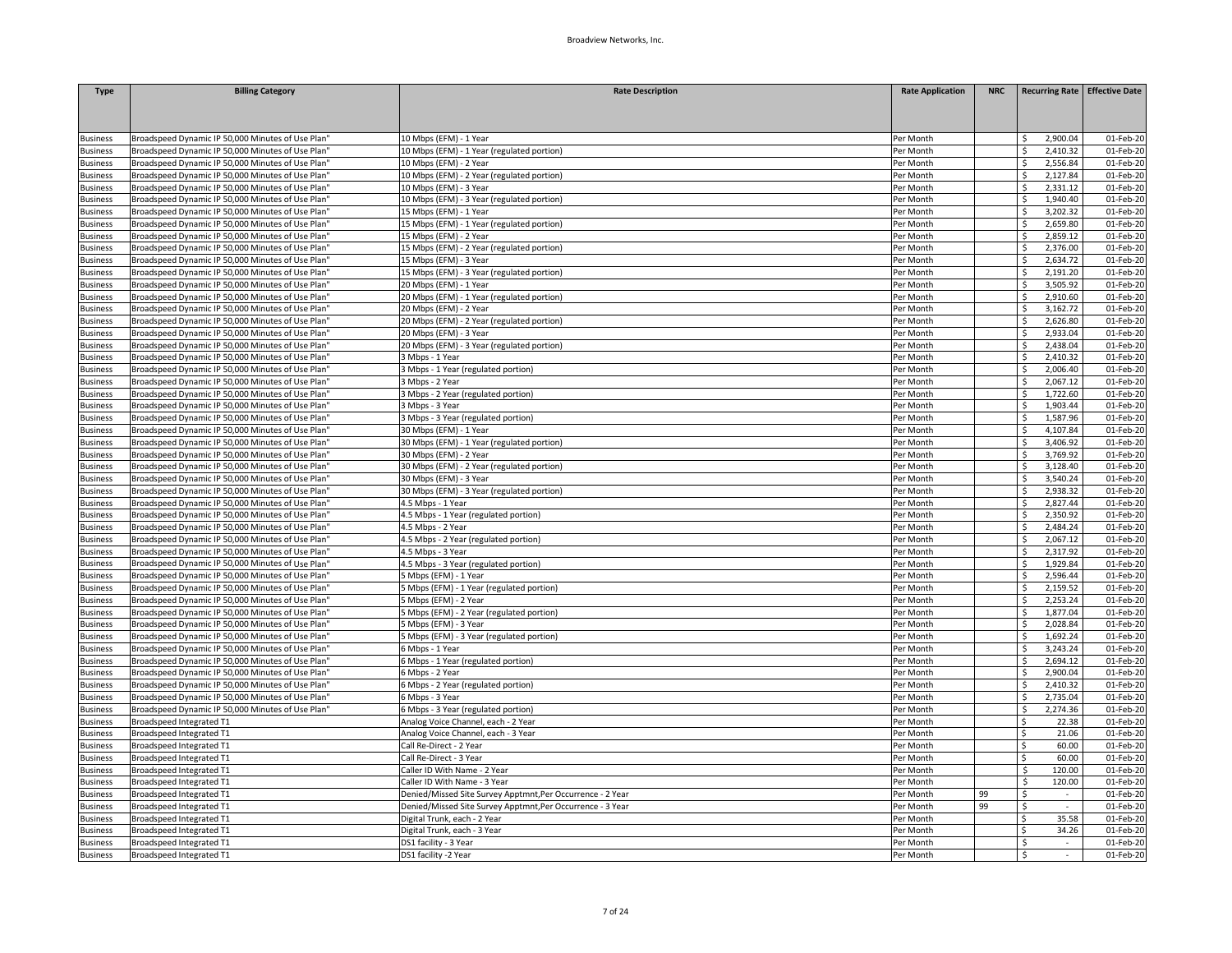| <b>Type</b>     | <b>Billing Category</b>                           | <b>Rate Description</b>                                    | <b>Rate Application</b> | <b>NRC</b> | <b>Recurring Rate Effective Date</b> |              |
|-----------------|---------------------------------------------------|------------------------------------------------------------|-------------------------|------------|--------------------------------------|--------------|
|                 |                                                   |                                                            |                         |            |                                      |              |
|                 |                                                   |                                                            |                         |            |                                      |              |
| <b>Business</b> | Broadspeed Dynamic IP 50,000 Minutes of Use Plan" | 10 Mbps (EFM) - 1 Year                                     | Per Month               |            | 2,900.04                             | 01-Feb-20    |
| <b>Business</b> | Broadspeed Dynamic IP 50,000 Minutes of Use Plan' | 10 Mbps (EFM) - 1 Year (regulated portion)                 | Per Month               |            | 2,410.32<br>Ŝ                        | 01-Feb-20    |
| <b>Business</b> | Broadspeed Dynamic IP 50,000 Minutes of Use Plan" | 10 Mbps (EFM) - 2 Year                                     | Per Month               |            | 2,556.84                             | 01-Feb-20    |
| <b>Business</b> | Broadspeed Dynamic IP 50,000 Minutes of Use Plan" | 10 Mbps (EFM) - 2 Year (regulated portion)                 | Per Month               |            | 2,127.84<br>Ś                        | 01-Feb-20    |
| <b>Business</b> | Broadspeed Dynamic IP 50,000 Minutes of Use Plan' | 10 Mbps (EFM) - 3 Year                                     | Per Month               |            | Ŝ<br>2,331.12                        | 01-Feb-20    |
| <b>Business</b> | Broadspeed Dynamic IP 50,000 Minutes of Use Plan" | 10 Mbps (EFM) - 3 Year (regulated portion)                 | Per Month               |            | 1,940.40                             | 01-Feb-20    |
| <b>Business</b> | Broadspeed Dynamic IP 50,000 Minutes of Use Plan" | 15 Mbps (EFM) - 1 Year                                     | Per Month               |            | 3,202.32<br>Ŝ                        | 01-Feb-20    |
| <b>Business</b> | Broadspeed Dynamic IP 50,000 Minutes of Use Plan' | 15 Mbps (EFM) - 1 Year (regulated portion)                 | Per Month               |            | 2,659.80<br>Ś                        | 01-Feb-20    |
| <b>Business</b> | Broadspeed Dynamic IP 50,000 Minutes of Use Plan" | 15 Mbps (EFM) - 2 Year                                     | Per Month               |            | 2,859.12<br>ς                        | 01-Feb-20    |
| <b>Business</b> | Broadspeed Dynamic IP 50,000 Minutes of Use Plan" | 15 Mbps (EFM) - 2 Year (regulated portion)                 | Per Month               |            | 2,376.00<br>ς                        | 01-Feb-20    |
| <b>Business</b> | Broadspeed Dynamic IP 50,000 Minutes of Use Plan' | 15 Mbps (EFM) - 3 Year                                     | Per Month               |            | 2,634.72                             | 01-Feb-20    |
| <b>Business</b> | Broadspeed Dynamic IP 50,000 Minutes of Use Plan' | 15 Mbps (EFM) - 3 Year (regulated portion)                 | Per Month               |            | 2,191.20<br>Ś                        | 01-Feb-20    |
| <b>Business</b> | Broadspeed Dynamic IP 50,000 Minutes of Use Plan" | 20 Mbps (EFM) - 1 Year                                     | Per Month               |            | 3,505.92<br>Ŝ                        | 01-Feb-20    |
| <b>Business</b> | Broadspeed Dynamic IP 50,000 Minutes of Use Plan' | 20 Mbps (EFM) - 1 Year (regulated portion)                 | Per Month               |            | Ŝ<br>2,910.60                        | 01-Feb-20    |
| <b>Business</b> | Broadspeed Dynamic IP 50,000 Minutes of Use Plan" | 20 Mbps (EFM) - 2 Year                                     | Per Month               |            | 3,162.72<br>Ś                        | 01-Feb-20    |
| <b>Business</b> | Broadspeed Dynamic IP 50,000 Minutes of Use Plan" | 20 Mbps (EFM) - 2 Year (regulated portion)                 | Per Month               |            | 2,626.80                             | 01-Feb-20    |
| <b>Business</b> | Broadspeed Dynamic IP 50,000 Minutes of Use Plan' | 20 Mbps (EFM) - 3 Year                                     | Per Month               |            | 2,933.04<br>Ŝ                        | 01-Feb-20    |
| <b>Business</b> | Broadspeed Dynamic IP 50,000 Minutes of Use Plan" | 20 Mbps (EFM) - 3 Year (regulated portion)                 | Per Month               |            | 2,438.04                             | 01-Feb-20    |
| <b>Business</b> | Broadspeed Dynamic IP 50,000 Minutes of Use Plan" | 3 Mbps - 1 Year                                            | Per Month               |            | 2,410.32                             | 01-Feb-20    |
| <b>Business</b> | Broadspeed Dynamic IP 50,000 Minutes of Use Plan' | 3 Mbps - 1 Year (regulated portion)                        | Per Month               |            | ς<br>2,006.40                        | 01-Feb-20    |
| <b>Business</b> | Broadspeed Dynamic IP 50,000 Minutes of Use Plan" | 3 Mbps - 2 Year                                            | Per Month               |            | 2,067.12<br>Ŝ.                       | 01-Feb-20    |
| <b>Business</b> | Broadspeed Dynamic IP 50,000 Minutes of Use Plan' | Mbps - 2 Year (regulated portion)                          | Per Month               |            | 1,722.60                             | 01-Feb-20    |
| <b>Business</b> | Broadspeed Dynamic IP 50,000 Minutes of Use Plan' | 3 Mbps - 3 Year                                            | Per Month               |            | Ś<br>1,903.44                        | 01-Feb-20    |
| <b>Business</b> | Broadspeed Dynamic IP 50,000 Minutes of Use Plan' | Mbps - 3 Year (regulated portion)                          | Per Month               |            | 1,587.96                             | 01-Feb-20    |
| <b>Business</b> | Broadspeed Dynamic IP 50,000 Minutes of Use Plan' | 30 Mbps (EFM) - 1 Year                                     | Per Month               |            | 4,107.84<br>ς                        | 01-Feb-20    |
| <b>Business</b> | Broadspeed Dynamic IP 50,000 Minutes of Use Plan" | 30 Mbps (EFM) - 1 Year (regulated portion)                 | Per Month               |            | 3,406.92<br>Ś                        | 01-Feb-20    |
| <b>Business</b> | Broadspeed Dynamic IP 50,000 Minutes of Use Plan" | 30 Mbps (EFM) - 2 Year                                     | Per Month               |            | 3,769.92<br>S                        | 01-Feb-20    |
| <b>Business</b> | Broadspeed Dynamic IP 50,000 Minutes of Use Plan' | 30 Mbps (EFM) - 2 Year (regulated portion)                 | Per Month               |            | 3,128.40<br>ς                        | 01-Feb-20    |
| <b>Business</b> | Broadspeed Dynamic IP 50,000 Minutes of Use Plan' | 30 Mbps (EFM) - 3 Year                                     | Per Month               |            | 3,540.24                             | 01-Feb-20    |
| <b>Business</b> | Broadspeed Dynamic IP 50,000 Minutes of Use Plan" | 30 Mbps (EFM) - 3 Year (regulated portion)                 | Per Month               |            | 2,938.32                             | 01-Feb-20    |
| <b>Business</b> | Broadspeed Dynamic IP 50,000 Minutes of Use Plan' | 4.5 Mbps - 1 Year                                          | Per Month               |            | 2,827.44                             | 01-Feb-20    |
| <b>Business</b> | Broadspeed Dynamic IP 50,000 Minutes of Use Plan' | 4.5 Mbps - 1 Year (regulated portion)                      | Per Month               |            | Ŝ.<br>2,350.92                       | 01-Feb-20    |
| <b>Business</b> | Broadspeed Dynamic IP 50,000 Minutes of Use Plan" | 4.5 Mbps - 2 Year                                          | Per Month               |            | 2,484.24<br>Ŝ.                       | 01-Feb-20    |
| <b>Business</b> | Broadspeed Dynamic IP 50,000 Minutes of Use Plan' | 4.5 Mbps - 2 Year (regulated portion)                      | Per Month               |            | 2,067.12                             | 01-Feb-20    |
| <b>Business</b> | Broadspeed Dynamic IP 50,000 Minutes of Use Plan" | 4.5 Mbps - 3 Year                                          | Per Month               |            | 2.317.92                             | 01-Feb-20    |
| <b>Business</b> | Broadspeed Dynamic IP 50,000 Minutes of Use Plan' | 4.5 Mbps - 3 Year (regulated portion)                      | Per Month               |            | 1,929.84                             | 01-Feb-20    |
| <b>Business</b> | Broadspeed Dynamic IP 50,000 Minutes of Use Plan' | Mbps (EFM) - 1 Year                                        | Per Month               |            | 2,596.44                             | 01-Feb-20    |
| <b>Business</b> | Broadspeed Dynamic IP 50,000 Minutes of Use Plan' | 5 Mbps (EFM) - 1 Year (regulated portion)                  | Per Month               |            | 2,159.52<br>\$                       | 01-Feb-20    |
| <b>Business</b> | Broadspeed Dynamic IP 50,000 Minutes of Use Plan" | Mbps (EFM) - 2 Year                                        | Per Month               |            | 2,253.24<br>Ś                        | 01-Feb-20    |
| <b>Business</b> | Broadspeed Dynamic IP 50,000 Minutes of Use Plan' | 5 Mbps (EFM) - 2 Year (regulated portion)                  | Per Month               |            | 1,877.04                             | 01-Feb-20    |
| <b>Business</b> | Broadspeed Dynamic IP 50,000 Minutes of Use Plan" | 5 Mbps (EFM) - 3 Year                                      | Per Month               |            | 2,028.84                             | 01-Feb-20    |
| <b>Business</b> | Broadspeed Dynamic IP 50,000 Minutes of Use Plan' | 5 Mbps (EFM) - 3 Year (regulated portion)                  | Per Month               |            | 1,692.24                             | 01-Feb-20    |
| <b>Business</b> | Broadspeed Dynamic IP 50,000 Minutes of Use Plan' | 6 Mbps - 1 Year                                            | Per Month               |            | 3,243.24<br>ς                        | 01-Feb-20    |
| <b>Business</b> | Broadspeed Dynamic IP 50,000 Minutes of Use Plan" | 6 Mbps - 1 Year (regulated portion)                        | Per Month               |            | 2,694.12<br>Ś                        | $01$ -Feb-20 |
| <b>Business</b> | Broadspeed Dynamic IP 50,000 Minutes of Use Plan' | 6 Mbps - 2 Year                                            | Per Month               |            | 2,900.04<br>Ś                        | 01-Feb-20    |
| <b>Business</b> | Broadspeed Dynamic IP 50,000 Minutes of Use Plan' | 6 Mbps - 2 Year (regulated portion)                        | Per Month               |            | 2,410.32                             | 01-Feb-20    |
| <b>Business</b> | Broadspeed Dynamic IP 50,000 Minutes of Use Plan" | 6 Mbps - 3 Year                                            | Per Month               |            | 2,735.04<br>ς                        | 01-Feb-20    |
| <b>Business</b> | Broadspeed Dynamic IP 50,000 Minutes of Use Plan' | 6 Mbps - 3 Year (regulated portion)                        | Per Month               |            | 2,274.36<br>Ś                        | 01-Feb-20    |
| <b>Business</b> | <b>Broadspeed Integrated T1</b>                   | Analog Voice Channel, each - 2 Year                        | Per Month               |            | 22.38<br>ς                           | 01-Feb-20    |
| <b>Business</b> | Broadspeed Integrated T1                          | Analog Voice Channel, each - 3 Year                        | Per Month               |            | Ś<br>21.06                           | 01-Feb-20    |
| <b>Business</b> | <b>Broadspeed Integrated T1</b>                   | Call Re-Direct - 2 Year                                    | Per Month               |            | 60.00<br>Ś                           | 01-Feb-20    |
| <b>Business</b> | Broadspeed Integrated T1                          | Call Re-Direct - 3 Year                                    | Per Month               |            | 60.00                                | 01-Feb-20    |
| <b>Business</b> | Broadspeed Integrated T1                          | Caller ID With Name - 2 Year                               | Per Month               |            | \$.<br>120.00                        | 01-Feb-20    |
| <b>Business</b> | <b>Broadspeed Integrated T1</b>                   | Caller ID With Name - 3 Year                               | Per Month               |            | \$<br>120.00                         | 01-Feb-20    |
| <b>Business</b> | <b>Broadspeed Integrated T1</b>                   | Denied/Missed Site Survey Apptmnt, Per Occurrence - 2 Year | Per Month               | 99         | Ś                                    | 01-Feb-20    |
| <b>Business</b> | <b>Broadspeed Integrated T1</b>                   | Denied/Missed Site Survey Apptmnt, Per Occurrence - 3 Year | Per Month               | 99         | Ś<br>$\sim$                          | 01-Feb-20    |
| <b>Business</b> | Broadspeed Integrated T1                          | Digital Trunk, each - 2 Year                               | Per Month               |            | 35.58<br>Ś.                          | 01-Feb-20    |
| <b>Business</b> | <b>Broadspeed Integrated T1</b>                   | Digital Trunk, each - 3 Year                               | Per Month               |            | 34.26<br>ς.                          | 01-Feb-20    |
| <b>Business</b> | Broadspeed Integrated T1                          | DS1 facility - 3 Year                                      | Per Month               |            | Ś<br>$\sim$                          | 01-Feb-20    |
| <b>Business</b> | Broadspeed Integrated T1                          | DS1 facility -2 Year                                       | Per Month               |            | \$<br>$\sim$                         | 01-Feb-20    |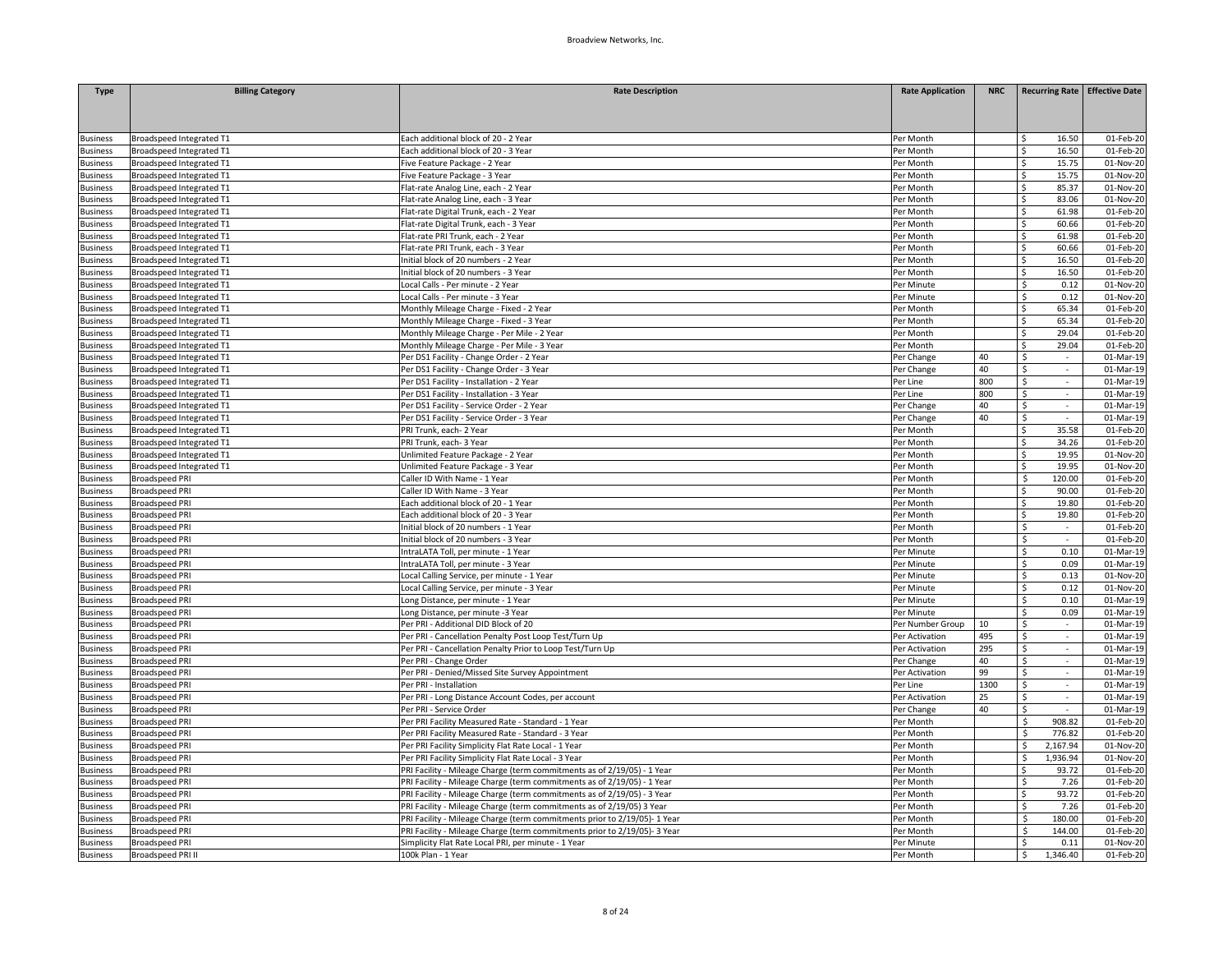| <b>Type</b>                        | <b>Billing Category</b>                        | <b>Rate Description</b>                                                   | <b>Rate Application</b> | <b>NRC</b> | Recurring Rate Effective Date |                        |
|------------------------------------|------------------------------------------------|---------------------------------------------------------------------------|-------------------------|------------|-------------------------------|------------------------|
|                                    |                                                |                                                                           |                         |            |                               |                        |
|                                    |                                                |                                                                           |                         |            |                               |                        |
|                                    |                                                |                                                                           |                         |            |                               |                        |
| <b>Business</b>                    | Broadspeed Integrated T1                       | Each additional block of 20 - 2 Year                                      | Per Month               |            | 16.50                         | 01-Feb-20              |
| <b>Business</b>                    | Broadspeed Integrated T1                       | Each additional block of 20 - 3 Year                                      | Per Month               |            | 16.50                         | 01-Feb-20              |
| <b>Business</b>                    | Broadspeed Integrated T1                       | Five Feature Package - 2 Year                                             | Per Month               |            | ς<br>15.75                    | 01-Nov-20              |
| <b>Business</b>                    | <b>Broadspeed Integrated T1</b>                | Five Feature Package - 3 Year                                             | Per Month               |            | 15.75<br>Ś                    | 01-Nov-20              |
| <b>Business</b>                    | Broadspeed Integrated T1                       | Flat-rate Analog Line, each - 2 Year                                      | Per Month               |            | 85.37<br>Ś.                   | 01-Nov-20              |
| <b>Business</b>                    | Broadspeed Integrated T1                       | Flat-rate Analog Line, each - 3 Year                                      | Per Month               |            | Ś<br>83.06                    | 01-Nov-20              |
| <b>Business</b>                    | Broadspeed Integrated T1                       | Flat-rate Digital Trunk, each - 2 Year                                    | Per Month               |            | 61.98<br>Ŝ.                   | 01-Feb-20              |
| <b>Business</b>                    | Broadspeed Integrated T1                       | Flat-rate Digital Trunk, each - 3 Year                                    | Per Month               |            | 60.66<br>Ś.                   | 01-Feb-20              |
| <b>Business</b>                    | Broadspeed Integrated T1                       | Flat-rate PRI Trunk, each - 2 Year                                        | Per Month               |            | 61.98<br>Ś                    | 01-Feb-20              |
| <b>Business</b>                    | Broadspeed Integrated T1                       | Flat-rate PRI Trunk, each - 3 Year                                        | Per Month               |            | 60.66<br>Ś.                   | 01-Feb-20              |
| <b>Business</b>                    | Broadspeed Integrated T1                       | Initial block of 20 numbers - 2 Year                                      | Per Month               |            | Ś.<br>16.50                   | 01-Feb-20              |
| <b>Business</b>                    | Broadspeed Integrated T1                       | Initial block of 20 numbers - 3 Year                                      | Per Month               |            | Ś.<br>16.50                   | 01-Feb-20              |
| <b>Business</b>                    | Broadspeed Integrated T1                       | Local Calls - Per minute - 2 Year                                         | Per Minute              |            | 0.12<br>\$.                   | 01-Nov-20              |
| <b>Business</b>                    | Broadspeed Integrated T1                       | Local Calls - Per minute - 3 Year                                         | Per Minute              |            | Ś<br>0.12                     | 01-Nov-20              |
| <b>Business</b>                    | <b>Broadspeed Integrated T1</b>                | Monthly Mileage Charge - Fixed - 2 Year                                   | Per Month               |            | 65.34<br>Ś.                   | 01-Feb-20              |
| susiness                           | Broadspeed Integrated T1                       | Monthly Mileage Charge - Fixed - 3 Year                                   | Per Month               |            | Ś<br>65.34                    | 01-Feb-20              |
| Business                           | Broadspeed Integrated T1                       | Monthly Mileage Charge - Per Mile - 2 Year                                | Per Month               |            | 29.04<br>Ś.                   | 01-Feb-20              |
| <b>Business</b>                    | Broadspeed Integrated T1                       | Monthly Mileage Charge - Per Mile - 3 Year                                | Per Month               |            | Ś<br>29.04                    | 01-Feb-20              |
| <b>Business</b>                    | Broadspeed Integrated T1                       | Per DS1 Facility - Change Order - 2 Year                                  | Per Change              | 40         | Ś.<br>$\sim$                  | 01-Mar-19              |
| <b>Business</b>                    | Broadspeed Integrated T1                       | Per DS1 Facility - Change Order - 3 Year                                  | Per Change              | 40         | Ś<br>$\omega$                 | 01-Mar-19              |
| <b>Business</b>                    | <b>Broadspeed Integrated T1</b>                | Per DS1 Facility - Installation - 2 Year                                  | Per Line                | 800        | Ś<br>$\sim$                   | 01-Mar-19              |
| <b>Business</b>                    | Broadspeed Integrated T1                       | Per DS1 Facility - Installation - 3 Year                                  | Per Line                | 800        | Ŝ.<br>$\sim$                  | 01-Mar-19              |
| <b>Business</b>                    | Broadspeed Integrated T1                       | Per DS1 Facility - Service Order - 2 Year                                 | Per Change              | 40         | \$                            | 01-Mar-19              |
| <b>Business</b>                    | Broadspeed Integrated T1                       | Per DS1 Facility - Service Order - 3 Year                                 | Per Change              | 40         | \$<br>$\sim$                  | 01-Mar-19              |
| <b>Business</b>                    | <b>Broadspeed Integrated T1</b>                | PRI Trunk, each- 2 Year                                                   | Per Month               |            | Ś.<br>35.58                   | 01-Feb-20              |
| <b>Business</b>                    | Broadspeed Integrated T1                       | PRI Trunk, each- 3 Year                                                   | Per Month               |            | 34.26<br>Ś                    | 01-Feb-20              |
| <b>Business</b>                    | Broadspeed Integrated T1                       | Unlimited Feature Package - 2 Year                                        | Per Month               |            | 19.95<br>Ś.                   | 01-Nov-20              |
| <b>Business</b>                    | Broadspeed Integrated T1                       | Unlimited Feature Package - 3 Year                                        | Per Month               |            | Ś.<br>19.95                   | 01-Nov-20              |
| <b>Business</b>                    | <b>Broadspeed PRI</b>                          | Caller ID With Name - 1 Year                                              | Per Month               |            | \$<br>120.00                  | 01-Feb-20              |
| <b>Business</b>                    | <b>Broadspeed PRI</b>                          | Caller ID With Name - 3 Year                                              | Per Month               |            | 90.00<br>Ś.                   | 01-Feb-20              |
|                                    |                                                | Each additional block of 20 - 1 Year                                      |                         |            | ς.<br>19.80                   |                        |
| <b>Business</b><br><b>Business</b> | <b>Broadspeed PRI</b><br><b>Broadspeed PRI</b> | Each additional block of 20 - 3 Year                                      | Per Month<br>Per Month  |            | Ś.<br>19.80                   | 01-Feb-20<br>01-Feb-20 |
|                                    |                                                | Initial block of 20 numbers - 1 Year                                      | Per Month               |            | Ś<br>$\sim$                   | 01-Feb-20              |
| <b>Business</b>                    | <b>Broadspeed PRI</b>                          |                                                                           |                         |            | Š.                            |                        |
| <b>Business</b>                    | <b>Broadspeed PRI</b>                          | Initial block of 20 numbers - 3 Year                                      | Per Month               |            | Š.<br>0.10                    | 01-Feb-20<br>01-Mar-19 |
| <b>Business</b>                    | <b>Broadspeed PRI</b>                          | IntraLATA Toll, per minute - 1 Year                                       | Per Minute              |            |                               |                        |
| <b>Business</b>                    | <b>Broadspeed PRI</b>                          | IntraLATA Toll, per minute - 3 Year                                       | Per Minute              |            | 0.09<br>Ś.                    | 01-Mar-19              |
| <b>Business</b>                    | <b>Broadspeed PRI</b>                          | Local Calling Service, per minute - 1 Year                                | Per Minute              |            | \$<br>0.13                    | $01-Nov-20$            |
| <b>Business</b>                    | <b>Broadspeed PRI</b>                          | Local Calling Service, per minute - 3 Year                                | Per Minute              |            | Ś<br>0.12                     | 01-Nov-20              |
| <b>Business</b>                    | <b>Broadspeed PRI</b>                          | Long Distance, per minute - 1 Year                                        | Per Minute              |            | 0.10<br>Ŝ.                    | 01-Mar-19              |
| <b>Business</b>                    | <b>Broadspeed PRI</b>                          | Long Distance, per minute -3 Year                                         | Per Minute              |            | Ś<br>0.09                     | 01-Mar-19              |
| <b>Business</b>                    | <b>Broadspeed PRI</b>                          | Per PRI - Additional DID Block of 20                                      | Per Number Group        | 10         | \$                            | 01-Mar-19              |
| <b>Business</b>                    | <b>Broadspeed PRI</b>                          | Per PRI - Cancellation Penalty Post Loop Test/Turn Up                     | Per Activation          | 495        | Ś.<br>$\sim$                  | 01-Mar-19              |
| <b>Business</b>                    | <b>Broadspeed PRI</b>                          | Per PRI - Cancellation Penalty Prior to Loop Test/Turn Up                 | Per Activation          | 295        | Ś<br>×.                       | 01-Mar-19              |
| <b>Business</b>                    | <b>Broadspeed PRI</b>                          | Per PRI - Change Order                                                    | Per Change              | 40         | \$<br>$\epsilon$              | 01-Mar-19              |
| <b>Business</b>                    | <b>Broadspeed PRI</b>                          | Per PRI - Denied/Missed Site Survey Appointment                           | Per Activation          | 99         | Ś.<br>$\sim$                  | 01-Mar-19              |
| <b>Business</b>                    | <b>Broadspeed PRI</b>                          | Per PRI - Installation                                                    | Per Line                | 1300       | Ś                             | 01-Mar-19              |
| <b>Business</b>                    | <b>Broadspeed PRI</b>                          | Per PRI - Long Distance Account Codes, per account                        | Per Activation          | 25         | \$                            | 01-Mar-19              |
| <b>Business</b>                    | <b>Broadspeed PRI</b>                          | Per PRI - Service Order                                                   | Per Change              | 40         | \$<br>$\sim$                  | 01-Mar-19              |
| <b>Business</b>                    | <b>Broadspeed PRI</b>                          | Per PRI Facility Measured Rate - Standard - 1 Year                        | Per Month               |            | Ś<br>908.82                   | 01-Feb-20              |
| <b>Business</b>                    | <b>Broadspeed PRI</b>                          | Per PRI Facility Measured Rate - Standard - 3 Year                        | Per Month               |            | \$<br>776.82                  | 01-Feb-20              |
| <b>Business</b>                    | <b>Broadspeed PRI</b>                          | Per PRI Facility Simplicity Flat Rate Local - 1 Year                      | Per Month               |            | 2,167.94<br>Ŝ                 | 01-Nov-20              |
| <b>Business</b>                    | <b>Broadspeed PRI</b>                          | Per PRI Facility Simplicity Flat Rate Local - 3 Year                      | Per Month               |            | 1,936.94<br>Ś                 | 01-Nov-20              |
| <b>Business</b>                    | <b>Broadspeed PRI</b>                          | PRI Facility - Mileage Charge (term commitments as of 2/19/05) - 1 Year   | Per Month               |            | Ś<br>93.72                    | 01-Feb-20              |
| <b>Business</b>                    | <b>Broadspeed PRI</b>                          | PRI Facility - Mileage Charge (term commitments as of 2/19/05) - 1 Year   | Per Month               |            | 7.26<br>Ś                     | 01-Feb-20              |
| <b>Business</b>                    | <b>Broadspeed PRI</b>                          | PRI Facility - Mileage Charge (term commitments as of 2/19/05) - 3 Year   | Per Month               |            | 93.72<br>Ś                    | 01-Feb-20              |
| <b>Business</b>                    | <b>Broadspeed PRI</b>                          | PRI Facility - Mileage Charge (term commitments as of 2/19/05) 3 Year     | Per Month               |            | Ś<br>7.26                     | 01-Feb-20              |
| <b>Business</b>                    | <b>Broadspeed PRI</b>                          | PRI Facility - Mileage Charge (term commitments prior to 2/19/05)- 1 Year | Per Month               |            | 180.00<br>Ŝ                   | 01-Feb-20              |
| susiness                           | <b>Broadspeed PRI</b>                          | PRI Facility - Mileage Charge (term commitments prior to 2/19/05)- 3 Year | Per Month               |            | ς<br>144.00                   | 01-Feb-20              |
| <b>Business</b>                    | <b>Broadspeed PRI</b>                          | Simplicity Flat Rate Local PRI, per minute - 1 Year                       | Per Minute              |            | 0.11<br>Ś                     | 01-Nov-20              |
| <b>Business</b>                    | Broadspeed PRI I                               | 100k Plan - 1 Year                                                        | Per Month               |            | \$<br>1,346.40                | 01-Feb-20              |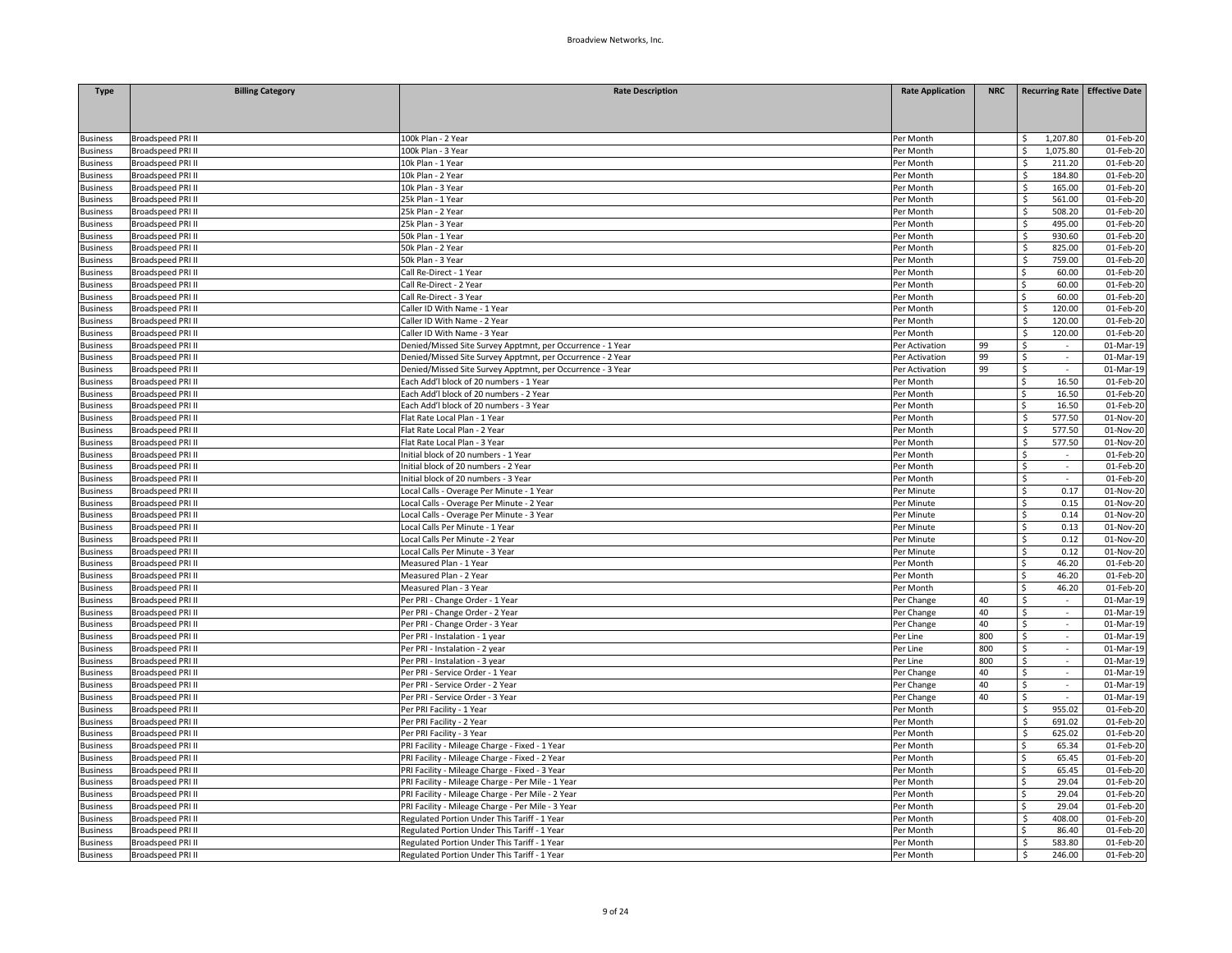| <b>Type</b>                        | <b>Billing Category</b>                              | <b>Rate Description</b>                                                                          | <b>Rate Application</b> | <b>NRC</b> |                                   | Recurring Rate Effective Date |
|------------------------------------|------------------------------------------------------|--------------------------------------------------------------------------------------------------|-------------------------|------------|-----------------------------------|-------------------------------|
|                                    |                                                      |                                                                                                  |                         |            |                                   |                               |
|                                    |                                                      |                                                                                                  |                         |            |                                   |                               |
|                                    |                                                      |                                                                                                  |                         |            |                                   |                               |
| <b>Business</b><br><b>Business</b> | Broadspeed PRI II<br><b>Broadspeed PRI II</b>        | 100k Plan - 2 Year<br>100k Plan - 3 Year                                                         | Per Month<br>Per Month  |            | 1,207.80<br>Ś<br>Ś<br>1,075.80    | 01-Feb-20<br>01-Feb-20        |
| <b>Business</b>                    | <b>Broadspeed PRI II</b>                             | 10k Plan - 1 Year                                                                                | Per Month               |            | \$<br>211.20                      | 01-Feb-20                     |
| Business                           | Broadspeed PRI II                                    | 10k Plan - 2 Year                                                                                | Per Month               |            | 184.80<br>\$                      | 01-Feb-20                     |
| Business                           | <b>Broadspeed PRI II</b>                             | 10k Plan - 3 Year                                                                                | Per Month               |            | Ś.<br>165.00                      | 01-Feb-20                     |
| <b>Business</b>                    | <b>Broadspeed PRI II</b>                             | 25k Plan - 1 Year                                                                                | Per Month               |            | 561.00<br>Ś.                      | 01-Feb-20                     |
| usiness                            | <b>Broadspeed PRI II</b>                             | 25k Plan - 2 Year                                                                                | Per Month               |            | 508.20<br>Ś.                      | 01-Feb-20                     |
| <b>Business</b>                    | <b>Broadspeed PRI II</b>                             | 25k Plan - 3 Year                                                                                | Per Month               |            | Ś<br>495.00                       | 01-Feb-20                     |
| <b>Business</b>                    | Broadspeed PRI II                                    | 50k Plan - 1 Year                                                                                | Per Month               |            | \$<br>930.60                      | 01-Feb-20                     |
| <b>Business</b>                    | Broadspeed PRI II                                    | 50k Plan - 2 Year                                                                                | Per Month               |            | \$<br>825.00                      | 01-Feb-20                     |
| <b>Business</b>                    | <b>Broadspeed PRI II</b>                             | 50k Plan - 3 Year                                                                                | Per Month               |            | Ś.<br>759.00                      | 01-Feb-20                     |
| <b>Business</b>                    | <b>Broadspeed PRI II</b>                             | Call Re-Direct - 1 Year                                                                          | Per Month               |            | 60.00<br>Ś.                       | 01-Feb-20                     |
| <b>Business</b>                    | Broadspeed PRI II                                    | Call Re-Direct - 2 Year                                                                          | Per Month               |            | Ś.<br>60.00                       | 01-Feb-20                     |
| <b>Business</b>                    | <b>Broadspeed PRI II</b>                             | Call Re-Direct - 3 Year                                                                          | Per Month               |            | Ś.<br>60.00                       | 01-Feb-20                     |
| <b>Business</b>                    | Broadspeed PRI II                                    | Caller ID With Name - 1 Year                                                                     | Per Month               |            | 120.00<br>Ś.                      | 01-Feb-20                     |
| <b>Business</b>                    | Broadspeed PRI II                                    | Caller ID With Name - 2 Year                                                                     | Per Month               |            | Ś<br>120.00                       | 01-Feb-20                     |
| <b>Business</b>                    | <b>Broadspeed PRI II</b>                             | Caller ID With Name - 3 Year                                                                     | Per Month               |            | \$.<br>120.00                     | 01-Feb-20                     |
| <b>Business</b>                    | Broadspeed PRI II                                    | Denied/Missed Site Survey Apptmnt, per Occurrence - 1 Year                                       | Per Activation          | 99         | Ś<br>$\sim$                       | 01-Mar-19                     |
| <b>Business</b>                    | Broadspeed PRI II                                    | Denied/Missed Site Survey Apptmnt, per Occurrence - 2 Year                                       | Per Activation          | 99         | \$<br>$\mathcal{L}^{\mathcal{L}}$ | 01-Mar-19                     |
| <b>Business</b>                    | Broadspeed PRI II                                    | Denied/Missed Site Survey Apptmnt, per Occurrence - 3 Year                                       | Per Activation          | 99         | \$<br>$\sim$                      | 01-Mar-19                     |
|                                    | Broadspeed PRI II                                    | Each Add'l block of 20 numbers - 1 Year                                                          |                         |            | 16.50<br>Ś.                       |                               |
| <b>Business</b><br><b>Business</b> | Broadspeed PRI II                                    | Each Add'l block of 20 numbers - 2 Year                                                          | Per Month<br>Per Month  |            | Ś.<br>16.50                       | 01-Feb-20<br>01-Feb-20        |
| <b>Business</b>                    | <b>Broadspeed PRI II</b>                             | Each Add'l block of 20 numbers - 3 Year                                                          | Per Month               |            | Ś.<br>16.50                       | 01-Feb-20                     |
|                                    | Broadspeed PRI II                                    | Flat Rate Local Plan - 1 Year                                                                    |                         |            | Ś.<br>577.50                      |                               |
| <b>Business</b>                    | Broadspeed PRI II                                    | Flat Rate Local Plan - 2 Year                                                                    | Per Month               |            | Ś<br>577.50                       | 01-Nov-20<br>01-Nov-20        |
| <b>Business</b>                    | <b>Broadspeed PRI II</b>                             | Flat Rate Local Plan - 3 Year                                                                    | Per Month<br>Per Month  |            | Š.<br>577.50                      | 01-Nov-20                     |
| <b>Business</b><br><b>Business</b> |                                                      | Initial block of 20 numbers - 1 Year                                                             | Per Month               |            | Ś.<br>$\sim$                      | 01-Feb-20                     |
|                                    | Broadspeed PRI II                                    |                                                                                                  |                         |            | Ś                                 |                               |
| Business                           | Broadspeed PRI II                                    | Initial block of 20 numbers - 2 Year                                                             | Per Month               |            | $\omega$                          | 01-Feb-20                     |
| <b>Business</b>                    | Broadspeed PRI II                                    | Initial block of 20 numbers - 3 Year                                                             | Per Month               |            | \$<br>0.17                        | 01-Feb-20                     |
| <b>Business</b>                    | Broadspeed PRI II                                    | Local Calls - Overage Per Minute - 1 Year                                                        | Per Minute              |            | Ś.<br>Ś<br>0.15                   | 01-Nov-20                     |
| <b>Business</b>                    | Broadspeed PRI II                                    | Local Calls - Overage Per Minute - 2 Year                                                        | Per Minute              |            | Ś.                                | 01-Nov-20                     |
| <b>Business</b>                    | Broadspeed PRI II                                    | Local Calls - Overage Per Minute - 3 Year                                                        | Per Minute              |            | 0.14<br>0.13                      | 01-Nov-20                     |
| <b>Business</b>                    | Broadspeed PRI II                                    | Local Calls Per Minute - 1 Year                                                                  | Per Minute              |            | Ś.<br>\$<br>0.12                  | 01-Nov-20                     |
| <b>Business</b>                    | Broadspeed PRI II<br><b>Broadspeed PRI II</b>        | Local Calls Per Minute - 2 Year<br>Local Calls Per Minute - 3 Year                               | Per Minute              |            | 0.12                              | 01-Nov-20                     |
| <b>Business</b>                    |                                                      |                                                                                                  | Per Minute              |            | \$<br>Ś.                          | 01-Nov-20                     |
| <b>Business</b>                    | <b>Broadspeed PRI II</b>                             | Measured Plan - 1 Year                                                                           | Per Month               |            | 46.20<br>Ś<br>46.20               | 01-Feb-20<br>01-Feb-20        |
| <b>Business</b>                    | Broadspeed PRI II<br>Broadspeed PRI II               | Measured Plan - 2 Year<br>Measured Plan - 3 Year                                                 | Per Month<br>Per Month  |            | Ś<br>46.20                        | 01-Feb-20                     |
| <b>Business</b>                    |                                                      |                                                                                                  |                         |            |                                   |                               |
| <b>Business</b>                    | <b>Broadspeed PRI II</b><br><b>Broadspeed PRI II</b> | Per PRI - Change Order - 1 Year                                                                  | Per Change              | 40<br>40   | \$<br>$\sim$<br>Ś                 | 01-Mar-19                     |
| Business                           | <b>Broadspeed PRI II</b>                             | Per PRI - Change Order - 2 Year                                                                  | Per Change              | 40         | \$                                | 01-Mar-19                     |
| <b>Business</b>                    | Broadspeed PRI II                                    | Per PRI - Change Order - 3 Year                                                                  | Per Change              | 800        | Ś.<br>$\sim$                      | 01-Mar-19<br>01-Mar-19        |
| <b>Business</b>                    | Broadspeed PRI II                                    | Per PRI - Instalation - 1 year                                                                   | Per Line<br>Per Line    | 800        | Ś<br>$\sim$                       | 01-Mar-19                     |
| <b>Business</b><br><b>Business</b> | Broadspeed PRI II                                    | Per PRI - Instalation - 2 year<br>Per PRI - Instalation - 3 year                                 | Per Line                | 800        | \$                                | 01-Mar-19                     |
| <b>Business</b>                    | <b>Broadspeed PRI II</b>                             | Per PRI - Service Order - 1 Year                                                                 | Per Change              | 40         | $\sim$<br>\$<br>$\sim$            | 01-Mar-19                     |
|                                    | <b>Broadspeed PRI II</b>                             | Per PRI - Service Order - 2 Year                                                                 |                         | 40         | Ś                                 | 01-Mar-19                     |
| Business<br><b>Business</b>        | <b>Broadspeed PRI II</b>                             | Per PRI - Service Order - 3 Year                                                                 | Per Change              | 40         | \$                                | $\overline{01}$ -Mar-19       |
| <b>Business</b>                    | <b>Broadspeed PRI II</b>                             | Per PRI Facility - 1 Year                                                                        | Per Change<br>Per Month |            | 955.02<br>\$                      | 01-Feb-20                     |
|                                    | Broadspeed PRI II                                    | Per PRI Facility - 2 Year                                                                        | Per Month               |            | Ś<br>691.02                       | 01-Feb-20                     |
| <b>Business</b><br><b>Business</b> | Broadspeed PRI II                                    |                                                                                                  | Per Month               |            | \$<br>625.02                      | 01-Feb-20                     |
|                                    |                                                      | Per PRI Facility - 3 Year                                                                        |                         |            | Ś.                                |                               |
| <b>Business</b><br><b>Business</b> | <b>Broadspeed PRI II</b><br><b>Broadspeed PRI II</b> | PRI Facility - Mileage Charge - Fixed - 1 Year<br>PRI Facility - Mileage Charge - Fixed - 2 Year | Per Month<br>Per Month  |            | 65.34<br>65.45                    | 01-Feb-20<br>01-Feb-20        |
| <b>Business</b>                    | Broadspeed PRI II                                    | PRI Facility - Mileage Charge - Fixed - 3 Year                                                   | Per Month               |            | 65.45<br>Ś.                       | 01-Feb-20                     |
| <b>Business</b>                    | <b>Broadspeed PRI II</b>                             | PRI Facility - Mileage Charge - Per Mile - 1 Year                                                | Per Month               |            | 29.04<br>Ś.                       | 01-Feb-20                     |
| <b>Business</b>                    | <b>Broadspeed PRI II</b>                             | PRI Facility - Mileage Charge - Per Mile - 2 Year                                                | Per Month               |            | Ś.<br>29.04                       | 01-Feb-20                     |
|                                    | Broadspeed PRI II                                    | PRI Facility - Mileage Charge - Per Mile - 3 Year                                                | Per Month               |            | Ś.<br>29.04                       | $01$ -Feb-20                  |
| <b>Business</b><br><b>Business</b> | Broadspeed PRI II                                    | Regulated Portion Under This Tariff - 1 Year                                                     | Per Month               |            | 408.00<br>Ś.                      | 01-Feb-20                     |
| usiness                            | Broadspeed PRI II                                    | Regulated Portion Under This Tariff - 1 Year                                                     | Per Month               |            | 86.40                             | 01-Feb-20                     |
| <b>Business</b>                    | Broadspeed PRI II                                    | Regulated Portion Under This Tariff - 1 Year                                                     | Per Month               |            | Ś.<br>583.80                      | 01-Feb-20                     |
|                                    |                                                      |                                                                                                  |                         |            | \$<br>246.00                      |                               |
| <b>Business</b>                    | <b>Broadspeed PRI II</b>                             | Regulated Portion Under This Tariff - 1 Year                                                     | Per Month               |            |                                   | 01-Feb-20                     |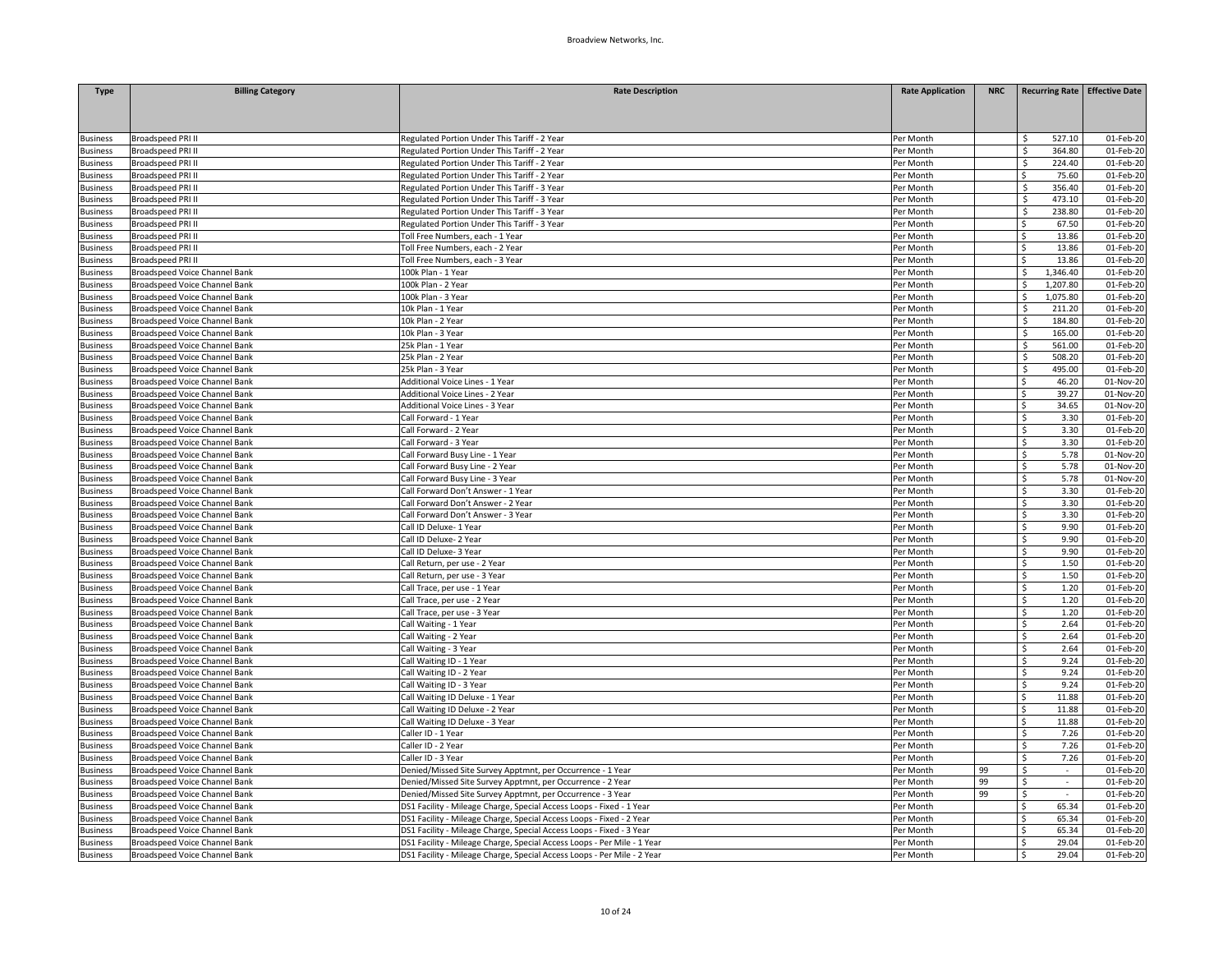| <b>Type</b>     | <b>Billing Category</b>              | <b>Rate Description</b>                                                 | <b>Rate Application</b> | <b>NRC</b> |               | <b>Recurring Rate Effective Date</b> |
|-----------------|--------------------------------------|-------------------------------------------------------------------------|-------------------------|------------|---------------|--------------------------------------|
|                 |                                      |                                                                         |                         |            |               |                                      |
|                 |                                      |                                                                         |                         |            |               |                                      |
|                 |                                      |                                                                         |                         |            |               |                                      |
| <b>Business</b> | <b>Broadspeed PRI II</b>             | Regulated Portion Under This Tariff - 2 Year                            | Per Month               |            | 527.10<br>Ś.  | 01-Feb-20                            |
| <b>Business</b> | Broadspeed PRI II                    | Regulated Portion Under This Tariff - 2 Year                            | Per Month               |            | Ś<br>364.80   | 01-Feb-20                            |
| <b>Business</b> | Broadspeed PRI II                    | Regulated Portion Under This Tariff - 2 Year                            | Per Month               |            | Ś<br>224.40   | 01-Feb-20                            |
| <b>Business</b> | <b>Broadspeed PRI II</b>             | Regulated Portion Under This Tariff - 2 Year                            | Per Month               |            | 75.60<br>Ś.   | 01-Feb-20                            |
| usiness         | <b>Broadspeed PRI II</b>             | Regulated Portion Under This Tariff - 3 Year                            | Per Month               |            | Ś<br>356.40   | 01-Feb-20                            |
| <b>Business</b> | Broadspeed PRI II                    | Regulated Portion Under This Tariff - 3 Year                            | Per Month               |            | Ś<br>473.10   | 01-Feb-20                            |
| <b>Business</b> | <b>Broadspeed PRI II</b>             | Regulated Portion Under This Tariff - 3 Year                            | Per Month               |            | \$<br>238.80  | 01-Feb-20                            |
| <b>Business</b> | Broadspeed PRI II                    | Regulated Portion Under This Tariff - 3 Year                            | Per Month               |            | 67.50<br>ς    | 01-Feb-20                            |
| <b>Business</b> | Broadspeed PRI II                    | Toll Free Numbers, each - 1 Year                                        | Per Month               |            | Ś<br>13.86    | 01-Feb-20                            |
| <b>Business</b> | Broadspeed PRI II                    | Toll Free Numbers, each - 2 Year                                        | Per Month               |            | 13.86<br>Ś    | 01-Feb-20                            |
| usiness         | Broadspeed PRI II                    | Toll Free Numbers, each - 3 Year                                        | Per Month               |            | Ś.<br>13.86   | 01-Feb-20                            |
| Jusiness        | Broadspeed Voice Channel Bank        | 100k Plan - 1 Year                                                      | Per Month               |            | 1,346.40<br>Ś | 01-Feb-20                            |
| <b>Business</b> | Broadspeed Voice Channel Bank        | 100k Plan - 2 Year                                                      | Per Month               |            | 1,207.80<br>Ś | 01-Feb-20                            |
| <b>Business</b> | Broadspeed Voice Channel Bank        | 100k Plan - 3 Year                                                      | Per Month               |            | 1,075.80<br>Ś | 01-Feb-20                            |
| <b>Business</b> | Broadspeed Voice Channel Bank        | 10k Plan - 1 Year                                                       | Per Month               |            | Ś<br>211.20   | 01-Feb-20                            |
| Business        | Broadspeed Voice Channel Bank        | 10k Plan - 2 Year                                                       | Per Month               |            | 184.80<br>Ś.  | 01-Feb-20                            |
| <b>Business</b> | Broadspeed Voice Channel Bank        | 10k Plan - 3 Year                                                       | Per Month               |            | Ś.<br>165.00  | 01-Feb-20                            |
| <b>Business</b> | Broadspeed Voice Channel Bank        | 25k Plan - 1 Year                                                       | Per Month               |            | Ś.<br>561.00  | 01-Feb-20                            |
| <b>Business</b> | Broadspeed Voice Channel Bank        | 25k Plan - 2 Year                                                       | Per Month               |            | Ś.<br>508.20  | 01-Feb-20                            |
| Business        | Broadspeed Voice Channel Bank        | 25k Plan - 3 Year                                                       | Per Month               |            | Ś<br>495.00   | 01-Feb-20                            |
| <b>Business</b> | Broadspeed Voice Channel Bank        | Additional Voice Lines - 1 Year                                         | Per Month               |            | Ś<br>46.20    | 01-Nov-20                            |
| <b>Business</b> | Broadspeed Voice Channel Bank        | Additional Voice Lines - 2 Year                                         | Per Month               |            | 39.27<br>Ŝ.   | 01-Nov-20                            |
| usiness         | Broadspeed Voice Channel Bank        | Additional Voice Lines - 3 Year                                         | Per Month               |            | Ś.<br>34.65   | 01-Nov-20                            |
| <b>Business</b> | Broadspeed Voice Channel Bank        | Call Forward - 1 Year                                                   | Per Month               |            | \$<br>3.30    | 01-Feb-20                            |
| <b>Business</b> | Broadspeed Voice Channel Bank        | Call Forward - 2 Year                                                   | Per Month               |            | 3.30<br>Ś.    | 01-Feb-20                            |
| Business        | Broadspeed Voice Channel Bank        | Call Forward - 3 Year                                                   | Per Month               |            | \$<br>3.30    | 01-Feb-20                            |
| <b>Business</b> | <b>Broadspeed Voice Channel Bank</b> | Call Forward Busy Line - 1 Year                                         | Per Month               |            | 5.78<br>\$    | 01-Nov-20                            |
| Business        | <b>Broadspeed Voice Channel Bank</b> | Call Forward Busy Line - 2 Year                                         | Per Month               |            | 5.78<br>Ŝ.    | 01-Nov-20                            |
| usiness         | Broadspeed Voice Channel Bank        | Call Forward Busy Line - 3 Year                                         | Per Month               |            | Ś.<br>5.78    | 01-Nov-20                            |
| <b>Business</b> | Broadspeed Voice Channel Bank        | Call Forward Don't Answer - 1 Year                                      | Per Month               |            | \$<br>3.30    | 01-Feb-20                            |
| <b>Business</b> | Broadspeed Voice Channel Bank        | Call Forward Don't Answer - 2 Year                                      | Per Month               |            | 3.30<br>Ś.    | 01-Feb-20                            |
| <b>Business</b> | Broadspeed Voice Channel Bank        | Call Forward Don't Answer - 3 Year                                      | Per Month               |            | \$<br>3.30    | 01-Feb-20                            |
| <b>Business</b> | Broadspeed Voice Channel Bank        | Call ID Deluxe- 1 Year                                                  | Per Month               |            | \$<br>9.90    | 01-Feb-20                            |
| <b>Business</b> | <b>Broadspeed Voice Channel Bank</b> | Call ID Deluxe- 2 Year                                                  | Per Month               |            | 9.90<br>Ś.    | 01-Feb-20                            |
| usiness         | Broadspeed Voice Channel Bank        | Call ID Deluxe- 3 Year                                                  | Per Month               |            | \$<br>9.90    | 01-Feb-20                            |
| <b>Business</b> | <b>Broadspeed Voice Channel Bank</b> | Call Return, per use - 2 Year                                           | Per Month               |            | \$<br>1.50    | 01-Feb-20                            |
| <b>Business</b> | Broadspeed Voice Channel Bank        | Call Return, per use - 3 Year                                           | Per Month               |            | 1.50<br>Ŝ.    | 01-Feb-20                            |
| Business        | Broadspeed Voice Channel Bank        | Call Trace, per use - 1 Year                                            | Per Month               |            | \$<br>1.20    | 01-Feb-20                            |
| <b>Business</b> | Broadspeed Voice Channel Bank        | Call Trace, per use - 2 Year                                            | Per Month               |            | \$<br>1.20    | 01-Feb-20                            |
| Business        | Broadspeed Voice Channel Bank        | Call Trace, per use - 3 Year                                            | Per Month               |            | 1.20<br>Ś.    | 01-Feb-20                            |
| usiness         | Broadspeed Voice Channel Bank        | Call Waiting - 1 Year                                                   | Per Month               |            | \$<br>2.64    | 01-Feb-20                            |
| <b>Business</b> | Broadspeed Voice Channel Bank        | Call Waiting - 2 Year                                                   | Per Month               |            | 2.64<br>Ś.    | 01-Feb-20                            |
| <b>Business</b> | Broadspeed Voice Channel Bank        | Call Waiting - 3 Year                                                   | Per Month               |            | 2.64<br>Ś.    | 01-Feb-20                            |
| Business        | <b>Broadspeed Voice Channel Bank</b> | Call Waiting ID - 1 Year                                                | Per Month               |            | \$<br>9.24    | 01-Feb-20                            |
| <b>Business</b> | Broadspeed Voice Channel Bank        | Call Waiting ID - 2 Year                                                | Per Month               |            | 9.24<br>Ś     | 01-Feb-20                            |
| Business        | Broadspeed Voice Channel Bank        | Call Waiting ID - 3 Year                                                | Per Month               |            | \$<br>9.24    | 01-Feb-20                            |
| usiness         | Broadspeed Voice Channel Bank        | Call Waiting ID Deluxe - 1 Year                                         | Per Month               |            | Ś<br>11.88    | 01-Feb-20                            |
| <b>Business</b> | Broadspeed Voice Channel Bank        | Call Waiting ID Deluxe - 2 Year                                         | Per Month               |            | 11.88<br>Ś.   | 01-Feb-20                            |
| <b>Business</b> | Broadspeed Voice Channel Bank        | Call Waiting ID Deluxe - 3 Year                                         | Per Month               |            | 11.88<br>Ś.   | 01-Feb-20                            |
| <b>Business</b> | Broadspeed Voice Channel Bank        | Caller ID - 1 Year                                                      | Per Month               |            | Ś<br>7.26     | 01-Feb-20                            |
| <b>Business</b> | Broadspeed Voice Channel Bank        | Caller ID - 2 Year                                                      | Per Month               |            | 7.26<br>Ś     | 01-Feb-20                            |
| Business        | Broadspeed Voice Channel Bank        | Caller ID - 3 Year                                                      | Per Month               |            | \$<br>7.26    | 01-Feb-20                            |
| usiness         | Broadspeed Voice Channel Bank        | Denied/Missed Site Survey Apptmnt, per Occurrence - 1 Year              | Per Month               | 99         | \$            | 01-Feb-20                            |
| <b>Business</b> | Broadspeed Voice Channel Bank        | Denied/Missed Site Survey Apptmnt, per Occurrence - 2 Year              | Per Month               | 99         | \$<br>$\sim$  | 01-Feb-20                            |
| <b>Business</b> | Broadspeed Voice Channel Bank        | Denied/Missed Site Survey Apptmnt, per Occurrence - 3 Year              | Per Month               | 99         | \$<br>$\sim$  | 01-Feb-20                            |
| <b>Business</b> | Broadspeed Voice Channel Bank        | DS1 Facility - Mileage Charge, Special Access Loops - Fixed - 1 Year    | Per Month               |            | Ś<br>65.34    | 01-Feb-20                            |
| <b>Business</b> | Broadspeed Voice Channel Bank        | DS1 Facility - Mileage Charge, Special Access Loops - Fixed - 2 Year    | Per Month               |            | 65.34<br>Ś.   | 01-Feb-20                            |
| Business        | Broadspeed Voice Channel Bank        | DS1 Facility - Mileage Charge, Special Access Loops - Fixed - 3 Year    | Per Month               |            | 65.34<br>Ś.   | 01-Feb-20                            |
| Business        | Broadspeed Voice Channel Bank        | DS1 Facility - Mileage Charge, Special Access Loops - Per Mile - 1 Year | Per Month               |            | 29.04<br>Ś.   | 01-Feb-20                            |
| <b>Business</b> | Broadspeed Voice Channel Bank        | DS1 Facility - Mileage Charge, Special Access Loops - Per Mile - 2 Year | Per Month               |            | 29.04<br>Ś.   | 01-Feb-20                            |
|                 |                                      |                                                                         |                         |            |               |                                      |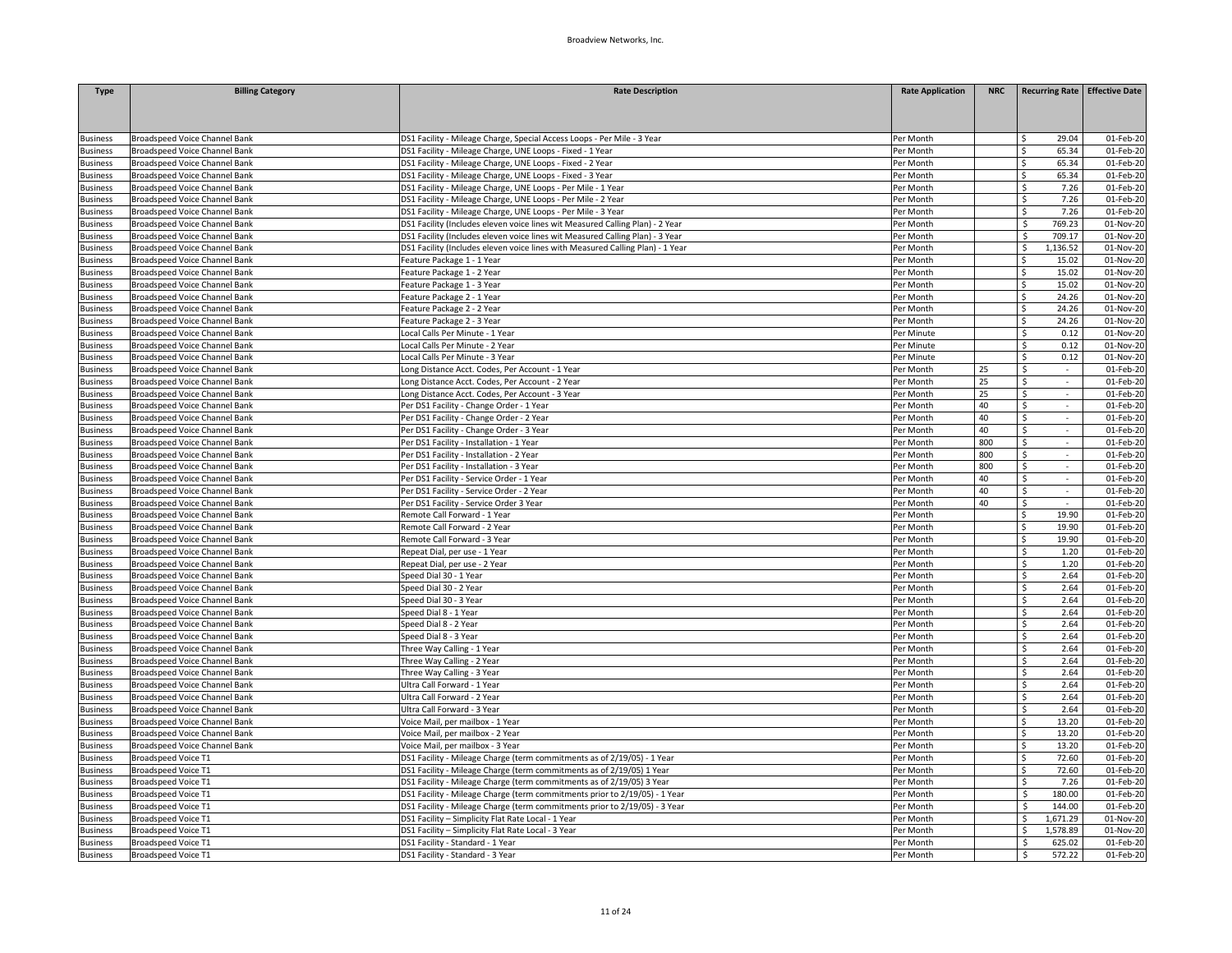| <b>Type</b>     | <b>Billing Category</b>       | <b>Rate Description</b>                                                        | <b>Rate Application</b> | <b>NRC</b> | Recurring Rate Effective Date |           |
|-----------------|-------------------------------|--------------------------------------------------------------------------------|-------------------------|------------|-------------------------------|-----------|
|                 |                               |                                                                                |                         |            |                               |           |
| <b>Business</b> | Broadspeed Voice Channel Bank | DS1 Facility - Mileage Charge, Special Access Loops - Per Mile - 3 Year        | Per Month               |            | 29.04<br>Ŝ                    | 01-Feb-20 |
| <b>Business</b> | Broadspeed Voice Channel Bank | DS1 Facility - Mileage Charge, UNE Loops - Fixed - 1 Year                      | Per Month               |            | 65.34<br>Ŝ.                   | 01-Feb-20 |
| <b>Business</b> | Broadspeed Voice Channel Bank | DS1 Facility - Mileage Charge, UNE Loops - Fixed - 2 Year                      | Per Month               |            | Ś<br>65.34                    | 01-Feb-20 |
| usiness         | Broadspeed Voice Channel Bank | DS1 Facility - Mileage Charge, UNE Loops - Fixed - 3 Year                      | Per Month               |            | Ś.<br>65.34                   | 01-Feb-20 |
| usiness         | Broadspeed Voice Channel Bank | DS1 Facility - Mileage Charge, UNE Loops - Per Mile - 1 Year                   | Per Month               |            | Ś<br>7.26                     | 01-Feb-20 |
| <b>Business</b> | Broadspeed Voice Channel Bank | DS1 Facility - Mileage Charge, UNE Loops - Per Mile - 2 Year                   | Per Month               |            | 7.26<br>Ś                     | 01-Feb-20 |
| <b>Business</b> | Broadspeed Voice Channel Bank | DS1 Facility - Mileage Charge, UNE Loops - Per Mile - 3 Year                   | Per Month               |            | 7.26<br>\$                    | 01-Feb-20 |
| usiness         | Broadspeed Voice Channel Bank | DS1 Facility (Includes eleven voice lines wit Measured Calling Plan) - 2 Year  | Per Month               |            | 769.23<br>\$.                 | 01-Nov-20 |
| <b>Business</b> | Broadspeed Voice Channel Bank | DS1 Facility (Includes eleven voice lines wit Measured Calling Plan) - 3 Year  | Per Month               |            | Ś<br>709.17                   | 01-Nov-20 |
| <b>Business</b> | Broadspeed Voice Channel Bank | DS1 Facility (Includes eleven voice lines with Measured Calling Plan) - 1 Year | Per Month               |            | 1,136.52<br>\$                | 01-Nov-20 |
| usiness         | Broadspeed Voice Channel Bank | Feature Package 1 - 1 Year                                                     | Per Month               |            | Ś<br>15.02                    | 01-Nov-20 |
| <b>Business</b> | Broadspeed Voice Channel Bank | Feature Package 1 - 2 Year                                                     | Per Month               |            | 15.02<br>Ś                    | 01-Nov-20 |
| <b>Business</b> | Broadspeed Voice Channel Bank | Feature Package 1 - 3 Year                                                     | Per Month               |            | 15.02<br>Ś.                   | 01-Nov-20 |
| usiness         | Broadspeed Voice Channel Bank | Feature Package 2 - 1 Year                                                     | Per Month               |            | 24.26<br>Ś.                   | 01-Nov-20 |
| usiness         | Broadspeed Voice Channel Bank | Feature Package 2 - 2 Year                                                     | Per Month               |            | 24.26<br>Ś                    | 01-Nov-20 |
| <b>Business</b> | Broadspeed Voice Channel Bank | Feature Package 2 - 3 Year                                                     | Per Month               |            | Ś<br>24.26                    | 01-Nov-20 |
| usiness         | Broadspeed Voice Channel Bank | Local Calls Per Minute - 1 Year                                                | Per Minute              |            | Ŝ.<br>0.12                    | 01-Nov-20 |
| <b>Business</b> | Broadspeed Voice Channel Bank | Local Calls Per Minute - 2 Year                                                | Per Minute              |            | Ś<br>0.12                     | 01-Nov-20 |
| <b>Business</b> | Broadspeed Voice Channel Bank | Local Calls Per Minute - 3 Year                                                | Per Minute              |            | 0.12<br>Ś.                    | 01-Nov-20 |
| usiness         | Broadspeed Voice Channel Bank | Long Distance Acct. Codes, Per Account - 1 Year                                | Per Month               | 25         | Ś                             | 01-Feb-20 |
| usiness         | Broadspeed Voice Channel Bank | Long Distance Acct. Codes, Per Account - 2 Year                                | Per Month               | 25         | Ś<br>$\sim$                   | 01-Feb-20 |
| <b>Business</b> | Broadspeed Voice Channel Bank | Long Distance Acct. Codes, Per Account - 3 Year                                | Per Month               | 25         | \$<br>$\sim$                  | 01-Feb-20 |
| usiness         | Broadspeed Voice Channel Bank | Per DS1 Facility - Change Order - 1 Year                                       | Per Month               | 40         | \$                            | 01-Feb-20 |
| <b>Business</b> | Broadspeed Voice Channel Bank | Per DS1 Facility - Change Order - 2 Year                                       | Per Month               | 40         | Ś<br>$\sim$                   | 01-Feb-20 |
| <b>Business</b> | Broadspeed Voice Channel Bank | Per DS1 Facility - Change Order - 3 Year                                       | Per Month               | 40         | \$.<br>$\sim$                 | 01-Feb-20 |
| <b>Business</b> | Broadspeed Voice Channel Bank | Per DS1 Facility - Installation - 1 Year                                       | Per Month               | 800        | Ŝ.<br>÷.                      | 01-Feb-20 |
| <b>Business</b> | Broadspeed Voice Channel Bank | Per DS1 Facility - Installation - 2 Year                                       | Per Month               | 800        | \$<br>$\sim$                  | 01-Feb-20 |
| <b>Business</b> | Broadspeed Voice Channel Bank | Per DS1 Facility - Installation - 3 Year                                       | Per Month               | 800        | Ŝ.<br>$\sim$                  | 01-Feb-20 |
| usiness         | Broadspeed Voice Channel Bank | Per DS1 Facility - Service Order - 1 Year                                      | Per Month               | 40         | Ś.<br>$\sim$                  | 01-Feb-20 |
| <b>Business</b> | Broadspeed Voice Channel Bank | Per DS1 Facility - Service Order - 2 Year                                      | Per Month               | 40         | \$<br>$\sim$                  | 01-Feb-20 |
| <b>Business</b> | Broadspeed Voice Channel Bank | Per DS1 Facility - Service Order 3 Year                                        | Per Month               | 40         | \$<br>÷                       | 01-Feb-20 |
| <b>Business</b> | Broadspeed Voice Channel Bank | Remote Call Forward - 1 Year                                                   | Per Month               |            | 19.90<br>Ś.                   | 01-Feb-20 |
| <b>Business</b> | Broadspeed Voice Channel Bank | Remote Call Forward - 2 Year                                                   | Per Month               |            | Ś<br>19.90                    | 01-Feb-20 |
| <b>Business</b> | Broadspeed Voice Channel Bank | Remote Call Forward - 3 Year                                                   | Per Month               |            | Ś.<br>19.90                   | 01-Feb-20 |
| usiness         | Broadspeed Voice Channel Bank | Repeat Dial, per use - 1 Year                                                  | Per Month               |            | \$.<br>1.20                   | 01-Feb-20 |
| <b>Business</b> | Broadspeed Voice Channel Bank | Repeat Dial, per use - 2 Year                                                  | Per Month               |            | 1.20<br>Ś                     | 01-Feb-20 |
| <b>Business</b> | Broadspeed Voice Channel Bank | Speed Dial 30 - 1 Year                                                         | Per Month               |            | 2.64<br>Ś.                    | 01-Feb-20 |
| usiness         | Broadspeed Voice Channel Bank | Speed Dial 30 - 2 Year                                                         | Per Month               |            | 2.64<br>Ś                     | 01-Feb-20 |
| <b>Business</b> | Broadspeed Voice Channel Bank | Speed Dial 30 - 3 Year                                                         | Per Month               |            | 2.64<br>Ś                     | 01-Feb-20 |
| <b>Business</b> | Broadspeed Voice Channel Bank | Speed Dial 8 - 1 Year                                                          | Per Month               |            | \$<br>2.64                    | 01-Feb-20 |
| <b>Business</b> | Broadspeed Voice Channel Bank | Speed Dial 8 - 2 Year                                                          | Per Month               |            | \$.<br>2.64                   | 01-Feb-20 |
| <b>Business</b> | Broadspeed Voice Channel Bank | Speed Dial 8 - 3 Year                                                          | Per Month               |            | Ś<br>2.64                     | 01-Feb-20 |
| <b>Business</b> | Broadspeed Voice Channel Bank | Three Way Calling - 1 Year                                                     | Per Month               |            | 2.64<br>\$.                   | 01-Feb-20 |
| usiness         | Broadspeed Voice Channel Bank | Three Way Calling - 2 Year                                                     | Per Month               |            | Ś<br>2.64                     | 01-Feb-20 |
| usiness         | Broadspeed Voice Channel Bank | Three Way Calling - 3 Year                                                     | Per Month               |            | 2.64<br>Ś                     | 01-Feb-20 |
| <b>Business</b> | Broadspeed Voice Channel Bank | Ultra Call Forward - 1 Year                                                    | Per Month               |            | \$<br>2.64                    | 01-Feb-20 |
| usiness         | Broadspeed Voice Channel Bank | Ultra Call Forward - 2 Year                                                    | Per Month               |            | 2.64<br>Ŝ.                    | 01-Feb-20 |
| <b>Business</b> | Broadspeed Voice Channel Bank | Ultra Call Forward - 3 Year                                                    | Per Month               |            | 2.64<br>Ś                     | 01-Feb-20 |
| <b>Business</b> | Broadspeed Voice Channel Bank | Voice Mail, per mailbox - 1 Year                                               | Per Month               |            | 13.20<br>Ś.                   | 01-Feb-20 |
| <b>Business</b> | Broadspeed Voice Channel Bank | Voice Mail, per mailbox - 2 Year                                               | Per Month               |            | Ś<br>13.20                    | 01-Feb-20 |
| usiness         | Broadspeed Voice Channel Bank | Voice Mail, per mailbox - 3 Year                                               | Per Month               |            | 13.20<br>Ś                    | 01-Feb-20 |
| <b>Business</b> | <b>Broadspeed Voice T1</b>    | DS1 Facility - Mileage Charge (term commitments as of 2/19/05) - 1 Year        | Per Month               |            | 72.60<br>Ś.                   | 01-Feb-20 |
| usiness         | Broadspeed Voice T1           | DS1 Facility - Mileage Charge (term commitments as of 2/19/05) 1 Year          | Per Month               |            | 72.60<br>Ś                    | 01-Feb-20 |
| <b>Business</b> | Broadspeed Voice T1           | DS1 Facility - Mileage Charge (term commitments as of 2/19/05) 3 Year          | Per Month               |            | 7.26<br>Ś                     | 01-Feb-20 |
| <b>Business</b> | <b>Broadspeed Voice T1</b>    | DS1 Facility - Mileage Charge (term commitments prior to 2/19/05) - 1 Year     | Per Month               |            | 180.00<br>\$                  | 01-Feb-20 |
| <b>Business</b> | <b>Broadspeed Voice T1</b>    | DS1 Facility - Mileage Charge (term commitments prior to 2/19/05) - 3 Year     | Per Month               |            | Ŝ<br>144.00                   | 01-Feb-20 |
| <b>Business</b> | <b>Broadspeed Voice T1</b>    | DS1 Facility - Simplicity Flat Rate Local - 1 Year                             | Per Month               |            | 1,671.29<br>Ŝ                 | 01-Nov-20 |
| <b>Business</b> | <b>Broadspeed Voice T1</b>    | DS1 Facility - Simplicity Flat Rate Local - 3 Year                             | Per Month               |            | 1.578.89<br>Ŝ.                | 01-Nov-20 |
| usiness         | <b>Broadspeed Voice T1</b>    | DS1 Facility - Standard - 1 Year                                               | Per Month               |            | 625.02<br>Ś                   | 01-Feb-20 |
| <b>Business</b> | Broadspeed Voice T1           | DS1 Facility - Standard - 3 Year                                               | Per Month               |            | \$<br>572.22                  | 01-Feb-20 |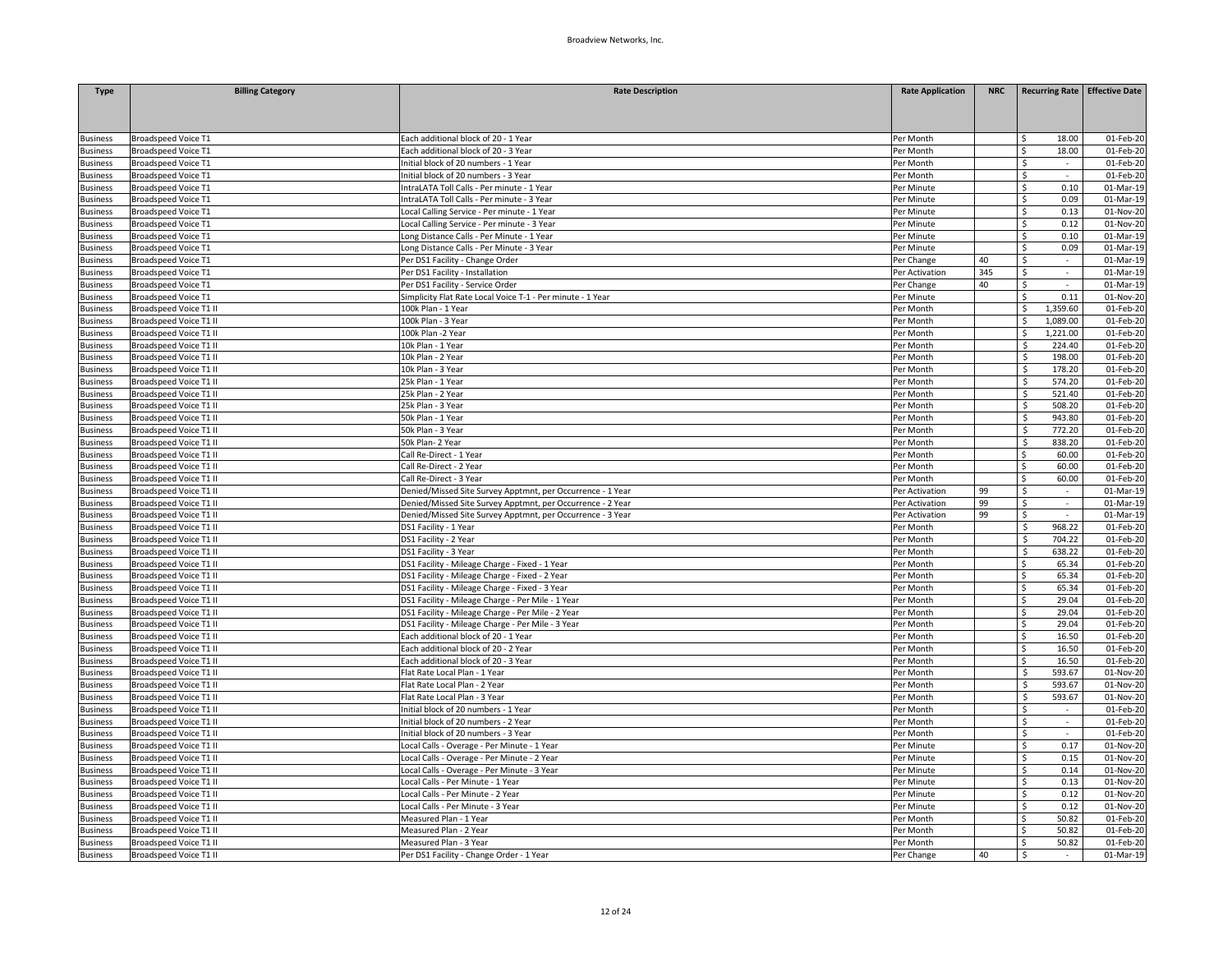| <b>Type</b>                 | <b>Billing Category</b>                          | <b>Rate Description</b>                                     | <b>Rate Application</b> | <b>NRC</b> |                     | Recurring Rate   Effective Date |
|-----------------------------|--------------------------------------------------|-------------------------------------------------------------|-------------------------|------------|---------------------|---------------------------------|
|                             |                                                  |                                                             |                         |            |                     |                                 |
|                             |                                                  |                                                             |                         |            |                     |                                 |
|                             |                                                  |                                                             |                         |            |                     |                                 |
| <b>Business</b>             | Broadspeed Voice T1                              | Each additional block of 20 - 1 Year                        | Per Month               |            | 18.00<br>ς.         | 01-Feb-20                       |
| <b>Business</b>             | Broadspeed Voice T1                              | Each additional block of 20 - 3 Year                        | Per Month               |            | 18.00<br>Ś.         | 01-Feb-20                       |
| <b>Business</b>             | Broadspeed Voice T1                              | Initial block of 20 numbers - 1 Year                        | Per Month               |            | \$<br>$\sim$        | 01-Feb-20                       |
| Business                    | Broadspeed Voice T1                              | Initial block of 20 numbers - 3 Year                        | Per Month               |            | \$                  | 01-Feb-20                       |
| Business                    | Broadspeed Voice T1                              | IntraLATA Toll Calls - Per minute - 1 Year                  | Per Minute              |            | \$<br>0.10          | 01-Mar-19                       |
| <b>Business</b>             | <b>Broadspeed Voice T1</b>                       | IntraLATA Toll Calls - Per minute - 3 Year                  | Per Minute              |            | 0.09<br>Ś.          | 01-Mar-19                       |
| Business                    | Broadspeed Voice T1                              | Local Calling Service - Per minute - 1 Year                 | Per Minute              |            | 0.13<br>Ś.          | 01-Nov-20                       |
| <b>Business</b>             | Broadspeed Voice T1                              | Local Calling Service - Per minute - 3 Year                 | Per Minute              |            | Ś<br>0.12           | 01-Nov-20                       |
| <b>Business</b>             | <b>Broadspeed Voice T1</b>                       | Long Distance Calls - Per Minute - 1 Year                   | Per Minute              |            | \$<br>0.10          | 01-Mar-19                       |
| <b>Business</b>             | Broadspeed Voice T1                              | Long Distance Calls - Per Minute - 3 Year                   | Per Minute              |            | Ś.<br>0.09          | 01-Mar-19                       |
| <b>Business</b>             | <b>Broadspeed Voice T1</b>                       | Per DS1 Facility - Change Order                             | Per Change              | 40         | \$<br>$\epsilon$    | 01-Mar-19                       |
| <b>Business</b>             | Broadspeed Voice T1                              | Per DS1 Facility - Installation                             | Per Activation          | 345        | \$<br>$\sim$        | 01-Mar-19                       |
| <b>Business</b>             | Broadspeed Voice T1                              | Per DS1 Facility - Service Order                            | Per Change              | 40         | \$<br>$\mathcal{L}$ | 01-Mar-19                       |
| <b>Business</b>             | Broadspeed Voice T1                              | Simplicity Flat Rate Local Voice T-1 - Per minute - 1 Year  | Per Minute              |            | \$<br>0.11          | 01-Nov-20                       |
| <b>Business</b>             | Broadspeed Voice T1 II                           | 100k Plan - 1 Year                                          | Per Month               |            | 1,359.60<br>Ś.      | 01-Feb-20                       |
| <b>Business</b>             | Broadspeed Voice T1 II                           | 100k Plan - 3 Year                                          | Per Month               |            | ς<br>1,089.00       | 01-Feb-20                       |
| <b>Business</b>             | Broadspeed Voice T1 II                           | 100k Plan -2 Year                                           | Per Month               |            | \$<br>1,221.00      | 01-Feb-20                       |
| <b>Business</b>             | Broadspeed Voice T1 II                           | 10k Plan - 1 Year                                           | Per Month               |            | Ś.<br>224.40        | 01-Feb-20                       |
| <b>Business</b>             | Broadspeed Voice T1 II                           | 10k Plan - 2 Year                                           | Per Month               |            | Ś<br>198.00         | 01-Feb-20                       |
| <b>Business</b>             | Broadspeed Voice T1 II                           | 10k Plan - 3 Year                                           | Per Month               |            | Ś.<br>178.20        | 01-Feb-20                       |
| <b>Business</b>             | Broadspeed Voice T1 II                           | 25k Plan - 1 Year                                           | Per Month               |            | Ś.<br>574.20        | 01-Feb-20                       |
| Business                    | Broadspeed Voice T1 II                           | 25k Plan - 2 Year                                           | Per Month               |            | Ś<br>521.40         | 01-Feb-20                       |
| <b>Business</b>             | Broadspeed Voice T1 II                           | 25k Plan - 3 Year                                           | Per Month               |            | \$<br>508.20        | 01-Feb-20                       |
| <b>Business</b>             | Broadspeed Voice T1 II                           | 50k Plan - 1 Year                                           | Per Month               |            | 943.80<br>\$        | 01-Feb-20                       |
| <b>Business</b>             | Broadspeed Voice T1 II                           | 50k Plan - 3 Year                                           | Per Month               |            | Ś<br>772.20         | 01-Feb-20                       |
| <b>Business</b>             | Broadspeed Voice T1 II                           | 50k Plan-2 Year                                             | Per Month               |            | Ś<br>838.20         | 01-Feb-20                       |
| Business                    | Broadspeed Voice T1 II                           | Call Re-Direct - 1 Year                                     | Per Month               |            | 60.00<br>Ś.         | 01-Feb-20                       |
| Business                    | Broadspeed Voice T1 II                           | Call Re-Direct - 2 Year                                     | Per Month               |            | 60.00<br>Ś.         | 01-Feb-20                       |
| <b>Business</b>             | Broadspeed Voice T1 II                           | Call Re-Direct - 3 Year                                     | Per Month               |            | Ś.<br>60.00         | 01-Feb-20                       |
| <b>Business</b>             | Broadspeed Voice T1 II                           | Denied/Missed Site Survey Apptmnt, per Occurrence - 1 Year  | Per Activation          | 99         | Ś.<br>$\sim$        | 01-Mar-19                       |
| <b>Business</b>             | Broadspeed Voice T1 II                           | Denied/Missed Site Survey Apptmnt, per Occurrence - 2 Year  | Per Activation          | 99         | Ś<br>$\mathcal{L}$  | 01-Mar-19                       |
| <b>Business</b>             | Broadspeed Voice T1 II                           | Denied/Missed Site Survey Apptmnt, per Occurrence - 3 Year  | Per Activation          | 99         | \$<br>$\sim$        | 01-Mar-19                       |
| <b>Business</b>             | Broadspeed Voice T1 II                           | DS1 Facility - 1 Year                                       | Per Month               |            | 968.22<br>\$        | 01-Feb-20                       |
| Business                    | Broadspeed Voice T1 II                           | DS1 Facility - 2 Year                                       | Per Month               |            | \$<br>704.22        | 01-Feb-20                       |
| <b>Business</b>             | Broadspeed Voice T1 II                           | DS1 Facility - 3 Year                                       | Per Month               |            | \$<br>638.22        | 01-Feb-20                       |
| <b>Business</b>             | Broadspeed Voice T1 II                           | DS1 Facility - Mileage Charge - Fixed - 1 Year              | Per Month               |            | 65.34<br>Ś.         | 01-Feb-20                       |
| <b>Business</b>             | Broadspeed Voice T1 II                           | DS1 Facility - Mileage Charge - Fixed - 2 Year              | Per Month               |            | 65.34<br>Ś.         | 01-Feb-20                       |
| <b>Business</b>             | Broadspeed Voice T1 II                           | DS1 Facility - Mileage Charge - Fixed - 3 Year              | Per Month               |            | 65.34<br>Ś          | 01-Feb-20                       |
| <b>Business</b>             | Broadspeed Voice T1 II                           | DS1 Facility - Mileage Charge - Per Mile - 1 Year           | Per Month               |            | 29.04<br>Ś.         | 01-Feb-20                       |
| usiness                     | Broadspeed Voice T1 II                           | DS1 Facility - Mileage Charge - Per Mile - 2 Year           | Per Month               |            | 29.04<br>Ś.         | 01-Feb-20                       |
| <b>Business</b>             | Broadspeed Voice T1 II                           | DS1 Facility - Mileage Charge - Per Mile - 3 Year           | Per Month               |            | Ś.<br>29.04         | 01-Feb-20                       |
| <b>Business</b>             | Broadspeed Voice T1 II                           | Each additional block of 20 - 1 Year                        | Per Month               |            | 16.50<br>Ś.         | 01-Feb-20                       |
| <b>Business</b>             | Broadspeed Voice T1 II                           | Each additional block of 20 - 2 Year                        | Per Month               |            | 16.50<br>Ś.         | 01-Feb-20                       |
| <b>Business</b>             | Broadspeed Voice T1 II                           | Each additional block of 20 - 3 Year                        | Per Month               |            | Ś.<br>16.50         | 01-Feb-20                       |
| <b>Business</b>             | Broadspeed Voice T1 II                           | Flat Rate Local Plan - 1 Year                               | Per Month               |            | 593.67<br>\$        | 01-Nov-20                       |
| usiness                     | Broadspeed Voice T1 II                           | Flat Rate Local Plan - 2 Year                               | Per Month               |            | \$<br>593.67        | 01-Nov-20                       |
| <b>Business</b>             | Broadspeed Voice T1 II                           | Flat Rate Local Plan - 3 Year                               | Per Month               |            | \$<br>593.67        | 01-Nov-20                       |
| <b>Business</b>             | Broadspeed Voice T1 II                           | Initial block of 20 numbers - 1 Year                        | Per Month               |            | Ś<br>$\sim$         | 01-Feb-20                       |
| Business                    | Broadspeed Voice T1 II                           | Initial block of 20 numbers - 2 Year                        | Per Month               |            | Ś<br>$\omega$       | 01-Feb-20                       |
| <b>Business</b>             | Broadspeed Voice T1 II                           | Initial block of 20 numbers - 3 Year                        | Per Month               |            | Ś<br>$\sim$         | 01-Feb-20                       |
| Business                    | Broadspeed Voice T1 II                           | Local Calls - Overage - Per Minute - 1 Year                 | Per Minute              |            | 0.17<br>\$          | 01-Nov-20                       |
| <b>Business</b>             | Broadspeed Voice T1 II                           | Local Calls - Overage - Per Minute - 2 Year                 | Per Minute              |            | \$<br>0.15          | 01-Nov-20                       |
| <b>Business</b>             | Broadspeed Voice T1 II                           | Local Calls - Overage - Per Minute - 3 Year                 | Per Minute              |            | \$<br>0.14          | 01-Nov-20                       |
| <b>Business</b>             | Broadspeed Voice T1 II                           | Local Calls - Per Minute - 1 Year                           | Per Minute              |            | 0.13<br>Ś.          | 01-Nov-20                       |
| <b>Business</b>             | Broadspeed Voice T1 II                           | Local Calls - Per Minute - 2 Year                           | Per Minute              |            | Ś.<br>0.12          | 01-Nov-20                       |
|                             |                                                  |                                                             |                         |            | Ś                   |                                 |
| <b>Business</b><br>Business | Broadspeed Voice T1 II<br>Broadspeed Voice T1 II | Local Calls - Per Minute - 3 Year<br>Measured Plan - 1 Year | Per Minute<br>Per Month |            | 0.12<br>50.82<br>ς. | 01-Nov-20<br>01-Feb-20          |
| usiness                     | Broadspeed Voice T1 II                           | Measured Plan - 2 Year                                      | Per Month               |            | 50.82<br>Ś.         | 01-Feb-20                       |
|                             |                                                  |                                                             |                         |            | 50.82<br>Ś          | 01-Feb-20                       |
| <b>Business</b>             | Broadspeed Voice T1 II                           | Measured Plan - 3 Year                                      | Per Month               |            | $\sim$              |                                 |
| <b>Business</b>             | Broadspeed Voice T1 II                           | Per DS1 Facility - Change Order - 1 Year                    | Per Change              | 40         | \$                  | 01-Mar-19                       |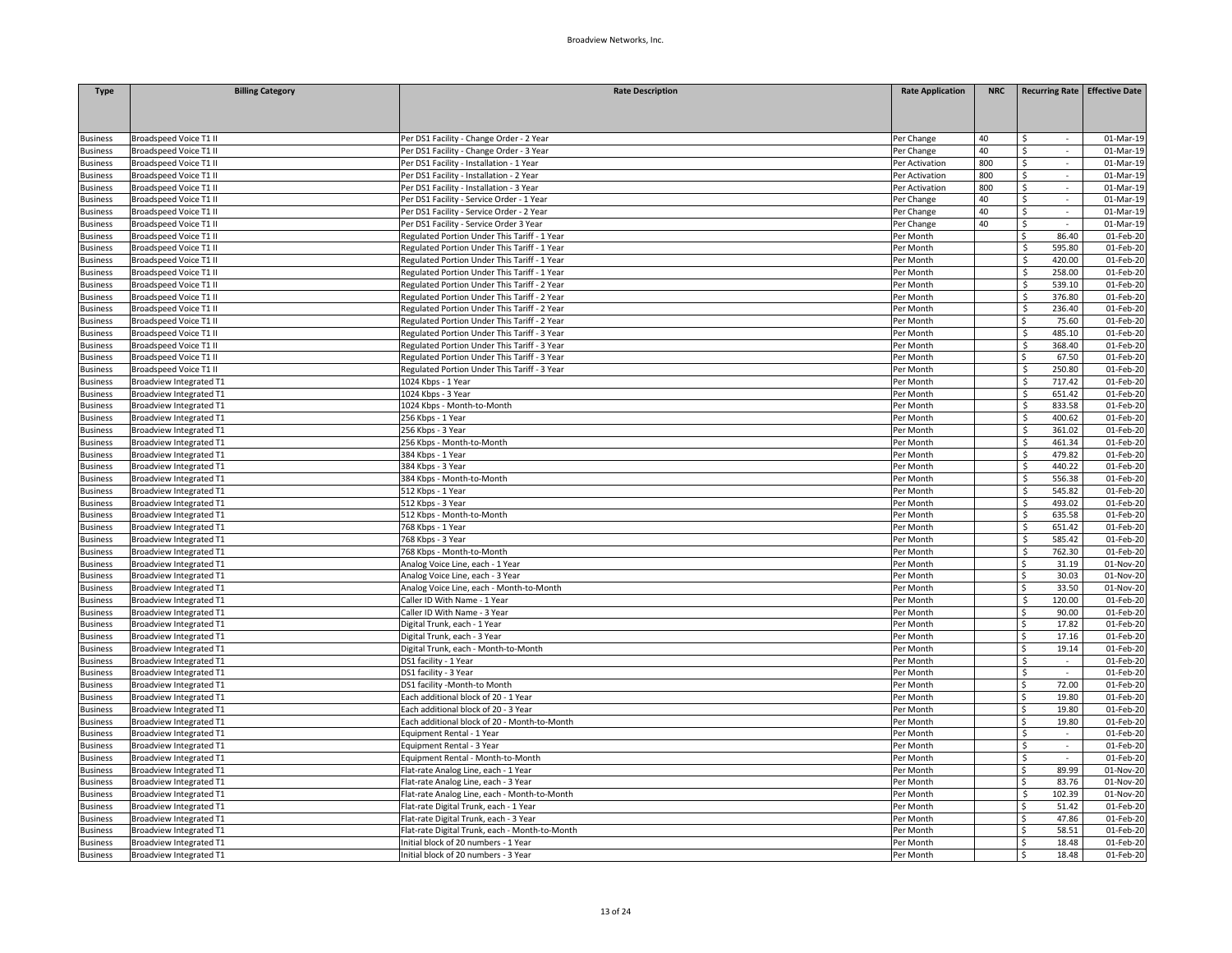| <b>Type</b>                        | <b>Billing Category</b>        | <b>Rate Description</b>                        | <b>Rate Application</b>  | <b>NRC</b> |                                | <b>Recurring Rate Effective Date</b> |
|------------------------------------|--------------------------------|------------------------------------------------|--------------------------|------------|--------------------------------|--------------------------------------|
|                                    |                                |                                                |                          |            |                                |                                      |
|                                    |                                |                                                |                          |            |                                |                                      |
|                                    | <b>Broadspeed Voice T1 II</b>  | Per DS1 Facility - Change Order - 2 Year       |                          | 40         | ς                              | 01-Mar-19                            |
| <b>Business</b><br><b>Business</b> | Broadspeed Voice T1 II         | Per DS1 Facility - Change Order - 3 Year       | Per Change<br>Per Change | 40         | \$<br>$\sim$                   | 01-Mar-19                            |
| <b>Business</b>                    | <b>Broadspeed Voice T1 II</b>  | Per DS1 Facility - Installation - 1 Year       | Per Activation           | 800        | \$<br>$\overline{\phantom{a}}$ | 01-Mar-19                            |
| <b>Business</b>                    | Broadspeed Voice T1 II         | Per DS1 Facility - Installation - 2 Year       | Per Activation           | 800        | \$                             | 01-Mar-19                            |
| <b>Business</b>                    | <b>Broadspeed Voice T1 II</b>  | Per DS1 Facility - Installation - 3 Year       | Per Activation           | 800        | \$<br>$\sim$                   | 01-Mar-19                            |
| <b>Business</b>                    | <b>Broadspeed Voice T1 II</b>  | Per DS1 Facility - Service Order - 1 Year      | Per Change               | 40         | Ś.<br>$\sim$                   | 01-Mar-19                            |
| <b>Business</b>                    | <b>Broadspeed Voice T1 II</b>  | Per DS1 Facility - Service Order - 2 Year      | Per Change               | 40         | \$<br>$\sim$                   | 01-Mar-19                            |
| <b>Business</b>                    | <b>Broadspeed Voice T1 II</b>  | Per DS1 Facility - Service Order 3 Year        | Per Change               | 40         | \$<br>÷.                       | 01-Mar-19                            |
| <b>Business</b>                    | <b>Broadspeed Voice T1 II</b>  | Regulated Portion Under This Tariff - 1 Year   | Per Month                |            | 86.40<br>Ś                     | 01-Feb-20                            |
| <b>Business</b>                    | Broadspeed Voice T1 II         | Regulated Portion Under This Tariff - 1 Year   | Per Month                |            | $\mathsf{s}$<br>595.80         | 01-Feb-20                            |
| <b>Business</b>                    | Broadspeed Voice T1 II         | Regulated Portion Under This Tariff - 1 Year   | Per Month                |            | \$<br>420.00                   | 01-Feb-20                            |
| <b>Business</b>                    | <b>Broadspeed Voice T1 II</b>  | Regulated Portion Under This Tariff - 1 Year   | Per Month                |            | 258.00<br>\$                   | 01-Feb-20                            |
| <b>Business</b>                    | <b>Broadspeed Voice T1 II</b>  | Regulated Portion Under This Tariff - 2 Year   | Per Month                |            | Ś<br>539.10                    | 01-Feb-20                            |
| <b>Business</b>                    | Broadspeed Voice T1 II         | Regulated Portion Under This Tariff - 2 Year   | Per Month                |            | Ś<br>376.80                    | 01-Feb-20                            |
|                                    | <b>Broadspeed Voice T1 II</b>  | Regulated Portion Under This Tariff - 2 Year   | Per Month                |            | 236.40<br>\$                   | 01-Feb-20                            |
| <b>Business</b>                    | <b>Broadspeed Voice T1 II</b>  | Regulated Portion Under This Tariff - 2 Year   |                          |            | 75.60<br>\$                    | 01-Feb-20                            |
| <b>Business</b><br><b>Business</b> | Broadspeed Voice T1 II         | Regulated Portion Under This Tariff - 3 Year   | Per Month<br>Per Month   |            | \$<br>485.10                   | 01-Feb-20                            |
|                                    |                                |                                                | Per Month                |            | 368.40<br>Ś.                   | 01-Feb-20                            |
| <b>Business</b>                    | <b>Broadspeed Voice T1 II</b>  | Regulated Portion Under This Tariff - 3 Year   |                          |            | Ś<br>67.50                     |                                      |
| <b>Business</b>                    | <b>Broadspeed Voice T1 II</b>  | Regulated Portion Under This Tariff - 3 Year   | Per Month                |            |                                | 01-Feb-20                            |
| <b>Business</b>                    | Broadspeed Voice T1 II         | Regulated Portion Under This Tariff - 3 Year   | Per Month                |            | \$<br>250.80                   | 01-Feb-20                            |
| <b>Business</b>                    | <b>Broadview Integrated T1</b> | 1024 Kbps - 1 Year                             | Per Month                |            | Ś<br>717.42                    | 01-Feb-20                            |
| <b>Business</b>                    | <b>Broadview Integrated T1</b> | 1024 Kbps - 3 Year                             | Per Month                |            | Ś<br>651.42                    | 01-Feb-20                            |
| <b>Business</b>                    | Broadview Integrated T1        | 1024 Kbps - Month-to-Month                     | Per Month                |            | \$<br>833.58                   | 01-Feb-20                            |
| <b>Business</b>                    | <b>Broadview Integrated T1</b> | 256 Kbps - 1 Year                              | Per Month                |            | 400.62<br>Ś                    | 01-Feb-20                            |
| <b>Business</b>                    | <b>Broadview Integrated T1</b> | 256 Kbps - 3 Year                              | Per Month                |            | Ś<br>361.02                    | 01-Feb-20                            |
| <b>Business</b>                    | <b>Broadview Integrated T1</b> | 256 Kbps - Month-to-Month                      | Per Month                |            | \$<br>461.34                   | 01-Feb-20                            |
| <b>Business</b>                    | <b>Broadview Integrated T1</b> | 384 Kbps - 1 Year                              | Per Month                |            | 479.82<br>Ŝ.                   | 01-Feb-20                            |
| <b>Business</b>                    | <b>Broadview Integrated T1</b> | 384 Kbps - 3 Year                              | Per Month                |            | Ś<br>440.22                    | 01-Feb-20                            |
| <b>Business</b>                    | Broadview Integrated T1        | 384 Kbps - Month-to-Month                      | Per Month                |            | Ś<br>556.38                    | 01-Feb-20                            |
| <b>Business</b>                    | <b>Broadview Integrated T1</b> | 512 Kbps - 1 Year                              | Per Month                |            | Š.<br>545.82                   | 01-Feb-20                            |
| <b>Business</b>                    | <b>Broadview Integrated T1</b> | 512 Kbps - 3 Year                              | Per Month                |            | Ś<br>493.02                    | 01-Feb-20                            |
| <b>Business</b>                    | Broadview Integrated T1        | 512 Kbps - Month-to-Month                      | Per Month                |            | \$<br>635.58                   | 01-Feb-20                            |
| <b>Business</b>                    | Broadview Integrated T1        | 768 Kbps - 1 Year                              | Per Month                |            | Ś<br>651.42                    | 01-Feb-20                            |
| <b>Business</b>                    | <b>Broadview Integrated T1</b> | 768 Kbps - 3 Year                              | Per Month                |            | Ś<br>585.42                    | 01-Feb-20                            |
| <b>Business</b>                    | Broadview Integrated T1        | 768 Kbps - Month-to-Month                      | Per Month                |            | \$<br>762.30                   | 01-Feb-20                            |
| <b>Business</b>                    | <b>Broadview Integrated T1</b> | Analog Voice Line, each - 1 Year               | Per Month                |            | 31.19<br>Ŝ.                    | 01-Nov-20                            |
| <b>Business</b>                    | Broadview Integrated T1        | Analog Voice Line, each - 3 Year               | Per Month                |            | Ś<br>30.03                     | 01-Nov-20                            |
| <b>Business</b>                    | Broadview Integrated T1        | Analog Voice Line, each - Month-to-Month       | Per Month                |            | \$<br>33.50                    | 01-Nov-20                            |
| <b>Business</b>                    | <b>Broadview Integrated T1</b> | Caller ID With Name - 1 Year                   | Per Month                |            | 120.00<br>Ŝ.                   | 01-Feb-20                            |
| <b>Business</b>                    | <b>Broadview Integrated T1</b> | Caller ID With Name - 3 Year                   | Per Month                |            | 90.00<br>Ś                     | 01-Feb-20                            |
| <b>Business</b>                    | Broadview Integrated T1        | Digital Trunk, each - 1 Year                   | Per Month                |            | Ś<br>17.82                     | 01-Feb-20                            |
| <b>Business</b>                    | <b>Broadview Integrated T1</b> | Digital Trunk, each - 3 Year                   | Per Month                |            | 17.16<br>Ŝ.                    | 01-Feb-20                            |
| <b>Business</b>                    | <b>Broadview Integrated T1</b> | Digital Trunk, each - Month-to-Month           | Per Month                |            | Ś<br>19.14                     | 01-Feb-20                            |
| <b>Business</b>                    | <b>Broadview Integrated T1</b> | DS1 facility - 1 Year                          | Per Month                |            | Ś.<br>$\sim$                   | 01-Feb-20                            |
| <b>Business</b>                    | Broadview Integrated T1        | DS1 facility - 3 Year                          | Per Month                |            | Ś.<br>$\sim$                   | 01-Feb-20                            |
| <b>Business</b>                    | <b>Broadview Integrated T1</b> | DS1 facility -Month-to Month                   | Per Month                |            | 72.00<br>Ś                     | 01-Feb-20                            |
| <b>Business</b>                    | <b>Broadview Integrated T1</b> | Each additional block of 20 - 1 Year           | Per Month                |            | 19.80<br>\$                    | 01-Feb-20                            |
| <b>Business</b>                    | <b>Broadview Integrated T1</b> | Each additional block of 20 - 3 Year           | Per Month                |            | 19.80<br>Ŝ.                    | 01-Feb-20                            |
| <b>Business</b>                    | Broadview Integrated T1        | Each additional block of 20 - Month-to-Month   | Per Month                |            | 19.80<br>Ś                     | 01-Feb-20                            |
| <b>Business</b>                    | <b>Broadview Integrated T1</b> | Equipment Rental - 1 Year                      | Per Month                |            | Ś<br>$\sim$                    | 01-Feb-20                            |
| <b>Business</b>                    | Broadview Integrated T1        | Equipment Rental - 3 Year                      | Per Month                |            | \$<br>$\sim$                   | 01-Feb-20                            |
| <b>Business</b>                    | <b>Broadview Integrated T1</b> | Equipment Rental - Month-to-Month              | Per Month                |            | \$                             | 01-Feb-20                            |
| <b>Business</b>                    | Broadview Integrated T1        | Flat-rate Analog Line, each - 1 Year           | Per Month                |            | 89.99<br>Ś                     | 01-Nov-20                            |
| <b>Business</b>                    | <b>Broadview Integrated T1</b> | Flat-rate Analog Line, each - 3 Year           | Per Month                |            | 83.76<br>Ś.                    | 01-Nov-20                            |
| <b>Business</b>                    | Broadview Integrated T1        | Flat-rate Analog Line, each - Month-to-Month   | Per Month                |            | $\mathsf{s}$<br>102.39         | 01-Nov-20                            |
| <b>Business</b>                    | <b>Broadview Integrated T1</b> | Flat-rate Digital Trunk, each - 1 Year         | Per Month                |            | 51.42<br>Ś                     | 01-Feb-20                            |
| <b>Business</b>                    | Broadview Integrated T1        | Flat-rate Digital Trunk, each - 3 Year         | Per Month                |            | 47.86<br>Ś.                    | 01-Feb-20                            |
| <b>Business</b>                    | <b>Broadview Integrated T1</b> | Flat-rate Digital Trunk, each - Month-to-Month | er Month                 |            | 58.51<br>Ś                     | 01-Feb-20                            |
| <b>Business</b>                    | Broadview Integrated T1        | Initial block of 20 numbers - 1 Year           | Per Month                |            | Ś<br>18.48                     | $01$ -Feb-20                         |
| <b>Business</b>                    | Broadview Integrated T1        | Initial block of 20 numbers - 3 Year           | Per Month                |            | 18.48<br>\$.                   | 01-Feb-20                            |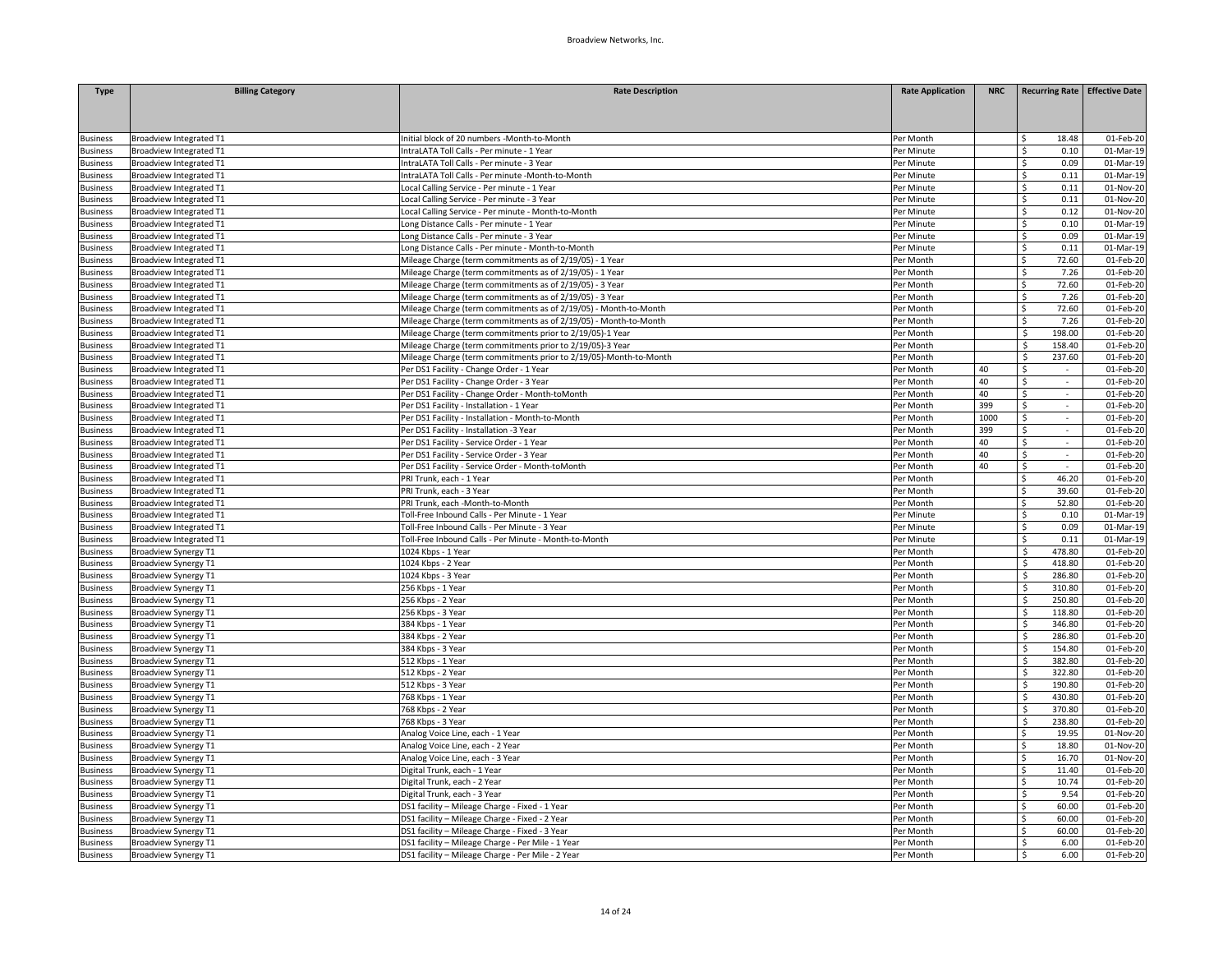| <b>Type</b>                        | <b>Billing Category</b>        | <b>Rate Description</b>                                           | <b>Rate Application</b> | <b>NRC</b> | <b>Recurring Rate Effective Date</b>                |           |
|------------------------------------|--------------------------------|-------------------------------------------------------------------|-------------------------|------------|-----------------------------------------------------|-----------|
|                                    |                                |                                                                   |                         |            |                                                     |           |
|                                    |                                |                                                                   |                         |            |                                                     |           |
|                                    | Broadview Integrated T1        | Initial block of 20 numbers -Month-to-Month                       | Per Month               |            | 18.48<br>Ś.                                         | 01-Feb-20 |
| <b>Business</b><br><b>Business</b> | Broadview Integrated T1        | IntraLATA Toll Calls - Per minute - 1 Year                        | Per Minute              |            | \$.<br>0.10                                         | 01-Mar-19 |
| <b>Business</b>                    | Broadview Integrated T1        | IntraLATA Toll Calls - Per minute - 3 Year                        | Per Minute              |            | \$<br>0.09                                          | 01-Mar-19 |
| <b>Business</b>                    | Broadview Integrated T1        | IntraLATA Toll Calls - Per minute -Month-to-Month                 | Per Minute              |            | \$<br>0.11                                          | 01-Mar-19 |
| <b>Business</b>                    | Broadview Integrated T1        | Local Calling Service - Per minute - 1 Year                       | Per Minute              |            | \$<br>0.11                                          | 01-Nov-20 |
| <b>Business</b>                    | <b>Broadview Integrated T1</b> | Local Calling Service - Per minute - 3 Year                       | Per Minute              |            | Ś.<br>0.11                                          | 01-Nov-20 |
| <b>Business</b>                    | <b>Broadview Integrated T1</b> | Local Calling Service - Per minute - Month-to-Month               | Per Minute              |            | 0.12<br>\$                                          | 01-Nov-20 |
| <b>Business</b>                    | <b>Broadview Integrated T1</b> | Long Distance Calls - Per minute - 1 Year                         | Per Minute              |            | Ś<br>0.10                                           | 01-Mar-19 |
| <b>Business</b>                    | Broadview Integrated T1        | Long Distance Calls - Per minute - 3 Year                         | Per Minute              |            | 0.09<br>\$                                          | 01-Mar-19 |
| <b>Business</b>                    | Broadview Integrated T1        | Long Distance Calls - Per minute - Month-to-Month                 | Per Minute              |            | \$<br>0.11                                          | 01-Mar-19 |
| <b>Business</b>                    | Broadview Integrated T1        | Mileage Charge (term commitments as of 2/19/05) - 1 Year          | Per Month               |            | Ś.<br>72.60                                         | 01-Feb-20 |
| <b>Business</b>                    | <b>Broadview Integrated T1</b> | Mileage Charge (term commitments as of 2/19/05) - 1 Year          | Per Month               |            | 7.26<br>\$                                          | 01-Feb-20 |
| <b>Business</b>                    | <b>Broadview Integrated T1</b> | Mileage Charge (term commitments as of 2/19/05) - 3 Year          | Per Month               |            | 72.60<br>\$                                         | 01-Feb-20 |
| <b>Business</b>                    | Broadview Integrated T1        | Mileage Charge (term commitments as of 2/19/05) - 3 Year          | Per Month               |            | \$.<br>7.26                                         | 01-Feb-20 |
| <b>Business</b>                    | Broadview Integrated T1        | Mileage Charge (term commitments as of 2/19/05) - Month-to-Month  | Per Month               |            | 72.60<br>Ś                                          | 01-Feb-20 |
| <b>Business</b>                    | <b>Broadview Integrated T1</b> | Mileage Charge (term commitments as of 2/19/05) - Month-to-Month  | Per Month               |            | Ś<br>7.26                                           | 01-Feb-20 |
| <b>Business</b>                    | Broadview Integrated T1        | Mileage Charge (term commitments prior to 2/19/05)-1 Year         | Per Month               |            | \$.<br>198.00                                       | 01-Feb-20 |
| <b>Business</b>                    | <b>Broadview Integrated T1</b> | Mileage Charge (term commitments prior to 2/19/05)-3 Year         | Per Month               |            | 158.40<br>Ś.                                        | 01-Feb-20 |
| <b>Business</b>                    | <b>Broadview Integrated T1</b> | Mileage Charge (term commitments prior to 2/19/05)-Month-to-Month | Per Month               |            | \$<br>237.60                                        | 01-Feb-20 |
| <b>Business</b>                    | Broadview Integrated T1        | Per DS1 Facility - Change Order - 1 Year                          | Per Month               | 40         | Ś<br>$\sim$                                         | 01-Feb-20 |
| <b>Business</b>                    | Broadview Integrated T1        | Per DS1 Facility - Change Order - 3 Year                          | Per Month               | 40         | \$<br>$\sim$                                        | 01-Feb-20 |
| <b>Business</b>                    | <b>Broadview Integrated T1</b> | Per DS1 Facility - Change Order - Month-toMonth                   | Per Month               | 40         | \$                                                  | 01-Feb-20 |
| <b>Business</b>                    | Broadview Integrated T1        | Per DS1 Facility - Installation - 1 Year                          | Per Month               | 399        | $\overline{\mathsf{s}}$<br>$\overline{\phantom{a}}$ | 01-Feb-20 |
| <b>Business</b>                    | <b>Broadview Integrated T1</b> | Per DS1 Facility - Installation - Month-to-Month                  | Per Month               | 1000       | Ś.<br>$\sim$                                        | 01-Feb-20 |
| <b>Business</b>                    | <b>Broadview Integrated T1</b> | Per DS1 Facility - Installation -3 Year                           | Per Month               | 399        | Ś<br>×.                                             | 01-Feb-20 |
| <b>Business</b>                    | Broadview Integrated T1        | Per DS1 Facility - Service Order - 1 Year                         | Per Month               | 40         | \$<br>$\sim$                                        | 01-Feb-20 |
| <b>Business</b>                    | Broadview Integrated T1        | Per DS1 Facility - Service Order - 3 Year                         | Per Month               | 40         | Ś.<br>$\sim$                                        | 01-Feb-20 |
| <b>Business</b>                    | <b>Broadview Integrated T1</b> | Per DS1 Facility - Service Order - Month-toMonth                  | Per Month               | 40         | \$                                                  | 01-Feb-20 |
| <b>Business</b>                    | Broadview Integrated T1        | PRI Trunk, each - 1 Year                                          | Per Month               |            | Ś<br>46.20                                          | 01-Feb-20 |
| <b>Business</b>                    | <b>Broadview Integrated T1</b> | PRI Trunk, each - 3 Year                                          | Per Month               |            | 39.60<br>Ś.                                         | 01-Feb-20 |
| <b>Business</b>                    | <b>Broadview Integrated T1</b> | PRI Trunk, each -Month-to-Month                                   | Per Month               |            | 52.80<br>Ś.                                         | 01-Feb-20 |
| <b>Business</b>                    | Broadview Integrated T1        | Toll-Free Inbound Calls - Per Minute - 1 Year                     | Per Minute              |            | \$<br>0.10                                          | 01-Mar-19 |
| <b>Business</b>                    | Broadview Integrated T1        | Toll-Free Inbound Calls - Per Minute - 3 Year                     | Per Minute              |            | 0.09<br>Ŝ.                                          | 01-Mar-19 |
| <b>Business</b>                    | Broadview Integrated T1        | Toll-Free Inbound Calls - Per Minute - Month-to-Month             | Per Minute              |            | Ś<br>0.11                                           | 01-Mar-19 |
| <b>Business</b>                    | Broadview Synergy T1           | 1024 Kbps - 1 Year                                                | Per Month               |            | \$<br>478.80                                        | 01-Feb-20 |
| <b>Business</b>                    | <b>Broadview Synergy T1</b>    | 1024 Kbps - 2 Year                                                | Per Month               |            | 418.80<br>Ś.                                        | 01-Feb-20 |
| <b>Business</b>                    | <b>Broadview Synergy T1</b>    | 1024 Kbps - 3 Year                                                | Per Month               |            | Ś<br>286.80                                         | 01-Feb-20 |
| <b>Business</b>                    | Broadview Synergy T1           | 256 Kbps - 1 Year                                                 | Per Month               |            | \$<br>310.80                                        | 01-Feb-20 |
| <b>Business</b>                    | Broadview Synergy T1           | 256 Kbps - 2 Year                                                 | Per Month               |            | 250.80<br>\$                                        | 01-Feb-20 |
| <b>Business</b>                    | <b>Broadview Synergy T1</b>    | 256 Kbps - 3 Year                                                 | Per Month               |            | Ś<br>118.80                                         | 01-Feb-20 |
| <b>Business</b>                    | <b>Broadview Synergy T1</b>    | 384 Kbps - 1 Year                                                 | Per Month               |            | 346.80<br>Ś.                                        | 01-Feb-20 |
| <b>Business</b>                    | Broadview Synergy T1           | 384 Kbps - 2 Year                                                 | Per Month               |            | 286.80<br>Ś.                                        | 01-Feb-20 |
| <b>Business</b>                    | <b>Broadview Synergy T1</b>    | 384 Kbps - 3 Year                                                 | Per Month               |            | Ś<br>154.80                                         | 01-Feb-20 |
| <b>Business</b>                    | <b>Broadview Synergy T1</b>    | 512 Kbps - 1 Year                                                 | Per Month               |            | \$<br>382.80                                        | 01-Feb-20 |
| <b>Business</b>                    | <b>Broadview Synergy T1</b>    | 512 Kbps - 2 Year                                                 | Per Month               |            | Ś.<br>322.80                                        | 01-Feb-20 |
| <b>Business</b>                    | <b>Broadview Synergy T1</b>    | 512 Kbps - 3 Year                                                 | Per Month               |            | Ś<br>190.80                                         | 01-Feb-20 |
| <b>Business</b>                    | <b>Broadview Synergy T1</b>    | 768 Kbps - 1 Year                                                 | Per Month               |            | Š.<br>430.80                                        | 01-Feb-20 |
| <b>Business</b>                    | <b>Broadview Synergy T1</b>    | 768 Kbps - 2 Year                                                 | Per Month               |            | 370.80<br>\$                                        | 01-Feb-20 |
| <b>Business</b>                    | <b>Broadview Synergy T1</b>    | 768 Kbps - 3 Year                                                 | Per Month               |            | \$<br>238.80                                        | 01-Feb-20 |
| <b>Business</b>                    | <b>Broadview Synergy T1</b>    | Analog Voice Line, each - 1 Year                                  | Per Month               |            | Ś.<br>19.95                                         | 01-Nov-20 |
| <b>Business</b>                    | <b>Broadview Synergy T1</b>    | Analog Voice Line, each - 2 Year                                  | Per Month               |            | 18.80<br>Ś                                          | 01-Nov-20 |
| <b>Business</b>                    | <b>Broadview Synergy T1</b>    | Analog Voice Line, each - 3 Year                                  | Per Month               |            | 16.70                                               | 01-Nov-20 |
| <b>Business</b>                    | Broadview Synergy T1           | Digital Trunk, each - 1 Year                                      | Per Month               |            | 11.40<br>Ś.                                         | 01-Feb-20 |
| <b>Business</b>                    | <b>Broadview Synergy T1</b>    | Digital Trunk, each - 2 Year                                      | Per Month               |            | 10.74<br>Ś.                                         | 01-Feb-20 |
| <b>Business</b>                    | <b>Broadview Synergy T1</b>    | Digital Trunk, each - 3 Year                                      | Per Month               |            | Ś<br>9.54                                           | 01-Feb-20 |
| <b>Business</b>                    | Broadview Synergy T1           | DS1 facility - Mileage Charge - Fixed - 1 Year                    | Per Month               |            | Ś.<br>60.00                                         | 01-Feb-20 |
| <b>Business</b>                    | <b>Broadview Synergy T1</b>    | DS1 facility - Mileage Charge - Fixed - 2 Year                    | Per Month               |            | 60.00<br>Ś                                          | 01-Feb-20 |
| <b>Business</b>                    | <b>Broadview Synergy T1</b>    | DS1 facility - Mileage Charge - Fixed - 3 Year                    | Per Month               |            | 60.00                                               | 01-Feb-20 |
| <b>Business</b>                    | <b>Broadview Synergy T1</b>    | DS1 facility - Mileage Charge - Per Mile - 1 Year                 | Per Month               |            | \$<br>6.00                                          | 01-Feb-20 |
| <b>Business</b>                    | <b>Broadview Synergy T1</b>    | DS1 facility - Mileage Charge - Per Mile - 2 Year                 | Per Month               |            | \$<br>6.00                                          | 01-Feb-20 |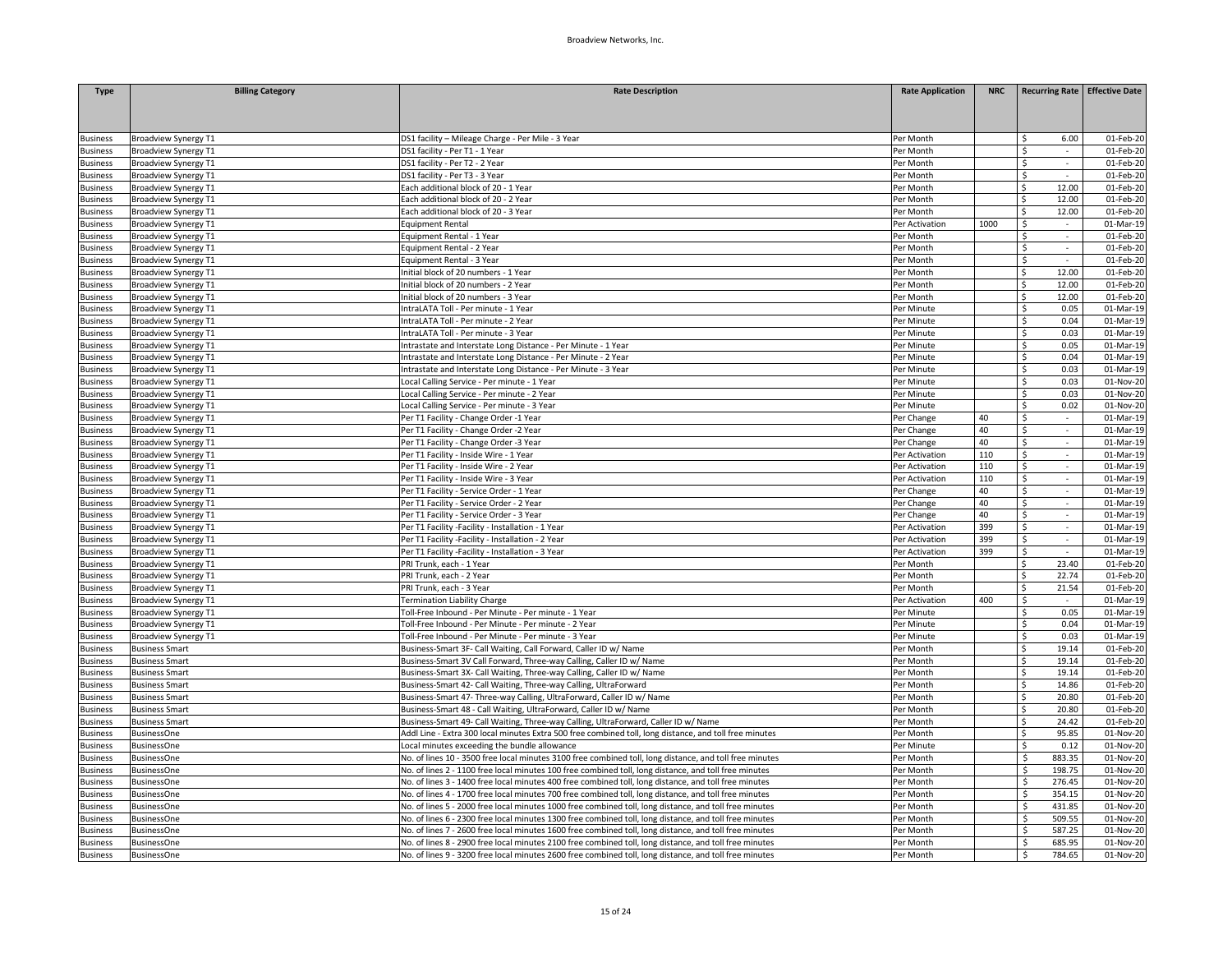| <b>Type</b>     | <b>Billing Category</b>     | <b>Rate Description</b>                                                                                 | <b>Rate Application</b> | <b>NRC</b> | Recurring Rate   Effective Date |              |
|-----------------|-----------------------------|---------------------------------------------------------------------------------------------------------|-------------------------|------------|---------------------------------|--------------|
|                 |                             |                                                                                                         |                         |            |                                 |              |
|                 |                             |                                                                                                         |                         |            |                                 |              |
|                 |                             |                                                                                                         |                         |            |                                 |              |
| <b>Business</b> | Broadview Synergy T1        | DS1 facility - Mileage Charge - Per Mile - 3 Year                                                       | Per Month               |            | 6.00                            | 01-Feb-20    |
| <b>Business</b> | Broadview Synergy T1        | DS1 facility - Per T1 - 1 Year                                                                          | Per Month               |            | \$                              | 01-Feb-20    |
| <b>Business</b> | Broadview Synergy T1        | DS1 facility - Per T2 - 2 Year                                                                          | Per Month               |            | Ś                               | 01-Feb-20    |
| <b>Business</b> | <b>Broadview Synergy T1</b> | DS1 facility - Per T3 - 3 Year                                                                          | Per Month               |            | \$<br>$\sim$                    | 01-Feb-20    |
| <b>Business</b> | <b>Broadview Synergy T1</b> | Each additional block of 20 - 1 Year                                                                    | Per Month               |            | 12.00<br>Ś                      | 01-Feb-20    |
| <b>Business</b> | <b>Broadview Synergy T1</b> | Each additional block of 20 - 2 Year                                                                    | Per Month               |            | Ś<br>12.00                      | 01-Feb-20    |
| <b>Business</b> | <b>Broadview Synergy T1</b> | Each additional block of 20 - 3 Year                                                                    | Per Month               |            | 12.00<br>Ś.                     | 01-Feb-20    |
| <b>Business</b> | <b>Broadview Synergy T1</b> | <b>Equipment Rental</b>                                                                                 | Per Activation          | 1000       | Ś                               | 01-Mar-19    |
| <b>Business</b> | <b>Broadview Synergy T1</b> | Equipment Rental - 1 Year                                                                               | Per Month               |            | Ś<br>$\sim$                     | $01$ -Feb-20 |
| <b>Business</b> | Broadview Synergy T1        | Equipment Rental - 2 Year                                                                               | Per Month               |            | Ŝ.<br>$\sim$                    | 01-Feb-20    |
| <b>Business</b> | <b>Broadview Synergy T1</b> | Equipment Rental - 3 Year                                                                               | Per Month               |            | Ś.                              | 01-Feb-20    |
| <b>Business</b> | Broadview Synergy T1        | Initial block of 20 numbers - 1 Year                                                                    | Per Month               |            | 12.00<br>Ś.                     | 01-Feb-20    |
| <b>Business</b> | Broadview Synergy T1        | Initial block of 20 numbers - 2 Year                                                                    | Per Month               |            | 12.00<br>Ś.                     | 01-Feb-20    |
| <b>Business</b> | <b>Broadview Synergy T1</b> | Initial block of 20 numbers - 3 Year                                                                    | Per Month               |            | Ś.<br>12.00                     | 01-Feb-20    |
| <b>Business</b> | Broadview Synergy T1        | IntraLATA Toll - Per minute - 1 Year                                                                    | Per Minute              |            | 0.05<br>Ś                       | 01-Mar-19    |
| <b>Business</b> | <b>Broadview Synergy T1</b> | IntraLATA Toll - Per minute - 2 Year                                                                    | Per Minute              |            | Ś.<br>0.04                      | 01-Mar-19    |
| <b>Business</b> | Broadview Synergy T1        | IntraLATA Toll - Per minute - 3 Year                                                                    | Per Minute              |            | Ś.<br>0.03                      | 01-Mar-19    |
| <b>Business</b> | <b>Broadview Synergy T1</b> | Intrastate and Interstate Long Distance - Per Minute - 1 Year                                           | Per Minute              |            | Ś<br>0.05                       | 01-Mar-19    |
| <b>Business</b> | <b>Broadview Synergy T1</b> | Intrastate and Interstate Long Distance - Per Minute - 2 Year                                           | Per Minute              |            | 0.04<br>Ś.                      | 01-Mar-19    |
| <b>Business</b> | Broadview Synergy T1        | Intrastate and Interstate Long Distance - Per Minute - 3 Year                                           | Per Minute              |            | Ś<br>0.03                       | 01-Mar-19    |
| <b>Business</b> | Broadview Synergy T1        | Local Calling Service - Per minute - 1 Year                                                             | Per Minute              |            | 0.03<br>Ś                       | 01-Nov-20    |
| <b>Business</b> | <b>Broadview Synergy T1</b> | Local Calling Service - Per minute - 2 Year                                                             | Per Minute              |            | 0.03<br>Ś.                      | 01-Nov-20    |
| <b>Business</b> | <b>Broadview Synergy T1</b> | Local Calling Service - Per minute - 3 Year                                                             | Per Minute              |            | Ś.<br>0.02                      | 01-Nov-20    |
| <b>Business</b> | Broadview Synergy T1        | Per T1 Facility - Change Order -1 Year                                                                  | Per Change              | 40         | \$<br>$\sim$                    | 01-Mar-19    |
| <b>Business</b> | Broadview Synergy T1        | Per T1 Facility - Change Order -2 Year                                                                  | Per Change              | 40         | \$<br>$\mathcal{L}$             | 01-Mar-19    |
| <b>Business</b> | <b>Broadview Synergy T1</b> | Per T1 Facility - Change Order -3 Year                                                                  | Per Change              | 40         | Ś<br>$\overline{\phantom{a}}$   | 01-Mar-19    |
| <b>Business</b> | Broadview Synergy T1        | Per T1 Facility - Inside Wire - 1 Year                                                                  | Per Activation          | 110        | \$<br>$\sim$                    | 01-Mar-19    |
| <b>Business</b> | <b>Broadview Synergy T1</b> | Per T1 Facility - Inside Wire - 2 Year                                                                  | Per Activation          | 110        | \$<br>$\sim$                    | 01-Mar-19    |
| <b>Business</b> | Broadview Synergy T1        | Per T1 Facility - Inside Wire - 3 Year                                                                  | Per Activation          | 110        | \$                              | 01-Mar-19    |
| <b>Business</b> | Broadview Synergy T1        | Per T1 Facility - Service Order - 1 Year                                                                | Per Change              | 40         | \$<br>$\sim$                    | 01-Mar-19    |
| <b>Business</b> | <b>Broadview Synergy T1</b> | Per T1 Facility - Service Order - 2 Year                                                                | Per Change              | 40         | Ś.<br>$\mathcal{L}$             | 01-Mar-19    |
| <b>Business</b> | Broadview Synergy T1        | Per T1 Facility - Service Order - 3 Year                                                                | Per Change              | 40         | \$<br>$\omega$                  | 01-Mar-19    |
| <b>Business</b> | Broadview Synergy T1        | Per T1 Facility -Facility - Installation - 1 Year                                                       | Per Activation          | 399        | \$<br>$\sim$                    | 01-Mar-19    |
| <b>Business</b> | Broadview Synergy T1        | Per T1 Facility -Facility - Installation - 2 Year                                                       | Per Activation          | 399        | \$                              | 01-Mar-19    |
| <b>Business</b> | Broadview Synergy T1        | Per T1 Facility -Facility - Installation - 3 Year                                                       | Per Activation          | 399        | \$<br>$\sim$                    | 01-Mar-19    |
|                 | Broadview Synergy T1        |                                                                                                         |                         |            | 23.40<br>Ś.                     | 01-Feb-20    |
| <b>Business</b> |                             | PRI Trunk, each - 1 Year<br>PRI Trunk, each - 2 Year                                                    | Per Month               |            | ς.<br>22.74                     | 01-Feb-20    |
| <b>Business</b> | <b>Broadview Synergy T1</b> |                                                                                                         | Per Month               |            | Ś                               |              |
| <b>Business</b> | <b>Broadview Synergy T1</b> | PRI Trunk, each - 3 Year                                                                                | Per Month               |            | 21.54                           | 01-Feb-20    |
| <b>Business</b> | Broadview Synergy T1        | Termination Liability Charge                                                                            | Per Activation          | 400        | \$<br>$\sim$                    | 01-Mar-19    |
| <b>Business</b> | Broadview Synergy T1        | Toll-Free Inbound - Per Minute - Per minute - 1 Year                                                    | Per Minute              |            | Ś<br>0.05                       | 01-Mar-19    |
| <b>Business</b> | Broadview Synergy T1        | Toll-Free Inbound - Per Minute - Per minute - 2 Year                                                    | Per Minute              |            | Ś<br>0.04                       | 01-Mar-19    |
| <b>Business</b> | Broadview Synergy T1        | Toll-Free Inbound - Per Minute - Per minute - 3 Year                                                    | Per Minute              |            | 0.03<br>Ś                       | 01-Mar-19    |
| <b>Business</b> | <b>Business Smart</b>       | Business-Smart 3F- Call Waiting, Call Forward, Caller ID w/ Name                                        | Per Month               |            | Ś.<br>19.14                     | 01-Feb-20    |
| <b>Business</b> | <b>Business Smart</b>       | Business-Smart 3V Call Forward, Three-way Calling, Caller ID w/ Name                                    | Per Month               |            | Ś<br>19.14                      | 01-Feb-20    |
| <b>Business</b> | <b>Business Smart</b>       | Business-Smart 3X- Call Waiting, Three-way Calling, Caller ID w/ Name                                   | Per Month               |            | 19.14<br>Ś.                     | 01-Feb-20    |
| <b>Business</b> | <b>Business Smart</b>       | Business-Smart 42- Call Waiting, Three-way Calling, UltraForward                                        | Per Month               |            | 14.86<br>ς                      | 01-Feb-20    |
| <b>Business</b> | <b>Business Smart</b>       | Business-Smart 47- Three-way Calling, UltraForward, Caller ID w/ Name                                   | Per Month               |            | 20.80<br>Ś.                     | 01-Feb-20    |
| <b>Business</b> | <b>Business Smart</b>       | Business-Smart 48 - Call Waiting, UltraForward, Caller ID w/ Name                                       | Per Month               |            | 20.80<br>Ś.                     | 01-Feb-20    |
| <b>Business</b> | <b>Business Smart</b>       | Business-Smart 49- Call Waiting, Three-way Calling, UltraForward, Caller ID w/ Name                     | Per Month               |            | 24.42<br>Ś.                     | 01-Feb-20    |
| <b>Business</b> | <b>BusinessOne</b>          | Addl Line - Extra 300 local minutes Extra 500 free combined toll, long distance, and toll free minutes  | Per Month               |            | 95.85<br>Ś                      | 01-Nov-20    |
| <b>Business</b> | <b>BusinessOne</b>          | Local minutes exceeding the bundle allowance                                                            | Per Minute              |            | 0.12<br>\$.                     | 01-Nov-20    |
| <b>Business</b> | <b>BusinessOne</b>          | No. of lines 10 - 3500 free local minutes 3100 free combined toll, long distance, and toll free minutes | Per Month               |            | 883.35<br>Ś                     | 01-Nov-20    |
| <b>Business</b> | <b>BusinessOne</b>          | No. of lines 2 - 1100 free local minutes 100 free combined toll, long distance, and toll free minutes   | Per Month               |            | Ś.<br>198.75                    | 01-Nov-20    |
| <b>Business</b> | <b>BusinessOne</b>          | No. of lines 3 - 1400 free local minutes 400 free combined toll, long distance, and toll free minutes   | Per Month               |            | Ś.<br>276.45                    | 01-Nov-20    |
| Business        | <b>BusinessOne</b>          | No. of lines 4 - 1700 free local minutes 700 free combined toll, long distance, and toll free minutes   | Per Month               |            | Ś<br>354.15                     | 01-Nov-20    |
| <b>Business</b> | <b>BusinessOne</b>          | No. of lines 5 - 2000 free local minutes 1000 free combined toll, long distance, and toll free minutes  | Per Month               |            | Ś<br>431.85                     | 01-Nov-20    |
| <b>Business</b> | <b>BusinessOne</b>          | No. of lines 6 - 2300 free local minutes 1300 free combined toll, long distance, and toll free minutes  | Per Month               |            | 509.55<br>Ŝ                     | 01-Nov-20    |
| <b>Business</b> | <b>BusinessOne</b>          | No. of lines 7 - 2600 free local minutes 1600 free combined toll, long distance, and toll free minutes  | Per Month               |            | ς<br>587.25                     | 01-Nov-20    |
| <b>Business</b> | <b>BusinessOne</b>          | No. of lines 8 - 2900 free local minutes 2100 free combined toll, long distance, and toll free minutes  | Per Month               |            | Ś<br>685.95                     | 01-Nov-20    |
| <b>Business</b> | <b>BusinessOne</b>          | No. of lines 9 - 3200 free local minutes 2600 free combined toll, long distance, and toll free minutes  | Per Month               |            | \$<br>784.65                    | 01-Nov-20    |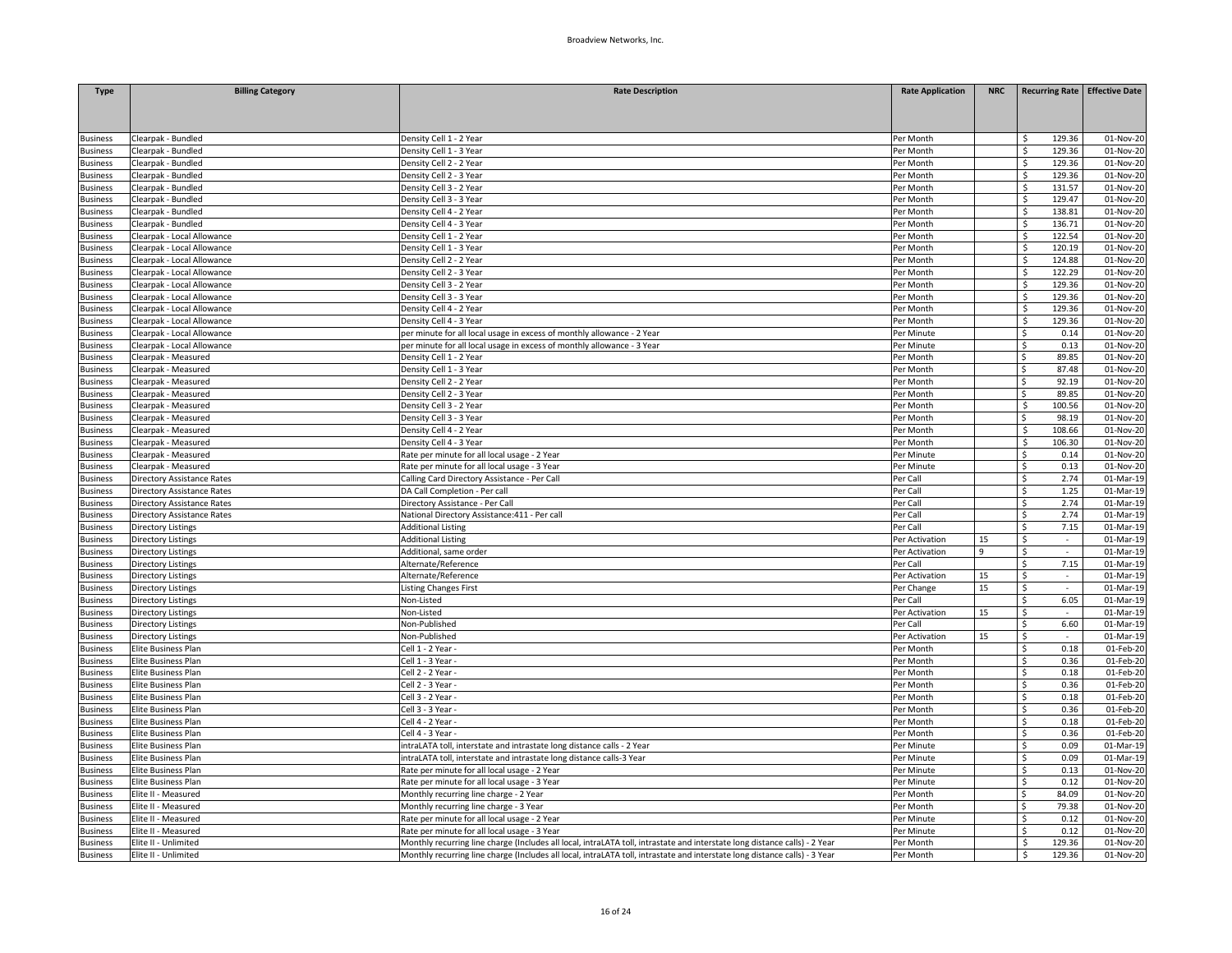| <b>Type</b>                        | <b>Billing Category</b>           | <b>Rate Description</b>                                                                                                    | <b>Rate Application</b> | <b>NRC</b> |                                | Recurring Rate   Effective Date |
|------------------------------------|-----------------------------------|----------------------------------------------------------------------------------------------------------------------------|-------------------------|------------|--------------------------------|---------------------------------|
|                                    |                                   |                                                                                                                            |                         |            |                                |                                 |
|                                    |                                   |                                                                                                                            |                         |            |                                |                                 |
|                                    | Clearpak - Bundled                | Density Cell 1 - 2 Year                                                                                                    | Per Month               |            | 129.36<br>Ś.                   | 01-Nov-20                       |
| <b>Business</b><br><b>Business</b> | Clearpak - Bundled                | Density Cell 1 - 3 Year                                                                                                    | Per Month               |            | \$<br>129.36                   | 01-Nov-20                       |
| Business                           | Clearpak - Bundled                | Density Cell 2 - 2 Year                                                                                                    | Per Month               |            | \$<br>129.36                   | 01-Nov-20                       |
| Business                           | Clearpak - Bundled                | Density Cell 2 - 3 Year                                                                                                    | Per Month               |            | 129.36<br>\$                   | 01-Nov-20                       |
| <b>Business</b>                    | Clearpak - Bundled                | Density Cell 3 - 2 Year                                                                                                    | Per Month               |            | Ś.<br>131.57                   | 01-Nov-20                       |
| <b>Business</b>                    | Clearpak - Bundled                | Density Cell 3 - 3 Year                                                                                                    | Per Month               |            | Ś.<br>129.47                   | 01-Nov-20                       |
| <b>Business</b>                    | Clearpak - Bundled                | Density Cell 4 - 2 Year                                                                                                    | Per Month               |            | 138.81<br>\$                   | $\overline{01}$ -Nov-20         |
| <b>Business</b>                    | learpak - Bundled                 | Density Cell 4 - 3 Year                                                                                                    | Per Month               |            | \$<br>136.71                   | 01-Nov-20                       |
| Business                           | Clearpak - Local Allowance        | Density Cell 1 - 2 Year                                                                                                    | Per Month               |            | 122.54<br>\$                   | 01-Nov-20                       |
| <b>Business</b>                    | Clearpak - Local Allowance        | Density Cell 1 - 3 Year                                                                                                    | Per Month               |            | \$<br>120.19                   | 01-Nov-20                       |
| <b>Business</b>                    | Clearpak - Local Allowance        | Density Cell 2 - 2 Year                                                                                                    | Per Month               |            | Ś.<br>124.88                   | 01-Nov-20                       |
| Business                           | Clearpak - Local Allowance        | Density Cell 2 - 3 Year                                                                                                    | Per Month               |            | 122.29<br>\$                   | 01-Nov-20                       |
| <b>Business</b>                    | Clearpak - Local Allowance        | Density Cell 3 - 2 Year                                                                                                    | Per Month               |            | 129.36<br>S.                   | 01-Nov-20                       |
| <b>Business</b>                    | Clearpak - Local Allowance        | Density Cell 3 - 3 Year                                                                                                    | Per Month               |            | Ś<br>129.36                    | 01-Nov-20                       |
|                                    |                                   |                                                                                                                            |                         |            | Ś.<br>129.36                   | 01-Nov-20                       |
| Business                           | Clearpak - Local Allowance        | Density Cell 4 - 2 Year                                                                                                    | Per Month               |            | Š.<br>129.36                   |                                 |
| <b>Business</b>                    | Clearpak - Local Allowance        | Density Cell 4 - 3 Year                                                                                                    | Per Month               |            | Š.<br>0.14                     | 01-Nov-20                       |
| <b>Business</b>                    | Clearpak - Local Allowance        | per minute for all local usage in excess of monthly allowance - 2 Year                                                     | Per Minute              |            |                                | 01-Nov-20                       |
| Business                           | Clearpak - Local Allowance        | per minute for all local usage in excess of monthly allowance - 3 Year                                                     | Per Minute              |            | 0.13<br>\$                     | 01-Nov-20                       |
| Business                           | Clearpak - Measured               | Density Cell 1 - 2 Year                                                                                                    | Per Month               |            | Ś.<br>89.85                    | 01-Nov-20                       |
| <b>Business</b>                    | Clearpak - Measured               | Density Cell 1 - 3 Year                                                                                                    | Per Month               |            | Ś<br>87.48                     | 01-Nov-20                       |
| Business                           | Clearpak - Measured               | Density Cell 2 - 2 Year                                                                                                    | Per Month               |            | 92.19<br>Ś.                    | 01-Nov-20                       |
| Business                           | Clearpak - Measured               | Density Cell 2 - 3 Year                                                                                                    | Per Month               |            | Ś<br>89.85                     | 01-Nov-20                       |
| <b>Business</b>                    | Clearpak - Measured               | Density Cell 3 - 2 Year                                                                                                    | Per Month               |            | \$<br>100.56                   | 01-Nov-20                       |
| <b>Business</b>                    | Clearpak - Measured               | Density Cell 3 - 3 Year                                                                                                    | Per Month               |            | 98.19<br>Ś                     | 01-Nov-20                       |
| <b>Business</b>                    | Clearpak - Measured               | Density Cell 4 - 2 Year                                                                                                    | Per Month               |            | \$<br>108.66                   | 01-Nov-20                       |
| <b>Business</b>                    | Clearpak - Measured               | Density Cell 4 - 3 Year                                                                                                    | Per Month               |            | \$<br>106.30                   | 01-Nov-20                       |
| Business                           | Clearpak - Measured               | Rate per minute for all local usage - 2 Year                                                                               | Per Minute              |            | 0.14<br>\$                     | 01-Nov-20                       |
| Business                           | Clearpak - Measured               | Rate per minute for all local usage - 3 Year                                                                               | Per Minute              |            | \$<br>0.13                     | 01-Nov-20                       |
| <b>Business</b>                    | <b>Directory Assistance Rates</b> | Calling Card Directory Assistance - Per Call                                                                               | Per Call                |            | \$<br>2.74                     | 01-Mar-19                       |
| <b>Business</b>                    | <b>Directory Assistance Rates</b> | DA Call Completion - Per call                                                                                              | Per Call                |            | 1.25<br>Ś.                     | 01-Mar-19                       |
| <b>Business</b>                    | Directory Assistance Rates        | Directory Assistance - Per Call                                                                                            | Per Call                |            | Ś.<br>2.74                     | 01-Mar-19                       |
| <b>Business</b>                    | Directory Assistance Rates        | National Directory Assistance: 411 - Per call                                                                              | Per Call                |            | 2.74<br>Ś.                     | 01-Mar-19                       |
| Business                           | Directory Listings                | <b>Additional Listing</b>                                                                                                  | Per Call                |            | 7.15<br>Ś.                     | 01-Mar-19                       |
| <b>Business</b>                    | <b>Directory Listings</b>         | <b>Additional Listing</b>                                                                                                  | Per Activation          | 15         | \$                             | 01-Mar-19                       |
| <b>Business</b>                    | <b>Directory Listings</b>         | Additional, same order                                                                                                     | Per Activation          | 9          | \$<br>$\sim$                   | 01-Mar-19                       |
| Business                           | <b>Directory Listings</b>         | Alternate/Reference                                                                                                        | Per Call                |            | 7.15<br>Ś.                     | 01-Mar-19                       |
| Business                           | <b>Directory Listings</b>         | Alternate/Reference                                                                                                        | Per Activation          | 15         | Ś.                             | 01-Mar-19                       |
| <b>Business</b>                    | <b>Directory Listings</b>         | <b>Listing Changes First</b>                                                                                               | Per Change              | 15         | \$<br>$\overline{\phantom{a}}$ | 01-Mar-19                       |
| Business                           | <b>Directory Listings</b>         | Non-Listed                                                                                                                 | Per Call                |            | $\zeta$<br>6.05                | 01-Mar-19                       |
| Business                           | <b>Directory Listings</b>         | Non-Listed                                                                                                                 | Per Activation          | 15         | Ś.                             | 01-Mar-19                       |
| <b>Business</b>                    | <b>Directory Listings</b>         | Non-Published                                                                                                              | Per Call                |            | Ś.<br>6.60                     | 01-Mar-19                       |
| <b>Business</b>                    | <b>Directory Listings</b>         | Non-Published                                                                                                              | Per Activation          | 15         | \$<br>$\sim$                   | 01-Mar-19                       |
| <b>Business</b>                    | Elite Business Plan               | Cell 1 - 2 Year -                                                                                                          | Per Month               |            | 0.18<br>\$                     | 01-Feb-20                       |
| <b>Business</b>                    | Elite Business Plan               | Cell 1 - 3 Year -                                                                                                          | Per Month               |            | \$<br>0.36                     | 01-Feb-20                       |
| Business                           | Elite Business Plan               | Cell 2 - 2 Year -                                                                                                          | Per Month               |            | \$<br>0.18                     | 01-Feb-20                       |
| <b>Business</b>                    | Elite Business Plan               | Cell 2 - 3 Year -                                                                                                          | Per Month               |            | Ś.<br>0.36                     | 01-Feb-20                       |
| <b>Business</b>                    | Elite Business Plan               | Cell 3 - 2 Year -                                                                                                          | Per Month               |            | \$<br>0.18                     | 01-Feb-20                       |
| <b>Business</b>                    | Elite Business Plan               | Cell 3 - 3 Year -                                                                                                          | Per Month               |            | 0.36<br>Ś.                     | 01-Feb-20                       |
| <b>Business</b>                    | Elite Business Plan               | Cell 4 - 2 Year -                                                                                                          | Per Month               |            | Ś.<br>0.18                     | 01-Feb-20                       |
| <b>Business</b>                    | Elite Business Plan               | Cell 4 - 3 Year -                                                                                                          | Per Month               |            | \$<br>0.36                     | 01-Feb-20                       |
| <b>Business</b>                    | Elite Business Plan               | intraLATA toll, interstate and intrastate long distance calls - 2 Year                                                     | Per Minute              |            | 0.09<br>\$                     | 01-Mar-19                       |
| Business                           | Elite Business Plan               | intraLATA toll, interstate and intrastate long distance calls-3 Year                                                       | Per Minute              |            | \$<br>0.09                     | 01-Mar-19                       |
| <b>Business</b>                    | Elite Business Plan               | Rate per minute for all local usage - 2 Year                                                                               | Per Minute              |            | Ś<br>0.13                      | 01-Nov-20                       |
| Business                           | Elite Business Plan               | Rate per minute for all local usage - 3 Year                                                                               | Per Minute              |            | 0.12<br>Ś.                     | 01-Nov-20                       |
| Business                           | Elite II - Measured               | Monthly recurring line charge - 2 Year                                                                                     | Per Month               |            | Ś<br>84.09                     | 01-Nov-20                       |
| <b>Business</b>                    | Elite II - Measured               | Monthly recurring line charge - 3 Year                                                                                     | Per Month               |            | Ś<br>79.38                     | 01-Nov-20                       |
| <b>Business</b>                    | Elite II - Measured               | Rate per minute for all local usage - 2 Year                                                                               | Per Minute              |            | 0.12<br>Ś.                     | 01-Nov-20                       |
| <b>Business</b>                    | Elite II - Measured               | Rate per minute for all local usage - 3 Year                                                                               | Per Minute              |            | Ś.<br>0.12                     | 01-Nov-20                       |
| <b>Business</b>                    | Elite II - Unlimited              | Monthly recurring line charge (Includes all local, intraLATA toll, intrastate and interstate long distance calls) - 2 Year | Per Month               |            | \$<br>129.36                   | 01-Nov-20                       |
| <b>Business</b>                    | Elite II - Unlimited              | Monthly recurring line charge (Includes all local, intraLATA toll, intrastate and interstate long distance calls) - 3 Year | Per Month               |            | 129.36<br>\$                   | 01-Nov-20                       |
|                                    |                                   |                                                                                                                            |                         |            |                                |                                 |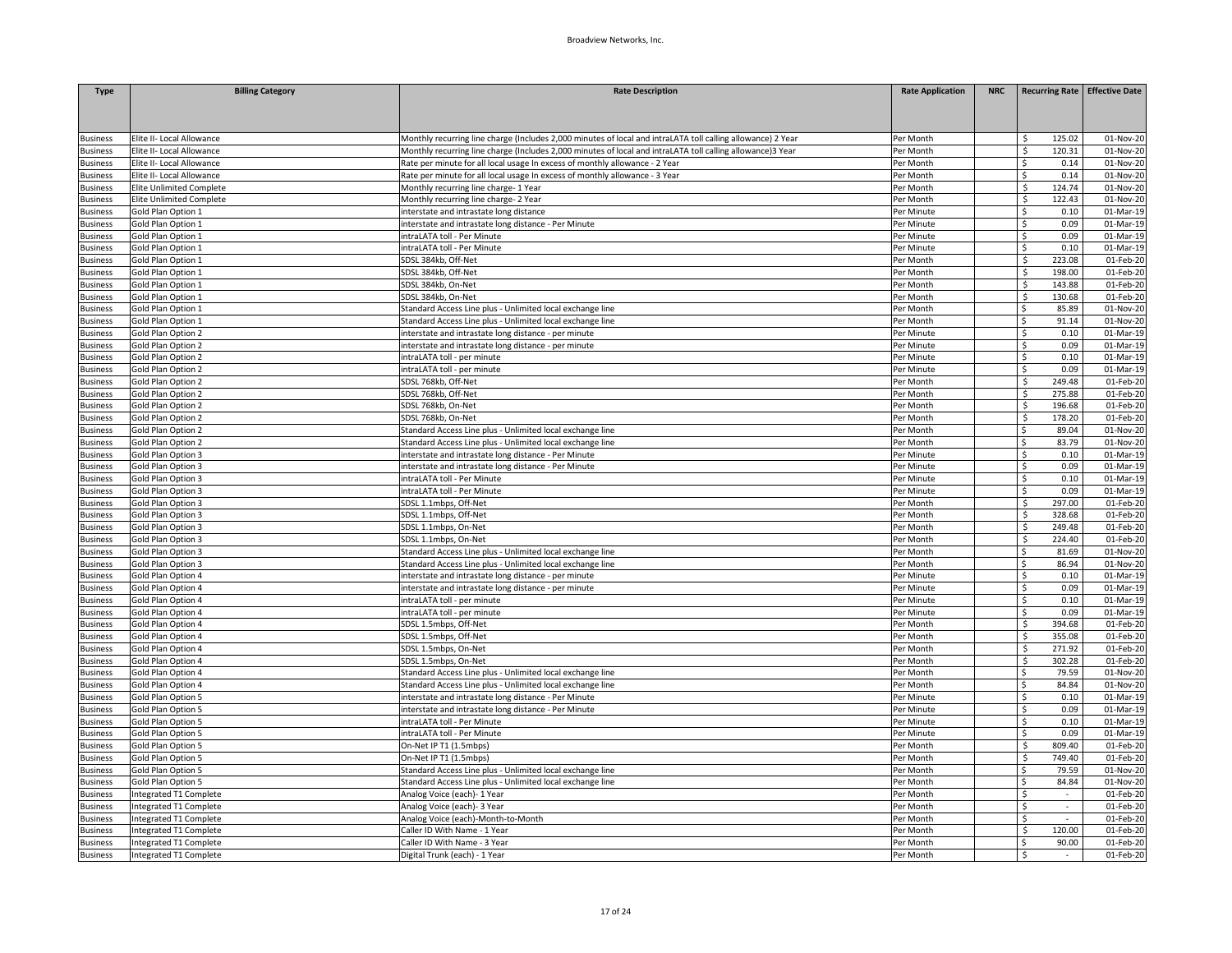| <b>Type</b>                        | <b>Billing Category</b>                                | <b>Rate Description</b>                                                                                                                                                                                                   | <b>Rate Application</b> | <b>NRC</b> | Recurring Rate Effective Date |                        |
|------------------------------------|--------------------------------------------------------|---------------------------------------------------------------------------------------------------------------------------------------------------------------------------------------------------------------------------|-------------------------|------------|-------------------------------|------------------------|
|                                    |                                                        |                                                                                                                                                                                                                           |                         |            |                               |                        |
|                                    |                                                        |                                                                                                                                                                                                                           |                         |            |                               |                        |
|                                    |                                                        |                                                                                                                                                                                                                           |                         |            |                               |                        |
| <b>Business</b><br><b>Business</b> | Elite II- Local Allowance<br>Elite II- Local Allowance | Monthly recurring line charge (Includes 2,000 minutes of local and intraLATA toll calling allowance) 2 Year<br>Monthly recurring line charge (Includes 2,000 minutes of local and intraLATA toll calling allowance)3 Year | Per Month<br>Per Month  |            | 125.02<br>Ŝ<br>\$<br>120.31   | 01-Nov-20<br>01-Nov-20 |
| <b>Business</b>                    | Elite II- Local Allowance                              | Rate per minute for all local usage In excess of monthly allowance - 2 Year                                                                                                                                               | Per Month               |            | 0.14<br>Ś                     | 01-Nov-20              |
| <b>Business</b>                    | Elite II- Local Allowance                              | Rate per minute for all local usage In excess of monthly allowance - 3 Year                                                                                                                                               | Per Month               |            | \$<br>0.14                    | 01-Nov-20              |
| usiness                            | <b>Elite Unlimited Complete</b>                        | Monthly recurring line charge- 1 Year                                                                                                                                                                                     | Per Month               |            | \$.<br>124.74                 | 01-Nov-20              |
| <b>Business</b>                    | <b>Elite Unlimited Complete</b>                        | Monthly recurring line charge- 2 Year                                                                                                                                                                                     | Per Month               |            | \$<br>122.43                  | 01-Nov-20              |
| <b>Business</b>                    | Gold Plan Option 1                                     | interstate and intrastate long distance                                                                                                                                                                                   | Per Minute              |            | \$<br>0.10                    | 01-Mar-19              |
| <b>Business</b>                    | Gold Plan Option 1                                     | interstate and intrastate long distance - Per Minute                                                                                                                                                                      | Per Minute              |            | \$<br>0.09                    | 01-Mar-19              |
| <b>Business</b>                    | Gold Plan Option 1                                     | intraLATA toll - Per Minute                                                                                                                                                                                               | Per Minute              |            | 0.09<br>Ś                     | 01-Mar-19              |
| <b>Business</b>                    | Gold Plan Option 1                                     | intraLATA toll - Per Minute                                                                                                                                                                                               | Per Minute              |            | Ś<br>0.10                     | 01-Mar-19              |
| <b>Business</b>                    | Gold Plan Option 1                                     | SDSL 384kb, Off-Net                                                                                                                                                                                                       | Per Month               |            | \$<br>223.08                  | 01-Feb-20              |
| <b>Business</b>                    | Gold Plan Option 1                                     | SDSL 384kb, Off-Net                                                                                                                                                                                                       | Per Month               |            | 198.00<br>\$                  | 01-Feb-20              |
| <b>Business</b>                    | Gold Plan Option 1                                     | SDSL 384kb, On-Net                                                                                                                                                                                                        | Per Month               |            | \$<br>143.88                  | 01-Feb-20              |
| <b>Business</b>                    | Gold Plan Option 1                                     | SDSL 384kb, On-Net                                                                                                                                                                                                        | Per Month               |            | \$.<br>130.68                 | 01-Feb-20              |
| usiness                            | Gold Plan Option 1                                     | Standard Access Line plus - Unlimited local exchange line                                                                                                                                                                 | Per Month               |            | 85.89<br>Ś.                   | 01-Nov-20              |
| <b>Business</b>                    | Gold Plan Option 1                                     | Standard Access Line plus - Unlimited local exchange line                                                                                                                                                                 | Per Month               |            | 91.14                         | 01-Nov-20              |
| <b>Business</b>                    | Gold Plan Option 2                                     | interstate and intrastate long distance - per minute                                                                                                                                                                      | Per Minute              |            | \$.<br>0.10                   | 01-Mar-19              |
| <b>Business</b>                    | Gold Plan Option 2                                     | interstate and intrastate long distance - per minute                                                                                                                                                                      | Per Minute              |            | 0.09<br>\$.                   | 01-Mar-19              |
| <b>Business</b>                    | Gold Plan Option 2                                     | intraLATA toll - per minute                                                                                                                                                                                               | Per Minute              |            | Ś<br>0.10                     | 01-Mar-19              |
| <b>Business</b>                    | Gold Plan Option 2                                     | intraLATA toll - per minute                                                                                                                                                                                               | Per Minute              |            | \$<br>0.09                    | 01-Mar-19              |
| <b>Business</b>                    | Gold Plan Option 2                                     | SDSL 768kb, Off-Net                                                                                                                                                                                                       | Per Month               |            | 249.48<br>Ś.                  | 01-Feb-20              |
| <b>Business</b>                    | Gold Plan Option 2                                     | SDSL 768kb, Off-Net                                                                                                                                                                                                       | Per Month               |            | \$<br>275.88                  | 01-Feb-20              |
| <b>Business</b>                    | Gold Plan Option 2                                     | SDSL 768kb, On-Net                                                                                                                                                                                                        | Per Month               |            | \$<br>196.68                  | 01-Feb-20              |
| <b>Business</b>                    | Gold Plan Option 2                                     | SDSL 768kb, On-Net                                                                                                                                                                                                        | Per Month               |            | 178.20<br>Ś.                  | 01-Feb-20              |
| <b>Business</b>                    | Gold Plan Option 2                                     | Standard Access Line plus - Unlimited local exchange line                                                                                                                                                                 | Per Month               |            | Ś<br>89.04                    | 01-Nov-20              |
| <b>Business</b>                    | Gold Plan Option 2                                     | Standard Access Line plus - Unlimited local exchange line                                                                                                                                                                 | Per Month               |            | Ś<br>83.79                    | 01-Nov-20              |
| usiness                            | Gold Plan Option 3                                     | interstate and intrastate long distance - Per Minute                                                                                                                                                                      | Per Minute              |            | 0.10<br>S                     | 01-Mar-19              |
| <b>Business</b>                    | Gold Plan Option 3                                     | interstate and intrastate long distance - Per Minute                                                                                                                                                                      | Per Minute              |            | Ś<br>0.09                     | 01-Mar-19              |
| <b>Business</b>                    | Gold Plan Option 3                                     | intraLATA toll - Per Minute                                                                                                                                                                                               | Per Minute              |            | Ś.<br>0.10                    | 01-Mar-19              |
| <b>Business</b>                    | Gold Plan Option 3                                     | intraLATA toll - Per Minute                                                                                                                                                                                               | Per Minute              |            | Ś<br>0.09<br>Ś                | 01-Mar-19              |
| <b>Business</b><br><b>Business</b> | Gold Plan Option 3<br>Gold Plan Option 3               | SDSL 1.1mbps, Off-Net                                                                                                                                                                                                     | Per Month<br>Per Month  |            | 297.00<br>Ś.<br>328.68        | 01-Feb-20<br>01-Feb-20 |
| usiness                            | Gold Plan Option 3                                     | SDSL 1.1mbps, Off-Net<br>SDSL 1.1mbps, On-Net                                                                                                                                                                             | Per Month               |            | 249.48<br>Ś.                  | 01-Feb-20              |
| usiness                            | Gold Plan Option 3                                     | SDSL 1.1mbps, On-Net                                                                                                                                                                                                      | Per Month               |            | Ś<br>224.40                   | 01-Feb-20              |
| <b>Business</b>                    | Gold Plan Option 3                                     | Standard Access Line plus - Unlimited local exchange line                                                                                                                                                                 | Per Month               |            | Ś<br>81.69                    | 01-Nov-20              |
| <b>Business</b>                    | Gold Plan Option 3                                     | Standard Access Line plus - Unlimited local exchange line                                                                                                                                                                 | Per Month               |            | 86.94<br>Ŝ.                   | 01-Nov-20              |
| <b>Business</b>                    | Gold Plan Option 4                                     | interstate and intrastate long distance - per minute                                                                                                                                                                      | Per Minute              |            | \$<br>0.10                    | 01-Mar-19              |
| <b>Business</b>                    | Gold Plan Option 4                                     | interstate and intrastate long distance - per minute                                                                                                                                                                      | Per Minute              |            | Ś<br>0.09                     | 01-Mar-19              |
| <b>Business</b>                    | Gold Plan Option 4                                     | intraLATA toll - per minute                                                                                                                                                                                               | Per Minute              |            | 0.10<br>\$.                   | 01-Mar-19              |
| usiness                            | Gold Plan Option 4                                     | intraLATA toll - per minute                                                                                                                                                                                               | Per Minute              |            | \$.<br>0.09                   | 01-Mar-19              |
| <b>Business</b>                    | Gold Plan Option 4                                     | SDSL 1.5mbps, Off-Net                                                                                                                                                                                                     | Per Month               |            | Ś<br>394.68                   | 01-Feb-20              |
| usiness                            | Gold Plan Option 4                                     | SDSL 1.5mbps, Off-Net                                                                                                                                                                                                     | Per Month               |            | 355.08<br>S.                  | 01-Feb-20              |
| <b>Business</b>                    | Gold Plan Option 4                                     | SDSL 1.5mbps, On-Net                                                                                                                                                                                                      | Per Month               |            | Ś<br>271.92                   | 01-Feb-20              |
| <b>Business</b>                    | Gold Plan Option 4                                     | SDSL 1.5mbps, On-Net                                                                                                                                                                                                      | Per Month               |            | Ś<br>302.28                   | 01-Feb-20              |
| <b>Business</b>                    | Gold Plan Option 4                                     | Standard Access Line plus - Unlimited local exchange line                                                                                                                                                                 | Per Month               |            | 79.59<br>Ś.                   | 01-Nov-20              |
| usiness                            | Gold Plan Option 4                                     | Itandard Access Line plus - Unlimited local exchange line                                                                                                                                                                 | Per Month               |            | 84.84<br>Ś                    | 01-Nov-20              |
| <b>Business</b>                    | Gold Plan Option 5                                     | interstate and intrastate long distance - Per Minute                                                                                                                                                                      | Per Minute              |            | \$<br>0.10                    | 01-Mar-19              |
| <b>Business</b>                    | Gold Plan Option 5                                     | interstate and intrastate long distance - Per Minute                                                                                                                                                                      | Per Minute              |            | 0.09<br>Ŝ.                    | 01-Mar-19              |
| <b>Business</b>                    | Gold Plan Option 5                                     | intraLATA toll - Per Minute                                                                                                                                                                                               | Per Minute              |            | \$.<br>0.10                   | 01-Mar-19              |
| <b>Business</b>                    | Gold Plan Option 5                                     | intraLATA toll - Per Minute                                                                                                                                                                                               | Per Minute              |            | Ś<br>0.09                     | 01-Mar-19              |
| <b>Business</b>                    | Gold Plan Option 5                                     | On-Net IP T1 (1.5mbps)                                                                                                                                                                                                    | Per Month               |            | 809.40<br>S.                  | 01-Feb-20              |
| usiness                            | Gold Plan Option 5                                     | On-Net IP T1 (1.5mbps)                                                                                                                                                                                                    | Per Month               |            | Ś<br>749.40                   | 01-Feb-20              |
| <b>Business</b>                    | Gold Plan Option 5                                     | Standard Access Line plus - Unlimited local exchange line                                                                                                                                                                 | Per Month               |            | 79.59<br>Ś                    | 01-Nov-20              |
| <b>Business</b>                    | Gold Plan Option 5                                     | Standard Access Line plus - Unlimited local exchange line                                                                                                                                                                 | Per Month               |            | 84.84<br>Ś.                   | 01-Nov-20              |
| usiness                            | Integrated T1 Complete                                 | Analog Voice (each)- 1 Year                                                                                                                                                                                               | Per Month               |            | Ŝ<br>$\omega$                 | 01-Feb-20              |
| usiness                            | Integrated T1 Complete                                 | Analog Voice (each)- 3 Year                                                                                                                                                                                               | Per Month               |            | Ś<br>$\sim$                   | 01-Feb-20              |
| usiness                            | Integrated T1 Complete                                 | Analog Voice (each)-Month-to-Month                                                                                                                                                                                        | Per Month               |            | \$                            | 01-Feb-20              |
| usiness                            | Integrated T1 Complete                                 | Caller ID With Name - 1 Year                                                                                                                                                                                              | Per Month               |            | Ś<br>120.00                   | 01-Feb-20              |
| <b>Business</b>                    | Integrated T1 Complete                                 | Caller ID With Name - 3 Year                                                                                                                                                                                              | Per Month               |            | 90.00<br>Ś                    | 01-Feb-20              |
| <b>Business</b>                    | Integrated T1 Complete                                 | Digital Trunk (each) - 1 Year                                                                                                                                                                                             | Per Month               |            | \$<br>$\sim$                  | 01-Feb-20              |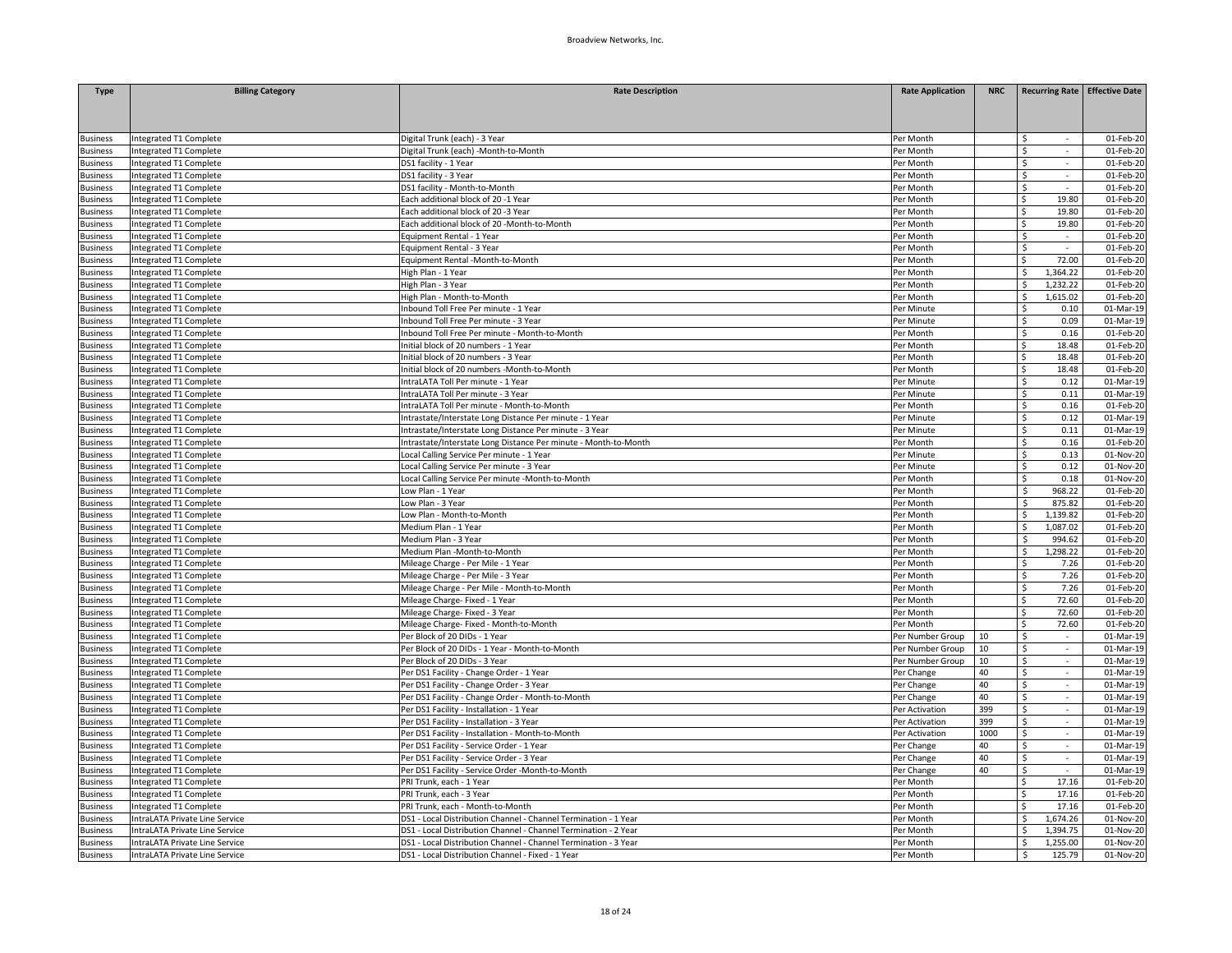| Digital Trunk (each) - 3 Year<br><b>Business</b><br>Integrated T1 Complete<br>Per Month<br>01-Feb-20<br>Ŝ<br>Ś<br>$\mathcal{L}$<br>01-Feb-20<br>Integrated T1 Complete<br>Digital Trunk (each) -Month-to-Month<br>Per Month<br><b>Business</b><br>Per Month<br>Ś<br>01-Feb-20<br>Integrated T1 Complete<br>DS1 facility - 1 Year<br><b>Business</b><br>01-Feb-20<br><b>Business</b><br>Integrated T1 Complete<br>DS1 facility - 3 Year<br>Per Month<br>Ś.<br>$\sim$<br>\$<br>01-Feb-20<br>usiness<br>Integrated T1 Complete<br>DS1 facility - Month-to-Month<br>Per Month<br>$01$ -Feb-20<br>Integrated T1 Complete<br>Each additional block of 20 -1 Year<br>\$<br>19.80<br>Per Month<br><b>Business</b><br>Integrated T1 Complete<br>Each additional block of 20 -3 Year<br>19.80<br>01-Feb-20<br><b>Business</b><br>Per Month<br>Ś.<br>Each additional block of 20 -Month-to-Month<br>Ś<br>19.80<br>01-Feb-20<br><b>Business</b><br>Integrated T1 Complete<br>Per Month<br>$01$ -Feb-20<br>Equipment Rental - 1 Year<br>Per Month<br>\$<br>Integrated T1 Complete<br>usiness<br>$\sim$<br>01-Feb-20<br>Integrated T1 Complete<br>Equipment Rental - 3 Year<br>Per Month<br>\$<br><b>Business</b><br>72.00<br>Integrated T1 Complete<br>Equipment Rental -Month-to-Month<br>Per Month<br>Ŝ.<br>01-Feb-20<br><b>Business</b><br>1,364.22<br>01-Feb-20<br>Integrated T1 Complete<br>High Plan - 1 Year<br>Per Month<br>\$<br><b>Business</b><br>1,232.22<br>01-Feb-20<br><b>Business</b><br>Integrated T1 Complete<br>High Plan - 3 Year<br>Per Month<br>Ś.<br>Ś<br>Integrated T1 Complete<br>High Plan - Month-to-Month<br>Per Month<br>1,615.02<br>01-Feb-20<br><b>Business</b><br>01-Mar-19<br>Integrated T1 Complete<br>Inbound Toll Free Per minute - 1 Year<br>Per Minute<br>Ś<br>0.10<br><b>Business</b><br>Integrated T1 Complete<br>Inbound Toll Free Per minute - 3 Year<br>Ś<br>0.09<br>01-Mar-19<br>Per Minute<br><b>Business</b><br>Integrated T1 Complete<br>nbound Toll Free Per minute - Month-to-Month<br>Per Month<br>Ś<br>0.16<br>01-Feb-20<br><b>Business</b><br>18.48<br>Integrated T1 Complete<br>Initial block of 20 numbers - 1 Year<br>Per Month<br>Ś<br>01-Feb-20<br><b>Business</b><br>Integrated T1 Complete<br>Initial block of 20 numbers - 3 Year<br>Ś<br>18.48<br>01-Feb-20<br><b>Business</b><br>Per Month<br>Initial block of 20 numbers -Month-to-Month<br>Per Month<br>Ś<br>18.48<br>01-Feb-20<br><b>Business</b><br>Integrated T1 Complete<br>0.12<br>01-Mar-19<br>Integrated T1 Complete<br>IntraLATA Toll Per minute - 1 Year<br>Per Minute<br>\$<br>Integrated T1 Complete<br>ntraLATA Toll Per minute - 3 Year<br>Per Minute<br>\$<br>0.11<br>01-Mar-19<br>\$<br>Integrated T1 Complete<br>IntraLATA Toll Per minute - Month-to-Month<br>0.16<br>01-Feb-20<br>Per Month<br>\$<br>0.12<br>01-Mar-19<br>Integrated T1 Complete<br>Intrastate/Interstate Long Distance Per minute - 1 Year<br>Per Minute<br>Ś<br>Integrated T1 Complete<br>Per Minute<br>0.11<br>01-Mar-19<br>Intrastate/Interstate Long Distance Per minute - 3 Year<br>\$<br>Integrated T1 Complete<br>Intrastate/Interstate Long Distance Per minute - Month-to-Month<br>Per Month<br>0.16<br>01-Feb-20<br>0.13<br>01-Nov-20<br>Integrated T1 Complete<br>Local Calling Service Per minute - 1 Year<br>Per Minute<br>Ś.<br>Ś<br>Integrated T1 Complete<br>Local Calling Service Per minute - 3 Year<br>Per Minute<br>0.12<br>01-Nov-20<br>\$<br>Integrated T1 Complete<br>Local Calling Service Per minute -Month-to-Month<br>Per Month<br>0.18<br>01-Nov-20<br><b>Integrated T1 Complete</b><br>Low Plan - 1 Year<br>Per Month<br>\$<br>968.22<br>01-Feb-20<br>Ś<br>875.82<br>01-Feb-20<br>Integrated T1 Complete<br>Low Plan - 3 Year<br>Per Month<br>\$<br>1,139.82<br>01-Feb-20<br>Integrated T1 Complete<br>Low Plan - Month-to-Month<br>Per Month<br>Integrated T1 Complete<br>Medium Plan - 1 Year<br>Per Month<br>Ś.<br>1,087.02<br>01-Feb-20<br>usiness<br>Integrated T1 Complete<br>Medium Plan - 3 Year<br>Ś<br>994.62<br>01-Feb-20<br>Per Month<br>Integrated T1 Complete<br>Medium Plan -Month-to-Month<br>Per Month<br>Ś<br>1,298.22<br>01-Feb-20<br>7.26<br>01-Feb-20<br>Integrated T1 Complete<br>Mileage Charge - Per Mile - 1 Year<br>Per Month<br>Ś<br>7.26<br>01-Feb-20<br>Integrated T1 Complete<br>Mileage Charge - Per Mile - 3 Year<br>Per Month<br>Ś<br>Integrated T1 Complete<br>Mileage Charge - Per Mile - Month-to-Month<br>Per Month<br>\$<br>7.26<br>01-Feb-20<br>Integrated T1 Complete<br>Mileage Charge- Fixed - 1 Year<br>Per Month<br>72.60<br>01-Feb-20<br>Ś<br>72.60<br>01-Feb-20<br>Mileage Charge-Fixed - 3 Year<br>Ś<br>usiness<br>Integrated T1 Complete<br>Per Month<br>72.60<br>$01$ -Feb-20<br>Integrated T1 Complete<br>Mileage Charge-Fixed - Month-to-Month<br>Per Month<br>Ś<br><b>Business</b><br>Integrated T1 Complete<br>Per Block of 20 DIDs - 1 Year<br>01-Mar-19<br>Per Number Group<br>10<br>\$<br>$\sim$<br>Ś.<br><b>Integrated T1 Complete</b><br>Per Block of 20 DIDs - 1 Year - Month-to-Month<br>10<br>$\omega$<br>01-Mar-19<br>Per Number Group<br>\$<br>Per Block of 20 DIDs - 3 Year<br>Per Number Group<br>10<br>01-Mar-19<br>usiness<br>Integrated T1 Complete<br>$\sim$<br>40<br><b>Business</b><br>Integrated T1 Complete<br>Per DS1 Facility - Change Order - 1 Year<br>Per Change<br>\$<br>$\sim$<br>01-Mar-19<br>\$<br>Integrated T1 Complete<br>Per DS1 Facility - Change Order - 3 Year<br>Per Change<br>40<br>01-Mar-19<br>$\sim$<br>40<br>Integrated T1 Complete<br>Per DS1 Facility - Change Order - Month-to-Month<br>Per Change<br>\$<br>01-Mar-19<br>$\sim$<br>399<br>01-Mar-19<br><b>Business</b><br>Integrated T1 Complete<br>Per DS1 Facility - Installation - 1 Year<br>Per Activation<br>\$<br>$\sim$<br>\$<br>399<br>usiness<br>Integrated T1 Complete<br>Per DS1 Facility - Installation - 3 Year<br>Per Activation<br>$\omega$<br>01-Mar-19<br>1000<br>\$<br>01-Mar-19<br>Integrated T1 Complete<br>Per DS1 Facility - Installation - Month-to-Month<br>Per Activation<br>$\sim$<br><b>Business</b><br>Integrated T1 Complete<br>Per DS1 Facility - Service Order - 1 Year<br>40<br>Ś.<br>01-Mar-19<br><b>Business</b><br>Per Change<br>\$<br>Integrated T1 Complete<br>Per DS1 Facility - Service Order - 3 Year<br>Per Change<br>40<br>01-Mar-19<br>usiness<br>40<br>\$<br>01-Mar-19<br>Integrated T1 Complete<br>Per DS1 Facility - Service Order -Month-to-Month<br>Per Change<br><b>Business</b><br>$\sim$<br>Integrated T1 Complete<br>PRI Trunk, each - 1 Year<br>Per Month<br>\$<br>17.16<br>01-Feb-20<br><b>Business</b><br>Integrated T1 Complete<br>PRI Trunk, each - 3 Year<br>Per Month<br>Ś<br>17.16<br>01-Feb-20<br><b>Business</b><br>01-Feb-20<br><b>Business</b><br>Integrated T1 Complete<br>PRI Trunk, each - Month-to-Month<br>Per Month<br>Ś<br>17.16<br>IntraLATA Private Line Service<br>DS1 - Local Distribution Channel - Channel Termination - 1 Year<br>Per Month<br>Ś<br>1,674.26<br>01-Nov-20<br><b>Business</b><br>IntraLATA Private Line Service<br>DS1 - Local Distribution Channel - Channel Termination - 2 Year<br>Per Month<br>Ś<br>1,394.75<br>01-Nov-20<br><b>Business</b><br>IntraLATA Private Line Service<br>DS1 - Local Distribution Channel - Channel Termination - 3 Year<br>Per Month<br>1,255.00<br>01-Nov-20<br><b>Business</b><br>Ś.<br>IntraLATA Private Line Service<br>DS1 - Local Distribution Channel - Fixed - 1 Year<br>Ś<br>125.79<br>01-Nov-20<br>Per Month | <b>Type</b>     | <b>Billing Category</b> | <b>Rate Description</b> | <b>Rate Application</b> | <b>NRC</b> | Recurring Rate Effective Date |
|------------------------------------------------------------------------------------------------------------------------------------------------------------------------------------------------------------------------------------------------------------------------------------------------------------------------------------------------------------------------------------------------------------------------------------------------------------------------------------------------------------------------------------------------------------------------------------------------------------------------------------------------------------------------------------------------------------------------------------------------------------------------------------------------------------------------------------------------------------------------------------------------------------------------------------------------------------------------------------------------------------------------------------------------------------------------------------------------------------------------------------------------------------------------------------------------------------------------------------------------------------------------------------------------------------------------------------------------------------------------------------------------------------------------------------------------------------------------------------------------------------------------------------------------------------------------------------------------------------------------------------------------------------------------------------------------------------------------------------------------------------------------------------------------------------------------------------------------------------------------------------------------------------------------------------------------------------------------------------------------------------------------------------------------------------------------------------------------------------------------------------------------------------------------------------------------------------------------------------------------------------------------------------------------------------------------------------------------------------------------------------------------------------------------------------------------------------------------------------------------------------------------------------------------------------------------------------------------------------------------------------------------------------------------------------------------------------------------------------------------------------------------------------------------------------------------------------------------------------------------------------------------------------------------------------------------------------------------------------------------------------------------------------------------------------------------------------------------------------------------------------------------------------------------------------------------------------------------------------------------------------------------------------------------------------------------------------------------------------------------------------------------------------------------------------------------------------------------------------------------------------------------------------------------------------------------------------------------------------------------------------------------------------------------------------------------------------------------------------------------------------------------------------------------------------------------------------------------------------------------------------------------------------------------------------------------------------------------------------------------------------------------------------------------------------------------------------------------------------------------------------------------------------------------------------------------------------------------------------------------------------------------------------------------------------------------------------------------------------------------------------------------------------------------------------------------------------------------------------------------------------------------------------------------------------------------------------------------------------------------------------------------------------------------------------------------------------------------------------------------------------------------------------------------------------------------------------------------------------------------------------------------------------------------------------------------------------------------------------------------------------------------------------------------------------------------------------------------------------------------------------------------------------------------------------------------------------------------------------------------------------------------------------------------------------------------------------------------------------------------------------------------------------------------------------------------------------------------------------------------------------------------------------------------------------------------------------------------------------------------------------------------------------------------------------------------------------------------------------------------------------------------------------------------------------------------------------------------------------------------------------------------------------------------------------------------------------------------------------------------------------------------------------------------------------------------------------------------------------------------------------------------------------------------------------------------------------------------------------------------------------------------------------------------------------------------------------------------------------------------------------------------------------------------------------------------------------------------------------------------------------------------------------------------------------------------------------------------------------------------------------------------------------------------------------------------------------------------------------------------------------------------------------------------------------------------------------------------------------------------------------------------------------------------------------------------------------------------------------------------------------------------------------------------------------------------------------------------------------------------------------------------------------------------------------------------------------------------------------------------------------------------------------------------------------------------------------------------------------------------------------------------------------------------------------------------------------------------------------------------------------------------|-----------------|-------------------------|-------------------------|-------------------------|------------|-------------------------------|
|                                                                                                                                                                                                                                                                                                                                                                                                                                                                                                                                                                                                                                                                                                                                                                                                                                                                                                                                                                                                                                                                                                                                                                                                                                                                                                                                                                                                                                                                                                                                                                                                                                                                                                                                                                                                                                                                                                                                                                                                                                                                                                                                                                                                                                                                                                                                                                                                                                                                                                                                                                                                                                                                                                                                                                                                                                                                                                                                                                                                                                                                                                                                                                                                                                                                                                                                                                                                                                                                                                                                                                                                                                                                                                                                                                                                                                                                                                                                                                                                                                                                                                                                                                                                                                                                                                                                                                                                                                                                                                                                                                                                                                                                                                                                                                                                                                                                                                                                                                                                                                                                                                                                                                                                                                                                                                                                                                                                                                                                                                                                                                                                                                                                                                                                                                                                                                                                                                                                                                                                                                                                                                                                                                                                                                                                                                                                                                                                                                                                                                                                                                                                                                                                                                                                                                                                                                                                                                                                                                                                                                                                                                                                                                                                                                                                                                                                                                                                                                                                                                                        |                 |                         |                         |                         |            |                               |
|                                                                                                                                                                                                                                                                                                                                                                                                                                                                                                                                                                                                                                                                                                                                                                                                                                                                                                                                                                                                                                                                                                                                                                                                                                                                                                                                                                                                                                                                                                                                                                                                                                                                                                                                                                                                                                                                                                                                                                                                                                                                                                                                                                                                                                                                                                                                                                                                                                                                                                                                                                                                                                                                                                                                                                                                                                                                                                                                                                                                                                                                                                                                                                                                                                                                                                                                                                                                                                                                                                                                                                                                                                                                                                                                                                                                                                                                                                                                                                                                                                                                                                                                                                                                                                                                                                                                                                                                                                                                                                                                                                                                                                                                                                                                                                                                                                                                                                                                                                                                                                                                                                                                                                                                                                                                                                                                                                                                                                                                                                                                                                                                                                                                                                                                                                                                                                                                                                                                                                                                                                                                                                                                                                                                                                                                                                                                                                                                                                                                                                                                                                                                                                                                                                                                                                                                                                                                                                                                                                                                                                                                                                                                                                                                                                                                                                                                                                                                                                                                                                                        |                 |                         |                         |                         |            |                               |
|                                                                                                                                                                                                                                                                                                                                                                                                                                                                                                                                                                                                                                                                                                                                                                                                                                                                                                                                                                                                                                                                                                                                                                                                                                                                                                                                                                                                                                                                                                                                                                                                                                                                                                                                                                                                                                                                                                                                                                                                                                                                                                                                                                                                                                                                                                                                                                                                                                                                                                                                                                                                                                                                                                                                                                                                                                                                                                                                                                                                                                                                                                                                                                                                                                                                                                                                                                                                                                                                                                                                                                                                                                                                                                                                                                                                                                                                                                                                                                                                                                                                                                                                                                                                                                                                                                                                                                                                                                                                                                                                                                                                                                                                                                                                                                                                                                                                                                                                                                                                                                                                                                                                                                                                                                                                                                                                                                                                                                                                                                                                                                                                                                                                                                                                                                                                                                                                                                                                                                                                                                                                                                                                                                                                                                                                                                                                                                                                                                                                                                                                                                                                                                                                                                                                                                                                                                                                                                                                                                                                                                                                                                                                                                                                                                                                                                                                                                                                                                                                                                                        |                 |                         |                         |                         |            |                               |
|                                                                                                                                                                                                                                                                                                                                                                                                                                                                                                                                                                                                                                                                                                                                                                                                                                                                                                                                                                                                                                                                                                                                                                                                                                                                                                                                                                                                                                                                                                                                                                                                                                                                                                                                                                                                                                                                                                                                                                                                                                                                                                                                                                                                                                                                                                                                                                                                                                                                                                                                                                                                                                                                                                                                                                                                                                                                                                                                                                                                                                                                                                                                                                                                                                                                                                                                                                                                                                                                                                                                                                                                                                                                                                                                                                                                                                                                                                                                                                                                                                                                                                                                                                                                                                                                                                                                                                                                                                                                                                                                                                                                                                                                                                                                                                                                                                                                                                                                                                                                                                                                                                                                                                                                                                                                                                                                                                                                                                                                                                                                                                                                                                                                                                                                                                                                                                                                                                                                                                                                                                                                                                                                                                                                                                                                                                                                                                                                                                                                                                                                                                                                                                                                                                                                                                                                                                                                                                                                                                                                                                                                                                                                                                                                                                                                                                                                                                                                                                                                                                                        |                 |                         |                         |                         |            |                               |
|                                                                                                                                                                                                                                                                                                                                                                                                                                                                                                                                                                                                                                                                                                                                                                                                                                                                                                                                                                                                                                                                                                                                                                                                                                                                                                                                                                                                                                                                                                                                                                                                                                                                                                                                                                                                                                                                                                                                                                                                                                                                                                                                                                                                                                                                                                                                                                                                                                                                                                                                                                                                                                                                                                                                                                                                                                                                                                                                                                                                                                                                                                                                                                                                                                                                                                                                                                                                                                                                                                                                                                                                                                                                                                                                                                                                                                                                                                                                                                                                                                                                                                                                                                                                                                                                                                                                                                                                                                                                                                                                                                                                                                                                                                                                                                                                                                                                                                                                                                                                                                                                                                                                                                                                                                                                                                                                                                                                                                                                                                                                                                                                                                                                                                                                                                                                                                                                                                                                                                                                                                                                                                                                                                                                                                                                                                                                                                                                                                                                                                                                                                                                                                                                                                                                                                                                                                                                                                                                                                                                                                                                                                                                                                                                                                                                                                                                                                                                                                                                                                                        |                 |                         |                         |                         |            |                               |
|                                                                                                                                                                                                                                                                                                                                                                                                                                                                                                                                                                                                                                                                                                                                                                                                                                                                                                                                                                                                                                                                                                                                                                                                                                                                                                                                                                                                                                                                                                                                                                                                                                                                                                                                                                                                                                                                                                                                                                                                                                                                                                                                                                                                                                                                                                                                                                                                                                                                                                                                                                                                                                                                                                                                                                                                                                                                                                                                                                                                                                                                                                                                                                                                                                                                                                                                                                                                                                                                                                                                                                                                                                                                                                                                                                                                                                                                                                                                                                                                                                                                                                                                                                                                                                                                                                                                                                                                                                                                                                                                                                                                                                                                                                                                                                                                                                                                                                                                                                                                                                                                                                                                                                                                                                                                                                                                                                                                                                                                                                                                                                                                                                                                                                                                                                                                                                                                                                                                                                                                                                                                                                                                                                                                                                                                                                                                                                                                                                                                                                                                                                                                                                                                                                                                                                                                                                                                                                                                                                                                                                                                                                                                                                                                                                                                                                                                                                                                                                                                                                                        |                 |                         |                         |                         |            |                               |
|                                                                                                                                                                                                                                                                                                                                                                                                                                                                                                                                                                                                                                                                                                                                                                                                                                                                                                                                                                                                                                                                                                                                                                                                                                                                                                                                                                                                                                                                                                                                                                                                                                                                                                                                                                                                                                                                                                                                                                                                                                                                                                                                                                                                                                                                                                                                                                                                                                                                                                                                                                                                                                                                                                                                                                                                                                                                                                                                                                                                                                                                                                                                                                                                                                                                                                                                                                                                                                                                                                                                                                                                                                                                                                                                                                                                                                                                                                                                                                                                                                                                                                                                                                                                                                                                                                                                                                                                                                                                                                                                                                                                                                                                                                                                                                                                                                                                                                                                                                                                                                                                                                                                                                                                                                                                                                                                                                                                                                                                                                                                                                                                                                                                                                                                                                                                                                                                                                                                                                                                                                                                                                                                                                                                                                                                                                                                                                                                                                                                                                                                                                                                                                                                                                                                                                                                                                                                                                                                                                                                                                                                                                                                                                                                                                                                                                                                                                                                                                                                                                                        |                 |                         |                         |                         |            |                               |
|                                                                                                                                                                                                                                                                                                                                                                                                                                                                                                                                                                                                                                                                                                                                                                                                                                                                                                                                                                                                                                                                                                                                                                                                                                                                                                                                                                                                                                                                                                                                                                                                                                                                                                                                                                                                                                                                                                                                                                                                                                                                                                                                                                                                                                                                                                                                                                                                                                                                                                                                                                                                                                                                                                                                                                                                                                                                                                                                                                                                                                                                                                                                                                                                                                                                                                                                                                                                                                                                                                                                                                                                                                                                                                                                                                                                                                                                                                                                                                                                                                                                                                                                                                                                                                                                                                                                                                                                                                                                                                                                                                                                                                                                                                                                                                                                                                                                                                                                                                                                                                                                                                                                                                                                                                                                                                                                                                                                                                                                                                                                                                                                                                                                                                                                                                                                                                                                                                                                                                                                                                                                                                                                                                                                                                                                                                                                                                                                                                                                                                                                                                                                                                                                                                                                                                                                                                                                                                                                                                                                                                                                                                                                                                                                                                                                                                                                                                                                                                                                                                                        |                 |                         |                         |                         |            |                               |
|                                                                                                                                                                                                                                                                                                                                                                                                                                                                                                                                                                                                                                                                                                                                                                                                                                                                                                                                                                                                                                                                                                                                                                                                                                                                                                                                                                                                                                                                                                                                                                                                                                                                                                                                                                                                                                                                                                                                                                                                                                                                                                                                                                                                                                                                                                                                                                                                                                                                                                                                                                                                                                                                                                                                                                                                                                                                                                                                                                                                                                                                                                                                                                                                                                                                                                                                                                                                                                                                                                                                                                                                                                                                                                                                                                                                                                                                                                                                                                                                                                                                                                                                                                                                                                                                                                                                                                                                                                                                                                                                                                                                                                                                                                                                                                                                                                                                                                                                                                                                                                                                                                                                                                                                                                                                                                                                                                                                                                                                                                                                                                                                                                                                                                                                                                                                                                                                                                                                                                                                                                                                                                                                                                                                                                                                                                                                                                                                                                                                                                                                                                                                                                                                                                                                                                                                                                                                                                                                                                                                                                                                                                                                                                                                                                                                                                                                                                                                                                                                                                                        |                 |                         |                         |                         |            |                               |
|                                                                                                                                                                                                                                                                                                                                                                                                                                                                                                                                                                                                                                                                                                                                                                                                                                                                                                                                                                                                                                                                                                                                                                                                                                                                                                                                                                                                                                                                                                                                                                                                                                                                                                                                                                                                                                                                                                                                                                                                                                                                                                                                                                                                                                                                                                                                                                                                                                                                                                                                                                                                                                                                                                                                                                                                                                                                                                                                                                                                                                                                                                                                                                                                                                                                                                                                                                                                                                                                                                                                                                                                                                                                                                                                                                                                                                                                                                                                                                                                                                                                                                                                                                                                                                                                                                                                                                                                                                                                                                                                                                                                                                                                                                                                                                                                                                                                                                                                                                                                                                                                                                                                                                                                                                                                                                                                                                                                                                                                                                                                                                                                                                                                                                                                                                                                                                                                                                                                                                                                                                                                                                                                                                                                                                                                                                                                                                                                                                                                                                                                                                                                                                                                                                                                                                                                                                                                                                                                                                                                                                                                                                                                                                                                                                                                                                                                                                                                                                                                                                                        |                 |                         |                         |                         |            |                               |
|                                                                                                                                                                                                                                                                                                                                                                                                                                                                                                                                                                                                                                                                                                                                                                                                                                                                                                                                                                                                                                                                                                                                                                                                                                                                                                                                                                                                                                                                                                                                                                                                                                                                                                                                                                                                                                                                                                                                                                                                                                                                                                                                                                                                                                                                                                                                                                                                                                                                                                                                                                                                                                                                                                                                                                                                                                                                                                                                                                                                                                                                                                                                                                                                                                                                                                                                                                                                                                                                                                                                                                                                                                                                                                                                                                                                                                                                                                                                                                                                                                                                                                                                                                                                                                                                                                                                                                                                                                                                                                                                                                                                                                                                                                                                                                                                                                                                                                                                                                                                                                                                                                                                                                                                                                                                                                                                                                                                                                                                                                                                                                                                                                                                                                                                                                                                                                                                                                                                                                                                                                                                                                                                                                                                                                                                                                                                                                                                                                                                                                                                                                                                                                                                                                                                                                                                                                                                                                                                                                                                                                                                                                                                                                                                                                                                                                                                                                                                                                                                                                                        |                 |                         |                         |                         |            |                               |
|                                                                                                                                                                                                                                                                                                                                                                                                                                                                                                                                                                                                                                                                                                                                                                                                                                                                                                                                                                                                                                                                                                                                                                                                                                                                                                                                                                                                                                                                                                                                                                                                                                                                                                                                                                                                                                                                                                                                                                                                                                                                                                                                                                                                                                                                                                                                                                                                                                                                                                                                                                                                                                                                                                                                                                                                                                                                                                                                                                                                                                                                                                                                                                                                                                                                                                                                                                                                                                                                                                                                                                                                                                                                                                                                                                                                                                                                                                                                                                                                                                                                                                                                                                                                                                                                                                                                                                                                                                                                                                                                                                                                                                                                                                                                                                                                                                                                                                                                                                                                                                                                                                                                                                                                                                                                                                                                                                                                                                                                                                                                                                                                                                                                                                                                                                                                                                                                                                                                                                                                                                                                                                                                                                                                                                                                                                                                                                                                                                                                                                                                                                                                                                                                                                                                                                                                                                                                                                                                                                                                                                                                                                                                                                                                                                                                                                                                                                                                                                                                                                                        |                 |                         |                         |                         |            |                               |
|                                                                                                                                                                                                                                                                                                                                                                                                                                                                                                                                                                                                                                                                                                                                                                                                                                                                                                                                                                                                                                                                                                                                                                                                                                                                                                                                                                                                                                                                                                                                                                                                                                                                                                                                                                                                                                                                                                                                                                                                                                                                                                                                                                                                                                                                                                                                                                                                                                                                                                                                                                                                                                                                                                                                                                                                                                                                                                                                                                                                                                                                                                                                                                                                                                                                                                                                                                                                                                                                                                                                                                                                                                                                                                                                                                                                                                                                                                                                                                                                                                                                                                                                                                                                                                                                                                                                                                                                                                                                                                                                                                                                                                                                                                                                                                                                                                                                                                                                                                                                                                                                                                                                                                                                                                                                                                                                                                                                                                                                                                                                                                                                                                                                                                                                                                                                                                                                                                                                                                                                                                                                                                                                                                                                                                                                                                                                                                                                                                                                                                                                                                                                                                                                                                                                                                                                                                                                                                                                                                                                                                                                                                                                                                                                                                                                                                                                                                                                                                                                                                                        |                 |                         |                         |                         |            |                               |
|                                                                                                                                                                                                                                                                                                                                                                                                                                                                                                                                                                                                                                                                                                                                                                                                                                                                                                                                                                                                                                                                                                                                                                                                                                                                                                                                                                                                                                                                                                                                                                                                                                                                                                                                                                                                                                                                                                                                                                                                                                                                                                                                                                                                                                                                                                                                                                                                                                                                                                                                                                                                                                                                                                                                                                                                                                                                                                                                                                                                                                                                                                                                                                                                                                                                                                                                                                                                                                                                                                                                                                                                                                                                                                                                                                                                                                                                                                                                                                                                                                                                                                                                                                                                                                                                                                                                                                                                                                                                                                                                                                                                                                                                                                                                                                                                                                                                                                                                                                                                                                                                                                                                                                                                                                                                                                                                                                                                                                                                                                                                                                                                                                                                                                                                                                                                                                                                                                                                                                                                                                                                                                                                                                                                                                                                                                                                                                                                                                                                                                                                                                                                                                                                                                                                                                                                                                                                                                                                                                                                                                                                                                                                                                                                                                                                                                                                                                                                                                                                                                                        |                 |                         |                         |                         |            |                               |
|                                                                                                                                                                                                                                                                                                                                                                                                                                                                                                                                                                                                                                                                                                                                                                                                                                                                                                                                                                                                                                                                                                                                                                                                                                                                                                                                                                                                                                                                                                                                                                                                                                                                                                                                                                                                                                                                                                                                                                                                                                                                                                                                                                                                                                                                                                                                                                                                                                                                                                                                                                                                                                                                                                                                                                                                                                                                                                                                                                                                                                                                                                                                                                                                                                                                                                                                                                                                                                                                                                                                                                                                                                                                                                                                                                                                                                                                                                                                                                                                                                                                                                                                                                                                                                                                                                                                                                                                                                                                                                                                                                                                                                                                                                                                                                                                                                                                                                                                                                                                                                                                                                                                                                                                                                                                                                                                                                                                                                                                                                                                                                                                                                                                                                                                                                                                                                                                                                                                                                                                                                                                                                                                                                                                                                                                                                                                                                                                                                                                                                                                                                                                                                                                                                                                                                                                                                                                                                                                                                                                                                                                                                                                                                                                                                                                                                                                                                                                                                                                                                                        |                 |                         |                         |                         |            |                               |
|                                                                                                                                                                                                                                                                                                                                                                                                                                                                                                                                                                                                                                                                                                                                                                                                                                                                                                                                                                                                                                                                                                                                                                                                                                                                                                                                                                                                                                                                                                                                                                                                                                                                                                                                                                                                                                                                                                                                                                                                                                                                                                                                                                                                                                                                                                                                                                                                                                                                                                                                                                                                                                                                                                                                                                                                                                                                                                                                                                                                                                                                                                                                                                                                                                                                                                                                                                                                                                                                                                                                                                                                                                                                                                                                                                                                                                                                                                                                                                                                                                                                                                                                                                                                                                                                                                                                                                                                                                                                                                                                                                                                                                                                                                                                                                                                                                                                                                                                                                                                                                                                                                                                                                                                                                                                                                                                                                                                                                                                                                                                                                                                                                                                                                                                                                                                                                                                                                                                                                                                                                                                                                                                                                                                                                                                                                                                                                                                                                                                                                                                                                                                                                                                                                                                                                                                                                                                                                                                                                                                                                                                                                                                                                                                                                                                                                                                                                                                                                                                                                                        |                 |                         |                         |                         |            |                               |
|                                                                                                                                                                                                                                                                                                                                                                                                                                                                                                                                                                                                                                                                                                                                                                                                                                                                                                                                                                                                                                                                                                                                                                                                                                                                                                                                                                                                                                                                                                                                                                                                                                                                                                                                                                                                                                                                                                                                                                                                                                                                                                                                                                                                                                                                                                                                                                                                                                                                                                                                                                                                                                                                                                                                                                                                                                                                                                                                                                                                                                                                                                                                                                                                                                                                                                                                                                                                                                                                                                                                                                                                                                                                                                                                                                                                                                                                                                                                                                                                                                                                                                                                                                                                                                                                                                                                                                                                                                                                                                                                                                                                                                                                                                                                                                                                                                                                                                                                                                                                                                                                                                                                                                                                                                                                                                                                                                                                                                                                                                                                                                                                                                                                                                                                                                                                                                                                                                                                                                                                                                                                                                                                                                                                                                                                                                                                                                                                                                                                                                                                                                                                                                                                                                                                                                                                                                                                                                                                                                                                                                                                                                                                                                                                                                                                                                                                                                                                                                                                                                                        |                 |                         |                         |                         |            |                               |
|                                                                                                                                                                                                                                                                                                                                                                                                                                                                                                                                                                                                                                                                                                                                                                                                                                                                                                                                                                                                                                                                                                                                                                                                                                                                                                                                                                                                                                                                                                                                                                                                                                                                                                                                                                                                                                                                                                                                                                                                                                                                                                                                                                                                                                                                                                                                                                                                                                                                                                                                                                                                                                                                                                                                                                                                                                                                                                                                                                                                                                                                                                                                                                                                                                                                                                                                                                                                                                                                                                                                                                                                                                                                                                                                                                                                                                                                                                                                                                                                                                                                                                                                                                                                                                                                                                                                                                                                                                                                                                                                                                                                                                                                                                                                                                                                                                                                                                                                                                                                                                                                                                                                                                                                                                                                                                                                                                                                                                                                                                                                                                                                                                                                                                                                                                                                                                                                                                                                                                                                                                                                                                                                                                                                                                                                                                                                                                                                                                                                                                                                                                                                                                                                                                                                                                                                                                                                                                                                                                                                                                                                                                                                                                                                                                                                                                                                                                                                                                                                                                                        |                 |                         |                         |                         |            |                               |
|                                                                                                                                                                                                                                                                                                                                                                                                                                                                                                                                                                                                                                                                                                                                                                                                                                                                                                                                                                                                                                                                                                                                                                                                                                                                                                                                                                                                                                                                                                                                                                                                                                                                                                                                                                                                                                                                                                                                                                                                                                                                                                                                                                                                                                                                                                                                                                                                                                                                                                                                                                                                                                                                                                                                                                                                                                                                                                                                                                                                                                                                                                                                                                                                                                                                                                                                                                                                                                                                                                                                                                                                                                                                                                                                                                                                                                                                                                                                                                                                                                                                                                                                                                                                                                                                                                                                                                                                                                                                                                                                                                                                                                                                                                                                                                                                                                                                                                                                                                                                                                                                                                                                                                                                                                                                                                                                                                                                                                                                                                                                                                                                                                                                                                                                                                                                                                                                                                                                                                                                                                                                                                                                                                                                                                                                                                                                                                                                                                                                                                                                                                                                                                                                                                                                                                                                                                                                                                                                                                                                                                                                                                                                                                                                                                                                                                                                                                                                                                                                                                                        |                 |                         |                         |                         |            |                               |
|                                                                                                                                                                                                                                                                                                                                                                                                                                                                                                                                                                                                                                                                                                                                                                                                                                                                                                                                                                                                                                                                                                                                                                                                                                                                                                                                                                                                                                                                                                                                                                                                                                                                                                                                                                                                                                                                                                                                                                                                                                                                                                                                                                                                                                                                                                                                                                                                                                                                                                                                                                                                                                                                                                                                                                                                                                                                                                                                                                                                                                                                                                                                                                                                                                                                                                                                                                                                                                                                                                                                                                                                                                                                                                                                                                                                                                                                                                                                                                                                                                                                                                                                                                                                                                                                                                                                                                                                                                                                                                                                                                                                                                                                                                                                                                                                                                                                                                                                                                                                                                                                                                                                                                                                                                                                                                                                                                                                                                                                                                                                                                                                                                                                                                                                                                                                                                                                                                                                                                                                                                                                                                                                                                                                                                                                                                                                                                                                                                                                                                                                                                                                                                                                                                                                                                                                                                                                                                                                                                                                                                                                                                                                                                                                                                                                                                                                                                                                                                                                                                                        |                 |                         |                         |                         |            |                               |
|                                                                                                                                                                                                                                                                                                                                                                                                                                                                                                                                                                                                                                                                                                                                                                                                                                                                                                                                                                                                                                                                                                                                                                                                                                                                                                                                                                                                                                                                                                                                                                                                                                                                                                                                                                                                                                                                                                                                                                                                                                                                                                                                                                                                                                                                                                                                                                                                                                                                                                                                                                                                                                                                                                                                                                                                                                                                                                                                                                                                                                                                                                                                                                                                                                                                                                                                                                                                                                                                                                                                                                                                                                                                                                                                                                                                                                                                                                                                                                                                                                                                                                                                                                                                                                                                                                                                                                                                                                                                                                                                                                                                                                                                                                                                                                                                                                                                                                                                                                                                                                                                                                                                                                                                                                                                                                                                                                                                                                                                                                                                                                                                                                                                                                                                                                                                                                                                                                                                                                                                                                                                                                                                                                                                                                                                                                                                                                                                                                                                                                                                                                                                                                                                                                                                                                                                                                                                                                                                                                                                                                                                                                                                                                                                                                                                                                                                                                                                                                                                                                                        |                 |                         |                         |                         |            |                               |
|                                                                                                                                                                                                                                                                                                                                                                                                                                                                                                                                                                                                                                                                                                                                                                                                                                                                                                                                                                                                                                                                                                                                                                                                                                                                                                                                                                                                                                                                                                                                                                                                                                                                                                                                                                                                                                                                                                                                                                                                                                                                                                                                                                                                                                                                                                                                                                                                                                                                                                                                                                                                                                                                                                                                                                                                                                                                                                                                                                                                                                                                                                                                                                                                                                                                                                                                                                                                                                                                                                                                                                                                                                                                                                                                                                                                                                                                                                                                                                                                                                                                                                                                                                                                                                                                                                                                                                                                                                                                                                                                                                                                                                                                                                                                                                                                                                                                                                                                                                                                                                                                                                                                                                                                                                                                                                                                                                                                                                                                                                                                                                                                                                                                                                                                                                                                                                                                                                                                                                                                                                                                                                                                                                                                                                                                                                                                                                                                                                                                                                                                                                                                                                                                                                                                                                                                                                                                                                                                                                                                                                                                                                                                                                                                                                                                                                                                                                                                                                                                                                                        |                 |                         |                         |                         |            |                               |
|                                                                                                                                                                                                                                                                                                                                                                                                                                                                                                                                                                                                                                                                                                                                                                                                                                                                                                                                                                                                                                                                                                                                                                                                                                                                                                                                                                                                                                                                                                                                                                                                                                                                                                                                                                                                                                                                                                                                                                                                                                                                                                                                                                                                                                                                                                                                                                                                                                                                                                                                                                                                                                                                                                                                                                                                                                                                                                                                                                                                                                                                                                                                                                                                                                                                                                                                                                                                                                                                                                                                                                                                                                                                                                                                                                                                                                                                                                                                                                                                                                                                                                                                                                                                                                                                                                                                                                                                                                                                                                                                                                                                                                                                                                                                                                                                                                                                                                                                                                                                                                                                                                                                                                                                                                                                                                                                                                                                                                                                                                                                                                                                                                                                                                                                                                                                                                                                                                                                                                                                                                                                                                                                                                                                                                                                                                                                                                                                                                                                                                                                                                                                                                                                                                                                                                                                                                                                                                                                                                                                                                                                                                                                                                                                                                                                                                                                                                                                                                                                                                                        |                 |                         |                         |                         |            |                               |
|                                                                                                                                                                                                                                                                                                                                                                                                                                                                                                                                                                                                                                                                                                                                                                                                                                                                                                                                                                                                                                                                                                                                                                                                                                                                                                                                                                                                                                                                                                                                                                                                                                                                                                                                                                                                                                                                                                                                                                                                                                                                                                                                                                                                                                                                                                                                                                                                                                                                                                                                                                                                                                                                                                                                                                                                                                                                                                                                                                                                                                                                                                                                                                                                                                                                                                                                                                                                                                                                                                                                                                                                                                                                                                                                                                                                                                                                                                                                                                                                                                                                                                                                                                                                                                                                                                                                                                                                                                                                                                                                                                                                                                                                                                                                                                                                                                                                                                                                                                                                                                                                                                                                                                                                                                                                                                                                                                                                                                                                                                                                                                                                                                                                                                                                                                                                                                                                                                                                                                                                                                                                                                                                                                                                                                                                                                                                                                                                                                                                                                                                                                                                                                                                                                                                                                                                                                                                                                                                                                                                                                                                                                                                                                                                                                                                                                                                                                                                                                                                                                                        | <b>Business</b> |                         |                         |                         |            |                               |
|                                                                                                                                                                                                                                                                                                                                                                                                                                                                                                                                                                                                                                                                                                                                                                                                                                                                                                                                                                                                                                                                                                                                                                                                                                                                                                                                                                                                                                                                                                                                                                                                                                                                                                                                                                                                                                                                                                                                                                                                                                                                                                                                                                                                                                                                                                                                                                                                                                                                                                                                                                                                                                                                                                                                                                                                                                                                                                                                                                                                                                                                                                                                                                                                                                                                                                                                                                                                                                                                                                                                                                                                                                                                                                                                                                                                                                                                                                                                                                                                                                                                                                                                                                                                                                                                                                                                                                                                                                                                                                                                                                                                                                                                                                                                                                                                                                                                                                                                                                                                                                                                                                                                                                                                                                                                                                                                                                                                                                                                                                                                                                                                                                                                                                                                                                                                                                                                                                                                                                                                                                                                                                                                                                                                                                                                                                                                                                                                                                                                                                                                                                                                                                                                                                                                                                                                                                                                                                                                                                                                                                                                                                                                                                                                                                                                                                                                                                                                                                                                                                                        | Business        |                         |                         |                         |            |                               |
|                                                                                                                                                                                                                                                                                                                                                                                                                                                                                                                                                                                                                                                                                                                                                                                                                                                                                                                                                                                                                                                                                                                                                                                                                                                                                                                                                                                                                                                                                                                                                                                                                                                                                                                                                                                                                                                                                                                                                                                                                                                                                                                                                                                                                                                                                                                                                                                                                                                                                                                                                                                                                                                                                                                                                                                                                                                                                                                                                                                                                                                                                                                                                                                                                                                                                                                                                                                                                                                                                                                                                                                                                                                                                                                                                                                                                                                                                                                                                                                                                                                                                                                                                                                                                                                                                                                                                                                                                                                                                                                                                                                                                                                                                                                                                                                                                                                                                                                                                                                                                                                                                                                                                                                                                                                                                                                                                                                                                                                                                                                                                                                                                                                                                                                                                                                                                                                                                                                                                                                                                                                                                                                                                                                                                                                                                                                                                                                                                                                                                                                                                                                                                                                                                                                                                                                                                                                                                                                                                                                                                                                                                                                                                                                                                                                                                                                                                                                                                                                                                                                        | <b>Business</b> |                         |                         |                         |            |                               |
|                                                                                                                                                                                                                                                                                                                                                                                                                                                                                                                                                                                                                                                                                                                                                                                                                                                                                                                                                                                                                                                                                                                                                                                                                                                                                                                                                                                                                                                                                                                                                                                                                                                                                                                                                                                                                                                                                                                                                                                                                                                                                                                                                                                                                                                                                                                                                                                                                                                                                                                                                                                                                                                                                                                                                                                                                                                                                                                                                                                                                                                                                                                                                                                                                                                                                                                                                                                                                                                                                                                                                                                                                                                                                                                                                                                                                                                                                                                                                                                                                                                                                                                                                                                                                                                                                                                                                                                                                                                                                                                                                                                                                                                                                                                                                                                                                                                                                                                                                                                                                                                                                                                                                                                                                                                                                                                                                                                                                                                                                                                                                                                                                                                                                                                                                                                                                                                                                                                                                                                                                                                                                                                                                                                                                                                                                                                                                                                                                                                                                                                                                                                                                                                                                                                                                                                                                                                                                                                                                                                                                                                                                                                                                                                                                                                                                                                                                                                                                                                                                                                        | <b>Business</b> |                         |                         |                         |            |                               |
|                                                                                                                                                                                                                                                                                                                                                                                                                                                                                                                                                                                                                                                                                                                                                                                                                                                                                                                                                                                                                                                                                                                                                                                                                                                                                                                                                                                                                                                                                                                                                                                                                                                                                                                                                                                                                                                                                                                                                                                                                                                                                                                                                                                                                                                                                                                                                                                                                                                                                                                                                                                                                                                                                                                                                                                                                                                                                                                                                                                                                                                                                                                                                                                                                                                                                                                                                                                                                                                                                                                                                                                                                                                                                                                                                                                                                                                                                                                                                                                                                                                                                                                                                                                                                                                                                                                                                                                                                                                                                                                                                                                                                                                                                                                                                                                                                                                                                                                                                                                                                                                                                                                                                                                                                                                                                                                                                                                                                                                                                                                                                                                                                                                                                                                                                                                                                                                                                                                                                                                                                                                                                                                                                                                                                                                                                                                                                                                                                                                                                                                                                                                                                                                                                                                                                                                                                                                                                                                                                                                                                                                                                                                                                                                                                                                                                                                                                                                                                                                                                                                        | <b>Business</b> |                         |                         |                         |            |                               |
|                                                                                                                                                                                                                                                                                                                                                                                                                                                                                                                                                                                                                                                                                                                                                                                                                                                                                                                                                                                                                                                                                                                                                                                                                                                                                                                                                                                                                                                                                                                                                                                                                                                                                                                                                                                                                                                                                                                                                                                                                                                                                                                                                                                                                                                                                                                                                                                                                                                                                                                                                                                                                                                                                                                                                                                                                                                                                                                                                                                                                                                                                                                                                                                                                                                                                                                                                                                                                                                                                                                                                                                                                                                                                                                                                                                                                                                                                                                                                                                                                                                                                                                                                                                                                                                                                                                                                                                                                                                                                                                                                                                                                                                                                                                                                                                                                                                                                                                                                                                                                                                                                                                                                                                                                                                                                                                                                                                                                                                                                                                                                                                                                                                                                                                                                                                                                                                                                                                                                                                                                                                                                                                                                                                                                                                                                                                                                                                                                                                                                                                                                                                                                                                                                                                                                                                                                                                                                                                                                                                                                                                                                                                                                                                                                                                                                                                                                                                                                                                                                                                        | <b>Business</b> |                         |                         |                         |            |                               |
|                                                                                                                                                                                                                                                                                                                                                                                                                                                                                                                                                                                                                                                                                                                                                                                                                                                                                                                                                                                                                                                                                                                                                                                                                                                                                                                                                                                                                                                                                                                                                                                                                                                                                                                                                                                                                                                                                                                                                                                                                                                                                                                                                                                                                                                                                                                                                                                                                                                                                                                                                                                                                                                                                                                                                                                                                                                                                                                                                                                                                                                                                                                                                                                                                                                                                                                                                                                                                                                                                                                                                                                                                                                                                                                                                                                                                                                                                                                                                                                                                                                                                                                                                                                                                                                                                                                                                                                                                                                                                                                                                                                                                                                                                                                                                                                                                                                                                                                                                                                                                                                                                                                                                                                                                                                                                                                                                                                                                                                                                                                                                                                                                                                                                                                                                                                                                                                                                                                                                                                                                                                                                                                                                                                                                                                                                                                                                                                                                                                                                                                                                                                                                                                                                                                                                                                                                                                                                                                                                                                                                                                                                                                                                                                                                                                                                                                                                                                                                                                                                                                        | <b>Business</b> |                         |                         |                         |            |                               |
|                                                                                                                                                                                                                                                                                                                                                                                                                                                                                                                                                                                                                                                                                                                                                                                                                                                                                                                                                                                                                                                                                                                                                                                                                                                                                                                                                                                                                                                                                                                                                                                                                                                                                                                                                                                                                                                                                                                                                                                                                                                                                                                                                                                                                                                                                                                                                                                                                                                                                                                                                                                                                                                                                                                                                                                                                                                                                                                                                                                                                                                                                                                                                                                                                                                                                                                                                                                                                                                                                                                                                                                                                                                                                                                                                                                                                                                                                                                                                                                                                                                                                                                                                                                                                                                                                                                                                                                                                                                                                                                                                                                                                                                                                                                                                                                                                                                                                                                                                                                                                                                                                                                                                                                                                                                                                                                                                                                                                                                                                                                                                                                                                                                                                                                                                                                                                                                                                                                                                                                                                                                                                                                                                                                                                                                                                                                                                                                                                                                                                                                                                                                                                                                                                                                                                                                                                                                                                                                                                                                                                                                                                                                                                                                                                                                                                                                                                                                                                                                                                                                        | <b>Business</b> |                         |                         |                         |            |                               |
|                                                                                                                                                                                                                                                                                                                                                                                                                                                                                                                                                                                                                                                                                                                                                                                                                                                                                                                                                                                                                                                                                                                                                                                                                                                                                                                                                                                                                                                                                                                                                                                                                                                                                                                                                                                                                                                                                                                                                                                                                                                                                                                                                                                                                                                                                                                                                                                                                                                                                                                                                                                                                                                                                                                                                                                                                                                                                                                                                                                                                                                                                                                                                                                                                                                                                                                                                                                                                                                                                                                                                                                                                                                                                                                                                                                                                                                                                                                                                                                                                                                                                                                                                                                                                                                                                                                                                                                                                                                                                                                                                                                                                                                                                                                                                                                                                                                                                                                                                                                                                                                                                                                                                                                                                                                                                                                                                                                                                                                                                                                                                                                                                                                                                                                                                                                                                                                                                                                                                                                                                                                                                                                                                                                                                                                                                                                                                                                                                                                                                                                                                                                                                                                                                                                                                                                                                                                                                                                                                                                                                                                                                                                                                                                                                                                                                                                                                                                                                                                                                                                        | <b>Business</b> |                         |                         |                         |            |                               |
|                                                                                                                                                                                                                                                                                                                                                                                                                                                                                                                                                                                                                                                                                                                                                                                                                                                                                                                                                                                                                                                                                                                                                                                                                                                                                                                                                                                                                                                                                                                                                                                                                                                                                                                                                                                                                                                                                                                                                                                                                                                                                                                                                                                                                                                                                                                                                                                                                                                                                                                                                                                                                                                                                                                                                                                                                                                                                                                                                                                                                                                                                                                                                                                                                                                                                                                                                                                                                                                                                                                                                                                                                                                                                                                                                                                                                                                                                                                                                                                                                                                                                                                                                                                                                                                                                                                                                                                                                                                                                                                                                                                                                                                                                                                                                                                                                                                                                                                                                                                                                                                                                                                                                                                                                                                                                                                                                                                                                                                                                                                                                                                                                                                                                                                                                                                                                                                                                                                                                                                                                                                                                                                                                                                                                                                                                                                                                                                                                                                                                                                                                                                                                                                                                                                                                                                                                                                                                                                                                                                                                                                                                                                                                                                                                                                                                                                                                                                                                                                                                                                        | <b>Business</b> |                         |                         |                         |            |                               |
|                                                                                                                                                                                                                                                                                                                                                                                                                                                                                                                                                                                                                                                                                                                                                                                                                                                                                                                                                                                                                                                                                                                                                                                                                                                                                                                                                                                                                                                                                                                                                                                                                                                                                                                                                                                                                                                                                                                                                                                                                                                                                                                                                                                                                                                                                                                                                                                                                                                                                                                                                                                                                                                                                                                                                                                                                                                                                                                                                                                                                                                                                                                                                                                                                                                                                                                                                                                                                                                                                                                                                                                                                                                                                                                                                                                                                                                                                                                                                                                                                                                                                                                                                                                                                                                                                                                                                                                                                                                                                                                                                                                                                                                                                                                                                                                                                                                                                                                                                                                                                                                                                                                                                                                                                                                                                                                                                                                                                                                                                                                                                                                                                                                                                                                                                                                                                                                                                                                                                                                                                                                                                                                                                                                                                                                                                                                                                                                                                                                                                                                                                                                                                                                                                                                                                                                                                                                                                                                                                                                                                                                                                                                                                                                                                                                                                                                                                                                                                                                                                                                        | <b>Business</b> |                         |                         |                         |            |                               |
|                                                                                                                                                                                                                                                                                                                                                                                                                                                                                                                                                                                                                                                                                                                                                                                                                                                                                                                                                                                                                                                                                                                                                                                                                                                                                                                                                                                                                                                                                                                                                                                                                                                                                                                                                                                                                                                                                                                                                                                                                                                                                                                                                                                                                                                                                                                                                                                                                                                                                                                                                                                                                                                                                                                                                                                                                                                                                                                                                                                                                                                                                                                                                                                                                                                                                                                                                                                                                                                                                                                                                                                                                                                                                                                                                                                                                                                                                                                                                                                                                                                                                                                                                                                                                                                                                                                                                                                                                                                                                                                                                                                                                                                                                                                                                                                                                                                                                                                                                                                                                                                                                                                                                                                                                                                                                                                                                                                                                                                                                                                                                                                                                                                                                                                                                                                                                                                                                                                                                                                                                                                                                                                                                                                                                                                                                                                                                                                                                                                                                                                                                                                                                                                                                                                                                                                                                                                                                                                                                                                                                                                                                                                                                                                                                                                                                                                                                                                                                                                                                                                        | <b>Business</b> |                         |                         |                         |            |                               |
|                                                                                                                                                                                                                                                                                                                                                                                                                                                                                                                                                                                                                                                                                                                                                                                                                                                                                                                                                                                                                                                                                                                                                                                                                                                                                                                                                                                                                                                                                                                                                                                                                                                                                                                                                                                                                                                                                                                                                                                                                                                                                                                                                                                                                                                                                                                                                                                                                                                                                                                                                                                                                                                                                                                                                                                                                                                                                                                                                                                                                                                                                                                                                                                                                                                                                                                                                                                                                                                                                                                                                                                                                                                                                                                                                                                                                                                                                                                                                                                                                                                                                                                                                                                                                                                                                                                                                                                                                                                                                                                                                                                                                                                                                                                                                                                                                                                                                                                                                                                                                                                                                                                                                                                                                                                                                                                                                                                                                                                                                                                                                                                                                                                                                                                                                                                                                                                                                                                                                                                                                                                                                                                                                                                                                                                                                                                                                                                                                                                                                                                                                                                                                                                                                                                                                                                                                                                                                                                                                                                                                                                                                                                                                                                                                                                                                                                                                                                                                                                                                                                        |                 |                         |                         |                         |            |                               |
|                                                                                                                                                                                                                                                                                                                                                                                                                                                                                                                                                                                                                                                                                                                                                                                                                                                                                                                                                                                                                                                                                                                                                                                                                                                                                                                                                                                                                                                                                                                                                                                                                                                                                                                                                                                                                                                                                                                                                                                                                                                                                                                                                                                                                                                                                                                                                                                                                                                                                                                                                                                                                                                                                                                                                                                                                                                                                                                                                                                                                                                                                                                                                                                                                                                                                                                                                                                                                                                                                                                                                                                                                                                                                                                                                                                                                                                                                                                                                                                                                                                                                                                                                                                                                                                                                                                                                                                                                                                                                                                                                                                                                                                                                                                                                                                                                                                                                                                                                                                                                                                                                                                                                                                                                                                                                                                                                                                                                                                                                                                                                                                                                                                                                                                                                                                                                                                                                                                                                                                                                                                                                                                                                                                                                                                                                                                                                                                                                                                                                                                                                                                                                                                                                                                                                                                                                                                                                                                                                                                                                                                                                                                                                                                                                                                                                                                                                                                                                                                                                                                        | <b>Business</b> |                         |                         |                         |            |                               |
|                                                                                                                                                                                                                                                                                                                                                                                                                                                                                                                                                                                                                                                                                                                                                                                                                                                                                                                                                                                                                                                                                                                                                                                                                                                                                                                                                                                                                                                                                                                                                                                                                                                                                                                                                                                                                                                                                                                                                                                                                                                                                                                                                                                                                                                                                                                                                                                                                                                                                                                                                                                                                                                                                                                                                                                                                                                                                                                                                                                                                                                                                                                                                                                                                                                                                                                                                                                                                                                                                                                                                                                                                                                                                                                                                                                                                                                                                                                                                                                                                                                                                                                                                                                                                                                                                                                                                                                                                                                                                                                                                                                                                                                                                                                                                                                                                                                                                                                                                                                                                                                                                                                                                                                                                                                                                                                                                                                                                                                                                                                                                                                                                                                                                                                                                                                                                                                                                                                                                                                                                                                                                                                                                                                                                                                                                                                                                                                                                                                                                                                                                                                                                                                                                                                                                                                                                                                                                                                                                                                                                                                                                                                                                                                                                                                                                                                                                                                                                                                                                                                        | <b>Business</b> |                         |                         |                         |            |                               |
|                                                                                                                                                                                                                                                                                                                                                                                                                                                                                                                                                                                                                                                                                                                                                                                                                                                                                                                                                                                                                                                                                                                                                                                                                                                                                                                                                                                                                                                                                                                                                                                                                                                                                                                                                                                                                                                                                                                                                                                                                                                                                                                                                                                                                                                                                                                                                                                                                                                                                                                                                                                                                                                                                                                                                                                                                                                                                                                                                                                                                                                                                                                                                                                                                                                                                                                                                                                                                                                                                                                                                                                                                                                                                                                                                                                                                                                                                                                                                                                                                                                                                                                                                                                                                                                                                                                                                                                                                                                                                                                                                                                                                                                                                                                                                                                                                                                                                                                                                                                                                                                                                                                                                                                                                                                                                                                                                                                                                                                                                                                                                                                                                                                                                                                                                                                                                                                                                                                                                                                                                                                                                                                                                                                                                                                                                                                                                                                                                                                                                                                                                                                                                                                                                                                                                                                                                                                                                                                                                                                                                                                                                                                                                                                                                                                                                                                                                                                                                                                                                                                        | <b>Business</b> |                         |                         |                         |            |                               |
|                                                                                                                                                                                                                                                                                                                                                                                                                                                                                                                                                                                                                                                                                                                                                                                                                                                                                                                                                                                                                                                                                                                                                                                                                                                                                                                                                                                                                                                                                                                                                                                                                                                                                                                                                                                                                                                                                                                                                                                                                                                                                                                                                                                                                                                                                                                                                                                                                                                                                                                                                                                                                                                                                                                                                                                                                                                                                                                                                                                                                                                                                                                                                                                                                                                                                                                                                                                                                                                                                                                                                                                                                                                                                                                                                                                                                                                                                                                                                                                                                                                                                                                                                                                                                                                                                                                                                                                                                                                                                                                                                                                                                                                                                                                                                                                                                                                                                                                                                                                                                                                                                                                                                                                                                                                                                                                                                                                                                                                                                                                                                                                                                                                                                                                                                                                                                                                                                                                                                                                                                                                                                                                                                                                                                                                                                                                                                                                                                                                                                                                                                                                                                                                                                                                                                                                                                                                                                                                                                                                                                                                                                                                                                                                                                                                                                                                                                                                                                                                                                                                        | <b>Business</b> |                         |                         |                         |            |                               |
|                                                                                                                                                                                                                                                                                                                                                                                                                                                                                                                                                                                                                                                                                                                                                                                                                                                                                                                                                                                                                                                                                                                                                                                                                                                                                                                                                                                                                                                                                                                                                                                                                                                                                                                                                                                                                                                                                                                                                                                                                                                                                                                                                                                                                                                                                                                                                                                                                                                                                                                                                                                                                                                                                                                                                                                                                                                                                                                                                                                                                                                                                                                                                                                                                                                                                                                                                                                                                                                                                                                                                                                                                                                                                                                                                                                                                                                                                                                                                                                                                                                                                                                                                                                                                                                                                                                                                                                                                                                                                                                                                                                                                                                                                                                                                                                                                                                                                                                                                                                                                                                                                                                                                                                                                                                                                                                                                                                                                                                                                                                                                                                                                                                                                                                                                                                                                                                                                                                                                                                                                                                                                                                                                                                                                                                                                                                                                                                                                                                                                                                                                                                                                                                                                                                                                                                                                                                                                                                                                                                                                                                                                                                                                                                                                                                                                                                                                                                                                                                                                                                        | <b>Business</b> |                         |                         |                         |            |                               |
|                                                                                                                                                                                                                                                                                                                                                                                                                                                                                                                                                                                                                                                                                                                                                                                                                                                                                                                                                                                                                                                                                                                                                                                                                                                                                                                                                                                                                                                                                                                                                                                                                                                                                                                                                                                                                                                                                                                                                                                                                                                                                                                                                                                                                                                                                                                                                                                                                                                                                                                                                                                                                                                                                                                                                                                                                                                                                                                                                                                                                                                                                                                                                                                                                                                                                                                                                                                                                                                                                                                                                                                                                                                                                                                                                                                                                                                                                                                                                                                                                                                                                                                                                                                                                                                                                                                                                                                                                                                                                                                                                                                                                                                                                                                                                                                                                                                                                                                                                                                                                                                                                                                                                                                                                                                                                                                                                                                                                                                                                                                                                                                                                                                                                                                                                                                                                                                                                                                                                                                                                                                                                                                                                                                                                                                                                                                                                                                                                                                                                                                                                                                                                                                                                                                                                                                                                                                                                                                                                                                                                                                                                                                                                                                                                                                                                                                                                                                                                                                                                                                        | <b>Business</b> |                         |                         |                         |            |                               |
|                                                                                                                                                                                                                                                                                                                                                                                                                                                                                                                                                                                                                                                                                                                                                                                                                                                                                                                                                                                                                                                                                                                                                                                                                                                                                                                                                                                                                                                                                                                                                                                                                                                                                                                                                                                                                                                                                                                                                                                                                                                                                                                                                                                                                                                                                                                                                                                                                                                                                                                                                                                                                                                                                                                                                                                                                                                                                                                                                                                                                                                                                                                                                                                                                                                                                                                                                                                                                                                                                                                                                                                                                                                                                                                                                                                                                                                                                                                                                                                                                                                                                                                                                                                                                                                                                                                                                                                                                                                                                                                                                                                                                                                                                                                                                                                                                                                                                                                                                                                                                                                                                                                                                                                                                                                                                                                                                                                                                                                                                                                                                                                                                                                                                                                                                                                                                                                                                                                                                                                                                                                                                                                                                                                                                                                                                                                                                                                                                                                                                                                                                                                                                                                                                                                                                                                                                                                                                                                                                                                                                                                                                                                                                                                                                                                                                                                                                                                                                                                                                                                        |                 |                         |                         |                         |            |                               |
|                                                                                                                                                                                                                                                                                                                                                                                                                                                                                                                                                                                                                                                                                                                                                                                                                                                                                                                                                                                                                                                                                                                                                                                                                                                                                                                                                                                                                                                                                                                                                                                                                                                                                                                                                                                                                                                                                                                                                                                                                                                                                                                                                                                                                                                                                                                                                                                                                                                                                                                                                                                                                                                                                                                                                                                                                                                                                                                                                                                                                                                                                                                                                                                                                                                                                                                                                                                                                                                                                                                                                                                                                                                                                                                                                                                                                                                                                                                                                                                                                                                                                                                                                                                                                                                                                                                                                                                                                                                                                                                                                                                                                                                                                                                                                                                                                                                                                                                                                                                                                                                                                                                                                                                                                                                                                                                                                                                                                                                                                                                                                                                                                                                                                                                                                                                                                                                                                                                                                                                                                                                                                                                                                                                                                                                                                                                                                                                                                                                                                                                                                                                                                                                                                                                                                                                                                                                                                                                                                                                                                                                                                                                                                                                                                                                                                                                                                                                                                                                                                                                        |                 |                         |                         |                         |            |                               |
|                                                                                                                                                                                                                                                                                                                                                                                                                                                                                                                                                                                                                                                                                                                                                                                                                                                                                                                                                                                                                                                                                                                                                                                                                                                                                                                                                                                                                                                                                                                                                                                                                                                                                                                                                                                                                                                                                                                                                                                                                                                                                                                                                                                                                                                                                                                                                                                                                                                                                                                                                                                                                                                                                                                                                                                                                                                                                                                                                                                                                                                                                                                                                                                                                                                                                                                                                                                                                                                                                                                                                                                                                                                                                                                                                                                                                                                                                                                                                                                                                                                                                                                                                                                                                                                                                                                                                                                                                                                                                                                                                                                                                                                                                                                                                                                                                                                                                                                                                                                                                                                                                                                                                                                                                                                                                                                                                                                                                                                                                                                                                                                                                                                                                                                                                                                                                                                                                                                                                                                                                                                                                                                                                                                                                                                                                                                                                                                                                                                                                                                                                                                                                                                                                                                                                                                                                                                                                                                                                                                                                                                                                                                                                                                                                                                                                                                                                                                                                                                                                                                        | <b>Business</b> |                         |                         |                         |            |                               |
|                                                                                                                                                                                                                                                                                                                                                                                                                                                                                                                                                                                                                                                                                                                                                                                                                                                                                                                                                                                                                                                                                                                                                                                                                                                                                                                                                                                                                                                                                                                                                                                                                                                                                                                                                                                                                                                                                                                                                                                                                                                                                                                                                                                                                                                                                                                                                                                                                                                                                                                                                                                                                                                                                                                                                                                                                                                                                                                                                                                                                                                                                                                                                                                                                                                                                                                                                                                                                                                                                                                                                                                                                                                                                                                                                                                                                                                                                                                                                                                                                                                                                                                                                                                                                                                                                                                                                                                                                                                                                                                                                                                                                                                                                                                                                                                                                                                                                                                                                                                                                                                                                                                                                                                                                                                                                                                                                                                                                                                                                                                                                                                                                                                                                                                                                                                                                                                                                                                                                                                                                                                                                                                                                                                                                                                                                                                                                                                                                                                                                                                                                                                                                                                                                                                                                                                                                                                                                                                                                                                                                                                                                                                                                                                                                                                                                                                                                                                                                                                                                                                        | <b>Business</b> |                         |                         |                         |            |                               |
|                                                                                                                                                                                                                                                                                                                                                                                                                                                                                                                                                                                                                                                                                                                                                                                                                                                                                                                                                                                                                                                                                                                                                                                                                                                                                                                                                                                                                                                                                                                                                                                                                                                                                                                                                                                                                                                                                                                                                                                                                                                                                                                                                                                                                                                                                                                                                                                                                                                                                                                                                                                                                                                                                                                                                                                                                                                                                                                                                                                                                                                                                                                                                                                                                                                                                                                                                                                                                                                                                                                                                                                                                                                                                                                                                                                                                                                                                                                                                                                                                                                                                                                                                                                                                                                                                                                                                                                                                                                                                                                                                                                                                                                                                                                                                                                                                                                                                                                                                                                                                                                                                                                                                                                                                                                                                                                                                                                                                                                                                                                                                                                                                                                                                                                                                                                                                                                                                                                                                                                                                                                                                                                                                                                                                                                                                                                                                                                                                                                                                                                                                                                                                                                                                                                                                                                                                                                                                                                                                                                                                                                                                                                                                                                                                                                                                                                                                                                                                                                                                                                        |                 |                         |                         |                         |            |                               |
|                                                                                                                                                                                                                                                                                                                                                                                                                                                                                                                                                                                                                                                                                                                                                                                                                                                                                                                                                                                                                                                                                                                                                                                                                                                                                                                                                                                                                                                                                                                                                                                                                                                                                                                                                                                                                                                                                                                                                                                                                                                                                                                                                                                                                                                                                                                                                                                                                                                                                                                                                                                                                                                                                                                                                                                                                                                                                                                                                                                                                                                                                                                                                                                                                                                                                                                                                                                                                                                                                                                                                                                                                                                                                                                                                                                                                                                                                                                                                                                                                                                                                                                                                                                                                                                                                                                                                                                                                                                                                                                                                                                                                                                                                                                                                                                                                                                                                                                                                                                                                                                                                                                                                                                                                                                                                                                                                                                                                                                                                                                                                                                                                                                                                                                                                                                                                                                                                                                                                                                                                                                                                                                                                                                                                                                                                                                                                                                                                                                                                                                                                                                                                                                                                                                                                                                                                                                                                                                                                                                                                                                                                                                                                                                                                                                                                                                                                                                                                                                                                                                        |                 |                         |                         |                         |            |                               |
|                                                                                                                                                                                                                                                                                                                                                                                                                                                                                                                                                                                                                                                                                                                                                                                                                                                                                                                                                                                                                                                                                                                                                                                                                                                                                                                                                                                                                                                                                                                                                                                                                                                                                                                                                                                                                                                                                                                                                                                                                                                                                                                                                                                                                                                                                                                                                                                                                                                                                                                                                                                                                                                                                                                                                                                                                                                                                                                                                                                                                                                                                                                                                                                                                                                                                                                                                                                                                                                                                                                                                                                                                                                                                                                                                                                                                                                                                                                                                                                                                                                                                                                                                                                                                                                                                                                                                                                                                                                                                                                                                                                                                                                                                                                                                                                                                                                                                                                                                                                                                                                                                                                                                                                                                                                                                                                                                                                                                                                                                                                                                                                                                                                                                                                                                                                                                                                                                                                                                                                                                                                                                                                                                                                                                                                                                                                                                                                                                                                                                                                                                                                                                                                                                                                                                                                                                                                                                                                                                                                                                                                                                                                                                                                                                                                                                                                                                                                                                                                                                                                        | <b>Business</b> |                         |                         |                         |            |                               |
|                                                                                                                                                                                                                                                                                                                                                                                                                                                                                                                                                                                                                                                                                                                                                                                                                                                                                                                                                                                                                                                                                                                                                                                                                                                                                                                                                                                                                                                                                                                                                                                                                                                                                                                                                                                                                                                                                                                                                                                                                                                                                                                                                                                                                                                                                                                                                                                                                                                                                                                                                                                                                                                                                                                                                                                                                                                                                                                                                                                                                                                                                                                                                                                                                                                                                                                                                                                                                                                                                                                                                                                                                                                                                                                                                                                                                                                                                                                                                                                                                                                                                                                                                                                                                                                                                                                                                                                                                                                                                                                                                                                                                                                                                                                                                                                                                                                                                                                                                                                                                                                                                                                                                                                                                                                                                                                                                                                                                                                                                                                                                                                                                                                                                                                                                                                                                                                                                                                                                                                                                                                                                                                                                                                                                                                                                                                                                                                                                                                                                                                                                                                                                                                                                                                                                                                                                                                                                                                                                                                                                                                                                                                                                                                                                                                                                                                                                                                                                                                                                                                        | <b>Business</b> |                         |                         |                         |            |                               |
|                                                                                                                                                                                                                                                                                                                                                                                                                                                                                                                                                                                                                                                                                                                                                                                                                                                                                                                                                                                                                                                                                                                                                                                                                                                                                                                                                                                                                                                                                                                                                                                                                                                                                                                                                                                                                                                                                                                                                                                                                                                                                                                                                                                                                                                                                                                                                                                                                                                                                                                                                                                                                                                                                                                                                                                                                                                                                                                                                                                                                                                                                                                                                                                                                                                                                                                                                                                                                                                                                                                                                                                                                                                                                                                                                                                                                                                                                                                                                                                                                                                                                                                                                                                                                                                                                                                                                                                                                                                                                                                                                                                                                                                                                                                                                                                                                                                                                                                                                                                                                                                                                                                                                                                                                                                                                                                                                                                                                                                                                                                                                                                                                                                                                                                                                                                                                                                                                                                                                                                                                                                                                                                                                                                                                                                                                                                                                                                                                                                                                                                                                                                                                                                                                                                                                                                                                                                                                                                                                                                                                                                                                                                                                                                                                                                                                                                                                                                                                                                                                                                        |                 |                         |                         |                         |            |                               |
|                                                                                                                                                                                                                                                                                                                                                                                                                                                                                                                                                                                                                                                                                                                                                                                                                                                                                                                                                                                                                                                                                                                                                                                                                                                                                                                                                                                                                                                                                                                                                                                                                                                                                                                                                                                                                                                                                                                                                                                                                                                                                                                                                                                                                                                                                                                                                                                                                                                                                                                                                                                                                                                                                                                                                                                                                                                                                                                                                                                                                                                                                                                                                                                                                                                                                                                                                                                                                                                                                                                                                                                                                                                                                                                                                                                                                                                                                                                                                                                                                                                                                                                                                                                                                                                                                                                                                                                                                                                                                                                                                                                                                                                                                                                                                                                                                                                                                                                                                                                                                                                                                                                                                                                                                                                                                                                                                                                                                                                                                                                                                                                                                                                                                                                                                                                                                                                                                                                                                                                                                                                                                                                                                                                                                                                                                                                                                                                                                                                                                                                                                                                                                                                                                                                                                                                                                                                                                                                                                                                                                                                                                                                                                                                                                                                                                                                                                                                                                                                                                                                        |                 |                         |                         |                         |            |                               |
|                                                                                                                                                                                                                                                                                                                                                                                                                                                                                                                                                                                                                                                                                                                                                                                                                                                                                                                                                                                                                                                                                                                                                                                                                                                                                                                                                                                                                                                                                                                                                                                                                                                                                                                                                                                                                                                                                                                                                                                                                                                                                                                                                                                                                                                                                                                                                                                                                                                                                                                                                                                                                                                                                                                                                                                                                                                                                                                                                                                                                                                                                                                                                                                                                                                                                                                                                                                                                                                                                                                                                                                                                                                                                                                                                                                                                                                                                                                                                                                                                                                                                                                                                                                                                                                                                                                                                                                                                                                                                                                                                                                                                                                                                                                                                                                                                                                                                                                                                                                                                                                                                                                                                                                                                                                                                                                                                                                                                                                                                                                                                                                                                                                                                                                                                                                                                                                                                                                                                                                                                                                                                                                                                                                                                                                                                                                                                                                                                                                                                                                                                                                                                                                                                                                                                                                                                                                                                                                                                                                                                                                                                                                                                                                                                                                                                                                                                                                                                                                                                                                        |                 |                         |                         |                         |            |                               |
|                                                                                                                                                                                                                                                                                                                                                                                                                                                                                                                                                                                                                                                                                                                                                                                                                                                                                                                                                                                                                                                                                                                                                                                                                                                                                                                                                                                                                                                                                                                                                                                                                                                                                                                                                                                                                                                                                                                                                                                                                                                                                                                                                                                                                                                                                                                                                                                                                                                                                                                                                                                                                                                                                                                                                                                                                                                                                                                                                                                                                                                                                                                                                                                                                                                                                                                                                                                                                                                                                                                                                                                                                                                                                                                                                                                                                                                                                                                                                                                                                                                                                                                                                                                                                                                                                                                                                                                                                                                                                                                                                                                                                                                                                                                                                                                                                                                                                                                                                                                                                                                                                                                                                                                                                                                                                                                                                                                                                                                                                                                                                                                                                                                                                                                                                                                                                                                                                                                                                                                                                                                                                                                                                                                                                                                                                                                                                                                                                                                                                                                                                                                                                                                                                                                                                                                                                                                                                                                                                                                                                                                                                                                                                                                                                                                                                                                                                                                                                                                                                                                        |                 |                         |                         |                         |            |                               |
|                                                                                                                                                                                                                                                                                                                                                                                                                                                                                                                                                                                                                                                                                                                                                                                                                                                                                                                                                                                                                                                                                                                                                                                                                                                                                                                                                                                                                                                                                                                                                                                                                                                                                                                                                                                                                                                                                                                                                                                                                                                                                                                                                                                                                                                                                                                                                                                                                                                                                                                                                                                                                                                                                                                                                                                                                                                                                                                                                                                                                                                                                                                                                                                                                                                                                                                                                                                                                                                                                                                                                                                                                                                                                                                                                                                                                                                                                                                                                                                                                                                                                                                                                                                                                                                                                                                                                                                                                                                                                                                                                                                                                                                                                                                                                                                                                                                                                                                                                                                                                                                                                                                                                                                                                                                                                                                                                                                                                                                                                                                                                                                                                                                                                                                                                                                                                                                                                                                                                                                                                                                                                                                                                                                                                                                                                                                                                                                                                                                                                                                                                                                                                                                                                                                                                                                                                                                                                                                                                                                                                                                                                                                                                                                                                                                                                                                                                                                                                                                                                                                        |                 |                         |                         |                         |            |                               |
|                                                                                                                                                                                                                                                                                                                                                                                                                                                                                                                                                                                                                                                                                                                                                                                                                                                                                                                                                                                                                                                                                                                                                                                                                                                                                                                                                                                                                                                                                                                                                                                                                                                                                                                                                                                                                                                                                                                                                                                                                                                                                                                                                                                                                                                                                                                                                                                                                                                                                                                                                                                                                                                                                                                                                                                                                                                                                                                                                                                                                                                                                                                                                                                                                                                                                                                                                                                                                                                                                                                                                                                                                                                                                                                                                                                                                                                                                                                                                                                                                                                                                                                                                                                                                                                                                                                                                                                                                                                                                                                                                                                                                                                                                                                                                                                                                                                                                                                                                                                                                                                                                                                                                                                                                                                                                                                                                                                                                                                                                                                                                                                                                                                                                                                                                                                                                                                                                                                                                                                                                                                                                                                                                                                                                                                                                                                                                                                                                                                                                                                                                                                                                                                                                                                                                                                                                                                                                                                                                                                                                                                                                                                                                                                                                                                                                                                                                                                                                                                                                                                        |                 |                         |                         |                         |            |                               |
|                                                                                                                                                                                                                                                                                                                                                                                                                                                                                                                                                                                                                                                                                                                                                                                                                                                                                                                                                                                                                                                                                                                                                                                                                                                                                                                                                                                                                                                                                                                                                                                                                                                                                                                                                                                                                                                                                                                                                                                                                                                                                                                                                                                                                                                                                                                                                                                                                                                                                                                                                                                                                                                                                                                                                                                                                                                                                                                                                                                                                                                                                                                                                                                                                                                                                                                                                                                                                                                                                                                                                                                                                                                                                                                                                                                                                                                                                                                                                                                                                                                                                                                                                                                                                                                                                                                                                                                                                                                                                                                                                                                                                                                                                                                                                                                                                                                                                                                                                                                                                                                                                                                                                                                                                                                                                                                                                                                                                                                                                                                                                                                                                                                                                                                                                                                                                                                                                                                                                                                                                                                                                                                                                                                                                                                                                                                                                                                                                                                                                                                                                                                                                                                                                                                                                                                                                                                                                                                                                                                                                                                                                                                                                                                                                                                                                                                                                                                                                                                                                                                        |                 |                         |                         |                         |            |                               |
|                                                                                                                                                                                                                                                                                                                                                                                                                                                                                                                                                                                                                                                                                                                                                                                                                                                                                                                                                                                                                                                                                                                                                                                                                                                                                                                                                                                                                                                                                                                                                                                                                                                                                                                                                                                                                                                                                                                                                                                                                                                                                                                                                                                                                                                                                                                                                                                                                                                                                                                                                                                                                                                                                                                                                                                                                                                                                                                                                                                                                                                                                                                                                                                                                                                                                                                                                                                                                                                                                                                                                                                                                                                                                                                                                                                                                                                                                                                                                                                                                                                                                                                                                                                                                                                                                                                                                                                                                                                                                                                                                                                                                                                                                                                                                                                                                                                                                                                                                                                                                                                                                                                                                                                                                                                                                                                                                                                                                                                                                                                                                                                                                                                                                                                                                                                                                                                                                                                                                                                                                                                                                                                                                                                                                                                                                                                                                                                                                                                                                                                                                                                                                                                                                                                                                                                                                                                                                                                                                                                                                                                                                                                                                                                                                                                                                                                                                                                                                                                                                                                        |                 |                         |                         |                         |            |                               |
|                                                                                                                                                                                                                                                                                                                                                                                                                                                                                                                                                                                                                                                                                                                                                                                                                                                                                                                                                                                                                                                                                                                                                                                                                                                                                                                                                                                                                                                                                                                                                                                                                                                                                                                                                                                                                                                                                                                                                                                                                                                                                                                                                                                                                                                                                                                                                                                                                                                                                                                                                                                                                                                                                                                                                                                                                                                                                                                                                                                                                                                                                                                                                                                                                                                                                                                                                                                                                                                                                                                                                                                                                                                                                                                                                                                                                                                                                                                                                                                                                                                                                                                                                                                                                                                                                                                                                                                                                                                                                                                                                                                                                                                                                                                                                                                                                                                                                                                                                                                                                                                                                                                                                                                                                                                                                                                                                                                                                                                                                                                                                                                                                                                                                                                                                                                                                                                                                                                                                                                                                                                                                                                                                                                                                                                                                                                                                                                                                                                                                                                                                                                                                                                                                                                                                                                                                                                                                                                                                                                                                                                                                                                                                                                                                                                                                                                                                                                                                                                                                                                        |                 |                         |                         |                         |            |                               |
|                                                                                                                                                                                                                                                                                                                                                                                                                                                                                                                                                                                                                                                                                                                                                                                                                                                                                                                                                                                                                                                                                                                                                                                                                                                                                                                                                                                                                                                                                                                                                                                                                                                                                                                                                                                                                                                                                                                                                                                                                                                                                                                                                                                                                                                                                                                                                                                                                                                                                                                                                                                                                                                                                                                                                                                                                                                                                                                                                                                                                                                                                                                                                                                                                                                                                                                                                                                                                                                                                                                                                                                                                                                                                                                                                                                                                                                                                                                                                                                                                                                                                                                                                                                                                                                                                                                                                                                                                                                                                                                                                                                                                                                                                                                                                                                                                                                                                                                                                                                                                                                                                                                                                                                                                                                                                                                                                                                                                                                                                                                                                                                                                                                                                                                                                                                                                                                                                                                                                                                                                                                                                                                                                                                                                                                                                                                                                                                                                                                                                                                                                                                                                                                                                                                                                                                                                                                                                                                                                                                                                                                                                                                                                                                                                                                                                                                                                                                                                                                                                                                        |                 |                         |                         |                         |            |                               |
|                                                                                                                                                                                                                                                                                                                                                                                                                                                                                                                                                                                                                                                                                                                                                                                                                                                                                                                                                                                                                                                                                                                                                                                                                                                                                                                                                                                                                                                                                                                                                                                                                                                                                                                                                                                                                                                                                                                                                                                                                                                                                                                                                                                                                                                                                                                                                                                                                                                                                                                                                                                                                                                                                                                                                                                                                                                                                                                                                                                                                                                                                                                                                                                                                                                                                                                                                                                                                                                                                                                                                                                                                                                                                                                                                                                                                                                                                                                                                                                                                                                                                                                                                                                                                                                                                                                                                                                                                                                                                                                                                                                                                                                                                                                                                                                                                                                                                                                                                                                                                                                                                                                                                                                                                                                                                                                                                                                                                                                                                                                                                                                                                                                                                                                                                                                                                                                                                                                                                                                                                                                                                                                                                                                                                                                                                                                                                                                                                                                                                                                                                                                                                                                                                                                                                                                                                                                                                                                                                                                                                                                                                                                                                                                                                                                                                                                                                                                                                                                                                                                        |                 |                         |                         |                         |            |                               |
|                                                                                                                                                                                                                                                                                                                                                                                                                                                                                                                                                                                                                                                                                                                                                                                                                                                                                                                                                                                                                                                                                                                                                                                                                                                                                                                                                                                                                                                                                                                                                                                                                                                                                                                                                                                                                                                                                                                                                                                                                                                                                                                                                                                                                                                                                                                                                                                                                                                                                                                                                                                                                                                                                                                                                                                                                                                                                                                                                                                                                                                                                                                                                                                                                                                                                                                                                                                                                                                                                                                                                                                                                                                                                                                                                                                                                                                                                                                                                                                                                                                                                                                                                                                                                                                                                                                                                                                                                                                                                                                                                                                                                                                                                                                                                                                                                                                                                                                                                                                                                                                                                                                                                                                                                                                                                                                                                                                                                                                                                                                                                                                                                                                                                                                                                                                                                                                                                                                                                                                                                                                                                                                                                                                                                                                                                                                                                                                                                                                                                                                                                                                                                                                                                                                                                                                                                                                                                                                                                                                                                                                                                                                                                                                                                                                                                                                                                                                                                                                                                                                        |                 |                         |                         |                         |            |                               |
|                                                                                                                                                                                                                                                                                                                                                                                                                                                                                                                                                                                                                                                                                                                                                                                                                                                                                                                                                                                                                                                                                                                                                                                                                                                                                                                                                                                                                                                                                                                                                                                                                                                                                                                                                                                                                                                                                                                                                                                                                                                                                                                                                                                                                                                                                                                                                                                                                                                                                                                                                                                                                                                                                                                                                                                                                                                                                                                                                                                                                                                                                                                                                                                                                                                                                                                                                                                                                                                                                                                                                                                                                                                                                                                                                                                                                                                                                                                                                                                                                                                                                                                                                                                                                                                                                                                                                                                                                                                                                                                                                                                                                                                                                                                                                                                                                                                                                                                                                                                                                                                                                                                                                                                                                                                                                                                                                                                                                                                                                                                                                                                                                                                                                                                                                                                                                                                                                                                                                                                                                                                                                                                                                                                                                                                                                                                                                                                                                                                                                                                                                                                                                                                                                                                                                                                                                                                                                                                                                                                                                                                                                                                                                                                                                                                                                                                                                                                                                                                                                                                        | <b>Business</b> |                         |                         |                         |            |                               |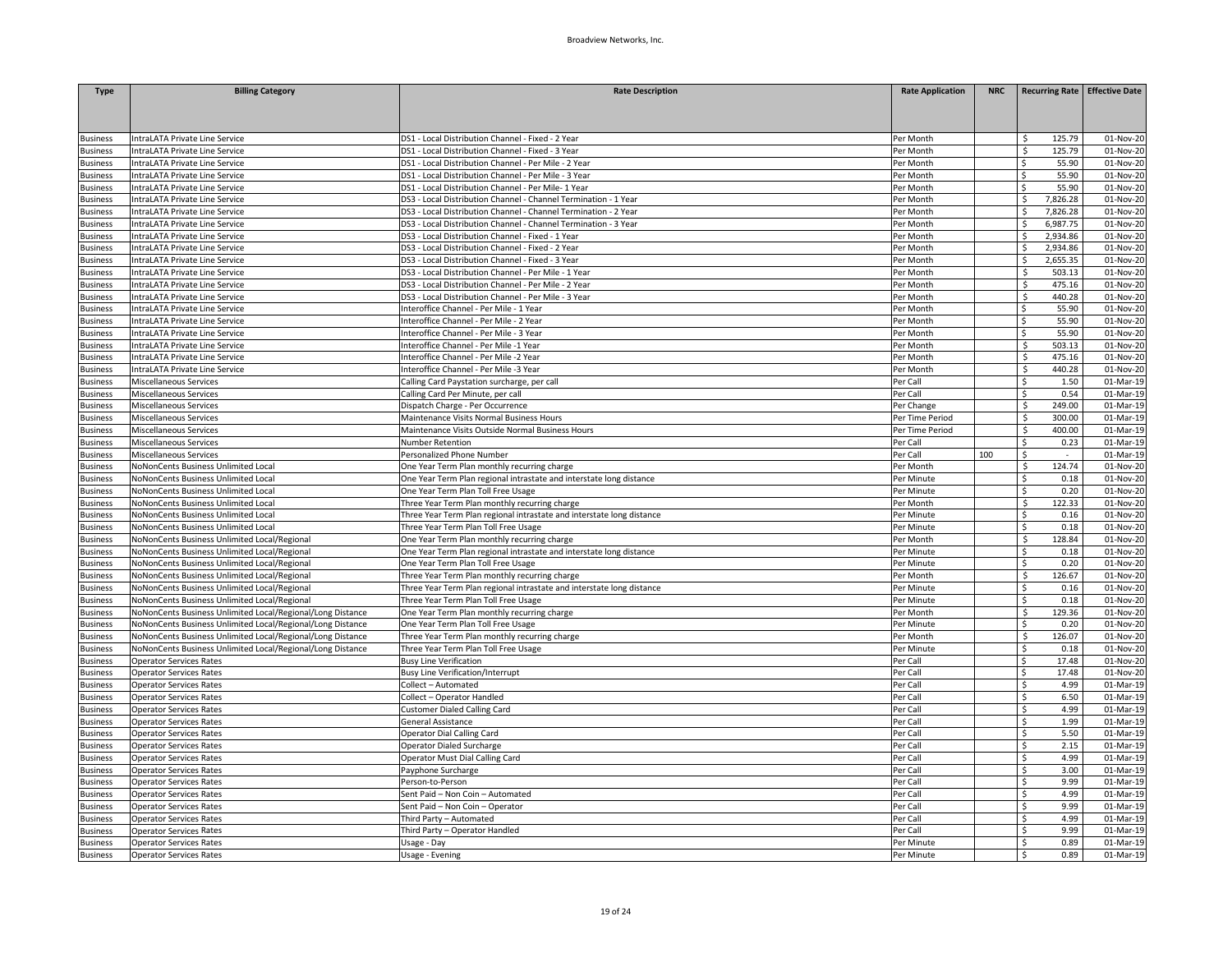| <b>Type</b>     | <b>Billing Category</b>                                    | <b>Rate Description</b>                                               | <b>Rate Application</b> | <b>NRC</b> | Recurring Rate Effective Date |                         |
|-----------------|------------------------------------------------------------|-----------------------------------------------------------------------|-------------------------|------------|-------------------------------|-------------------------|
|                 |                                                            |                                                                       |                         |            |                               |                         |
|                 |                                                            |                                                                       |                         |            |                               |                         |
| <b>Business</b> | IntraLATA Private Line Service                             | DS1 - Local Distribution Channel - Fixed - 2 Year                     | Per Month               |            | 125.79<br>Ŝ                   | 01-Nov-20               |
| <b>Business</b> | IntraLATA Private Line Service                             | DS1 - Local Distribution Channel - Fixed - 3 Year                     | Per Month               |            | \$.<br>125.79                 | 01-Nov-20               |
| <b>Business</b> | IntraLATA Private Line Service                             | DS1 - Local Distribution Channel - Per Mile - 2 Year                  | Per Month               |            | 55.90<br>Ś                    | 01-Nov-20               |
| susiness        | IntraLATA Private Line Service                             | DS1 - Local Distribution Channel - Per Mile - 3 Year                  | Per Month               |            | Ś<br>55.90                    | 01-Nov-20               |
| <b>Business</b> | IntraLATA Private Line Service                             | DS1 - Local Distribution Channel - Per Mile- 1 Year                   | Per Month               |            | Ś.<br>55.90                   | 01-Nov-20               |
| <b>Business</b> | IntraLATA Private Line Service                             | DS3 - Local Distribution Channel - Channel Termination - 1 Year       | Per Month               |            | 7,826.28<br>Ś                 | 01-Nov-20               |
| <b>Business</b> | ntraLATA Private Line Service                              | DS3 - Local Distribution Channel - Channel Termination - 2 Year       | Per Month               |            | Ŝ<br>7,826.28                 | 01-Nov-20               |
| <b>Business</b> | IntraLATA Private Line Service                             | DS3 - Local Distribution Channel - Channel Termination - 3 Year       | Per Month               |            | 6,987.75<br>Ŝ                 | 01-Nov-20               |
| <b>Business</b> | IntraLATA Private Line Service                             | DS3 - Local Distribution Channel - Fixed - 1 Year                     | Per Month               |            | 2,934.86<br>Ś                 | 01-Nov-20               |
| <b>Business</b> | IntraLATA Private Line Service                             | DS3 - Local Distribution Channel - Fixed - 2 Year                     | Per Month               |            | ς<br>2,934.86                 | 01-Nov-20               |
| <b>Business</b> | IntraLATA Private Line Service                             | DS3 - Local Distribution Channel - Fixed - 3 Year                     | Per Month               |            | 2,655.35<br>Ś                 | 01-Nov-20               |
| <b>Business</b> | IntraLATA Private Line Service                             | DS3 - Local Distribution Channel - Per Mile - 1 Year                  | Per Month               |            | 503.13<br>Ś                   | 01-Nov-20               |
| <b>Business</b> | IntraLATA Private Line Service                             | DS3 - Local Distribution Channel - Per Mile - 2 Year                  | Per Month               |            | \$<br>475.16                  | 01-Nov-20               |
| <b>Business</b> | IntraLATA Private Line Service                             | DS3 - Local Distribution Channel - Per Mile - 3 Year                  | Per Month               |            | \$<br>440.28                  | 01-Nov-20               |
| <b>Business</b> | IntraLATA Private Line Service                             | Interoffice Channel - Per Mile - 1 Year                               | Per Month               |            | 55.90<br>Ś.                   | 01-Nov-20               |
| <b>Business</b> | IntraLATA Private Line Service                             | Interoffice Channel - Per Mile - 2 Year                               | Per Month               |            | ς<br>55.90                    | 01-Nov-20               |
| <b>Business</b> | IntraLATA Private Line Service                             | Interoffice Channel - Per Mile - 3 Year                               | Per Month               |            | 55.90<br>Ś.                   | 01-Nov-20               |
| <b>Business</b> | IntraLATA Private Line Service                             | Interoffice Channel - Per Mile -1 Year                                | Per Month               |            | Ś.<br>503.13                  | 01-Nov-20               |
| <b>Business</b> | IntraLATA Private Line Service                             | Interoffice Channel - Per Mile -2 Year                                | Per Month               |            | \$<br>475.16                  | 01-Nov-20               |
| <b>Business</b> | IntraLATA Private Line Service                             | Interoffice Channel - Per Mile -3 Year                                | Per Month               |            | Ś.<br>440.28                  | 01-Nov-20               |
| <b>Business</b> | Miscellaneous Services                                     | Calling Card Paystation surcharge, per call                           | Per Call                |            | Ŝ.<br>1.50                    | 01-Mar-19               |
| <b>Business</b> | Miscellaneous Services                                     | Calling Card Per Minute, per call                                     | Per Call                |            | \$<br>0.54                    | 01-Mar-19               |
| <b>Business</b> | Miscellaneous Services                                     | Dispatch Charge - Per Occurrence                                      | Per Change              |            | \$.<br>249.00                 | 01-Mar-19               |
| <b>Business</b> | Miscellaneous Services                                     | Maintenance Visits Normal Business Hours                              | Per Time Period         |            | Ś.<br>300.00                  | 01-Mar-19               |
| <b>Business</b> | Miscellaneous Services                                     | Maintenance Visits Outside Normal Business Hours                      | Per Time Period         |            | Ś<br>400.00                   | 01-Mar-19               |
| <b>Business</b> | Miscellaneous Services                                     | Number Retention                                                      | Per Call                |            | Ś<br>0.23                     | 01-Mar-19               |
| <b>Business</b> | Miscellaneous Services                                     | Personalized Phone Number                                             | Per Call                | 100        | Ś.<br>$\sim$                  | 01-Mar-19               |
| <b>Business</b> | NoNonCents Business Unlimited Local                        | One Year Term Plan monthly recurring charge                           | Per Month               |            | Š.<br>124.74                  | 01-Nov-20               |
| <b>Business</b> | NoNonCents Business Unlimited Local                        | One Year Term Plan regional intrastate and interstate long distance   | Per Minute              |            | Ś<br>0.18                     | 01-Nov-20               |
| <b>Business</b> | NoNonCents Business Unlimited Local                        | One Year Term Plan Toll Free Usage                                    | Per Minute              |            | 0.20<br>Ś                     | 01-Nov-20               |
| <b>Business</b> | NoNonCents Business Unlimited Local                        | Three Year Term Plan monthly recurring charge                         | Per Month               |            | Ś<br>122.33                   | 01-Nov-20               |
| <b>Business</b> | NoNonCents Business Unlimited Local                        | Three Year Term Plan regional intrastate and interstate long distance | Per Minute              |            | \$.<br>0.16                   | $\overline{01}$ -Nov-20 |
| <b>Business</b> | NoNonCents Business Unlimited Local                        | Three Year Term Plan Toll Free Usage                                  | Per Minute              |            | 0.18<br>Ŝ.                    | 01-Nov-20               |
| <b>Business</b> | NoNonCents Business Unlimited Local/Regional               | One Year Term Plan monthly recurring charge                           | Per Month               |            | Ś<br>128.84                   | 01-Nov-20               |
| <b>Business</b> | NoNonCents Business Unlimited Local/Regional               | One Year Term Plan regional intrastate and interstate long distance   | Per Minute              |            | Ś<br>0.18                     | 01-Nov-20               |
| <b>Business</b> | NoNonCents Business Unlimited Local/Regional               | One Year Term Plan Toll Free Usage                                    | Per Minute              |            | Ś<br>0.20                     | 01-Nov-20               |
| <b>Business</b> | NoNonCents Business Unlimited Local/Regional               | Three Year Term Plan monthly recurring charge                         | Per Month               |            | Ś<br>126.67                   | 01-Nov-20               |
| <b>Business</b> | NoNonCents Business Unlimited Local/Regional               | Three Year Term Plan regional intrastate and interstate long distance | Per Minute              |            | Ś<br>0.16                     | 01-Nov-20               |
| <b>Business</b> | NoNonCents Business Unlimited Local/Regional               | Three Year Term Plan Toll Free Usage                                  | Per Minute              |            | 0.18<br>Ś.                    | 01-Nov-20               |
| <b>Business</b> | NoNonCents Business Unlimited Local/Regional/Long Distance | One Year Term Plan monthly recurring charge                           | Per Month               |            | 129.36<br>Ś                   | 01-Nov-20               |
| <b>Business</b> | NoNonCents Business Unlimited Local/Regional/Long Distance | One Year Term Plan Toll Free Usage                                    | Per Minute              |            | Ś<br>0.20                     | 01-Nov-20               |
| <b>Business</b> | NoNonCents Business Unlimited Local/Regional/Long Distance | Three Year Term Plan monthly recurring charge                         | Per Month               |            | 126.07<br>Ś.                  | 01-Nov-20               |
| <b>Business</b> | NoNonCents Business Unlimited Local/Regional/Long Distance | Three Year Term Plan Toll Free Usage                                  | Per Minute              |            | Ś<br>0.18                     | 01-Nov-20               |
| <b>Business</b> | <b>Operator Services Rates</b>                             | <b>Busy Line Verification</b>                                         | Per Call                |            | Ś<br>17.48                    | 01-Nov-20               |
| <b>Business</b> | <b>Operator Services Rates</b>                             | <b>Busy Line Verification/Interrupt</b>                               | Per Call                |            | 17.48<br>Ś.                   | 01-Nov-20               |
| susiness        | <b>Operator Services Rates</b>                             | Collect - Automated                                                   | Per Call                |            | Ś<br>4.99                     | 01-Mar-19               |
| <b>Business</b> | <b>Operator Services Rates</b>                             | Collect - Operator Handled                                            | Per Call                |            | \$.<br>6.50                   | 01-Mar-19               |
| <b>Business</b> | <b>Operator Services Rates</b>                             | Customer Dialed Calling Card                                          | Per Cal                 |            | 4.99<br>Ś.                    | 01-Mar-19               |
| <b>Business</b> | <b>Operator Services Rates</b>                             | General Assistance                                                    | Per Call                |            | \$<br>1.99                    | 01-Mar-19               |
| <b>Business</b> | <b>Operator Services Rates</b>                             | Operator Dial Calling Card                                            | Per Call                |            | \$<br>5.50                    | 01-Mar-19               |
| <b>Business</b> | <b>Operator Services Rates</b>                             | Operator Dialed Surcharge                                             | Per Call                |            | 2.15<br>Ś                     | 01-Mar-19               |
| <b>Business</b> | <b>Operator Services Rates</b>                             | Operator Must Dial Calling Card                                       | Per Call                |            | Ś<br>4.99                     | 01-Mar-19               |
| <b>Business</b> | <b>Operator Services Rates</b>                             | Payphone Surcharge                                                    | Per Call                |            | Ś<br>3.00                     | 01-Mar-19               |
| <b>Business</b> | <b>Operator Services Rates</b>                             | Person-to-Person                                                      | Per Call                |            | 9.99<br>Ŝ.                    | 01-Mar-19               |
| <b>Business</b> | <b>Operator Services Rates</b>                             | Sent Paid - Non Coin - Automated                                      | Per Call                |            | \$<br>4.99                    | 01-Mar-19               |
| <b>Business</b> | <b>Operator Services Rates</b>                             | Sent Paid - Non Coin - Operator                                       | Per Call                |            | Ś<br>9.99                     | 01-Mar-19               |
| <b>Business</b> | <b>Operator Services Rates</b>                             | Third Party - Automated                                               | Per Cal                 |            | 4.99<br>Ś                     | 01-Mar-19               |
| susiness        | <b>Operator Services Rates</b>                             | Third Party - Operator Handled                                        | Per Call                |            | \$<br>9.99                    | 01-Mar-19               |
| <b>Business</b> | <b>Operator Services Rates</b>                             | Usage - Day                                                           | Per Minute              |            | \$<br>0.89                    | 01-Mar-19               |
| <b>Business</b> | <b>Operator Services Rates</b>                             | Usage - Evening                                                       | Per Minute              |            | \$<br>0.89                    | 01-Mar-19               |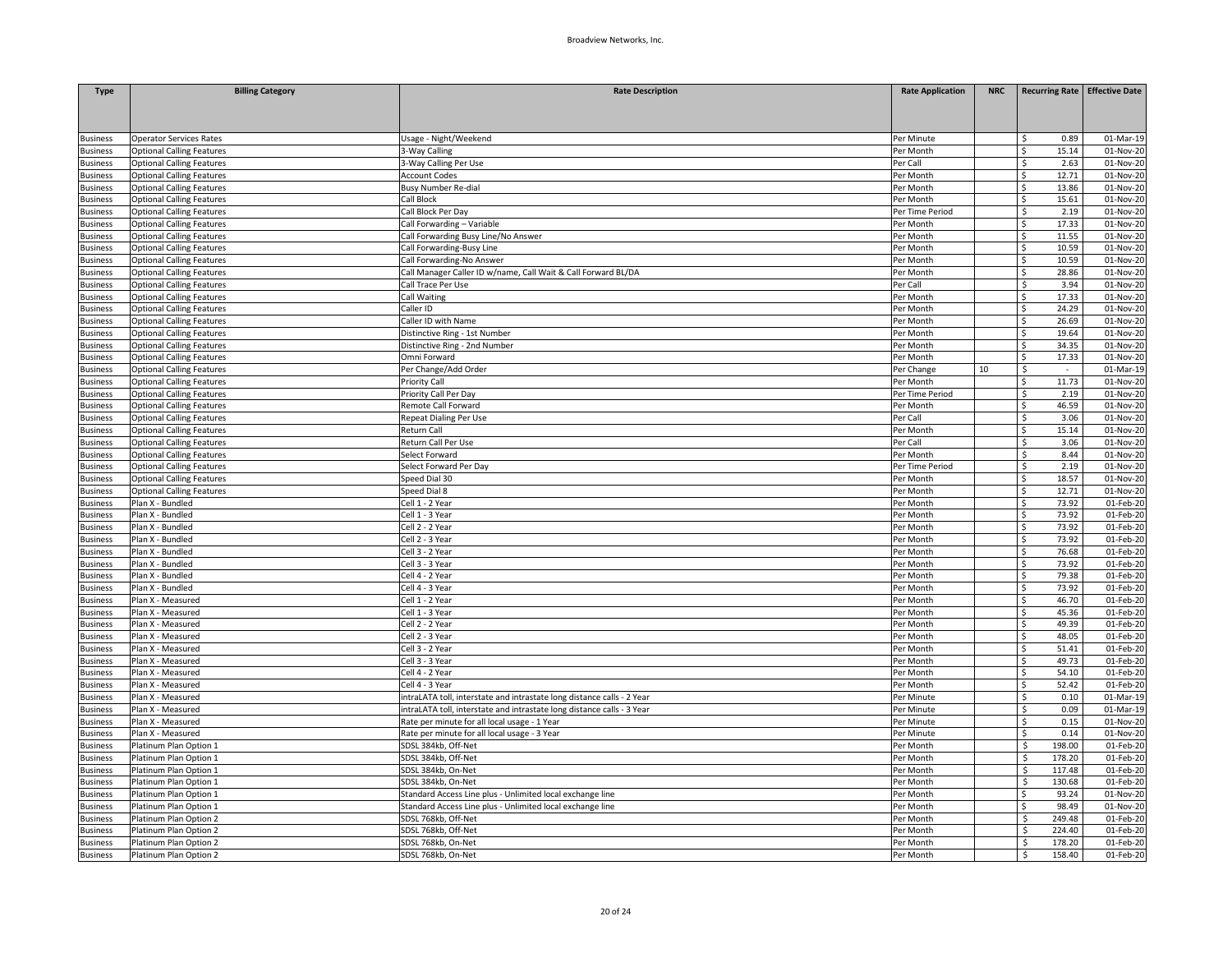| <b>Type</b>                        | <b>Billing Category</b>                                              | <b>Rate Description</b>                                                | <b>Rate Application</b>      | <b>NRC</b> | Recurring Rate Effective Date |                         |
|------------------------------------|----------------------------------------------------------------------|------------------------------------------------------------------------|------------------------------|------------|-------------------------------|-------------------------|
|                                    |                                                                      |                                                                        |                              |            |                               |                         |
|                                    |                                                                      |                                                                        |                              |            |                               |                         |
|                                    |                                                                      |                                                                        |                              |            |                               |                         |
| <b>Business</b><br><b>Business</b> | <b>Operator Services Rates</b><br><b>Optional Calling Features</b>   | Usage - Night/Weekend<br>3-Way Calling                                 | Per Minute<br>Per Month      |            | 0.89<br>Ś<br>15.14<br>Ś.      | 01-Mar-19<br>01-Nov-20  |
| <b>Business</b>                    | <b>Optional Calling Features</b>                                     | 3-Way Calling Per Use                                                  | Per Call                     |            | Ś<br>2.63                     | 01-Nov-20               |
| susiness                           | <b>Optional Calling Features</b>                                     | <b>Account Codes</b>                                                   | Per Month                    |            | Ś.<br>12.71                   | 01-Nov-20               |
| <b>Business</b>                    | <b>Optional Calling Features</b>                                     | Busy Number Re-dial                                                    | Per Month                    |            | Ś.<br>13.86                   | 01-Nov-20               |
| <b>Business</b>                    | <b>Optional Calling Features</b>                                     | Call Block                                                             | Per Month                    |            | 15.61<br>Ś                    | 01-Nov-20               |
| <b>Business</b>                    | <b>Optional Calling Features</b>                                     | Call Block Per Day                                                     | Per Time Period              |            | 2.19<br>Ś.                    | 01-Nov-20               |
| <b>Business</b>                    | <b>Optional Calling Features</b>                                     | Call Forwarding - Variable                                             | Per Month                    |            | Ś<br>17.33                    | 01-Nov-20               |
| <b>Business</b>                    | <b>Optional Calling Features</b>                                     | Call Forwarding Busy Line/No Answer                                    | Per Month                    |            | 11.55<br>Ś.                   | 01-Nov-20               |
| <b>Business</b>                    | <b>Optional Calling Features</b>                                     | Call Forwarding-Busy Line                                              | Per Month                    |            | \$<br>10.59                   | 01-Nov-20               |
| <b>Business</b>                    | <b>Optional Calling Features</b>                                     | Call Forwarding-No Answer                                              | Per Month                    |            | Ś.<br>10.59                   | 01-Nov-20               |
| <b>Business</b>                    | <b>Optional Calling Features</b>                                     | Call Manager Caller ID w/name, Call Wait & Call Forward BL/DA          | Per Month                    |            | 28.86<br>\$                   | 01-Nov-20               |
| <b>Business</b>                    | <b>Optional Calling Features</b>                                     | Call Trace Per Use                                                     | Per Call                     |            | 3.94<br>\$                    | 01-Nov-20               |
| <b>Business</b>                    | <b>Optional Calling Features</b>                                     | <b>Call Waiting</b>                                                    | Per Month                    |            | Ś<br>17.33                    | 01-Nov-20               |
| <b>Business</b>                    | <b>Optional Calling Features</b>                                     | Caller ID                                                              | Per Month                    |            | 24.29<br>Ś.                   | 01-Nov-20               |
| <b>Business</b>                    | <b>Optional Calling Features</b>                                     | Caller ID with Name                                                    | Per Month                    |            | ς.<br>26.69                   | 01-Nov-20               |
| <b>Business</b>                    | <b>Optional Calling Features</b>                                     | Distinctive Ring - 1st Number                                          | Per Month                    |            | Ś.<br>19.64                   | 01-Nov-20               |
| <b>Business</b>                    | <b>Optional Calling Features</b>                                     | Distinctive Ring - 2nd Number                                          | Per Month                    |            | 34.35<br>Ś.                   | 01-Nov-20               |
| <b>Business</b>                    | <b>Optional Calling Features</b>                                     | Omni Forward                                                           | Per Month                    |            | Ś.<br>17.33                   | 01-Nov-20               |
| <b>Business</b>                    | <b>Optional Calling Features</b>                                     | Per Change/Add Order                                                   | Per Change                   | 10         | \$<br>$\sim$                  | 01-Mar-19               |
|                                    |                                                                      | Priority Call                                                          |                              |            | 11.73<br>Ś.                   | 01-Nov-20               |
| <b>Business</b>                    | <b>Optional Calling Features</b><br><b>Optional Calling Features</b> | Priority Call Per Day                                                  | Per Month<br>Per Time Period |            | Ś<br>2.19                     | 01-Nov-20               |
| <b>Business</b><br><b>Business</b> | <b>Optional Calling Features</b>                                     | Remote Call Forward                                                    | Per Month                    |            | Ś<br>46.59                    | 01-Nov-20               |
|                                    |                                                                      |                                                                        | Per Call                     |            | 3.06<br>Ś                     |                         |
| <b>Business</b>                    | <b>Optional Calling Features</b>                                     | Repeat Dialing Per Use                                                 | Per Month                    |            | Ś.<br>15.14                   | 01-Nov-20<br>01-Nov-20  |
| <b>Business</b><br><b>Business</b> | <b>Optional Calling Features</b>                                     | Return Call<br>Return Call Per Use                                     | Per Call                     |            | Ś<br>3.06                     | 01-Nov-20               |
| <b>Business</b>                    | <b>Optional Calling Features</b>                                     | Select Forward                                                         | Per Month                    |            | 8.44<br>Ś                     | 01-Nov-20               |
|                                    | <b>Optional Calling Features</b>                                     | Select Forward Per Day                                                 |                              |            | Ś.<br>2.19                    | 01-Nov-20               |
| <b>Business</b><br><b>Business</b> | <b>Optional Calling Features</b><br><b>Optional Calling Features</b> | Speed Dial 30                                                          | Per Time Period<br>Per Month |            | Ś<br>18.57                    | 01-Nov-20               |
|                                    | <b>Optional Calling Features</b>                                     | Speed Dial 8                                                           |                              |            | 12.71<br>Ś.                   | 01-Nov-20               |
| <b>Business</b>                    | Plan X - Bundled                                                     | Cell 1 - 2 Year                                                        | Per Month<br>Per Month       |            | 73.92<br>Ś.                   | 01-Feb-20               |
| <b>Business</b><br><b>Business</b> | Plan X - Bundled                                                     | Cell 1 - 3 Year                                                        | Per Month                    |            | Ś.<br>73.92                   | 01-Feb-20               |
| <b>Business</b>                    | Plan X - Bundled                                                     | Cell 2 - 2 Year                                                        | Per Month                    |            | 73.92<br>Ś.                   | 01-Feb-20               |
| <b>Business</b>                    | Plan X - Bundled                                                     | Cell 2 - 3 Year                                                        | Per Month                    |            | ς.<br>73.92                   | 01-Feb-20               |
| <b>Business</b>                    | Plan X - Bundled                                                     | Cell 3 - 2 Year                                                        | Per Month                    |            | Š.<br>76.68                   | 01-Feb-20               |
| <b>Business</b>                    | Plan X - Bundled                                                     | Cell 3 - 3 Year                                                        | Per Month                    |            | 73.92<br>Ś.                   | 01-Feb-20               |
|                                    | Plan X - Bundled                                                     | Cell 4 - 2 Year                                                        | Per Month                    |            | 79.38<br>Ś                    | 01-Feb-20               |
| <b>Business</b><br><b>Business</b> | Plan X - Bundled                                                     | Cell 4 - 3 Year                                                        | Per Month                    |            | Ś<br>73.92                    | 01-Feb-20               |
| <b>Business</b>                    | Plan X - Measured                                                    | Cell 1 - 2 Year                                                        | Per Month                    |            | 46.70<br>Ś.                   | 01-Feb-20               |
|                                    | Plan X - Measured                                                    | Cell 1 - 3 Year                                                        | Per Month                    |            | 45.36                         | 01-Feb-20               |
| <b>Business</b><br><b>Business</b> | Plan X - Measured                                                    | Cell 2 - 2 Year                                                        | Per Month                    |            | 49.39<br>Ś.                   | 01-Feb-20               |
| <b>Business</b>                    | Plan X - Measured                                                    | Cell 2 - 3 Year                                                        | Per Month                    |            | 48.05<br>Ś.                   | 01-Feb-20               |
| <b>Business</b>                    | Plan X - Measured                                                    | Cell 3 - 2 Year                                                        | Per Month                    |            | 51.41<br>Ś.                   | 01-Feb-20               |
| <b>Business</b>                    | Plan X - Measured                                                    | Cell 3 - 3 Year                                                        | Per Month                    |            | \$<br>49.73                   | 01-Feb-20               |
| <b>Business</b>                    | Plan X - Measured                                                    | Cell 4 - 2 Year                                                        | Per Month                    |            | 54.10<br>Ś.                   | 01-Feb-20               |
| susiness                           | Plan X - Measured                                                    | Cell 4 - 3 Year                                                        | Per Month                    |            | 52.42<br>ς.                   | 01-Feb-20               |
| <b>Business</b>                    | Plan X - Measured                                                    | intraLATA toll, interstate and intrastate long distance calls - 2 Year | Per Minute                   |            | Ś.<br>0.10                    | $\overline{01}$ -Mar-19 |
| <b>Business</b>                    | Plan X - Measured                                                    | intraLATA toll, interstate and intrastate long distance calls - 3 Year | Per Minute                   |            | 0.09<br>Ś.                    | 01-Mar-19               |
| <b>Business</b>                    | Plan X - Measured                                                    | Rate per minute for all local usage - 1 Year                           | Per Minute                   |            | Ś<br>0.15                     | 01-Nov-20               |
| <b>Business</b>                    | Plan X - Measured                                                    | Rate per minute for all local usage - 3 Year                           | Per Minute                   |            | \$<br>0.14                    | 01-Nov-20               |
| <b>Business</b>                    | Platinum Plan Option 1                                               | SDSL 384kb, Off-Net                                                    | Per Month                    |            | \$<br>198.00                  | 01-Feb-20               |
| <b>Business</b>                    | Platinum Plan Option 1                                               | SDSL 384kb, Off-Net                                                    | Per Month                    |            | 178.20<br>Ś                   | 01-Feb-20               |
| <b>Business</b>                    | Platinum Plan Option 1                                               | SDSL 384kb, On-Net                                                     | Per Month                    |            | \$.<br>117.48                 | 01-Feb-20               |
| <b>Business</b>                    | Platinum Plan Option 1                                               | SDSL 384kb, On-Net                                                     | Per Month                    |            | \$<br>130.68                  | 01-Feb-20               |
|                                    | Platinum Plan Option 1                                               | Standard Access Line plus - Unlimited local exchange line              | Per Month                    |            | Ś.<br>93.24                   | 01-Nov-20               |
| <b>Business</b>                    |                                                                      | Standard Access Line plus - Unlimited local exchange line              | Per Month                    |            | Ś.<br>98.49                   | 01-Nov-20               |
| <b>Business</b><br><b>Business</b> | Platinum Plan Option 1<br>Platinum Plan Option 2                     | SDSL 768kb, Off-Net                                                    | Per Month                    |            | 249.48<br>S.                  | 01-Feb-20               |
| susiness                           | Platinum Plan Option 2                                               | SDSL 768kb, Off-Net                                                    | Per Month                    |            | Ś<br>224.40                   | 01-Feb-20               |
| <b>Business</b>                    | Platinum Plan Option 2                                               | SDSL 768kb, On-Net                                                     | Per Month                    |            | Ś<br>178.20                   | 01-Feb-20               |
|                                    | Platinum Plan Option 2                                               | SDSL 768kb, On-Net                                                     |                              |            | \$<br>158.40                  | 01-Feb-20               |
| <b>Business</b>                    |                                                                      |                                                                        | Per Month                    |            |                               |                         |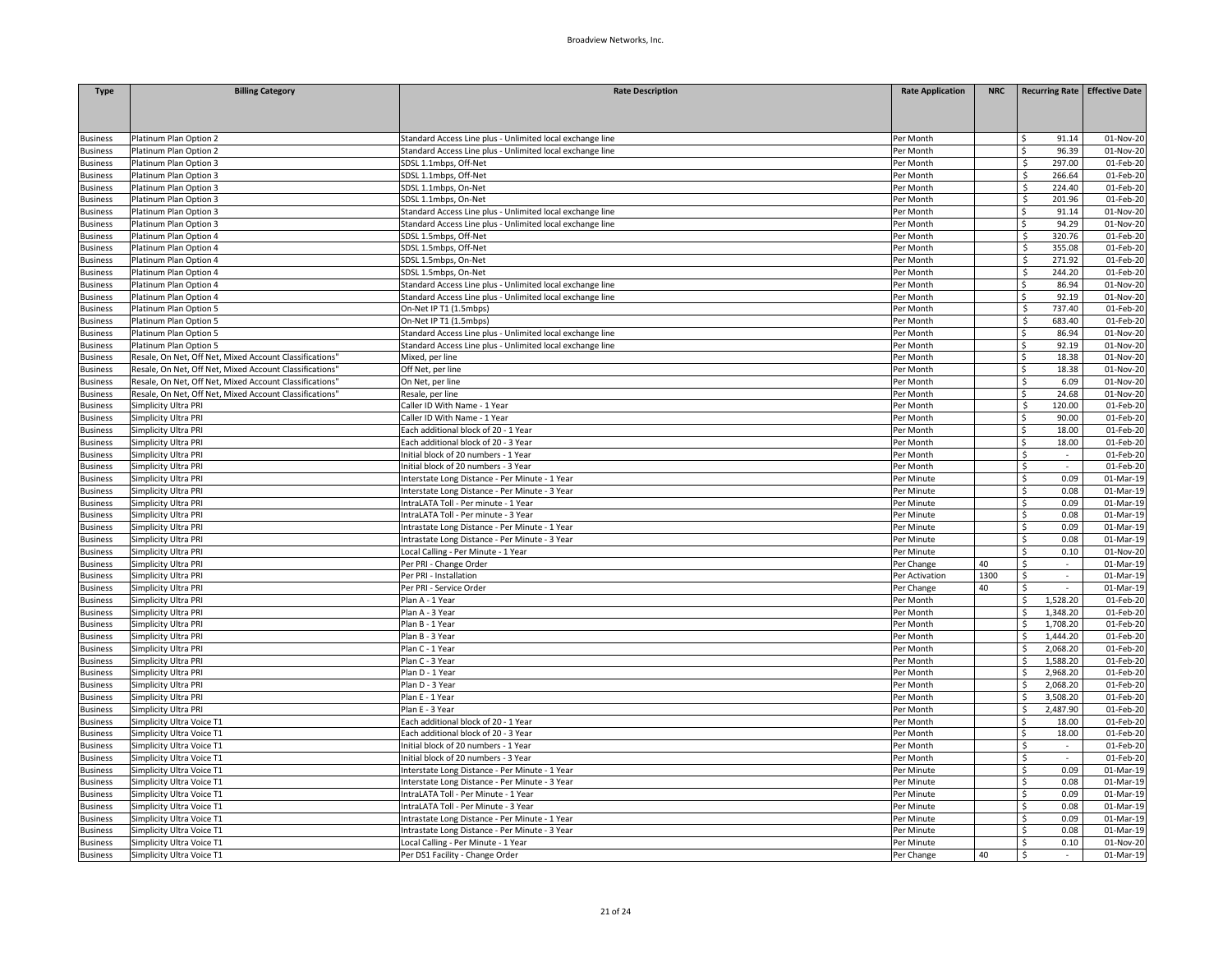| <b>Type</b>     | <b>Billing Category</b>                                 | <b>Rate Description</b>                                   | <b>Rate Application</b> | <b>NRC</b> | Recurring Rate Effective Date |           |
|-----------------|---------------------------------------------------------|-----------------------------------------------------------|-------------------------|------------|-------------------------------|-----------|
|                 |                                                         |                                                           |                         |            |                               |           |
|                 |                                                         |                                                           |                         |            |                               |           |
|                 |                                                         |                                                           |                         |            |                               |           |
| <b>Business</b> | Platinum Plan Option 2                                  | Standard Access Line plus - Unlimited local exchange line | Per Month               |            | 91.14                         | 01-Nov-20 |
| <b>Business</b> | Platinum Plan Option 2                                  | Standard Access Line plus - Unlimited local exchange line | Per Month               |            | 96.39                         | 01-Nov-20 |
| <b>Business</b> | Platinum Plan Option 3                                  | SDSL 1.1mbps, Off-Net                                     | Per Month               |            | 297.00<br>\$                  | 01-Feb-20 |
| <b>Business</b> | Platinum Plan Option 3                                  | SDSL 1.1mbps, Off-Net                                     | Per Month               |            | 266.64<br>S.                  | 01-Feb-20 |
| usiness         | Platinum Plan Option 3                                  | SDSL 1.1mbps, On-Net                                      | Per Month               |            | Ś<br>224.40                   | 01-Feb-20 |
| <b>Business</b> | Platinum Plan Option 3                                  | SDSL 1.1mbps, On-Net                                      | Per Month               |            | Ś<br>201.96                   | 01-Feb-20 |
| usiness         | Platinum Plan Option 3                                  | Standard Access Line plus - Unlimited local exchange line | Per Month               |            | 91.14<br>Ŝ                    | 01-Nov-20 |
| <b>Business</b> | Platinum Plan Option 3                                  | Standard Access Line plus - Unlimited local exchange line | Per Month               |            | Ś<br>94.29                    | 01-Nov-20 |
| <b>Business</b> | Platinum Plan Option 4                                  | SDSL 1.5mbps, Off-Net                                     | Per Month               |            | \$<br>320.76                  | 01-Feb-20 |
| <b>Business</b> | Platinum Plan Option 4                                  | SDSL 1.5mbps, Off-Net                                     | Per Month               |            | 355.08<br>\$                  | 01-Feb-20 |
| usiness         | Platinum Plan Option 4                                  | SDSL 1.5mbps, On-Net                                      | Per Month               |            | Ŝ<br>271.92                   | 01-Feb-20 |
| <b>Business</b> | Platinum Plan Option 4                                  | SDSL 1.5mbps, On-Net                                      | Per Month               |            | Ŝ<br>244.20                   | 01-Feb-20 |
| <b>Business</b> | Platinum Plan Option 4                                  | Standard Access Line plus - Unlimited local exchange line | Per Month               |            | 86.94<br>Ŝ.                   | 01-Nov-20 |
| <b>Business</b> | Platinum Plan Option 4                                  | Standard Access Line plus - Unlimited local exchange line | Per Month               |            | 92.19<br>Ś                    | 01-Nov-20 |
| <b>Business</b> | Platinum Plan Option 5                                  | On-Net IP T1 (1.5mbps)                                    | Per Month               |            | Ś<br>737.40                   | 01-Feb-20 |
| <b>Business</b> | Platinum Plan Option 5                                  | On-Net IP T1 (1.5mbps)                                    | Per Month               |            | 683.40<br>Ŝ.                  | 01-Feb-20 |
| <b>Business</b> | Platinum Plan Option 5                                  | Standard Access Line plus - Unlimited local exchange line | Per Month               |            | 86.94                         | 01-Nov-20 |
| <b>Business</b> | Platinum Plan Option 5                                  | Standard Access Line plus - Unlimited local exchange line | Per Month               |            | Ś.<br>92.19                   | 01-Nov-20 |
| <b>Business</b> | Resale, On Net, Off Net, Mixed Account Classifications  | Mixed, per line                                           | Per Month               |            | 18.38<br>Ŝ.                   | 01-Nov-20 |
| usiness         | Resale, On Net, Off Net, Mixed Account Classifications  | Off Net, per line                                         | Per Month               |            | 18.38<br>Ś                    | 01-Nov-20 |
| usiness         | Resale, On Net, Off Net, Mixed Account Classifications' | On Net, per line                                          | Per Month               |            | Ś<br>6.09                     | 01-Nov-20 |
| usiness         | Resale, On Net, Off Net, Mixed Account Classifications  | Resale, per line                                          | Per Month               |            | 24.68<br>Ŝ.                   | 01-Nov-20 |
| usiness         | Simplicity Ultra PRI                                    | Caller ID With Name - 1 Year                              | Per Month               |            | Ś<br>120.00                   | 01-Feb-20 |
| <b>Business</b> | Simplicity Ultra PRI                                    | Caller ID With Name - 1 Year                              | Per Month               |            | 90.00<br>Ś                    | 01-Feb-20 |
| <b>Business</b> | Simplicity Ultra PRI                                    | Each additional block of 20 - 1 Year                      | Per Month               |            | 18.00<br>Ś.                   | 01-Feb-20 |
| usiness         | Simplicity Ultra PRI                                    | Each additional block of 20 - 3 Year                      | Per Month               |            | 18.00<br>Ś                    | 01-Feb-20 |
| <b>Business</b> | Simplicity Ultra PRI                                    | nitial block of 20 numbers - 1 Year                       | Per Month               |            | \$<br>$\sim$                  | 01-Feb-20 |
| usiness         | Simplicity Ultra PRI                                    | Initial block of 20 numbers - 3 Year                      | Per Month               |            | Ŝ.<br>$\sim$                  | 01-Feb-20 |
| usiness         | Simplicity Ultra PRI                                    | nterstate Long Distance - Per Minute - 1 Year             | Per Minute              |            | 0.09<br>Ś                     | 01-Mar-19 |
| <b>Business</b> | Simplicity Ultra PRI                                    | nterstate Long Distance - Per Minute - 3 Year             | Per Minute              |            | Ś<br>0.08                     | 01-Mar-19 |
| <b>Business</b> | Simplicity Ultra PRI                                    | IntraLATA Toll - Per minute - 1 Year                      | Per Minute              |            | 0.09<br>\$.                   | 01-Mar-19 |
| <b>Business</b> | Simplicity Ultra PRI                                    | IntraLATA Toll - Per minute - 3 Year                      | Per Minute              |            | Ś<br>0.08                     | 01-Mar-19 |
| <b>Business</b> | Simplicity Ultra PRI                                    | ntrastate Long Distance - Per Minute - 1 Year             | Per Minute              |            | Ś<br>0.09                     | 01-Mar-19 |
| <b>Business</b> | Simplicity Ultra PRI                                    | Intrastate Long Distance - Per Minute - 3 Year            | Per Minute              |            | 0.08<br>\$                    | 01-Mar-19 |
| usiness         | Simplicity Ultra PRI                                    | Local Calling - Per Minute - 1 Year                       | Per Minute              |            | \$<br>0.10                    | 01-Nov-20 |
| <b>Business</b> | Simplicity Ultra PRI                                    | Per PRI - Change Order                                    | Per Change              | 40         | Ś<br>$\sim$                   | 01-Mar-19 |
| <b>Business</b> | Simplicity Ultra PRI                                    | Per PRI - Installation                                    | Per Activation          | 1300       | \$.<br>$\sim$                 | 01-Mar-19 |
| <b>Business</b> | Simplicity Ultra PRI                                    | Per PRI - Service Order                                   | Per Change              | 40         | Ś<br>÷                        | 01-Mar-19 |
| usiness         | Simplicity Ultra PRI                                    | Plan A - 1 Year                                           | Per Month               |            | 1,528.20<br>Ś                 | 01-Feb-20 |
| <b>Business</b> | Simplicity Ultra PRI                                    | Plan A - 3 Year                                           | Per Month               |            | 1,348.20<br>Ŝ.                | 01-Feb-20 |
| usiness         | Simplicity Ultra PRI                                    | Plan B - 1 Year                                           | Per Month               |            | 1,708.20<br>Ś.                | 01-Feb-20 |
| <b>Business</b> | Simplicity Ultra PRI                                    | Plan B - 3 Year                                           | Per Month               |            | 1,444.20                      | 01-Feb-20 |
| <b>Business</b> | Simplicity Ultra PRI                                    | Plan C - 1 Year                                           | Per Month               |            | 2,068.20                      | 01-Feb-20 |
| usiness         | Simplicity Ultra PRI                                    | Plan C - 3 Year                                           | Per Month               |            | 1,588.20<br>ς                 | 01-Feb-20 |
| usiness         | Simplicity Ultra PRI                                    | Plan D - 1 Year                                           | Per Month               |            | 2,968.20                      | 01-Feb-20 |
| <b>Business</b> | Simplicity Ultra PRI                                    | Plan D - 3 Year                                           | Per Month               |            | Ŝ<br>2,068.20                 | 01-Feb-20 |
| usiness         | Simplicity Ultra PRI                                    | Plan E - 1 Year                                           | Per Month               |            | 3,508.20<br>S                 | 01-Feb-20 |
| <b>Business</b> | Simplicity Ultra PRI                                    | Plan E - 3 Year                                           | Per Month               |            | 2,487.90<br>Ś                 | 01-Feb-20 |
| <b>Business</b> | Simplicity Ultra Voice T1                               | Each additional block of 20 - 1 Year                      | Per Month               |            | 18.00<br>\$                   | 01-Feb-20 |
| usiness         | Simplicity Ultra Voice T1                               | Each additional block of 20 - 3 Year                      | Per Month               |            | 18.00                         | 01-Feb-20 |
| usiness         | Simplicity Ultra Voice T1                               | Initial block of 20 numbers - 1 Year                      | Per Month               |            | \$<br>$\sim$                  | 01-Feb-20 |
| <b>Business</b> | Simplicity Ultra Voice T1                               | initial block of 20 numbers - 3 Year                      | Per Month               |            | \$                            | 01-Feb-20 |
| usiness         | Simplicity Ultra Voice T1                               | nterstate Long Distance - Per Minute - 1 Year             | Per Minute              |            | \$<br>0.09                    | 01-Mar-19 |
| <b>Business</b> | Simplicity Ultra Voice T1                               | Interstate Long Distance - Per Minute - 3 Year            | Per Minute              |            | 0.08<br>Ś                     | 01-Mar-19 |
| <b>Business</b> | Simplicity Ultra Voice T1                               | IntraLATA Toll - Per Minute - 1 Year                      | Per Minute              |            | \$<br>0.09                    | 01-Mar-19 |
| <b>Business</b> | Simplicity Ultra Voice T1                               | ntraLATA Toll - Per Minute - 3 Year                       | Per Minute              |            | Ŝ.<br>0.08                    | 01-Mar-19 |
| <b>Business</b> | Simplicity Ultra Voice T1                               | Intrastate Long Distance - Per Minute - 1 Year            | Per Minute              |            | 0.09<br>Ŝ                     | 01-Mar-19 |
| <b>Business</b> | Simplicity Ultra Voice T1                               | Intrastate Long Distance - Per Minute - 3 Year            | Per Minute              |            | Ŝ.<br>0.08                    | 01-Mar-19 |
| usiness         | Simplicity Ultra Voice T1                               | Local Calling - Per Minute - 1 Year                       | Per Minute              |            | Ś.<br>0.10                    | 01-Nov-20 |
| <b>Business</b> | Simplicity Ultra Voice T1                               | Per DS1 Facility - Change Order                           | Per Change              | 40         | \$<br>$\sim$                  | 01-Mar-19 |
|                 |                                                         |                                                           |                         |            |                               |           |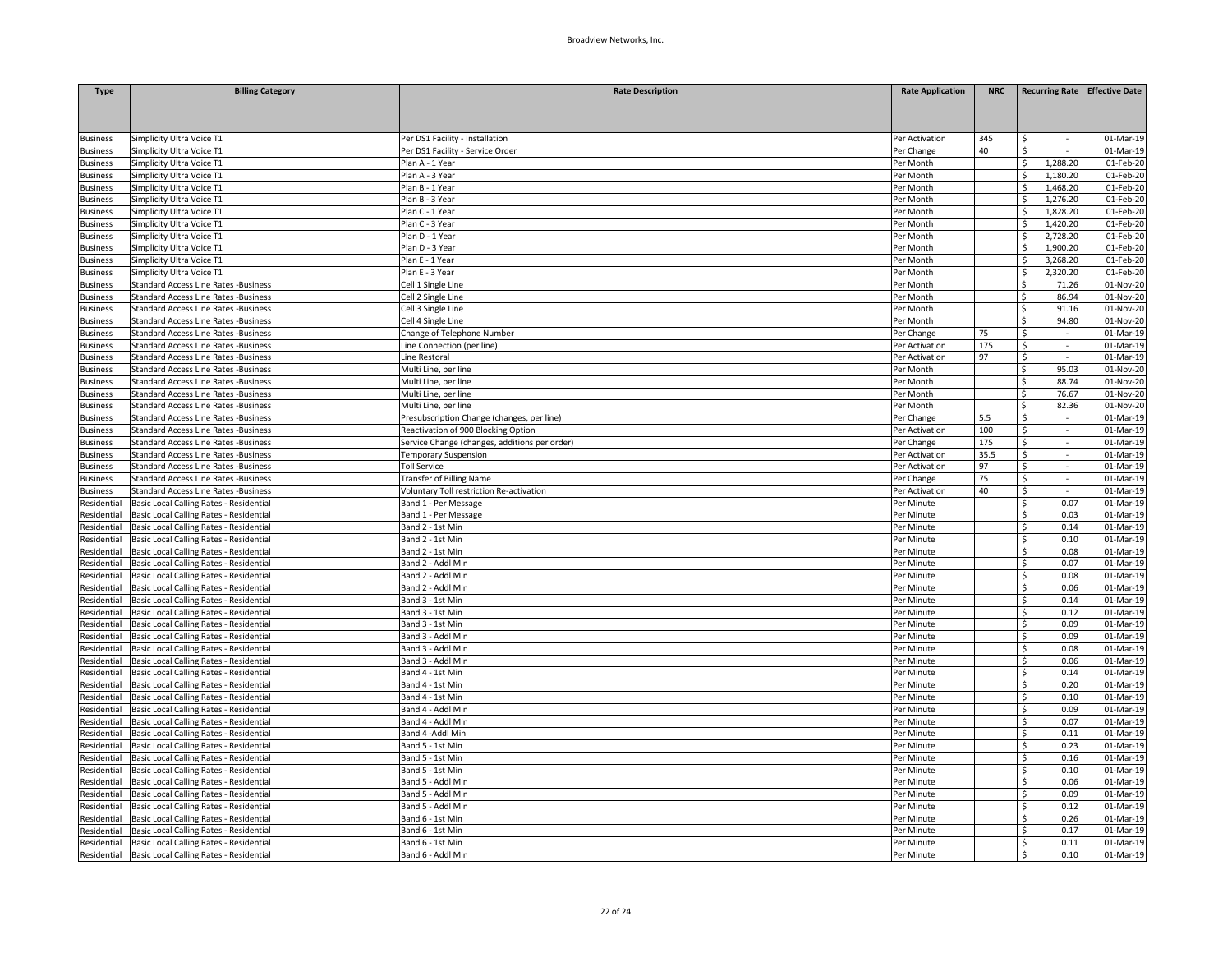| <b>Type</b>     | <b>Billing Category</b>                     | <b>Rate Description</b>                       | <b>Rate Application</b> | <b>NRC</b> | Recurring Rate Effective Date     |           |
|-----------------|---------------------------------------------|-----------------------------------------------|-------------------------|------------|-----------------------------------|-----------|
|                 |                                             |                                               |                         |            |                                   |           |
|                 |                                             |                                               |                         |            |                                   |           |
| <b>Business</b> | Simplicity Ultra Voice T1                   | Per DS1 Facility - Installation               | Per Activation          | 345        | Ŝ                                 | 01-Mar-19 |
| <b>Business</b> | Simplicity Ultra Voice T1                   | Per DS1 Facility - Service Order              | Per Change              | 40         | Ŝ.                                | 01-Mar-19 |
| <b>Business</b> | Simplicity Ultra Voice T1                   | Plan A - 1 Year                               | Per Month               |            | 1,288.20<br>Ś                     | 01-Feb-20 |
| usiness         | Simplicity Ultra Voice T1                   | Plan A - 3 Year                               | Per Month               |            | Ŝ<br>1,180.20                     | 01-Feb-20 |
| usiness         | Simplicity Ultra Voice T1                   | Plan B - 1 Year                               | Per Month               |            | Ś<br>1,468.20                     | 01-Feb-20 |
| usiness         | Simplicity Ultra Voice T1                   | Plan B - 3 Year                               | Per Month               |            | 1,276.20                          | 01-Feb-20 |
| <b>Business</b> | Simplicity Ultra Voice T1                   | Plan C - 1 Year                               | Per Month               |            | 1,828.20<br>Ś.                    | 01-Feb-20 |
| usiness         | Simplicity Ultra Voice T1                   | Plan C - 3 Year                               | Per Month               |            | 1,420.20<br>Ś                     | 01-Feb-20 |
| <b>Business</b> | Simplicity Ultra Voice T1                   | Plan D - 1 Year                               | Per Month               |            | 2,728.20                          | 01-Feb-20 |
| <b>Business</b> | Simplicity Ultra Voice T1                   | Plan D - 3 Year                               | Per Month               |            | 1,900.20<br>Ś                     | 01-Feb-20 |
| <b>Business</b> | Simplicity Ultra Voice T1                   | Plan E - 1 Year                               | Per Month               |            | 3,268.20                          | 01-Feb-20 |
| <b>Business</b> | Simplicity Ultra Voice T1                   | Plan E - 3 Year                               | Per Month               |            | 2,320.20<br>S                     | 01-Feb-20 |
| <b>Business</b> | <b>Standard Access Line Rates -Business</b> | Cell 1 Single Line                            | Per Month               |            | \$<br>71.26                       | 01-Nov-20 |
| <b>Business</b> | <b>Standard Access Line Rates -Business</b> | Cell 2 Single Line                            | Per Month               |            | 86.94                             | 01-Nov-20 |
| <b>Business</b> | <b>Standard Access Line Rates -Business</b> | Cell 3 Single Line                            | Per Month               |            | 91.16<br>Ś                        | 01-Nov-20 |
| <b>Business</b> | <b>Standard Access Line Rates -Business</b> | Cell 4 Single Line                            | Per Month               |            | 94.80                             | 01-Nov-20 |
| usiness         | <b>Standard Access Line Rates -Business</b> | Change of Telephone Number                    | Per Change              | 75         | Ŝ.                                | 01-Mar-19 |
| <b>Business</b> | <b>Standard Access Line Rates -Business</b> | Line Connection (per line)                    | Per Activation          | 175        | \$<br>$\sim$                      | 01-Mar-19 |
| <b>Business</b> | <b>Standard Access Line Rates -Business</b> | Line Restoral                                 | Per Activation          | 97         | \$<br>$\sim$                      | 01-Mar-19 |
| <b>Business</b> | <b>Standard Access Line Rates -Business</b> | Multi Line, per line                          | Per Month               |            | 95.03<br>Ś.                       | 01-Nov-20 |
| usiness         | <b>Standard Access Line Rates -Business</b> | Multi Line, per line                          | Per Month               |            | 88.74<br>Ś.                       | 01-Nov-20 |
| <b>Business</b> | <b>Standard Access Line Rates -Business</b> | Multi Line, per line                          | Per Month               |            | Ś.<br>76.67                       | 01-Nov-20 |
| usiness         | <b>Standard Access Line Rates -Business</b> | Multi Line, per line                          | Per Month               |            | 82.36<br>Ś.                       | 01-Nov-20 |
| <b>Business</b> | <b>Standard Access Line Rates -Business</b> | Presubscription Change (changes, per line)    | Per Change              | 5.5        | Ś<br>$\sim$                       | 01-Mar-19 |
| <b>Business</b> | Standard Access Line Rates -Business        | Reactivation of 900 Blocking Option           | Per Activation          | 100        | Š.<br>$\mathcal{L}_{\mathcal{A}}$ | 01-Mar-19 |
| <b>Business</b> | <b>Standard Access Line Rates -Business</b> | Service Change (changes, additions per order) | Per Change              | 175        | Ś<br>$\overline{\phantom{a}}$     | 01-Mar-19 |
| <b>Business</b> | <b>Standard Access Line Rates -Business</b> | <b>Temporary Suspension</b>                   | Per Activation          | 35.5       | \$<br>$\sim$                      | 01-Mar-19 |
| <b>Business</b> | <b>Standard Access Line Rates -Business</b> | <b>Toll Service</b>                           | Per Activation          | 97         | \$<br>$\sim$                      | 01-Mar-19 |
| <b>Business</b> | <b>Standard Access Line Rates -Business</b> | Transfer of Billing Name                      | Per Change              | 75         | \$                                | 01-Mar-19 |
| <b>Business</b> | <b>Standard Access Line Rates -Business</b> | Voluntary Toll restriction Re-activation      | Per Activation          | 40         | Ś.<br>$\sim$                      | 01-Mar-19 |
| Residential     | Basic Local Calling Rates - Residential     | Band 1 - Per Message                          | Per Minute              |            | $\overline{\mathsf{s}}$<br>0.07   | 01-Mar-19 |
| Residential     | Basic Local Calling Rates - Residential     | Band 1 - Per Message                          | Per Minute              |            | \$.<br>0.03                       | 01-Mar-19 |
| Residential     | Basic Local Calling Rates - Residential     | Band 2 - 1st Min                              | Per Minute              |            | 0.14<br>Ś                         | 01-Mar-19 |
| Residential     | Basic Local Calling Rates - Residential     | Band 2 - 1st Min                              | Per Minute              |            | Ś<br>0.10                         | 01-Mar-19 |
| Residential     | Basic Local Calling Rates - Residential     | Band 2 - 1st Min                              | Per Minute              |            | Ś<br>0.08                         | 01-Mar-19 |
| Residential     | Basic Local Calling Rates - Residential     | Band 2 - Addl Min                             | Per Minute              |            | 0.07<br>Ŝ.                        | 01-Mar-19 |
| Residential     | Basic Local Calling Rates - Residential     | Band 2 - Addl Min                             | Per Minute              |            | Ś<br>0.08                         | 01-Mar-19 |
| Residential     | Basic Local Calling Rates - Residential     | Band 2 - Addl Min                             | Per Minute              |            | Ś<br>0.06                         | 01-Mar-19 |
| Residential     | Basic Local Calling Rates - Residential     | Band 3 - 1st Min                              | Per Minute              |            | 0.14<br>Ś                         | 01-Mar-19 |
| Residential     | Basic Local Calling Rates - Residential     | Band 3 - 1st Min                              | Per Minute              |            | Ś<br>0.12                         | 01-Mar-19 |
| Residential     | Basic Local Calling Rates - Residential     | Band 3 - 1st Min                              | Per Minute              |            | Ś<br>0.09                         | 01-Mar-19 |
| Residential     | Basic Local Calling Rates - Residential     | Band 3 - Addl Min                             | Per Minute              |            | 0.09<br>\$                        | 01-Mar-19 |
| Residential     | Basic Local Calling Rates - Residential     | Band 3 - Addl Min                             | Per Minute              |            | \$<br>0.08                        | 01-Mar-19 |
| Residential     | Basic Local Calling Rates - Residential     | Band 3 - Addl Min                             | Per Minute              |            | Ś<br>0.06                         | 01-Mar-19 |
| Residential     | Basic Local Calling Rates - Residential     | Band 4 - 1st Min                              | Per Minute              |            | 0.14<br>\$.                       | 01-Mar-19 |
| Residential     | Basic Local Calling Rates - Residential     | Band 4 - 1st Min                              | Per Minute              |            | Ś<br>0.20                         | 01-Mar-19 |
| Residential     | Basic Local Calling Rates - Residential     | Band 4 - 1st Min                              | Per Minute              |            | \$<br>0.10                        | 01-Mar-19 |
| Residential     | Basic Local Calling Rates - Residential     | Band 4 - Addl Min                             | Per Minute              |            | 0.09<br>\$.                       | 01-Mar-19 |
| Residential     | Basic Local Calling Rates - Residential     | Band 4 - Addl Min                             | Per Minute              |            | Ś<br>0.07                         | 01-Mar-19 |
| Residential     | Basic Local Calling Rates - Residential     | Band 4 - Addl Min                             | Per Minute              |            | Ś<br>0.11                         | 01-Mar-19 |
| Residential     | Basic Local Calling Rates - Residential     | Band 5 - 1st Min                              | Per Minute              |            | 0.23<br>Ś.                        | 01-Mar-19 |
| Residential     | Basic Local Calling Rates - Residential     | Band 5 - 1st Min                              | Per Minute              |            | Ś<br>0.16                         | 01-Mar-19 |
| Residential     | Basic Local Calling Rates - Residential     | Band 5 - 1st Min                              | Per Minute              |            | Ś<br>0.10                         | 01-Mar-19 |
| Residential     | Basic Local Calling Rates - Residential     | Band 5 - Addl Min                             | Per Minute              |            | 0.06<br>Ś                         | 01-Mar-19 |
| Residential     | Basic Local Calling Rates - Residential     | Band 5 - Addl Min                             | Per Minute              |            | Ś<br>0.09                         | 01-Mar-19 |
| Residential     | Basic Local Calling Rates - Residential     | Band 5 - Addl Min                             | Per Minute              |            | Ś<br>0.12                         | 01-Mar-19 |
| Residential     | Basic Local Calling Rates - Residential     | Band 6 - 1st Min                              | Per Minute              |            | 0.26<br>Ś                         | 01-Mar-19 |
| Residential     | Basic Local Calling Rates - Residential     | Band 6 - 1st Min                              | Per Minute              |            | Ś<br>0.17                         | 01-Mar-19 |
| Residential     | Basic Local Calling Rates - Residential     | Band 6 - 1st Min                              | Per Minute              |            | Ś<br>0.11                         | 01-Mar-19 |
| Residential     | Basic Local Calling Rates - Residential     | Band 6 - Addl Min                             | Per Minute              |            | 0.10<br>Ś                         | 01-Mar-19 |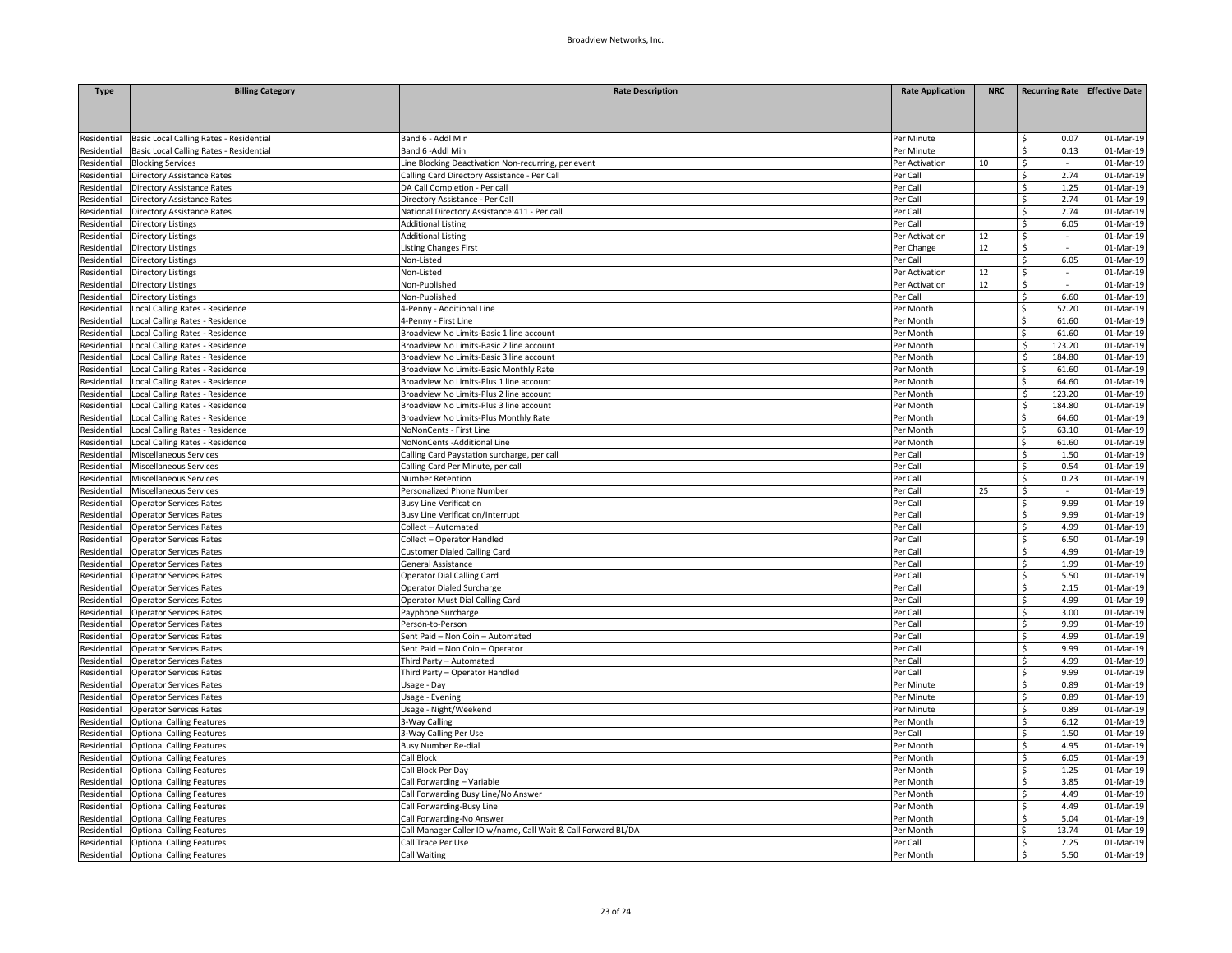| <b>Type</b> | <b>Billing Category</b>                 | <b>Rate Description</b>                                       | <b>Rate Application</b> | <b>NRC</b> |              | Recurring Rate   Effective Date |
|-------------|-----------------------------------------|---------------------------------------------------------------|-------------------------|------------|--------------|---------------------------------|
|             |                                         |                                                               |                         |            |              |                                 |
|             |                                         |                                                               |                         |            |              |                                 |
|             |                                         |                                                               |                         |            |              |                                 |
| Residential | Basic Local Calling Rates - Residential | Band 6 - Addl Min                                             | Per Minute              |            | Ś            | 0.07<br>01-Mar-19               |
| Residential | Basic Local Calling Rates - Residential | Band 6 -Addl Min                                              | Per Minute              |            | S.           | 0.13<br>01-Mar-19               |
| Residential | <b>Blocking Services</b>                | Line Blocking Deactivation Non-recurring, per event           | Per Activation          | 10         | \$           | 01-Mar-19<br>$\sim$             |
| Residential | <b>Directory Assistance Rates</b>       | Calling Card Directory Assistance - Per Call                  | Per Call                |            | \$           | 2.74<br>01-Mar-19               |
| Residential | <b>Directory Assistance Rates</b>       | DA Call Completion - Per call                                 | Per Call                |            | \$           | 1.25<br>01-Mar-19               |
| Residential | <b>Directory Assistance Rates</b>       | Directory Assistance - Per Call                               | Per Call                |            | Ś.           | 2.74<br>01-Mar-19<br>2.74       |
| Residential | Directory Assistance Rates              | National Directory Assistance: 411 - Per call                 | Per Call                |            | Ś.<br>Ś      | 01-Mar-19                       |
| Residential | <b>Directory Listings</b>               | <b>Additional Listing</b>                                     | Per Call                |            |              | 6.05<br>01-Mar-19               |
| Residential | <b>Directory Listings</b>               | <b>Additional Listing</b>                                     | Per Activation          | 12         | \$           | 01-Mar-19<br>$\sim$             |
| Residential | Directory Listings                      | <b>Listing Changes First</b>                                  | Per Change              | 12         | \$           | 01-Mar-19                       |
| Residential | Directory Listings                      | Non-Listed                                                    | Per Call                |            | \$           | 6.05<br>01-Mar-19               |
| Residential | <b>Directory Listings</b>               | Non-Listed                                                    | Per Activation          | 12<br>12   | \$           | 01-Mar-19<br>$\sim$<br>$\sim$   |
| Residential | <b>Directory Listings</b>               | Non-Published                                                 | Per Activation          |            | \$           | 01-Mar-19                       |
| Residential | <b>Directory Listings</b>               | Non-Published                                                 | Per Call                |            | \$           | 6.60<br>01-Mar-19               |
| Residential | Local Calling Rates - Residence         | 4-Penny - Additional Line                                     | Per Month               |            | 52.20<br>Ś.  | 01-Mar-19                       |
| Residential | Local Calling Rates - Residence         | 4-Penny - First Line                                          | Per Month               |            | Ś<br>61.60   | 01-Mar-19                       |
| Residential | Local Calling Rates - Residence         | Broadview No Limits-Basic 1 line account                      | Per Month               |            | \$<br>61.60  | 01-Mar-19                       |
| Residential | Local Calling Rates - Residence         | Broadview No Limits-Basic 2 line account                      | Per Month               |            | 123.20<br>Ŝ. | 01-Mar-19                       |
| Residential | Local Calling Rates - Residence         | Broadview No Limits-Basic 3 line account                      | Per Month               |            | \$<br>184.80 | 01-Mar-19                       |
| Residential | Local Calling Rates - Residence         | Broadview No Limits-Basic Monthly Rate                        | Per Month               |            | Ś<br>61.60   | 01-Mar-19                       |
| Residential | Local Calling Rates - Residence         | Broadview No Limits-Plus 1 line account                       | Per Month               |            | Ŝ.<br>64.60  | 01-Mar-19                       |
| Residential | Local Calling Rates - Residence         | Broadview No Limits-Plus 2 line account                       | Per Month               |            | Ś<br>123.20  | 01-Mar-19                       |
| Residential | Local Calling Rates - Residence         | Broadview No Limits-Plus 3 line account                       | Per Month               |            | Ŝ.<br>184.80 | 01-Mar-19                       |
| Residential | Local Calling Rates - Residence         | Broadview No Limits-Plus Monthly Rate                         | Per Month               |            | 64.60<br>Ś   | 01-Mar-19                       |
| Residential | Local Calling Rates - Residence         | NoNonCents - First Line                                       | Per Month               |            | Ś<br>63.10   | 01-Mar-19                       |
| Residential | Local Calling Rates - Residence         | NoNonCents -Additional Line                                   | Per Month               |            | Ś            | 61.60<br>01-Mar-19              |
| Residential | Miscellaneous Services                  | Calling Card Paystation surcharge, per call                   | Per Call                |            | Ś.           | 1.50<br>01-Mar-19               |
| Residential | Miscellaneous Services                  | Calling Card Per Minute, per call                             | Per Call                |            | \$           | 0.54<br>01-Mar-19               |
| Residential | Miscellaneous Services                  | Number Retention                                              | Per Call                |            | \$           | 0.23<br>01-Mar-19               |
| Residential | Miscellaneous Services                  | Personalized Phone Number                                     | Per Call                | 25         | Ś.           | 01-Mar-19<br>$\sim$             |
| Residential | <b>Operator Services Rates</b>          | <b>Busy Line Verification</b>                                 | Per Call                |            | Ś            | 9.99<br>01-Mar-19               |
| Residential | <b>Operator Services Rates</b>          | <b>Busy Line Verification/Interrupt</b>                       | Per Call                |            | \$           | 9.99<br>01-Mar-19               |
| Residential | <b>Operator Services Rates</b>          | Collect - Automated                                           | Per Call                |            | Ś.           | 4.99<br>01-Mar-19               |
| Residential | <b>Operator Services Rates</b>          | Collect - Operator Handled                                    | Per Call                |            | \$           | 6.50<br>01-Mar-19               |
| Residential | <b>Operator Services Rates</b>          | Customer Dialed Calling Card                                  | Per Call                |            | \$           | 4.99<br>01-Mar-19               |
| Residential | <b>Operator Services Rates</b>          | General Assistance                                            | Per Call                |            | Ś.           | 1.99<br>01-Mar-19               |
| Residential | <b>Operator Services Rates</b>          | Operator Dial Calling Card                                    | Per Call                |            | Ś            | 5.50<br>01-Mar-19               |
| Residential | <b>Operator Services Rates</b>          | Operator Dialed Surcharge                                     | Per Call                |            | \$           | 2.15<br>01-Mar-19               |
| Residential | <b>Operator Services Rates</b>          | Operator Must Dial Calling Card                               | Per Call                |            | Ś.           | 4.99<br>01-Mar-19               |
| Residential | <b>Operator Services Rates</b>          | Payphone Surcharge                                            | Per Call                |            | Ś            | 3.00<br>01-Mar-19               |
| Residential | <b>Operator Services Rates</b>          | Person-to-Person                                              | Per Call                |            | \$           | 9.99<br>01-Mar-19               |
| Residential | <b>Operator Services Rates</b>          | Sent Paid - Non Coin - Automated                              | Per Call                |            | Ś.           | 4.99<br>01-Mar-19               |
| Residential | <b>Operator Services Rates</b>          | Sent Paid - Non Coin - Operator                               | Per Call                |            | Ś            | 9.99<br>01-Mar-19               |
| Residential | <b>Operator Services Rates</b>          | Third Party - Automated                                       | Per Call                |            | \$           | 4.99<br>01-Mar-19               |
| Residential | <b>Operator Services Rates</b>          | Third Party - Operator Handled                                | Per Call                |            | Ś.           | 9.99<br>01-Mar-19               |
| Residential | <b>Operator Services Rates</b>          | Usage - Day                                                   | Per Minute              |            | Ś            | 0.89<br>01-Mar-19               |
| Residential | <b>Operator Services Rates</b>          | Usage - Evening                                               | Per Minute              |            | \$           | 0.89<br>01-Mar-19               |
| Residential | <b>Operator Services Rates</b>          | Usage - Night/Weekend                                         | Per Minute              |            | Ś.           | 0.89<br>01-Mar-19               |
| Residential | <b>Optional Calling Features</b>        | 3-Way Calling                                                 | Per Month               |            | \$           | 6.12<br>01-Mar-19               |
| Residential | <b>Optional Calling Features</b>        | 3-Way Calling Per Use                                         | Per Call                |            | \$           | 1.50<br>01-Mar-19               |
| Residential | <b>Optional Calling Features</b>        | <b>Busy Number Re-dial</b>                                    | Per Month               |            | Ś.           | 4.95<br>01-Mar-19               |
| Residential | <b>Optional Calling Features</b>        | Call Block                                                    | Per Month               |            | Ś            | 01-Mar-19<br>6.05               |
| Residential | <b>Optional Calling Features</b>        | Call Block Per Day                                            | Per Month               |            | \$           | 1.25<br>01-Mar-19               |
| Residential | <b>Optional Calling Features</b>        | Call Forwarding - Variable                                    | Per Month               |            | \$           | 3.85<br>01-Mar-19               |
| Residential | <b>Optional Calling Features</b>        | Call Forwarding Busy Line/No Answer                           | Per Month               |            | Ś            | 4.49<br>01-Mar-19               |
| Residential | <b>Optional Calling Features</b>        | Call Forwarding-Busy Line                                     | Per Month               |            | Ś            | 4.49<br>01-Mar-19               |
| Residential | <b>Optional Calling Features</b>        | Call Forwarding-No Answer                                     | Per Month               |            | Ŝ.           | 5.04<br>01-Mar-19               |
| Residential | <b>Optional Calling Features</b>        | Call Manager Caller ID w/name, Call Wait & Call Forward BL/DA | Per Month               |            | 13.74        | 01-Mar-19                       |
| Residential | <b>Optional Calling Features</b>        | Call Trace Per Use                                            | Per Call                |            | Ś            | 2.25<br>01-Mar-19               |
| Residential | <b>Optional Calling Features</b>        | <b>Call Waiting</b>                                           | Per Month               |            | \$           | 5.50<br>01-Mar-19               |